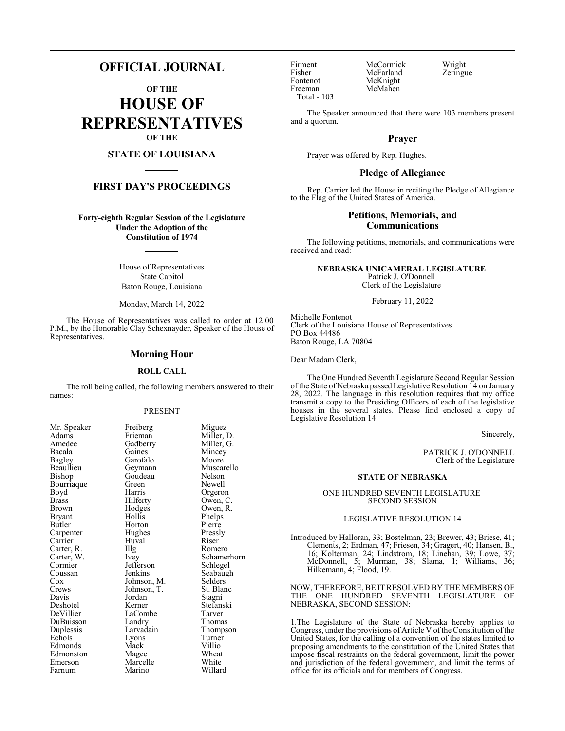# **OFFICIAL JOURNAL**

**OF THE HOUSE OF REPRESENTATIVES OF THE**

# **STATE OF LOUISIANA**

### **FIRST DAY'S PROCEEDINGS**

**Forty-eighth Regular Session of the Legislature Under the Adoption of the Constitution of 1974**

> House of Representatives State Capitol Baton Rouge, Louisiana

Monday, March 14, 2022

The House of Representatives was called to order at 12:00 P.M., by the Honorable Clay Schexnayder, Speaker of the House of Representatives.

### **Morning Hour**

### **ROLL CALL**

The roll being called, the following members answered to their names:

#### PRESENT

| Mr. Speaker   |
|---------------|
| Adams         |
| Amedee        |
| Bacala        |
| <b>Bagley</b> |
| Beaullieu     |
| Bishop        |
| Bourriaque    |
| Boyd          |
| Brass         |
| Brown         |
| Bryant        |
| Butler        |
| Carpenter     |
| Carrier       |
| Carter, R.    |
| Carter, W.    |
| Cormier       |
| Coussan       |
|               |
| Cox<br>Crews  |
| Davis         |
| Deshotel      |
| DeVillier     |
| DuBuisson     |
| Duplessis     |
| Echols        |
| Edmonds       |
| Edmonston     |
| Emerson       |
| Farnum        |

Mr. Speaker Freiberg Miguez<br>Adams Frieman Miller, 1 Frieman Miller, D.<br>Gadberry Miller, G. Gadberry Miller, G.<br>Gaines Mincey Garofalo<br>Geymann Goudeau<br>Green Green Newell<br>Bourris Green Harris Orgeron<br>Hilferty Owen, C Hilferty Owen, C.<br>Hodges Owen, R. Hollis Phelps<br>
Horton Pierre Horton Pierre<br>
Hughes Pressly Hughes Pressl<br>Huval Riser The Romero<br>
Ivey Schamer Jefferson<br>Jenkins Johnson, M. Selders<br>Johnson, T. St. Blanc Johnson, T. St. Blanch<br>Jordan Stagni Kerner Stefanski<br>LaCombe Tarver LaCombe<br>Landry Larvadain Thompson<br>Lyons Turner Lyons Turner<br>Mack Villio Mack Villio<br>Magee Wheat Magee Wheat<br>
Marcelle White Marcelle White<br>
Marino Willard Marino

Huval<br>Illg

Jordan

Mincey<br>Moore

Muscarello<br>Nelson

Owen, R.<br>Phelps

Schamerhorn<br>Schlegel

Seabaugh

Thomas<br>Thompson

Fisher McFarland<br>Fontenot McKnight Fontenot McKnight<br>Freeman McMahen Total - 103

Firment McCormick Wright<br>
Fisher McFarland Zeringue McMahen

The Speaker announced that there were 103 members present and a quorum.

### **Prayer**

Prayer was offered by Rep. Hughes.

### **Pledge of Allegiance**

Rep. Carrier led the House in reciting the Pledge of Allegiance to the Flag of the United States of America.

### **Petitions, Memorials, and Communications**

The following petitions, memorials, and communications were received and read:

### **NEBRASKA UNICAMERAL LEGISLATURE**  Patrick J. O'Donnell

Clerk of the Legislature

February 11, 2022

Michelle Fontenot Clerk of the Louisiana House of Representatives PO Box 44486 Baton Rouge, LA 70804

Dear Madam Clerk,

The One Hundred Seventh Legislature Second Regular Session of the State of Nebraska passed Legislative Resolution 14 on January 28, 2022. The language in this resolution requires that my office transmit a copy to the Presiding Officers of each of the legislative houses in the several states. Please find enclosed a copy of Legislative Resolution 14.

Sincerely,

PATRICK J. O'DONNELL Clerk of the Legislature

#### **STATE OF NEBRASKA**

ONE HUNDRED SEVENTH LEGISLATURE SECOND SESSION

### LEGISLATIVE RESOLUTION 14

Introduced by Halloran, 33; Bostelman, 23; Brewer, 43; Briese, 41; Clements, 2; Erdman, 47; Friesen, 34; Gragert, 40; Hansen, B., 16; Kolterman, 24; Lindstrom, 18; Linehan, 39; Lowe, 37; McDonnell, 5; Murman, 38; Slama, 1; Williams, 36; Hilkemann, 4; Flood, 19.

NOW, THEREFORE, BE ITRESOLVED BY THE MEMBERS OF THE ONE HUNDRED SEVENTH LEGISLATURE OF NEBRASKA, SECOND SESSION:

1.The Legislature of the State of Nebraska hereby applies to Congress, under the provisions of Article V of the Constitution of the United States, for the calling of a convention of the states limited to proposing amendments to the constitution of the United States that impose fiscal restraints on the federal government, limit the power and jurisdiction of the federal government, and limit the terms of office for its officials and for members of Congress.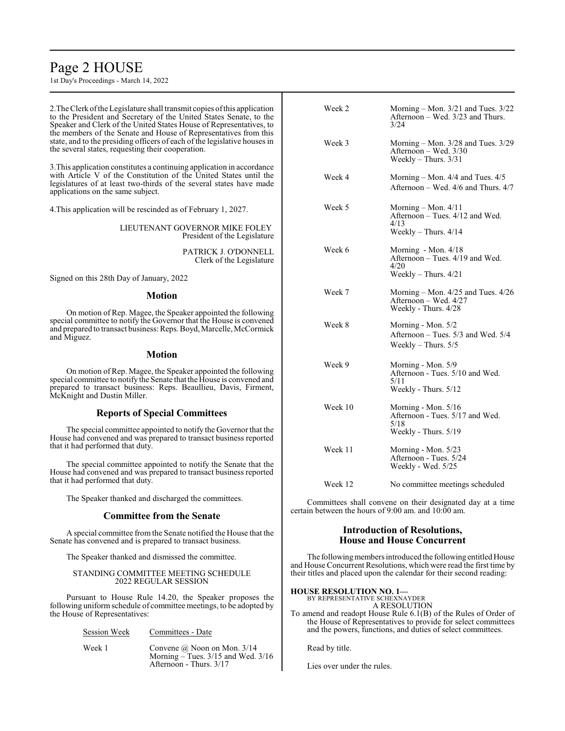# Page 2 HOUSE

1st Day's Proceedings - March 14, 2022

Session Week Committees - Date

Week 1 Convene @ Noon on Mon. 3/14

Afternoon - Thurs. 3/17

Morning – Tues. 3/15 and Wed. 3/16

| 2. The Clerk of the Legislature shall transmit copies of this application<br>to the President and Secretary of the United States Senate, to the<br>Speaker and Clerk of the United States House of Representatives, to<br>the members of the Senate and House of Representatives from this | Week 2                                                                                                                                                                                                                                                                                                                                                            | Morning – Mon. $3/21$ and Tues. $3/22$<br>Afternoon – Wed. 3/23 and Thurs.<br>3/24          |
|--------------------------------------------------------------------------------------------------------------------------------------------------------------------------------------------------------------------------------------------------------------------------------------------|-------------------------------------------------------------------------------------------------------------------------------------------------------------------------------------------------------------------------------------------------------------------------------------------------------------------------------------------------------------------|---------------------------------------------------------------------------------------------|
| state, and to the presiding officers of each of the legislative houses in<br>the several states, requesting their cooperation.                                                                                                                                                             | Week 3                                                                                                                                                                                                                                                                                                                                                            | Morning – Mon. $3/28$ and Tues. $3/29$<br>Afternoon – Wed. $3/30$<br>Weekly – Thurs. $3/31$ |
| 3. This application constitutes a continuing application in accordance<br>with Article V of the Constitution of the United States until the<br>legislatures of at least two-thirds of the several states have made<br>applications on the same subject.                                    | Week 4                                                                                                                                                                                                                                                                                                                                                            | Morning – Mon. $4/4$ and Tues. $4/5$<br>Afternoon – Wed. 4/6 and Thurs. 4/7                 |
| 4. This application will be rescinded as of February 1, 2027.                                                                                                                                                                                                                              | Week 5                                                                                                                                                                                                                                                                                                                                                            | Morning – Mon. $4/11$<br>Afternoon – Tues. 4/12 and Wed.                                    |
| LIEUTENANT GOVERNOR MIKE FOLEY<br>President of the Legislature                                                                                                                                                                                                                             |                                                                                                                                                                                                                                                                                                                                                                   | 4/13<br>Weekly – Thurs. $4/14$                                                              |
| PATRICK J. O'DONNELL<br>Clerk of the Legislature                                                                                                                                                                                                                                           | Week 6                                                                                                                                                                                                                                                                                                                                                            | Morning - Mon. $4/18$<br>Afternoon $-$ Tues. 4/19 and Wed.<br>4/20                          |
| Signed on this 28th Day of January, 2022                                                                                                                                                                                                                                                   |                                                                                                                                                                                                                                                                                                                                                                   | Weekly – Thurs. $4/21$                                                                      |
| <b>Motion</b><br>On motion of Rep. Magee, the Speaker appointed the following                                                                                                                                                                                                              | Week 7                                                                                                                                                                                                                                                                                                                                                            | Morning – Mon. $4/25$ and Tues. $4/26$<br>Afternoon – Wed. $4/27$<br>Weekly - Thurs. 4/28   |
| special committee to notify the Governor that the House is convened<br>and prepared to transact business: Reps. Boyd, Marcelle, McCormick<br>and Miguez.                                                                                                                                   | Week 8                                                                                                                                                                                                                                                                                                                                                            | Morning - Mon. 5/2<br>Afternoon – Tues. 5/3 and Wed. 5/4                                    |
| <b>Motion</b>                                                                                                                                                                                                                                                                              |                                                                                                                                                                                                                                                                                                                                                                   | Weekly $-$ Thurs. $5/5$                                                                     |
| On motion of Rep. Magee, the Speaker appointed the following<br>special committee to notify the Senate that the House is convened and<br>prepared to transact business: Reps. Beaullieu, Davis, Firment,<br>McKnight and Dustin Miller.                                                    | Week 9                                                                                                                                                                                                                                                                                                                                                            | Morning - Mon. 5/9<br>Afternoon - Tues. 5/10 and Wed.<br>5/11<br>Weekly - Thurs. 5/12       |
| <b>Reports of Special Committees</b>                                                                                                                                                                                                                                                       | Week 10                                                                                                                                                                                                                                                                                                                                                           | Morning - Mon. $5/16$<br>Afternoon - Tues. 5/17 and Wed.                                    |
| The special committee appointed to notify the Governor that the<br>House had convened and was prepared to transact business reported                                                                                                                                                       |                                                                                                                                                                                                                                                                                                                                                                   | 5/18<br>Weekly - Thurs. 5/19                                                                |
| that it had performed that duty.<br>The special committee appointed to notify the Senate that the                                                                                                                                                                                          | Week 11                                                                                                                                                                                                                                                                                                                                                           | Morning - Mon. 5/23<br>Afternoon - Tues. 5/24<br>Weekly - Wed. 5/25                         |
| House had convened and was prepared to transact business reported<br>that it had performed that duty.                                                                                                                                                                                      | Week 12                                                                                                                                                                                                                                                                                                                                                           | No committee meetings scheduled                                                             |
| The Speaker thanked and discharged the committees.                                                                                                                                                                                                                                         | Committees shall convene on their designated day at a time<br>certain between the hours of 9:00 am, and 10:00 am.                                                                                                                                                                                                                                                 |                                                                                             |
| <b>Committee from the Senate</b>                                                                                                                                                                                                                                                           |                                                                                                                                                                                                                                                                                                                                                                   |                                                                                             |
| A special committee from the Senate notified the House that the<br>Senate has convened and is prepared to transact business.                                                                                                                                                               | <b>Introduction of Resolutions,</b><br><b>House and House Concurrent</b>                                                                                                                                                                                                                                                                                          |                                                                                             |
| The Speaker thanked and dismissed the committee.                                                                                                                                                                                                                                           | The following members introduced the following entitled House<br>and House Concurrent Resolutions, which were read the first time by<br>their titles and placed upon the calendar for their second reading:<br><b>HOUSE RESOLUTION NO. 1-</b><br>BY REPRESENTATIVE SCHEXNAYDER<br>A RESOLUTION<br>To amend and readopt House Rule 6.1(B) of the Rules of Order of |                                                                                             |
| STANDING COMMITTEE MEETING SCHEDULE<br>2022 REGULAR SESSION                                                                                                                                                                                                                                |                                                                                                                                                                                                                                                                                                                                                                   |                                                                                             |
| Pursuant to House Rule 14.20, the Speaker proposes the<br>following uniform schedule of committee meetings, to be adopted by<br>the House of Representatives:                                                                                                                              |                                                                                                                                                                                                                                                                                                                                                                   |                                                                                             |

To amend and readopt House Rule 6.1(B) of the Rules of Order of the House of Representatives to provide for select committees and the powers, functions, and duties of select committees.

Read by title.

Lies over under the rules.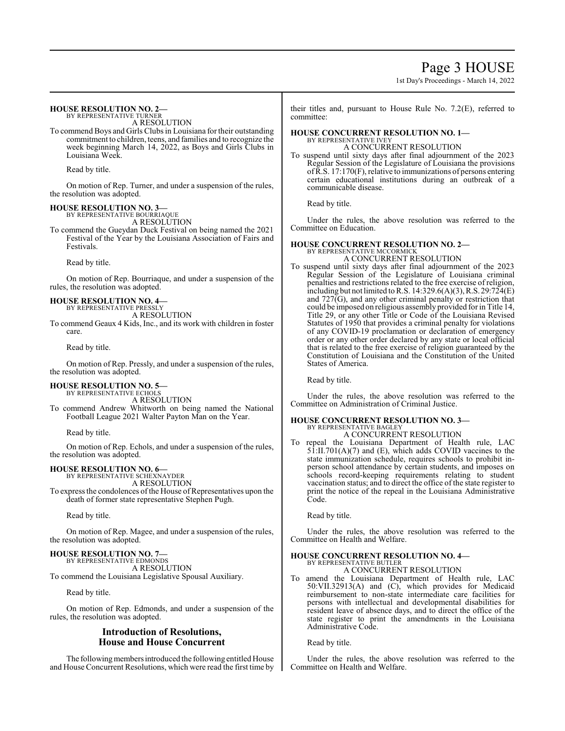Page 3 HOUSE

1st Day's Proceedings - March 14, 2022

#### **HOUSE RESOLUTION NO. 2—** BY REPRESENTATIVE TURNER

A RESOLUTION

To commend Boys and Girls Clubs in Louisiana for their outstanding commitment to children, teens, and families and to recognize the week beginning March 14, 2022, as Boys and Girls Clubs in Louisiana Week.

Read by title.

On motion of Rep. Turner, and under a suspension of the rules, the resolution was adopted.

### **HOUSE RESOLUTION NO. 3—**

BY REPRESENTATIVE BOURRIAQUE A RESOLUTION

To commend the Gueydan Duck Festival on being named the 2021 Festival of the Year by the Louisiana Association of Fairs and Festivals.

Read by title.

On motion of Rep. Bourriaque, and under a suspension of the rules, the resolution was adopted.

#### **HOUSE RESOLUTION NO. 4—** BY REPRESENTATIVE PRESSLY

A RESOLUTION

To commend Geaux 4 Kids, Inc., and its work with children in foster care.

Read by title.

On motion of Rep. Pressly, and under a suspension of the rules, the resolution was adopted.

### **HOUSE RESOLUTION NO. 5—**

BY REPRESENTATIVE ECHOLS A RESOLUTION

To commend Andrew Whitworth on being named the National Football League 2021 Walter Payton Man on the Year.

Read by title.

On motion of Rep. Echols, and under a suspension of the rules, the resolution was adopted.

# **HOUSE RESOLUTION NO. 6—** BY REPRESENTATIVE SCHEXNAYDER

A RESOLUTION

To express the condolences of the House of Representatives upon the death of former state representative Stephen Pugh.

Read by title.

On motion of Rep. Magee, and under a suspension of the rules, the resolution was adopted.

### **HOUSE RESOLUTION NO. 7—**

BY REPRESENTATIVE EDMONDS A RESOLUTION To commend the Louisiana Legislative Spousal Auxiliary.

Read by title.

On motion of Rep. Edmonds, and under a suspension of the rules, the resolution was adopted.

## **Introduction of Resolutions, House and House Concurrent**

The following members introduced the following entitled House and House Concurrent Resolutions, which were read the first time by their titles and, pursuant to House Rule No. 7.2(E), referred to committee:

#### **HOUSE CONCURRENT RESOLUTION NO. 1—** BY REPRESENTATIVE IVEY A CONCURRENT RESOLUTION

To suspend until sixty days after final adjournment of the 2023 Regular Session of the Legislature of Louisiana the provisions ofR.S. 17:170(F), relative to immunizations of persons entering certain educational institutions during an outbreak of a communicable disease.

Read by title.

Under the rules, the above resolution was referred to the Committee on Education.

# **HOUSE CONCURRENT RESOLUTION NO. 2—** BY REPRESENTATIVE MCCORMICK

A CONCURRENT RESOLUTION

To suspend until sixty days after final adjournment of the 2023 Regular Session of the Legislature of Louisiana criminal penalties and restrictions related to the free exercise of religion, including but not limited to R.S. 14:329.6(A)(3), R.S. 29:724(E) and  $727\bar{G}$ ), and any other criminal penalty or restriction that could be imposed on religious assembly provided for in Title 14, Title 29, or any other Title or Code of the Louisiana Revised Statutes of 1950 that provides a criminal penalty for violations of any COVID-19 proclamation or declaration of emergency order or any other order declared by any state or local official that is related to the free exercise of religion guaranteed by the Constitution of Louisiana and the Constitution of the United States of America.

Read by title.

Under the rules, the above resolution was referred to the Committee on Administration of Criminal Justice.

## **HOUSE CONCURRENT RESOLUTION NO. 3—**

BY REPRESENTATIVE BAGLEY A CONCURRENT RESOLUTION

To repeal the Louisiana Department of Health rule, LAC  $51:II.701(A)(7)$  and (E), which adds COVID vaccines to the state immunization schedule, requires schools to prohibit inperson school attendance by certain students, and imposes on schools record-keeping requirements relating to student vaccination status; and to direct the office of the state register to print the notice of the repeal in the Louisiana Administrative Code.

Read by title.

Under the rules, the above resolution was referred to the Committee on Health and Welfare.

#### **HOUSE CONCURRENT RESOLUTION NO. 4—** BY REPRESENTATIVE BUTLER

A CONCURRENT RESOLUTION

To amend the Louisiana Department of Health rule, LAC 50:VII.32913(A) and (C), which provides for Medicaid reimbursement to non-state intermediate care facilities for persons with intellectual and developmental disabilities for resident leave of absence days, and to direct the office of the state register to print the amendments in the Louisiana Administrative Code.

Read by title.

Under the rules, the above resolution was referred to the Committee on Health and Welfare.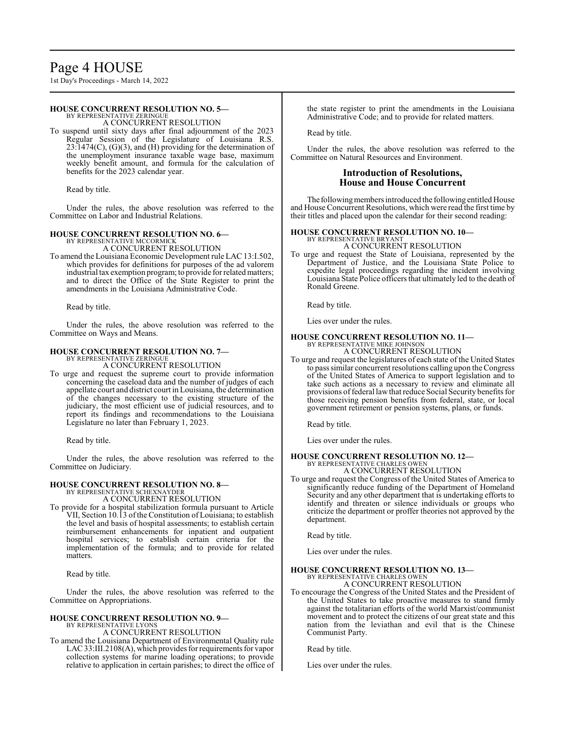# Page 4 HOUSE

1st Day's Proceedings - March 14, 2022

### **HOUSE CONCURRENT RESOLUTION NO. 5—**

BY REPRESENTATIVE ZERINGUE A CONCURRENT RESOLUTION

To suspend until sixty days after final adjournment of the 2023 Regular Session of the Legislature of Louisiana R.S. 23:1474(C), (G)(3), and (H) providing for the determination of the unemployment insurance taxable wage base, maximum weekly benefit amount, and formula for the calculation of benefits for the 2023 calendar year.

Read by title.

Under the rules, the above resolution was referred to the Committee on Labor and Industrial Relations.

### **HOUSE CONCURRENT RESOLUTION NO. 6—**

BY REPRESENTATIVE MCCORMICK A CONCURRENT RESOLUTION

To amend the Louisiana Economic Development rule LAC 13:I.502, which provides for definitions for purposes of the ad valorem industrial tax exemption program; to provide for related matters; and to direct the Office of the State Register to print the amendments in the Louisiana Administrative Code.

Read by title.

Under the rules, the above resolution was referred to the Committee on Ways and Means.

# **HOUSE CONCURRENT RESOLUTION NO. 7—** BY REPRESENTATIVE ZERINGUE

A CONCURRENT RESOLUTION

To urge and request the supreme court to provide information concerning the caseload data and the number of judges of each appellate court and district court in Louisiana, the determination of the changes necessary to the existing structure of the judiciary, the most efficient use of judicial resources, and to report its findings and recommendations to the Louisiana Legislature no later than February 1, 2023.

Read by title.

Under the rules, the above resolution was referred to the Committee on Judiciary.

# **HOUSE CONCURRENT RESOLUTION NO. 8—** BY REPRESENTATIVE SCHEXNAYDER

A CONCURRENT RESOLUTION

To provide for a hospital stabilization formula pursuant to Article VII, Section 10.13 ofthe Constitution of Louisiana; to establish the level and basis of hospital assessments; to establish certain reimbursement enhancements for inpatient and outpatient hospital services; to establish certain criteria for the implementation of the formula; and to provide for related matters.

Read by title.

Under the rules, the above resolution was referred to the Committee on Appropriations.

# **HOUSE CONCURRENT RESOLUTION NO. 9—**

BY REPRESENTATIVE LYONS A CONCURRENT RESOLUTION

To amend the Louisiana Department of Environmental Quality rule LAC 33:III.2108(A), which provides for requirements for vapor collection systems for marine loading operations; to provide relative to application in certain parishes; to direct the office of the state register to print the amendments in the Louisiana Administrative Code; and to provide for related matters.

Read by title.

Under the rules, the above resolution was referred to the Committee on Natural Resources and Environment.

## **Introduction of Resolutions, House and House Concurrent**

The following members introduced the following entitled House and House Concurrent Resolutions, which were read the first time by their titles and placed upon the calendar for their second reading:

### **HOUSE CONCURRENT RESOLUTION NO. 10—**

BY REPRESENTATIVE BRYANT A CONCURRENT RESOLUTION

To urge and request the State of Louisiana, represented by the Department of Justice, and the Louisiana State Police to expedite legal proceedings regarding the incident involving Louisiana State Police officers that ultimately led to the death of Ronald Greene.

Read by title.

Lies over under the rules.

### **HOUSE CONCURRENT RESOLUTION NO. 11—**

BY REPRESENTATIVE MIKE JOHNSON A CONCURRENT RESOLUTION

To urge and request the legislatures of each state of the United States to pass similar concurrent resolutions calling upon the Congress of the United States of America to support legislation and to take such actions as a necessary to review and eliminate all provisions of federal law that reduce Social Security benefits for those receiving pension benefits from federal, state, or local government retirement or pension systems, plans, or funds.

Read by title.

Lies over under the rules.

# **HOUSE CONCURRENT RESOLUTION NO. 12—** BY REPRESENTATIVE CHARLES OWEN

A CONCURRENT RESOLUTION

To urge and request the Congress of the United States of America to significantly reduce funding of the Department of Homeland Security and any other department that is undertaking efforts to identify and threaten or silence individuals or groups who criticize the department or proffer theories not approved by the department.

Read by title.

Lies over under the rules.

#### **HOUSE CONCURRENT RESOLUTION NO. 13—** BY REPRESENTATIVE CHARLES OWEN A CONCURRENT RESOLUTION

To encourage the Congress of the United States and the President of the United States to take proactive measures to stand firmly against the totalitarian efforts of the world Marxist/communist movement and to protect the citizens of our great state and this nation from the leviathan and evil that is the Chinese

Read by title.

Communist Party.

Lies over under the rules.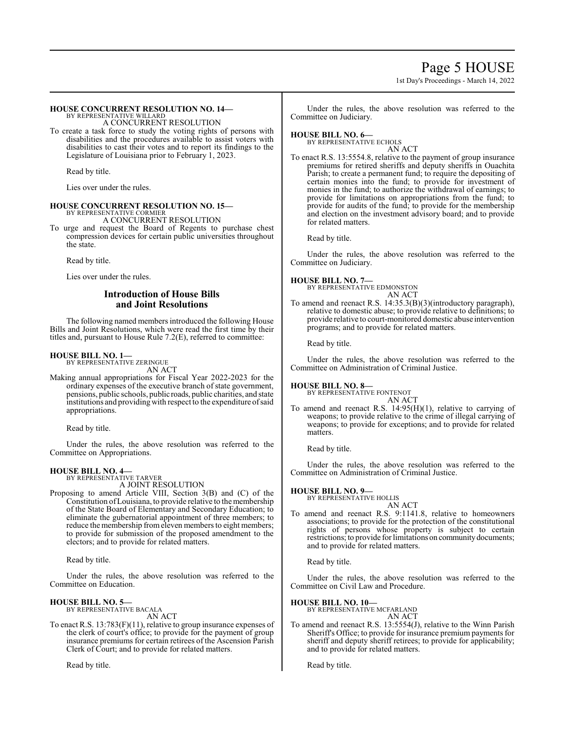# Page 5 HOUSE 1st Day's Proceedings - March 14, 2022

## **HOUSE CONCURRENT RESOLUTION NO. 14—**

BY REPRESENTATIVE WILLARD A CONCURRENT RESOLUTION

To create a task force to study the voting rights of persons with disabilities and the procedures available to assist voters with disabilities to cast their votes and to report its findings to the Legislature of Louisiana prior to February 1, 2023.

Read by title.

Lies over under the rules.

#### **HOUSE CONCURRENT RESOLUTION NO. 15—** BY REPRESENTATIVE CORMIER

A CONCURRENT RESOLUTION

To urge and request the Board of Regents to purchase chest compression devices for certain public universities throughout the state.

Read by title.

Lies over under the rules.

## **Introduction of House Bills and Joint Resolutions**

The following named members introduced the following House Bills and Joint Resolutions, which were read the first time by their titles and, pursuant to House Rule 7.2(E), referred to committee:

# **HOUSE BILL NO. 1—** BY REPRESENTATIVE ZERINGUE

AN ACT

Making annual appropriations for Fiscal Year 2022-2023 for the ordinary expenses of the executive branch of state government, pensions, public schools, public roads, public charities, and state institutions and providing with respect to the expenditure of said appropriations.

Read by title.

Under the rules, the above resolution was referred to the Committee on Appropriations.

### **HOUSE BILL NO. 4—**

BY REPRESENTATIVE TARVER A JOINT RESOLUTION

Proposing to amend Article VIII, Section 3(B) and (C) of the Constitution ofLouisiana, to provide relative to the membership of the State Board of Elementary and Secondary Education; to eliminate the gubernatorial appointment of three members; to reduce the membership fromeleven members to eight members; to provide for submission of the proposed amendment to the electors; and to provide for related matters.

Read by title.

Under the rules, the above resolution was referred to the Committee on Education.

### **HOUSE BILL NO. 5—**

BY REPRESENTATIVE BACALA AN ACT

To enact R.S. 13:783(F)(11), relative to group insurance expenses of the clerk of court's office; to provide for the payment of group insurance premiums for certain retirees of the Ascension Parish Clerk of Court; and to provide for related matters.

Read by title.

Under the rules, the above resolution was referred to the Committee on Judiciary.

### **HOUSE BILL NO. 6—**

BY REPRESENTATIVE ECHOLS

AN ACT To enact R.S. 13:5554.8, relative to the payment of group insurance premiums for retired sheriffs and deputy sheriffs in Ouachita Parish; to create a permanent fund; to require the depositing of certain monies into the fund; to provide for investment of monies in the fund; to authorize the withdrawal of earnings; to provide for limitations on appropriations from the fund; to provide for audits of the fund; to provide for the membership and election on the investment advisory board; and to provide for related matters.

Read by title.

Under the rules, the above resolution was referred to the Committee on Judiciary.

**HOUSE BILL NO. 7—** BY REPRESENTATIVE EDMONSTON AN ACT

To amend and reenact R.S. 14:35.3(B)(3)(introductory paragraph), relative to domestic abuse; to provide relative to definitions; to provide relative to court-monitored domestic abuse intervention programs; and to provide for related matters.

Read by title.

Under the rules, the above resolution was referred to the Committee on Administration of Criminal Justice.

# **HOUSE BILL NO. 8—** BY REPRESENTATIVE FONTENOT

AN ACT

To amend and reenact R.S. 14:95(H)(1), relative to carrying of weapons; to provide relative to the crime of illegal carrying of weapons; to provide for exceptions; and to provide for related matters.

Read by title.

Under the rules, the above resolution was referred to the Committee on Administration of Criminal Justice.

# **HOUSE BILL NO. 9—**

BY REPRESENTATIVE HOLLIS

AN ACT To amend and reenact R.S. 9:1141.8, relative to homeowners associations; to provide for the protection of the constitutional rights of persons whose property is subject to certain restrictions; to provide for limitations on community documents; and to provide for related matters.

Read by title.

Under the rules, the above resolution was referred to the Committee on Civil Law and Procedure.

### **HOUSE BILL NO. 10—**

BY REPRESENTATIVE MCFARLAND AN ACT

To amend and reenact R.S. 13:5554(J), relative to the Winn Parish Sheriff's Office; to provide for insurance premium payments for sheriff and deputy sheriff retirees; to provide for applicability; and to provide for related matters.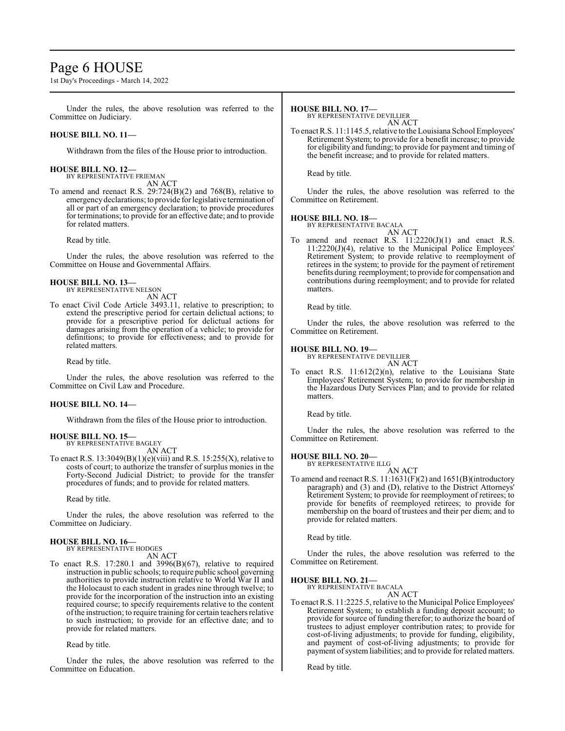# Page 6 HOUSE

1st Day's Proceedings - March 14, 2022

Under the rules, the above resolution was referred to the Committee on Judiciary.

### **HOUSE BILL NO. 11—**

Withdrawn from the files of the House prior to introduction.

### **HOUSE BILL NO. 12—**

BY REPRESENTATIVE FRIEMAN AN ACT

To amend and reenact R.S. 29:724(B)(2) and 768(B), relative to emergency declarations; to provide for legislative termination of all or part of an emergency declaration; to provide procedures for terminations; to provide for an effective date; and to provide for related matters.

Read by title.

Under the rules, the above resolution was referred to the Committee on House and Governmental Affairs.

### **HOUSE BILL NO. 13—**

BY REPRESENTATIVE NELSON AN ACT

To enact Civil Code Article 3493.11, relative to prescription; to extend the prescriptive period for certain delictual actions; to provide for a prescriptive period for delictual actions for damages arising from the operation of a vehicle; to provide for definitions; to provide for effectiveness; and to provide for related matters.

Read by title.

Under the rules, the above resolution was referred to the Committee on Civil Law and Procedure.

### **HOUSE BILL NO. 14—**

Withdrawn from the files of the House prior to introduction.

### **HOUSE BILL NO. 15—**

BY REPRESENTATIVE BAGLEY AN ACT

To enact R.S.  $13:3049(B)(1)(e)(viii)$  and R.S.  $15:255(X)$ , relative to costs of court; to authorize the transfer of surplus monies in the Forty-Second Judicial District; to provide for the transfer procedures of funds; and to provide for related matters.

Read by title.

Under the rules, the above resolution was referred to the Committee on Judiciary.

# **HOUSE BILL NO. 16—** BY REPRESENTATIVE HODGES

AN ACT

To enact R.S. 17:280.1 and 3996(B)(67), relative to required instruction in public schools; to require public school governing authorities to provide instruction relative to World War II and the Holocaust to each student in grades nine through twelve; to provide for the incorporation of the instruction into an existing required course; to specify requirements relative to the content ofthe instruction; to require training for certain teachers relative to such instruction; to provide for an effective date; and to provide for related matters.

Read by title.

Under the rules, the above resolution was referred to the Committee on Education.

#### **HOUSE BILL NO. 17—**

BY REPRESENTATIVE DEVILLIER

AN ACT To enact R.S. 11:1145.5, relative to the Louisiana School Employees' Retirement System; to provide for a benefit increase; to provide for eligibility and funding; to provide for payment and timing of the benefit increase; and to provide for related matters.

Read by title.

Under the rules, the above resolution was referred to the Committee on Retirement.

# **HOUSE BILL NO. 18—**

BY REPRESENTATIVE BACALA AN ACT

To amend and reenact R.S. 11:2220(J)(1) and enact R.S. 11:2220(J)(4), relative to the Municipal Police Employees' Retirement System; to provide relative to reemployment of retirees in the system; to provide for the payment of retirement benefits during reemployment; to provide for compensation and contributions during reemployment; and to provide for related matters.

Read by title.

Under the rules, the above resolution was referred to the Committee on Retirement.

### **HOUSE BILL NO. 19—**

BY REPRESENTATIVE DEVILLIER AN ACT

To enact R.S. 11:612(2)(n), relative to the Louisiana State Employees' Retirement System; to provide for membership in the Hazardous Duty Services Plan; and to provide for related matters.

Read by title.

Under the rules, the above resolution was referred to the Committee on Retirement.

### **HOUSE BILL NO. 20—**

BY REPRESENTATIVE ILLG AN ACT

To amend and reenact R.S. 11:1631(F)(2) and 1651(B)(introductory paragraph) and (3) and (D), relative to the District Attorneys' Retirement System; to provide for reemployment of retirees; to provide for benefits of reemployed retirees; to provide for membership on the board of trustees and their per diem; and to provide for related matters.

Read by title.

Under the rules, the above resolution was referred to the Committee on Retirement.

### **HOUSE BILL NO. 21—**

BY REPRESENTATIVE BACALA AN ACT

To enact R.S. 11:2225.5, relative to the Municipal Police Employees' Retirement System; to establish a funding deposit account; to provide for source of funding therefor; to authorize the board of trustees to adjust employer contribution rates; to provide for cost-of-living adjustments; to provide for funding, eligibility, and payment of cost-of-living adjustments; to provide for payment of system liabilities; and to provide for related matters.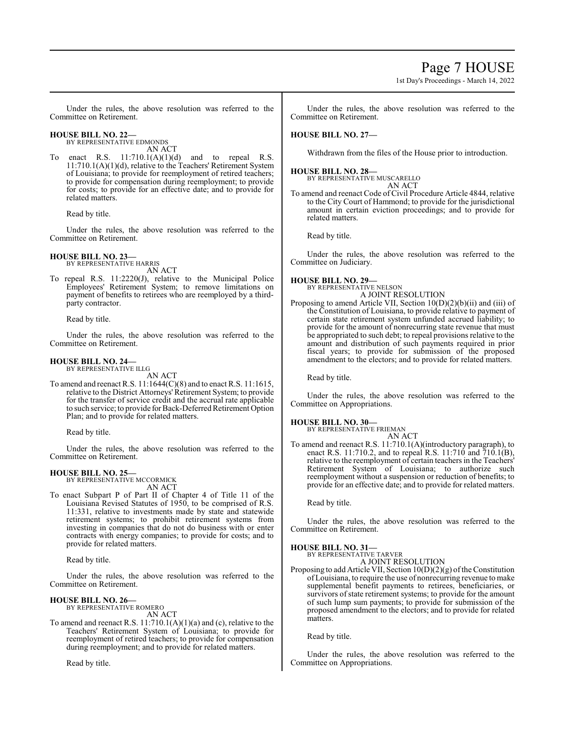Under the rules, the above resolution was referred to the Committee on Retirement.

**HOUSE BILL NO. 22—** BY REPRESENTATIVE EDMONDS

AN ACT To enact R.S. 11:710.1(A)(1)(d) and to repeal R.S. 11:710.1(A)(1)(d), relative to the Teachers' Retirement System of Louisiana; to provide for reemployment of retired teachers; to provide for compensation during reemployment; to provide for costs; to provide for an effective date; and to provide for related matters.

Read by title.

Under the rules, the above resolution was referred to the Committee on Retirement.

**HOUSE BILL NO. 23—** BY REPRESENTATIVE HARRIS

AN ACT

To repeal R.S. 11:2220(J), relative to the Municipal Police Employees' Retirement System; to remove limitations on payment of benefits to retirees who are reemployed by a thirdparty contractor.

Read by title.

Under the rules, the above resolution was referred to the Committee on Retirement.

#### **HOUSE BILL NO. 24—** BY REPRESENTATIVE ILLG

AN ACT

To amend and reenact R.S. 11:1644(C)(8) and to enact R.S. 11:1615, relative to the District Attorneys'Retirement System; to provide for the transfer of service credit and the accrual rate applicable to such service; to provide for Back-Deferred Retirement Option Plan; and to provide for related matters.

Read by title.

Under the rules, the above resolution was referred to the Committee on Retirement.

### **HOUSE BILL NO. 25—**

BY REPRESENTATIVE MCCORMICK AN ACT

To enact Subpart P of Part II of Chapter 4 of Title 11 of the Louisiana Revised Statutes of 1950, to be comprised of R.S. 11:331, relative to investments made by state and statewide retirement systems; to prohibit retirement systems from investing in companies that do not do business with or enter contracts with energy companies; to provide for costs; and to provide for related matters.

Read by title.

Under the rules, the above resolution was referred to the Committee on Retirement.

#### **HOUSE BILL NO. 26—** BY REPRESENTATIVE ROMERO

AN ACT

To amend and reenact R.S. 11:710.1(A)(1)(a) and (c), relative to the Teachers' Retirement System of Louisiana; to provide for reemployment of retired teachers; to provide for compensation during reemployment; and to provide for related matters.

Read by title.

Under the rules, the above resolution was referred to the Committee on Retirement.

### **HOUSE BILL NO. 27—**

Withdrawn from the files of the House prior to introduction.

# **HOUSE BILL NO. 28—** BY REPRESENTATIVE MUSCARELLO

AN ACT

To amend and reenact Code of Civil Procedure Article 4844, relative to the City Court of Hammond; to provide for the jurisdictional amount in certain eviction proceedings; and to provide for related matters.

Read by title.

Under the rules, the above resolution was referred to the Committee on Judiciary.

# **HOUSE BILL NO. 29—**

BY REPRESENTATIVE NELSON A JOINT RESOLUTION

Proposing to amend Article VII, Section 10(D)(2)(b)(ii) and (iii) of the Constitution of Louisiana, to provide relative to payment of certain state retirement system unfunded accrued liability; to provide for the amount of nonrecurring state revenue that must be appropriated to such debt; to repeal provisions relative to the amount and distribution of such payments required in prior fiscal years; to provide for submission of the proposed amendment to the electors; and to provide for related matters.

Read by title.

Under the rules, the above resolution was referred to the Committee on Appropriations.

# **HOUSE BILL NO. 30—**

BY REPRESENTATIVE FRIEMAN AN ACT

To amend and reenact R.S. 11:710.1(A)(introductory paragraph), to enact R.S. 11:710.2, and to repeal R.S. 11:710 and 710.1(B), relative to the reemployment of certain teachers in the Teachers' Retirement System of Louisiana; to authorize such reemployment without a suspension or reduction of benefits; to provide for an effective date; and to provide for related matters.

Read by title.

Under the rules, the above resolution was referred to the Committee on Retirement.

## **HOUSE BILL NO. 31—**

BY REPRESENTATIVE TARVER A JOINT RESOLUTION

Proposing to add Article VII, Section  $10(D)(2)(g)$  of the Constitution of Louisiana, to require the use of nonrecurring revenue to make supplemental benefit payments to retirees, beneficiaries, or survivors of state retirement systems; to provide for the amount of such lump sum payments; to provide for submission of the proposed amendment to the electors; and to provide for related matters.

Read by title.

Under the rules, the above resolution was referred to the Committee on Appropriations.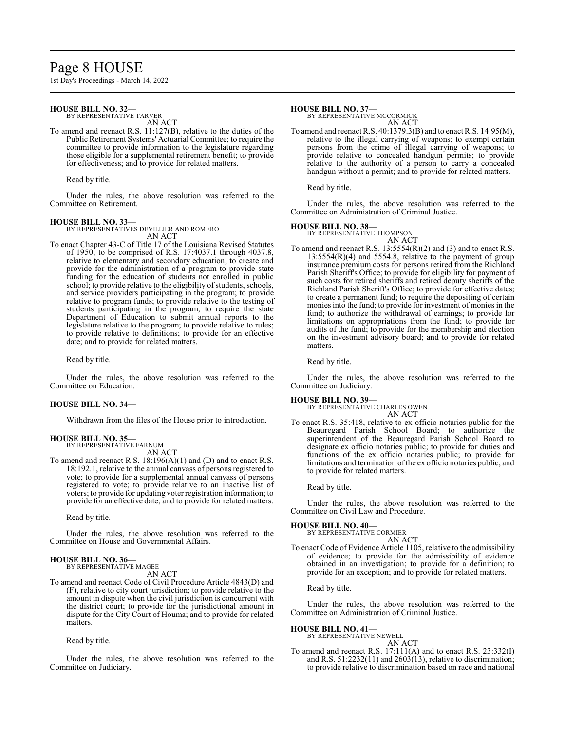# Page 8 HOUSE

1st Day's Proceedings - March 14, 2022

### **HOUSE BILL NO. 32—**

BY REPRESENTATIVE TARVER AN ACT

To amend and reenact R.S. 11:127(B), relative to the duties of the Public Retirement Systems' Actuarial Committee; to require the committee to provide information to the legislature regarding those eligible for a supplemental retirement benefit; to provide for effectiveness; and to provide for related matters.

Read by title.

Under the rules, the above resolution was referred to the Committee on Retirement.

### **HOUSE BILL NO. 33—**

BY REPRESENTATIVES DEVILLIER AND ROMERO AN ACT

To enact Chapter 43-C of Title 17 of the Louisiana Revised Statutes of 1950, to be comprised of R.S. 17:4037.1 through 4037.8, relative to elementary and secondary education; to create and provide for the administration of a program to provide state funding for the education of students not enrolled in public school; to provide relative to the eligibility of students, schools, and service providers participating in the program; to provide relative to program funds; to provide relative to the testing of students participating in the program; to require the state Department of Education to submit annual reports to the legislature relative to the program; to provide relative to rules; to provide relative to definitions; to provide for an effective date; and to provide for related matters.

Read by title.

Under the rules, the above resolution was referred to the Committee on Education.

#### **HOUSE BILL NO. 34—**

Withdrawn from the files of the House prior to introduction.

### **HOUSE BILL NO. 35—**

BY REPRESENTATIVE FARNUM AN ACT

To amend and reenact R.S. 18:196(A)(1) and (D) and to enact R.S. 18:192.1, relative to the annual canvass of persons registered to vote; to provide for a supplemental annual canvass of persons registered to vote; to provide relative to an inactive list of voters; to provide for updating voter registration information; to provide for an effective date; and to provide for related matters.

Read by title.

Under the rules, the above resolution was referred to the Committee on House and Governmental Affairs.

# **HOUSE BILL NO. 36—** BY REPRESENTATIVE MAGEE

AN ACT

To amend and reenact Code of Civil Procedure Article 4843(D) and (F), relative to city court jurisdiction; to provide relative to the amount in dispute when the civil jurisdiction is concurrent with the district court; to provide for the jurisdictional amount in dispute for the City Court of Houma; and to provide for related matters.

Read by title.

Under the rules, the above resolution was referred to the Committee on Judiciary.

#### **HOUSE BILL NO. 37—**

BY REPRESENTATIVE MCCORMICK AN ACT

To amend and reenact R.S. 40:1379.3(B) and to enact R.S. 14:95(M), relative to the illegal carrying of weapons; to exempt certain persons from the crime of illegal carrying of weapons; to provide relative to concealed handgun permits; to provide relative to the authority of a person to carry a concealed handgun without a permit; and to provide for related matters.

Read by title.

Under the rules, the above resolution was referred to the Committee on Administration of Criminal Justice.

#### **HOUSE BILL NO. 38—**

BY REPRESENTATIVE THOMPSON AN ACT

To amend and reenact R.S. 13:5554(R)(2) and (3) and to enact R.S. 13:5554(R)(4) and 5554.8, relative to the payment of group insurance premium costs for persons retired from the Richland Parish Sheriff's Office; to provide for eligibility for payment of such costs for retired sheriffs and retired deputy sheriffs of the Richland Parish Sheriff's Office; to provide for effective dates; to create a permanent fund; to require the depositing of certain monies into the fund; to provide for investment of monies in the fund; to authorize the withdrawal of earnings; to provide for limitations on appropriations from the fund; to provide for audits of the fund; to provide for the membership and election on the investment advisory board; and to provide for related matters.

Read by title.

Under the rules, the above resolution was referred to the Committee on Judiciary.

### **HOUSE BILL NO. 39—**

BY REPRESENTATIVE CHARLES OWEN AN ACT

To enact R.S. 35:418, relative to ex officio notaries public for the Beauregard Parish School Board; to authorize the superintendent of the Beauregard Parish School Board to designate ex officio notaries public; to provide for duties and functions of the ex officio notaries public; to provide for limitations and termination of the ex officio notaries public; and to provide for related matters.

Read by title.

Under the rules, the above resolution was referred to the Committee on Civil Law and Procedure.

#### **HOUSE BILL NO. 40—**

BY REPRESENTATIVE CORMIER AN ACT

To enact Code of Evidence Article 1105, relative to the admissibility of evidence; to provide for the admissibility of evidence obtained in an investigation; to provide for a definition; to provide for an exception; and to provide for related matters.

Read by title.

Under the rules, the above resolution was referred to the Committee on Administration of Criminal Justice.

### **HOUSE BILL NO. 41—**

BY REPRESENTATIVE NEWELL AN ACT

To amend and reenact R.S. 17:111(A) and to enact R.S. 23:332(I) and R.S.  $51:2232(11)$  and  $2603(13)$ , relative to discrimination; to provide relative to discrimination based on race and national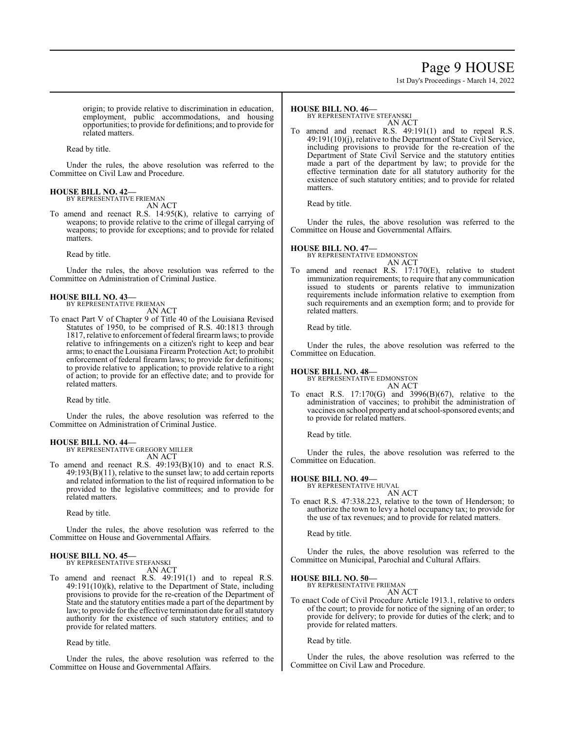# Page 9 HOUSE

1st Day's Proceedings - March 14, 2022

origin; to provide relative to discrimination in education, employment, public accommodations, and housing opportunities; to provide for definitions; and to provide for related matters.

Read by title.

Under the rules, the above resolution was referred to the Committee on Civil Law and Procedure.

#### **HOUSE BILL NO. 42—** BY REPRESENTATIVE FRIEMAN

AN ACT

To amend and reenact R.S. 14:95(K), relative to carrying of weapons; to provide relative to the crime of illegal carrying of weapons; to provide for exceptions; and to provide for related matters.

Read by title.

Under the rules, the above resolution was referred to the Committee on Administration of Criminal Justice.

#### **HOUSE BILL NO. 43—** BY REPRESENTATIVE FRIEMAN

AN ACT

To enact Part V of Chapter 9 of Title 40 of the Louisiana Revised Statutes of 1950, to be comprised of R.S. 40:1813 through 1817, relative to enforcement of federal firearm laws; to provide relative to infringements on a citizen's right to keep and bear arms; to enact the Louisiana Firearm Protection Act; to prohibit enforcement of federal firearm laws; to provide for definitions; to provide relative to application; to provide relative to a right of action; to provide for an effective date; and to provide for related matters.

Read by title.

Under the rules, the above resolution was referred to the Committee on Administration of Criminal Justice.

### **HOUSE BILL NO. 44—**

BY REPRESENTATIVE GREGORY MILLER AN ACT

To amend and reenact R.S. 49:193(B)(10) and to enact R.S. 49:193(B)(11), relative to the sunset law; to add certain reports and related information to the list of required information to be provided to the legislative committees; and to provide for related matters.

Read by title.

Under the rules, the above resolution was referred to the Committee on House and Governmental Affairs.

#### **HOUSE BILL NO. 45—** BY REPRESENTATIVE STEFANSKI

AN ACT

To amend and reenact R.S. 49:191(1) and to repeal R.S. 49:191(10)(k), relative to the Department of State, including provisions to provide for the re-creation of the Department of State and the statutory entities made a part of the department by law; to provide for the effective termination date for all statutory authority for the existence of such statutory entities; and to provide for related matters.

Read by title.

Under the rules, the above resolution was referred to the Committee on House and Governmental Affairs.

#### **HOUSE BILL NO. 46—**

BY REPRESENTATIVE STEFANSKI

- AN ACT
- To amend and reenact R.S. 49:191(1) and to repeal R.S. 49:191(10)(j), relative to the Department of State Civil Service, including provisions to provide for the re-creation of the Department of State Civil Service and the statutory entities made a part of the department by law; to provide for the effective termination date for all statutory authority for the existence of such statutory entities; and to provide for related matters.

Read by title.

Under the rules, the above resolution was referred to the Committee on House and Governmental Affairs.

### **HOUSE BILL NO. 47—**

BY REPRESENTATIVE EDMONSTON AN ACT

To amend and reenact R.S. 17:170(E), relative to student immunization requirements; to require that any communication issued to students or parents relative to immunization requirements include information relative to exemption from such requirements and an exemption form; and to provide for related matters.

Read by title.

Under the rules, the above resolution was referred to the Committee on Education.

### **HOUSE BILL NO. 48—**

BY REPRESENTATIVE EDMONSTON AN ACT

To enact R.S. 17:170(G) and 3996(B)(67), relative to the administration of vaccines; to prohibit the administration of vaccines on school property and at school-sponsored events; and to provide for related matters.

Read by title.

Under the rules, the above resolution was referred to the Committee on Education.

# **HOUSE BILL NO. 49—** BY REPRESENTATIVE HUVAL

AN ACT

To enact R.S. 47:338.223, relative to the town of Henderson; to authorize the town to levy a hotel occupancy tax; to provide for the use of tax revenues; and to provide for related matters.

Read by title.

Under the rules, the above resolution was referred to the Committee on Municipal, Parochial and Cultural Affairs.

### **HOUSE BILL NO. 50—**

BY REPRESENTATIVE FRIEMAN AN ACT

To enact Code of Civil Procedure Article 1913.1, relative to orders of the court; to provide for notice of the signing of an order; to provide for delivery; to provide for duties of the clerk; and to provide for related matters.

Read by title.

Under the rules, the above resolution was referred to the Committee on Civil Law and Procedure.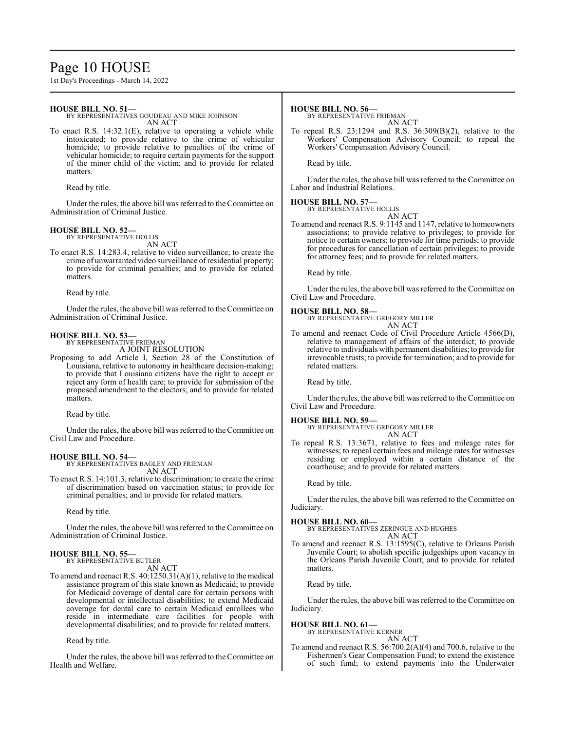# Page 10 HOUSE

1st Day's Proceedings - March 14, 2022

### **HOUSE BILL NO. 51—**

BY REPRESENTATIVES GOUDEAU AND MIKE JOHNSON AN ACT

To enact R.S. 14:32.1(E), relative to operating a vehicle while intoxicated; to provide relative to the crime of vehicular homicide; to provide relative to penalties of the crime of vehicular homicide; to require certain payments for the support of the minor child of the victim; and to provide for related matters.

Read by title.

Under the rules, the above bill was referred to the Committee on Administration of Criminal Justice.

#### **HOUSE BILL NO. 52—** BY REPRESENTATIVE HOLLIS

AN ACT

To enact R.S. 14:283.4, relative to video surveillance; to create the crime of unwarranted video surveillance ofresidential property; to provide for criminal penalties; and to provide for related matters.

Read by title.

Under the rules, the above bill was referred to the Committee on Administration of Criminal Justice.

### **HOUSE BILL NO. 53—**

BY REPRESENTATIVE FRIEMAN A JOINT RESOLUTION

Proposing to add Article I, Section 28 of the Constitution of Louisiana, relative to autonomy in healthcare decision-making; to provide that Louisiana citizens have the right to accept or reject any form of health care; to provide for submission of the proposed amendment to the electors; and to provide for related matters.

Read by title.

Under the rules, the above bill was referred to the Committee on Civil Law and Procedure.

**HOUSE BILL NO. 54—** BY REPRESENTATIVES BAGLEY AND FRIEMAN AN ACT

To enact R.S. 14:101.3, relative to discrimination; to create the crime of discrimination based on vaccination status; to provide for criminal penalties; and to provide for related matters.

Read by title.

Under the rules, the above bill was referred to the Committee on Administration of Criminal Justice.

#### **HOUSE BILL NO. 55—** BY REPRESENTATIVE BUTLER

AN ACT

To amend and reenact R.S. 40:1250.31(A)(1), relative to the medical assistance program of this state known as Medicaid; to provide for Medicaid coverage of dental care for certain persons with developmental or intellectual disabilities; to extend Medicaid coverage for dental care to certain Medicaid enrollees who reside in intermediate care facilities for people with developmental disabilities; and to provide for related matters.

Read by title.

Under the rules, the above bill was referred to the Committee on Health and Welfare.

#### **HOUSE BILL NO. 56—**

BY REPRESENTATIVE FRIEMAN

AN ACT To repeal R.S. 23:1294 and R.S. 36:309(B)(2), relative to the Workers' Compensation Advisory Council; to repeal the Workers' Compensation Advisory Council.

Read by title.

Under the rules, the above bill was referred to the Committee on Labor and Industrial Relations.

### **HOUSE BILL NO. 57—**

BY REPRESENTATIVE HOLLIS AN ACT

To amend and reenact R.S. 9:1145 and 1147, relative to homeowners associations; to provide relative to privileges; to provide for notice to certain owners; to provide for time periods; to provide for procedures for cancellation of certain privileges; to provide for attorney fees; and to provide for related matters.

Read by title.

Under the rules, the above bill was referred to the Committee on Civil Law and Procedure.

### **HOUSE BILL NO. 58—**

BY REPRESENTATIVE GREGORY MILLER AN ACT

To amend and reenact Code of Civil Procedure Article 4566(D), relative to management of affairs of the interdict; to provide relative to individuals with permanent disabilities; to provide for irrevocable trusts; to provide for termination; and to provide for related matters.

Read by title.

Under the rules, the above bill was referred to the Committee on Civil Law and Procedure.

### **HOUSE BILL NO. 59—**

BY REPRESENTATIVE GREGORY MILLER AN ACT

To repeal R.S. 13:3671, relative to fees and mileage rates for witnesses; to repeal certain fees and mileage rates for witnesses residing or employed within a certain distance of the courthouse; and to provide for related matters.

Read by title.

Under the rules, the above bill was referred to the Committee on Judiciary.

**HOUSE BILL NO. 60—** BY REPRESENTATIVES ZERINGUE AND HUGHES AN ACT

To amend and reenact R.S. 13:1595(C), relative to Orleans Parish Juvenile Court; to abolish specific judgeships upon vacancy in the Orleans Parish Juvenile Court; and to provide for related matters.

Read by title.

Under the rules, the above bill was referred to the Committee on Judiciary.

### **HOUSE BILL NO. 61—**

BY REPRESENTATIVE KERNER AN ACT

To amend and reenact R.S. 56:700.2(A)(4) and 700.6, relative to the Fishermen's Gear Compensation Fund; to extend the existence of such fund; to extend payments into the Underwater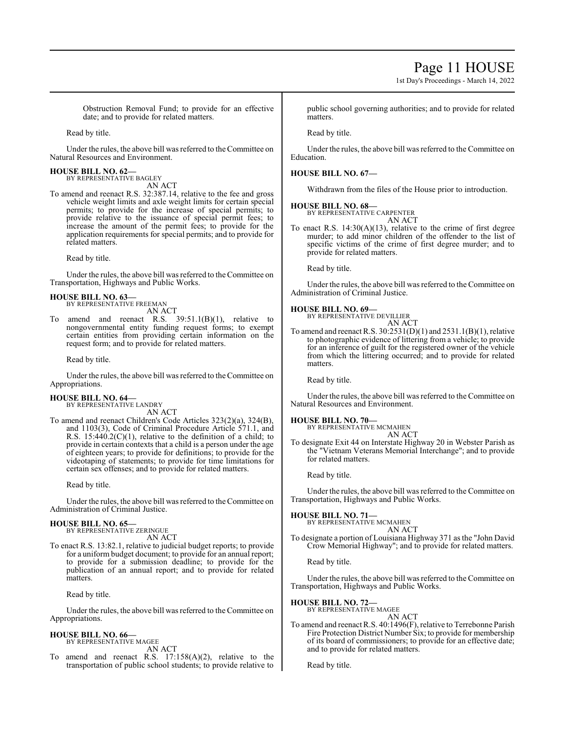1st Day's Proceedings - March 14, 2022

Obstruction Removal Fund; to provide for an effective date; and to provide for related matters.

Read by title.

Under the rules, the above bill was referred to the Committee on Natural Resources and Environment.

# **HOUSE BILL NO. 62—** BY REPRESENTATIVE BAGLEY

AN ACT

To amend and reenact R.S. 32:387.14, relative to the fee and gross vehicle weight limits and axle weight limits for certain special permits; to provide for the increase of special permits; to provide relative to the issuance of special permit fees; to increase the amount of the permit fees; to provide for the application requirements for special permits; and to provide for related matters.

Read by title.

Under the rules, the above bill was referred to the Committee on Transportation, Highways and Public Works.

## **HOUSE BILL NO. 63—**

BY REPRESENTATIVE FREEMAN AN ACT

amend and reenact R.S.  $39:51.1(B)(1)$ , relative to nongovernmental entity funding request forms; to exempt certain entities from providing certain information on the request form; and to provide for related matters.

Read by title.

Under the rules, the above bill was referred to theCommittee on Appropriations.

# **HOUSE BILL NO. 64—** BY REPRESENTATIVE LANDRY

AN ACT To amend and reenact Children's Code Articles 323(2)(a), 324(B), and 1103(3), Code of Criminal Procedure Article 571.1, and R.S.  $15:440.2(C)(1)$ , relative to the definition of a child; to provide in certain contexts that a child is a person under the age of eighteen years; to provide for definitions; to provide for the videotaping of statements; to provide for time limitations for certain sex offenses; and to provide for related matters.

Read by title.

Under the rules, the above bill was referred to the Committee on Administration of Criminal Justice.

### **HOUSE BILL NO. 65—**

BY REPRESENTATIVE ZERINGUE AN ACT

To enact R.S. 13:82.1, relative to judicial budget reports; to provide for a uniform budget document; to provide for an annual report; to provide for a submission deadline; to provide for the publication of an annual report; and to provide for related matters.

Read by title.

Under the rules, the above bill was referred to the Committee on Appropriations.

#### **HOUSE BILL NO. 66—** BY REPRESENTATIVE MAGEE

AN ACT

To amend and reenact R.S. 17:158(A)(2), relative to the transportation of public school students; to provide relative to public school governing authorities; and to provide for related matters.

Read by title.

Under the rules, the above bill was referred to the Committee on Education.

## **HOUSE BILL NO. 67—**

Withdrawn from the files of the House prior to introduction.

### **HOUSE BILL NO. 68—**

BY REPRESENTATIVE CARPENTER AN ACT

To enact R.S.  $14:30(A)(13)$ , relative to the crime of first degree murder; to add minor children of the offender to the list of specific victims of the crime of first degree murder; and to provide for related matters.

Read by title.

Under the rules, the above bill was referred to the Committee on Administration of Criminal Justice.

### **HOUSE BILL NO. 69—**

BY REPRESENTATIVE DEVILLIER AN ACT

To amend and reenact R.S. 30:2531(D)(1) and 2531.1(B)(1), relative to photographic evidence of littering from a vehicle; to provide for an inference of guilt for the registered owner of the vehicle from which the littering occurred; and to provide for related matters.

Read by title.

Under the rules, the above bill was referred to the Committee on Natural Resources and Environment.

### **HOUSE BILL NO. 70—**

BY REPRESENTATIVE MCMAHEN AN ACT

To designate Exit 44 on Interstate Highway 20 in Webster Parish as the "Vietnam Veterans Memorial Interchange"; and to provide for related matters.

Read by title.

Under the rules, the above bill was referred to the Committee on Transportation, Highways and Public Works.

## **HOUSE BILL NO. 71—**

```
BY REPRESENTATIVE MCMAHEN
                   AN ACT
```
To designate a portion of Louisiana Highway 371 as the "John David Crow Memorial Highway"; and to provide for related matters.

Read by title.

Under the rules, the above bill was referred to the Committee on Transportation, Highways and Public Works.

#### **HOUSE BILL NO. 72—** BY REPRESENTATIVE MAGEE

AN ACT

To amend and reenact R.S. 40:1496(F), relative to Terrebonne Parish Fire Protection District Number Six; to provide for membership of its board of commissioners; to provide for an effective date; and to provide for related matters.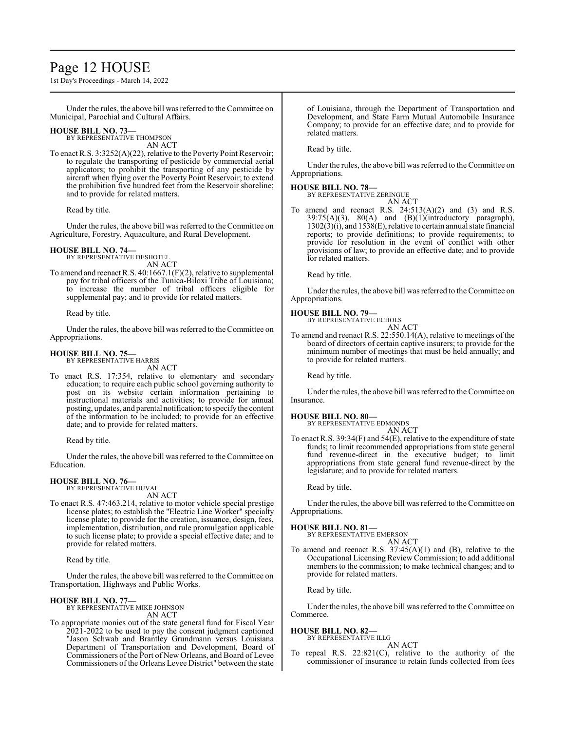# Page 12 HOUSE

1st Day's Proceedings - March 14, 2022

Under the rules, the above bill was referred to the Committee on Municipal, Parochial and Cultural Affairs.

### **HOUSE BILL NO. 73—**

BY REPRESENTATIVE THOMPSON AN ACT

To enact R.S. 3:3252(A)(22), relative to the Poverty Point Reservoir; to regulate the transporting of pesticide by commercial aerial applicators; to prohibit the transporting of any pesticide by aircraft when flying over the Poverty Point Reservoir; to extend the prohibition five hundred feet from the Reservoir shoreline; and to provide for related matters.

Read by title.

Under the rules, the above bill was referred to theCommittee on Agriculture, Forestry, Aquaculture, and Rural Development.

#### **HOUSE BILL NO. 74—** BY REPRESENTATIVE DESHOTEL

AN ACT

To amend and reenact R.S. 40:1667.1(F)(2), relative to supplemental pay for tribal officers of the Tunica-Biloxi Tribe of Louisiana; to increase the number of tribal officers eligible for supplemental pay; and to provide for related matters.

Read by title.

Under the rules, the above bill was referred to the Committee on Appropriations.

#### **HOUSE BILL NO. 75—** BY REPRESENTATIVE HARRIS

AN ACT

To enact R.S. 17:354, relative to elementary and secondary education; to require each public school governing authority to post on its website certain information pertaining to instructional materials and activities; to provide for annual posting, updates, and parental notification; to specify the content of the information to be included; to provide for an effective date; and to provide for related matters.

Read by title.

Under the rules, the above bill was referred to the Committee on Education.

# **HOUSE BILL NO. 76—** BY REPRESENTATIVE HUVAL

AN ACT

To enact R.S. 47:463.214, relative to motor vehicle special prestige license plates; to establish the "Electric Line Worker" specialty license plate; to provide for the creation, issuance, design, fees, implementation, distribution, and rule promulgation applicable to such license plate; to provide a special effective date; and to provide for related matters.

Read by title.

Under the rules, the above bill was referred to the Committee on Transportation, Highways and Public Works.

# **HOUSE BILL NO. 77—** BY REPRESENTATIVE MIKE JOHNSON

AN ACT

To appropriate monies out of the state general fund for Fiscal Year 2021-2022 to be used to pay the consent judgment captioned "Jason Schwab and Brantley Grundmann versus Louisiana Department of Transportation and Development, Board of Commissioners of the Port of New Orleans, and Board of Levee Commissioners of the Orleans Levee District" between the state

of Louisiana, through the Department of Transportation and Development, and State Farm Mutual Automobile Insurance Company; to provide for an effective date; and to provide for related matters.

Read by title.

Under the rules, the above bill was referred to the Committee on Appropriations.

## **HOUSE BILL NO. 78—**

BY REPRESENTATIVE ZERINGUE

AN ACT To amend and reenact R.S.  $24:513(A)(2)$  and  $(3)$  and R.S.  $39:75(A)(3)$ ,  $80(A)$  and  $(B)(1)(introductory$  paragraph), 1302(3)(i), and 1538(E), relative to certain annual state financial reports; to provide definitions; to provide requirements; to provide for resolution in the event of conflict with other provisions of law; to provide an effective date; and to provide for related matters.

Read by title.

Under the rules, the above bill was referred to the Committee on Appropriations.

#### **HOUSE BILL NO. 79—**

BY REPRESENTATIVE ECHOLS AN ACT

To amend and reenact R.S. 22:550.14(A), relative to meetings of the board of directors of certain captive insurers; to provide for the minimum number of meetings that must be held annually; and to provide for related matters.

Read by title.

Under the rules, the above bill was referred to the Committee on Insurance.

**HOUSE BILL NO. 80—**

BY REPRESENTATIVE EDMONDS

AN ACT To enact R.S.  $39:34(F)$  and  $54(E)$ , relative to the expenditure of state funds; to limit recommended appropriations from state general fund revenue-direct in the executive budget; to limit appropriations from state general fund revenue-direct by the legislature; and to provide for related matters.

Read by title.

Under the rules, the above bill was referred to the Committee on Appropriations.

### **HOUSE BILL NO. 81—**

BY REPRESENTATIVE EMERSON AN ACT

To amend and reenact R.S. 37:45(A)(1) and (B), relative to the Occupational LicensingReview Commission; to add additional members to the commission; to make technical changes; and to provide for related matters.

Read by title.

Under the rules, the above bill was referred to the Committee on Commerce.

### **HOUSE BILL NO. 82—**

BY REPRESENTATIVE ILLG AN ACT

To repeal R.S. 22:821(C), relative to the authority of the commissioner of insurance to retain funds collected from fees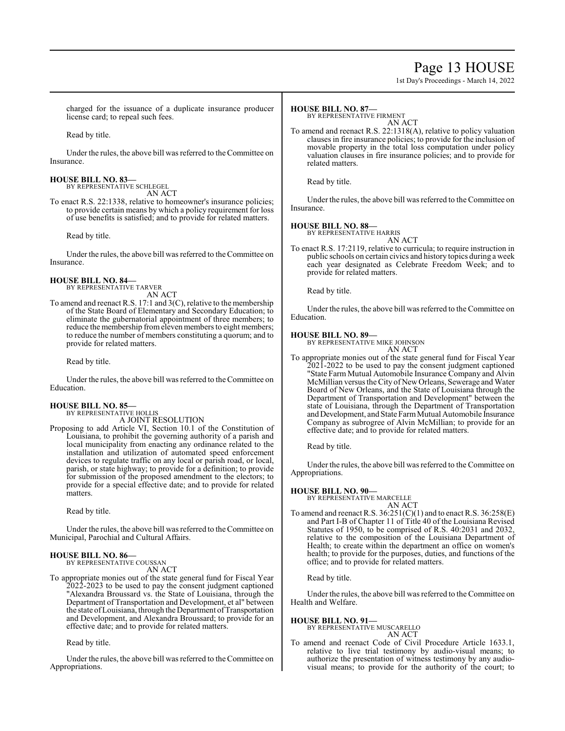# Page 13 HOUSE

1st Day's Proceedings - March 14, 2022

charged for the issuance of a duplicate insurance producer license card; to repeal such fees.

Read by title.

Under the rules, the above bill was referred to the Committee on Insurance.

#### **HOUSE BILL NO. 83—** BY REPRESENTATIVE SCHLEGEL

AN ACT

To enact R.S. 22:1338, relative to homeowner's insurance policies; to provide certain means by which a policy requirement for loss of use benefits is satisfied; and to provide for related matters.

Read by title.

Under the rules, the above bill was referred to the Committee on Insurance.

#### **HOUSE BILL NO. 84—** BY REPRESENTATIVE TARVER

AN ACT

To amend and reenact R.S. 17:1 and 3(C), relative to the membership of the State Board of Elementary and Secondary Education; to eliminate the gubernatorial appointment of three members; to reduce the membership from eleven members to eight members; to reduce the number of members constituting a quorum; and to provide for related matters.

Read by title.

Under the rules, the above bill was referred to theCommittee on Education.

## **HOUSE BILL NO. 85—**

BY REPRESENTATIVE HOLLIS A JOINT RESOLUTION

Proposing to add Article VI, Section 10.1 of the Constitution of Louisiana, to prohibit the governing authority of a parish and local municipality from enacting any ordinance related to the installation and utilization of automated speed enforcement devices to regulate traffic on any local or parish road, or local, parish, or state highway; to provide for a definition; to provide for submission of the proposed amendment to the electors; to provide for a special effective date; and to provide for related matters.

Read by title.

Under the rules, the above bill was referred to the Committee on Municipal, Parochial and Cultural Affairs.

#### **HOUSE BILL NO. 86—** BY REPRESENTATIVE COUSSAN

AN ACT

To appropriate monies out of the state general fund for Fiscal Year 2022-2023 to be used to pay the consent judgment captioned "Alexandra Broussard vs. the State of Louisiana, through the Department of Transportation and Development, et al" between the state of Louisiana, through the Department of Transportation and Development, and Alexandra Broussard; to provide for an effective date; and to provide for related matters.

Read by title.

Under the rules, the above bill was referred to theCommittee on Appropriations.

### **HOUSE BILL NO. 87—**

BY REPRESENTATIVE FIRMENT

AN ACT To amend and reenact R.S. 22:1318(A), relative to policy valuation clauses in fire insurance policies; to provide for the inclusion of movable property in the total loss computation under policy valuation clauses in fire insurance policies; and to provide for related matters.

Read by title.

Under the rules, the above bill was referred to the Committee on Insurance.

### **HOUSE BILL NO. 88—**

BY REPRESENTATIVE HARRIS AN ACT

To enact R.S. 17:2119, relative to curricula; to require instruction in public schools on certain civics and history topics during a week each year designated as Celebrate Freedom Week; and to provide for related matters.

Read by title.

Under the rules, the above bill was referred to the Committee on Education.

### **HOUSE BILL NO. 89—**

BY REPRESENTATIVE MIKE JOHNSON

- AN ACT
- To appropriate monies out of the state general fund for Fiscal Year 2021-2022 to be used to pay the consent judgment captioned "State Farm Mutual Automobile Insurance Company and Alvin McMillian versus the City of NewOrleans, Sewerage and Water Board of New Orleans, and the State of Louisiana through the Department of Transportation and Development" between the state of Louisiana, through the Department of Transportation and Development, and State Farm Mutual Automobile Insurance Company as subrogree of Alvin McMillian; to provide for an effective date; and to provide for related matters.

Read by title.

Under the rules, the above bill was referred to the Committee on Appropriations.

### **HOUSE BILL NO. 90—**

BY REPRESENTATIVE MARCELLE

AN ACT To amend and reenact R.S. 36:251(C)(1) and to enact R.S. 36:258(E) and Part I-B of Chapter 11 of Title 40 of the Louisiana Revised Statutes of 1950, to be comprised of R.S. 40:2031 and 2032, relative to the composition of the Louisiana Department of Health; to create within the department an office on women's health; to provide for the purposes, duties, and functions of the office; and to provide for related matters.

Read by title.

Under the rules, the above bill was referred to the Committee on Health and Welfare.

### **HOUSE BILL NO. 91—**

BY REPRESENTATIVE MUSCARELLO AN ACT

To amend and reenact Code of Civil Procedure Article 1633.1, relative to live trial testimony by audio-visual means; to authorize the presentation of witness testimony by any audiovisual means; to provide for the authority of the court; to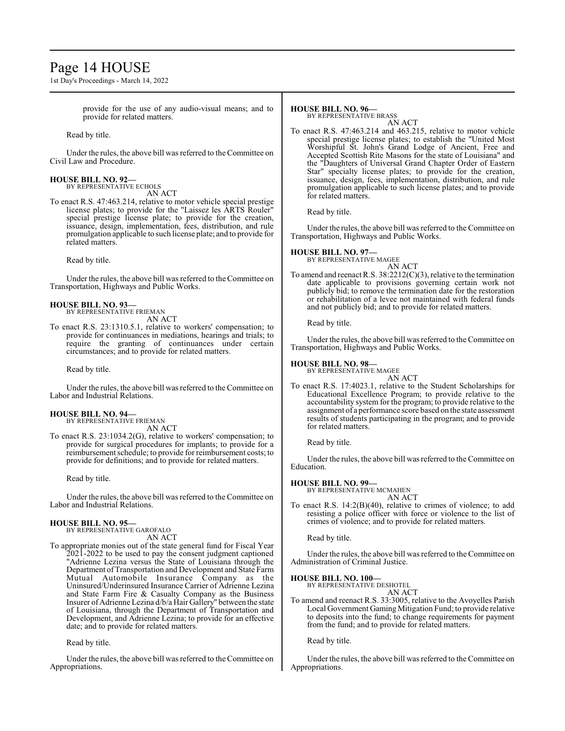# Page 14 HOUSE

1st Day's Proceedings - March 14, 2022

provide for the use of any audio-visual means; and to provide for related matters.

Read by title.

Under the rules, the above bill was referred to the Committee on Civil Law and Procedure.

## **HOUSE BILL NO. 92—**

BY REPRESENTATIVE ECHOLS AN ACT

To enact R.S. 47:463.214, relative to motor vehicle special prestige license plates; to provide for the "Laissez les ARTS Rouler" special prestige license plate; to provide for the creation, issuance, design, implementation, fees, distribution, and rule promulgation applicable to such license plate; and to provide for related matters.

Read by title.

Under the rules, the above bill was referred to the Committee on Transportation, Highways and Public Works.

#### **HOUSE BILL NO. 93—** BY REPRESENTATIVE FRIEMAN

AN ACT

To enact R.S. 23:1310.5.1, relative to workers' compensation; to provide for continuances in mediations, hearings and trials; to require the granting of continuances under certain circumstances; and to provide for related matters.

Read by title.

Under the rules, the above bill was referred to the Committee on Labor and Industrial Relations.

### **HOUSE BILL NO. 94—**

BY REPRESENTATIVE FRIEMAN

AN ACT To enact R.S. 23:1034.2(G), relative to workers' compensation; to provide for surgical procedures for implants; to provide for a reimbursement schedule; to provide for reimbursement costs; to provide for definitions; and to provide for related matters.

Read by title.

Under the rules, the above bill was referred to the Committee on Labor and Industrial Relations.

### **HOUSE BILL NO. 95—**

BY REPRESENTATIVE GAROFALO AN ACT

To appropriate monies out of the state general fund for Fiscal Year 2021-2022 to be used to pay the consent judgment captioned "Adrienne Lezina versus the State of Louisiana through the Department ofTransportation and Development and State Farm Mutual Automobile Insurance Company as the Uninsured/Underinsured Insurance Carrier of Adrienne Lezina and State Farm Fire & Casualty Company as the Business Insurer of Adrienne Lezina d/b/a Hair Gallery" between the state of Louisiana, through the Department of Transportation and Development, and Adrienne Lezina; to provide for an effective date; and to provide for related matters.

Read by title.

Under the rules, the above bill was referred to theCommittee on Appropriations.

### **HOUSE BILL NO. 96—**

BY REPRESENTATIVE BRASS

AN ACT To enact R.S. 47:463.214 and 463.215, relative to motor vehicle special prestige license plates; to establish the "United Most Worshipful St. John's Grand Lodge of Ancient, Free and Accepted Scottish Rite Masons for the state of Louisiana" and the "Daughters of Universal Grand Chapter Order of Eastern Star" specialty license plates; to provide for the creation, issuance, design, fees, implementation, distribution, and rule promulgation applicable to such license plates; and to provide for related matters.

Read by title.

Under the rules, the above bill was referred to the Committee on Transportation, Highways and Public Works.

### **HOUSE BILL NO. 97—**

BY REPRESENTATIVE MAGEE AN ACT

To amend and reenact R.S. 38:2212(C)(3), relative to the termination date applicable to provisions governing certain work not publicly bid; to remove the termination date for the restoration or rehabilitation of a levee not maintained with federal funds and not publicly bid; and to provide for related matters.

Read by title.

Under the rules, the above bill was referred to the Committee on Transportation, Highways and Public Works.

# **HOUSE BILL NO. 98—** BY REPRESENTATIVE MAGEE

AN ACT

To enact R.S. 17:4023.1, relative to the Student Scholarships for Educational Excellence Program; to provide relative to the accountability system for the program; to provide relative to the assignment of a performance score based on the state assessment results of students participating in the program; and to provide for related matters.

Read by title.

Under the rules, the above bill was referred to the Committee on Education.

### **HOUSE BILL NO. 99—**

BY REPRESENTATIVE MCMAHEN AN ACT

To enact R.S. 14:2(B)(40), relative to crimes of violence; to add resisting a police officer with force or violence to the list of crimes of violence; and to provide for related matters.

Read by title.

Under the rules, the above bill was referred to the Committee on Administration of Criminal Justice.

# **HOUSE BILL NO. 100—** BY REPRESENTATIVE DESHOTEL

AN ACT

To amend and reenact R.S. 33:3005, relative to the Avoyelles Parish Local Government Gaming Mitigation Fund; to provide relative to deposits into the fund; to change requirements for payment from the fund; and to provide for related matters.

Read by title.

Under the rules, the above bill was referred to the Committee on Appropriations.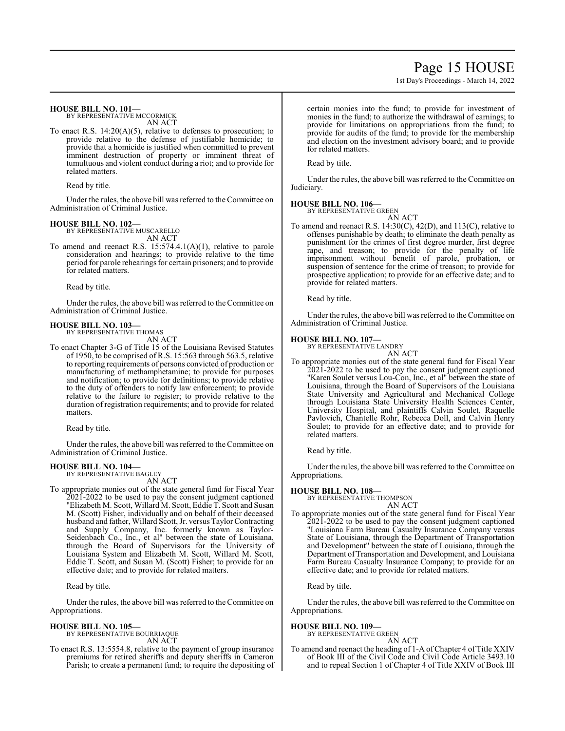# Page 15 HOUSE

1st Day's Proceedings - March 14, 2022

#### **HOUSE BILL NO. 101—**

BY REPRESENTATIVE MCCORMICK AN ACT

To enact R.S. 14:20(A)(5), relative to defenses to prosecution; to provide relative to the defense of justifiable homicide; to provide that a homicide is justified when committed to prevent imminent destruction of property or imminent threat of tumultuous and violent conduct during a riot; and to provide for related matters.

Read by title.

Under the rules, the above bill was referred to the Committee on Administration of Criminal Justice.

### **HOUSE BILL NO. 102—**

BY REPRESENTATIVE MUSCARELLO AN ACT

To amend and reenact R.S. 15:574.4.1(A)(1), relative to parole consideration and hearings; to provide relative to the time period for parole rehearings for certain prisoners; and to provide for related matters.

Read by title.

Under the rules, the above bill was referred to theCommittee on Administration of Criminal Justice.

# **HOUSE BILL NO. 103—** BY REPRESENTATIVE THOMAS

AN ACT

To enact Chapter 3-G of Title 15 of the Louisiana Revised Statutes of 1950, to be comprised of R.S. 15:563 through 563.5, relative to reporting requirements of persons convicted of production or manufacturing of methamphetamine; to provide for purposes and notification; to provide for definitions; to provide relative to the duty of offenders to notify law enforcement; to provide relative to the failure to register; to provide relative to the duration of registration requirements; and to provide for related matters.

Read by title.

Under the rules, the above bill was referred to the Committee on Administration of Criminal Justice.

#### **HOUSE BILL NO. 104—** BY REPRESENTATIVE BAGLEY

AN ACT

To appropriate monies out of the state general fund for Fiscal Year 2021-2022 to be used to pay the consent judgment captioned "Elizabeth M. Scott, Willard M. Scott, Eddie T. Scott and Susan M. (Scott) Fisher, individually and on behalf of their deceased husband and father, Willard Scott, Jr. versus Taylor Contracting and Supply Company, Inc. formerly known as Taylor-Seidenbach Co., Inc., et al" between the state of Louisiana, through the Board of Supervisors for the University of Louisiana System and Elizabeth M. Scott, Willard M. Scott, Eddie T. Scott, and Susan M. (Scott) Fisher; to provide for an effective date; and to provide for related matters.

Read by title.

Under the rules, the above bill was referred to the Committee on Appropriations.

### **HOUSE BILL NO. 105—**

BY REPRESENTATIVE BOURRIAQUE AN ACT

To enact R.S. 13:5554.8, relative to the payment of group insurance premiums for retired sheriffs and deputy sheriffs in Cameron Parish; to create a permanent fund; to require the depositing of certain monies into the fund; to provide for investment of monies in the fund; to authorize the withdrawal of earnings; to provide for limitations on appropriations from the fund; to provide for audits of the fund; to provide for the membership and election on the investment advisory board; and to provide for related matters.

Read by title.

Under the rules, the above bill was referred to the Committee on Judiciary.

### **HOUSE BILL NO. 106—**

BY REPRESENTATIVE GREEN AN ACT

To amend and reenact R.S. 14:30(C), 42(D), and 113(C), relative to offenses punishable by death; to eliminate the death penalty as punishment for the crimes of first degree murder, first degree rape, and treason; to provide for the penalty of life imprisonment without benefit of parole, probation, or suspension of sentence for the crime of treason; to provide for prospective application; to provide for an effective date; and to provide for related matters.

Read by title.

Under the rules, the above bill was referred to the Committee on Administration of Criminal Justice.

#### **HOUSE BILL NO. 107—**

BY REPRESENTATIVE LANDRY

AN ACT To appropriate monies out of the state general fund for Fiscal Year 2021-2022 to be used to pay the consent judgment captioned "Karen Soulet versus Lou-Con, Inc., et al" between the state of Louisiana, through the Board of Supervisors of the Louisiana State University and Agricultural and Mechanical College through Louisiana State University Health Sciences Center, University Hospital, and plaintiffs Calvin Soulet, Raquelle Pavlovich, Chantelle Rohr, Rebecca Doll, and Calvin Henry Soulet; to provide for an effective date; and to provide for related matters.

Read by title.

Under the rules, the above bill was referred to the Committee on Appropriations.

**HOUSE BILL NO. 108—** BY REPRESENTATIVE THOMPSON AN ACT

To appropriate monies out of the state general fund for Fiscal Year 2021-2022 to be used to pay the consent judgment captioned "Louisiana Farm Bureau Casualty Insurance Company versus State of Louisiana, through the Department of Transportation and Development" between the state of Louisiana, through the Department of Transportation and Development, and Louisiana Farm Bureau Casualty Insurance Company; to provide for an effective date; and to provide for related matters.

Read by title.

Under the rules, the above bill was referred to the Committee on Appropriations.

### **HOUSE BILL NO. 109—**

BY REPRESENTATIVE GREEN

# AN ACT To amend and reenact the heading of 1-A ofChapter 4 of Title XXIV

of Book III of the Civil Code and Civil Code Article 3493.10 and to repeal Section 1 of Chapter 4 of Title XXIV of Book III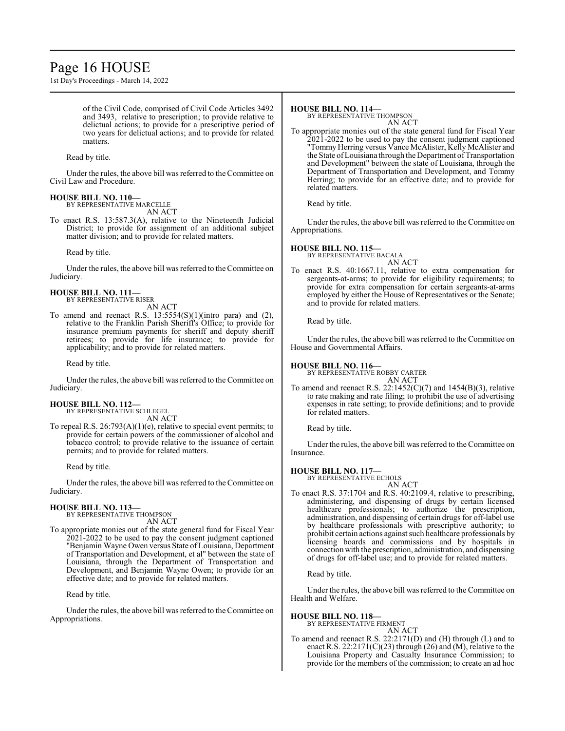# Page 16 HOUSE

1st Day's Proceedings - March 14, 2022

of the Civil Code, comprised of Civil Code Articles 3492 and 3493, relative to prescription; to provide relative to delictual actions; to provide for a prescriptive period of two years for delictual actions; and to provide for related matters.

Read by title.

Under the rules, the above bill was referred to the Committee on Civil Law and Procedure.

# **HOUSE BILL NO. 110—**

BY REPRESENTATIVE MARCELLE AN ACT

To enact R.S. 13:587.3(A), relative to the Nineteenth Judicial District; to provide for assignment of an additional subject matter division; and to provide for related matters.

Read by title.

Under the rules, the above bill was referred to the Committee on Judiciary.

**HOUSE BILL NO. 111—** BY REPRESENTATIVE RISER

AN ACT

To amend and reenact R.S. 13:5554(S)(1)(intro para) and (2), relative to the Franklin Parish Sheriff's Office; to provide for insurance premium payments for sheriff and deputy sheriff retirees; to provide for life insurance; to provide for applicability; and to provide for related matters.

Read by title.

Under the rules, the above bill was referred to the Committee on Judiciary.

# **HOUSE BILL NO. 112—** BY REPRESENTATIVE SCHLEGEL

AN ACT

To repeal R.S. 26:793(A)(1)(e), relative to special event permits; to provide for certain powers of the commissioner of alcohol and tobacco control; to provide relative to the issuance of certain permits; and to provide for related matters.

Read by title.

Under the rules, the above bill was referred to theCommittee on Judiciary.

## **HOUSE BILL NO. 113—**

BY REPRESENTATIVE THOMPSON AN ACT

To appropriate monies out of the state general fund for Fiscal Year 2021-2022 to be used to pay the consent judgment captioned "Benjamin Wayne Owen versus State of Louisiana, Department of Transportation and Development, et al" between the state of Louisiana, through the Department of Transportation and Development, and Benjamin Wayne Owen; to provide for an effective date; and to provide for related matters.

Read by title.

Under the rules, the above bill was referred to the Committee on Appropriations.

### **HOUSE BILL NO. 114—**

BY REPRESENTATIVE THOMPSON AN ACT

To appropriate monies out of the state general fund for Fiscal Year 2021-2022 to be used to pay the consent judgment captioned "Tommy Herring versus Vance McAlister, Kelly McAlister and the State ofLouisiana through the Department ofTransportation and Development" between the state of Louisiana, through the Department of Transportation and Development, and Tommy Herring; to provide for an effective date; and to provide for related matters.

Read by title.

Under the rules, the above bill was referred to the Committee on Appropriations.

# **HOUSE BILL NO. 115—**

BY REPRESENTATIVE BACALA

AN ACT To enact R.S. 40:1667.11, relative to extra compensation for sergeants-at-arms; to provide for eligibility requirements; to provide for extra compensation for certain sergeants-at-arms employed by either the House of Representatives or the Senate; and to provide for related matters.

Read by title.

Under the rules, the above bill was referred to the Committee on House and Governmental Affairs.

### **HOUSE BILL NO. 116—**

BY REPRESENTATIVE ROBBY CARTER AN ACT

To amend and reenact R.S. 22:1452(C)(7) and 1454(B)(3), relative to rate making and rate filing; to prohibit the use of advertising expenses in rate setting; to provide definitions; and to provide for related matters.

Read by title.

Under the rules, the above bill was referred to the Committee on Insurance.

### **HOUSE BILL NO. 117—**

BY REPRESENTATIVE ECHOLS AN ACT

To enact R.S. 37:1704 and R.S. 40:2109.4, relative to prescribing, administering, and dispensing of drugs by certain licensed healthcare professionals; to authorize the prescription, administration, and dispensing of certain drugs for off-label use by healthcare professionals with prescriptive authority; to prohibit certain actions against such healthcare professionals by licensing boards and commissions and by hospitals in connection with the prescription, administration, and dispensing of drugs for off-label use; and to provide for related matters.

Read by title.

Under the rules, the above bill was referred to the Committee on Health and Welfare.

### **HOUSE BILL NO. 118—**

BY REPRESENTATIVE FIRMENT AN ACT

To amend and reenact R.S. 22:2171(D) and (H) through (L) and to enact R.S.  $22:2171(C)(23)$  through  $(26)$  and  $(M)$ , relative to the Louisiana Property and Casualty Insurance Commission; to provide for the members of the commission; to create an ad hoc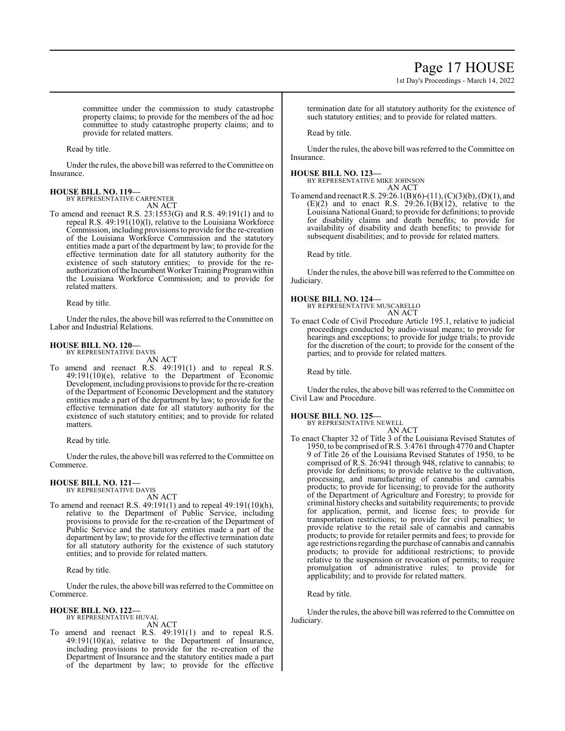# Page 17 HOUSE

1st Day's Proceedings - March 14, 2022

committee under the commission to study catastrophe property claims; to provide for the members of the ad hoc committee to study catastrophe property claims; and to provide for related matters.

Read by title.

Under the rules, the above bill was referred to the Committee on Insurance.

#### **HOUSE BILL NO. 119—** BY REPRESENTATIVE CARPENTER

AN ACT

To amend and reenact R.S. 23:1553(G) and R.S. 49:191(1) and to repeal R.S. 49:191(10)(l), relative to the Louisiana Workforce Commission, including provisions to provide for the re-creation of the Louisiana Workforce Commission and the statutory entities made a part of the department by law; to provide for the effective termination date for all statutory authority for the existence of such statutory entities; to provide for the reauthorization ofthe Incumbent Worker Training Programwithin the Louisiana Workforce Commission; and to provide for related matters.

Read by title.

Under the rules, the above bill was referred to the Committee on Labor and Industrial Relations.

# **HOUSE BILL NO. 120—** BY REPRESENTATIVE DAVIS

AN ACT

To amend and reenact R.S. 49:191(1) and to repeal R.S. 49:191(10)(e), relative to the Department of Economic Development, including provisions to provide for the re-creation of the Department of Economic Development and the statutory entities made a part of the department by law; to provide for the effective termination date for all statutory authority for the existence of such statutory entities; and to provide for related matters.

Read by title.

Under the rules, the above bill was referred to the Committee on Commerce.

# **HOUSE BILL NO. 121—** BY REPRESENTATIVE DAVIS

AN ACT

To amend and reenact R.S. 49:191(1) and to repeal 49:191(10)(h), relative to the Department of Public Service, including provisions to provide for the re-creation of the Department of Public Service and the statutory entities made a part of the department by law; to provide for the effective termination date for all statutory authority for the existence of such statutory entities; and to provide for related matters.

Read by title.

Under the rules, the above bill was referred to the Committee on Commerce.

#### **HOUSE BILL NO. 122—** BY REPRESENTATIVE HUVAL

AN ACT

To amend and reenact R.S. 49:191(1) and to repeal R.S.  $49:191(10)(a)$ , relative to the Department of Insurance, including provisions to provide for the re-creation of the Department of Insurance and the statutory entities made a part of the department by law; to provide for the effective termination date for all statutory authority for the existence of such statutory entities; and to provide for related matters.

Read by title.

Under the rules, the above bill was referred to the Committee on Insurance.

### **HOUSE BILL NO. 123—**

BY REPRESENTATIVE MIKE JOHNSON AN ACT

To amend and reenact R.S. 29:26.1(B)(6)-(11), (C)(3)(b), (D)(1), and  $(E)(2)$  and to enact R.S. 29:26.1 $(B)(12)$ , relative to the Louisiana National Guard; to provide for definitions; to provide for disability claims and death benefits; to provide for availability of disability and death benefits; to provide for subsequent disabilities; and to provide for related matters.

Read by title.

Under the rules, the above bill was referred to the Committee on Judiciary.

### **HOUSE BILL NO. 124—**

BY REPRESENTATIVE MUSCARELLO AN ACT

To enact Code of Civil Procedure Article 195.1, relative to judicial proceedings conducted by audio-visual means; to provide for hearings and exceptions; to provide for judge trials; to provide for the discretion of the court; to provide for the consent of the parties; and to provide for related matters.

Read by title.

Under the rules, the above bill was referred to the Committee on Civil Law and Procedure.

### **HOUSE BILL NO. 125—**

BY REPRESENTATIVE NEWELL

AN ACT To enact Chapter 32 of Title 3 of the Louisiana Revised Statutes of 1950, to be comprised ofR.S. 3:4761 through 4770 and Chapter 9 of Title 26 of the Louisiana Revised Statutes of 1950, to be comprised of R.S. 26:941 through 948, relative to cannabis; to provide for definitions; to provide relative to the cultivation, processing, and manufacturing of cannabis and cannabis products; to provide for licensing; to provide for the authority of the Department of Agriculture and Forestry; to provide for criminal history checks and suitability requirements; to provide for application, permit, and license fees; to provide for transportation restrictions; to provide for civil penalties; to provide relative to the retail sale of cannabis and cannabis products; to provide for retailer permits and fees; to provide for age restrictions regarding the purchase of cannabis and cannabis products; to provide for additional restrictions; to provide relative to the suspension or revocation of permits; to require

Read by title.

Under the rules, the above bill was referred to the Committee on Judiciary.

applicability; and to provide for related matters.

promulgation of administrative rules; to provide for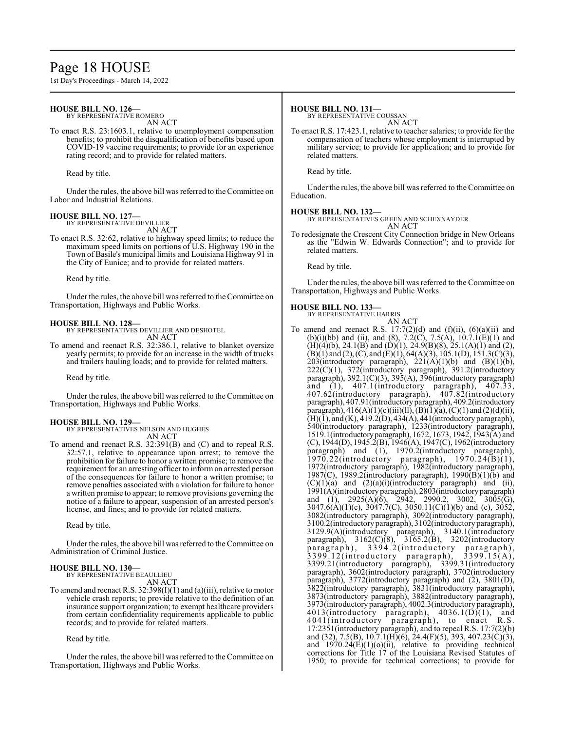# Page 18 HOUSE

1st Day's Proceedings - March 14, 2022

### **HOUSE BILL NO. 126—**

BY REPRESENTATIVE ROMERO

AN ACT

To enact R.S. 23:1603.1, relative to unemployment compensation benefits; to prohibit the disqualification of benefits based upon COVID-19 vaccine requirements; to provide for an experience rating record; and to provide for related matters.

Read by title.

Under the rules, the above bill was referred to the Committee on Labor and Industrial Relations.

### **HOUSE BILL NO. 127—**

BY REPRESENTATIVE DEVILLIER

AN ACT To enact R.S. 32:62, relative to highway speed limits; to reduce the maximum speed limits on portions of U.S. Highway 190 in the Town of Basile's municipal limits and Louisiana Highway 91 in the City of Eunice; and to provide for related matters.

Read by title.

Under the rules, the above bill was referred to the Committee on Transportation, Highways and Public Works.

#### **HOUSE BILL NO. 128—**

BY REPRESENTATIVES DEVILLIER AND DESHOTEL AN ACT

To amend and reenact R.S. 32:386.1, relative to blanket oversize yearly permits; to provide for an increase in the width of trucks and trailers hauling loads; and to provide for related matters.

Read by title.

Under the rules, the above bill was referred to the Committee on Transportation, Highways and Public Works.

### **HOUSE BILL NO. 129—**

BY REPRESENTATIVES NELSON AND HUGHES AN ACT

To amend and reenact R.S. 32:391(B) and (C) and to repeal R.S. 32:57.1, relative to appearance upon arrest; to remove the prohibition for failure to honor a written promise; to remove the requirement for an arresting officer to inform an arrested person of the consequences for failure to honor a written promise; to remove penalties associated with a violation for failure to honor a written promise to appear; to remove provisions governing the notice of a failure to appear, suspension of an arrested person's license, and fines; and to provide for related matters.

Read by title.

Under the rules, the above bill was referred to the Committee on Administration of Criminal Justice.

### **HOUSE BILL NO. 130—**

BY REPRESENTATIVE BEAULLIEU AN ACT

To amend and reenact R.S.  $32:398(I)(1)$  and (a)(iii), relative to motor vehicle crash reports; to provide relative to the definition of an insurance support organization; to exempt healthcare providers from certain confidentiality requirements applicable to public records; and to provide for related matters.

Read by title.

Under the rules, the above bill was referred to the Committee on Transportation, Highways and Public Works.

#### **HOUSE BILL NO. 131—**

BY REPRESENTATIVE COUSSAN

AN ACT To enact R.S. 17:423.1, relative to teacher salaries; to provide for the compensation of teachers whose employment is interrupted by military service; to provide for application; and to provide for related matters.

Read by title.

Under the rules, the above bill was referred to the Committee on Education.

#### **HOUSE BILL NO. 132—**

BY REPRESENTATIVES GREEN AND SCHEXNAYDER AN ACT

To redesignate the Crescent City Connection bridge in New Orleans as the "Edwin W. Edwards Connection"; and to provide for related matters.

Read by title.

Under the rules, the above bill was referred to the Committee on Transportation, Highways and Public Works.

### **HOUSE BILL NO. 133—**

BY REPRESENTATIVE HARRIS AN ACT

To amend and reenact R.S.  $17:7(2)(d)$  and  $(f)(ii)$ ,  $(6)(a)(ii)$  and (b)(i)(bb) and (ii), and (8), 7.2(C), 7.5(A),  $10.7.1(E)(1)$  and  $(H)(4)(b)$ , 24.1 $(B)$  and  $(D)(1)$ , 24.9 $(B)(8)$ , 25.1 $(A)(1)$  and  $(2)$ ,  $(B)(1)$  and  $(2)$ ,  $(C)$ , and  $(E)(1)$ ,  $64(A)(3)$ ,  $105.1(D)$ ,  $151.3(C)(3)$ , 203(introductory paragraph),  $221(A)(1)(b)$  and  $(B)(1)(b)$ , 222(C)(1), 372(introductory paragraph), 391.2(introductory paragraph), 392.1(C)(3), 395(A), 396(introductory paragraph) and (1), 407.1(introductory paragraph), 407.33, 407.62(introductory paragraph), 407.82(introductory paragraph), 407.91(introductory paragraph), 409.2(introductory paragraph),  $416(A)(1)(c)(iii)(ll), (B)(1)(a), (C)(1)$  and  $(2)(d)(ii),$ (H)(1), and (K), 419.2(D), 434(A), 441(introductory paragraph), 540(introductory paragraph), 1233(introductory paragraph), 1519.1(introductoryparagraph), 1672, 1673, 1942, 1943(A) and (C), 1944(D), 1945.2(B), 1946(A), 1947(C), 1962(introductory paragraph) and (1), 1970.2(introductory paragraph), 1970.22(introductory paragraph), 1970.24(B)(1), 1972(introductory paragraph), 1982(introductory paragraph), 1987(C), 1989.2(introductory paragraph), 1990(B)(1)(b) and  $(C)(1)(a)$  and  $(2)(a)(i)(introducing a\n *pragraph*)$  and  $(ii),$ 1991(A)(introductory paragraph), 2803(introductoryparagraph) and (1), 2925(A)(6), 2942, 2990.2, 3002, 3005(G), 3047.6(A)(1)(c), 3047.7(C), 3050.11(C)(1)(b) and (c), 3052, 3082(introductory paragraph), 3092(introductory paragraph), 3100.2(introductoryparagraph), 3102(introductory paragraph), 3129.9(A)(introductory paragraph), 3140.1(introductory paragraph), 3162(C)(8), 3165.2(B), 3202(introductory paragraph), 3394.2(introductory paragraph), paragraph), 3394.2(introductory paragraph),<br>3399.12(introductory paragraph), 3399.15(A), 3399.21(introductory paragraph), 3399.31(introductory paragraph), 3602(introductory paragraph), 3702(introductory paragraph), 3772(introductory paragraph) and (2), 3801(D), 3822(introductory paragraph), 3831(introductory paragraph), 3873(introductory paragraph), 3882(introductory paragraph), 3973(introductory paragraph), 4002.3(introductory paragraph),  $4013$ (introductory paragraph),  $4036.1(\overline{D})(1)$ , and 4041(introductory paragraph), to enact R.S. 17:2351(introductory paragraph), and to repeal R.S. 17:7(2)(b) and (32), 7.5(B), 10.7.1(H)(6), 24.4(F)(5), 393, 407.23(C)(3), and 1970.24(E)(1)(o)(ii), relative to providing technical corrections for Title 17 of the Louisiana Revised Statutes of 1950; to provide for technical corrections; to provide for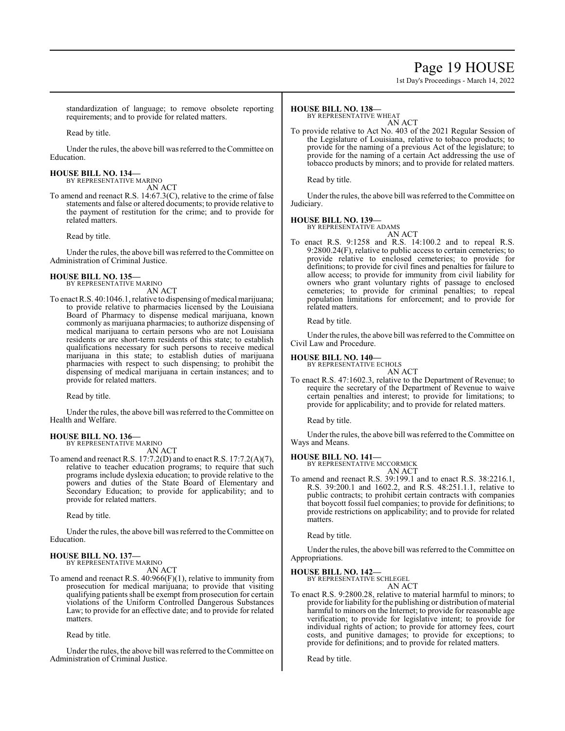# Page 19 HOUSE

1st Day's Proceedings - March 14, 2022

standardization of language; to remove obsolete reporting requirements; and to provide for related matters.

Read by title.

Under the rules, the above bill was referred to the Committee on Education.

**HOUSE BILL NO. 134—** BY REPRESENTATIVE MARINO

AN ACT

To amend and reenact R.S. 14:67.3(C), relative to the crime of false statements and false or altered documents; to provide relative to the payment of restitution for the crime; and to provide for related matters.

Read by title.

Under the rules, the above bill was referred to the Committee on Administration of Criminal Justice.

### **HOUSE BILL NO. 135—**

BY REPRESENTATIVE MARINO AN ACT

To enact R.S. 40:1046.1, relative to dispensing of medical marijuana; to provide relative to pharmacies licensed by the Louisiana Board of Pharmacy to dispense medical marijuana, known commonly as marijuana pharmacies; to authorize dispensing of medical marijuana to certain persons who are not Louisiana residents or are short-term residents of this state; to establish qualifications necessary for such persons to receive medical marijuana in this state; to establish duties of marijuana pharmacies with respect to such dispensing; to prohibit the dispensing of medical marijuana in certain instances; and to provide for related matters.

Read by title.

Under the rules, the above bill was referred to the Committee on Health and Welfare.

#### **HOUSE BILL NO. 136—** BY REPRESENTATIVE MARINO

AN ACT

To amend and reenact R.S. 17:7.2(D) and to enact R.S. 17:7.2(A)(7), relative to teacher education programs; to require that such programs include dyslexia education; to provide relative to the powers and duties of the State Board of Elementary and Secondary Education; to provide for applicability; and to provide for related matters.

Read by title.

Under the rules, the above bill was referred to the Committee on Education.

#### **HOUSE BILL NO. 137—** BY REPRESENTATIVE MARINO

AN ACT

To amend and reenact R.S. 40:966(F)(1), relative to immunity from prosecution for medical marijuana; to provide that visiting qualifying patients shall be exempt from prosecution for certain violations of the Uniform Controlled Dangerous Substances Law; to provide for an effective date; and to provide for related matters.

Read by title.

Under the rules, the above bill was referred to the Committee on Administration of Criminal Justice.

### **HOUSE BILL NO. 138—**

BY REPRESENTATIVE WHEAT

AN ACT To provide relative to Act No. 403 of the 2021 Regular Session of the Legislature of Louisiana, relative to tobacco products; to provide for the naming of a previous Act of the legislature; to provide for the naming of a certain Act addressing the use of tobacco products by minors; and to provide for related matters.

Read by title.

Under the rules, the above bill was referred to the Committee on Judiciary.

# **HOUSE BILL NO. 139—** BY REPRESENTATIVE ADAMS

AN ACT To enact R.S. 9:1258 and R.S. 14:100.2 and to repeal R.S. 9:2800.24(F), relative to public access to certain cemeteries; to provide relative to enclosed cemeteries; to provide for definitions; to provide for civil fines and penalties for failure to allow access; to provide for immunity from civil liability for owners who grant voluntary rights of passage to enclosed cemeteries; to provide for criminal penalties; to repeal population limitations for enforcement; and to provide for related matters.

Read by title.

Under the rules, the above bill was referred to the Committee on Civil Law and Procedure.

### **HOUSE BILL NO. 140—**

BY REPRESENTATIVE ECHOLS AN ACT

To enact R.S. 47:1602.3, relative to the Department of Revenue; to require the secretary of the Department of Revenue to waive certain penalties and interest; to provide for limitations; to provide for applicability; and to provide for related matters.

Read by title.

Under the rules, the above bill was referred to the Committee on Ways and Means.

**HOUSE BILL NO. 141—** BY REPRESENTATIVE MCCORMICK AN ACT

To amend and reenact R.S. 39:199.1 and to enact R.S. 38:2216.1, R.S. 39:200.1 and 1602.2, and R.S. 48:251.1.1, relative to public contracts; to prohibit certain contracts with companies that boycott fossil fuel companies; to provide for definitions; to provide restrictions on applicability; and to provide for related matters.

Read by title.

Under the rules, the above bill was referred to the Committee on Appropriations.

# **HOUSE BILL NO. 142—** BY REPRESENTATIVE SCHLEGEL

AN ACT

To enact R.S. 9:2800.28, relative to material harmful to minors; to provide for liability for the publishing or distribution of material harmful to minors on the Internet; to provide for reasonable age verification; to provide for legislative intent; to provide for individual rights of action; to provide for attorney fees, court costs, and punitive damages; to provide for exceptions; to provide for definitions; and to provide for related matters.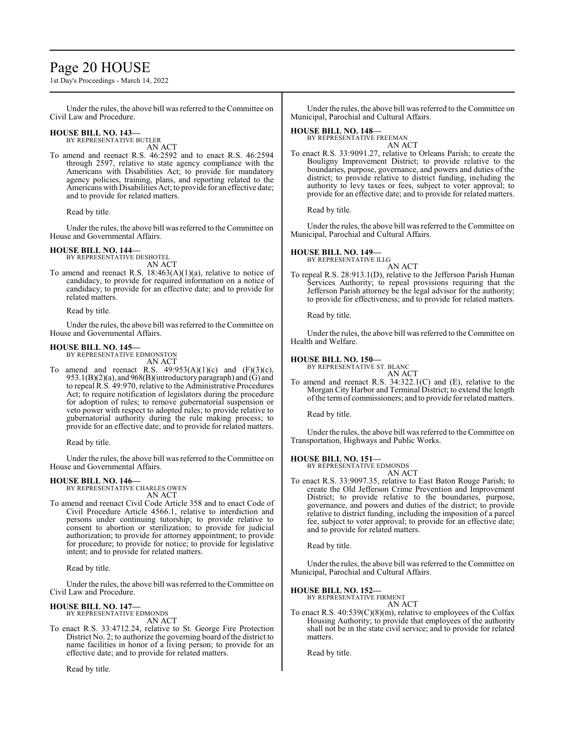# Page 20 HOUSE

1st Day's Proceedings - March 14, 2022

Under the rules, the above bill was referred to the Committee on Civil Law and Procedure.

# **HOUSE BILL NO. 143—**

BY REPRESENTATIVE BUTLER AN ACT

To amend and reenact R.S. 46:2592 and to enact R.S. 46:2594 through 2597, relative to state agency compliance with the Americans with Disabilities Act; to provide for mandatory agency policies, training, plans, and reporting related to the Americans with Disabilities Act; to provide for an effective date; and to provide for related matters.

Read by title.

Under the rules, the above bill was referred to the Committee on House and Governmental Affairs.

### **HOUSE BILL NO. 144—**

BY REPRESENTATIVE DESHOTEL AN ACT

To amend and reenact R.S. 18:463(A)(1)(a), relative to notice of candidacy, to provide for required information on a notice of candidacy; to provide for an effective date; and to provide for related matters.

Read by title.

Under the rules, the above bill was referred to the Committee on House and Governmental Affairs.

### **HOUSE BILL NO. 145—**

BY REPRESENTATIVE EDMONSTON AN ACT

To amend and reenact R.S.  $49:953(A)(1)(c)$  and  $(F)(3)(c)$ , 953.1(B)(2)(a), and 968(B)(introductory paragraph) and (G) and to repeal R.S. 49:970, relative to the Administrative Procedures Act; to require notification of legislators during the procedure for adoption of rules; to remove gubernatorial suspension or veto power with respect to adopted rules; to provide relative to gubernatorial authority during the rule making process; to provide for an effective date; and to provide for related matters.

Read by title.

Under the rules, the above bill was referred to theCommittee on House and Governmental Affairs.

# **HOUSE BILL NO. 146—** BY REPRESENTATIVE CHARLES OWEN

AN ACT

To amend and reenact Civil Code Article 358 and to enact Code of Civil Procedure Article 4566.1, relative to interdiction and persons under continuing tutorship; to provide relative to consent to abortion or sterilization; to provide for judicial authorization; to provide for attorney appointment; to provide for procedure; to provide for notice; to provide for legislative intent; and to provide for related matters.

Read by title.

Under the rules, the above bill was referred to theCommittee on Civil Law and Procedure.

### **HOUSE BILL NO. 147—**

BY REPRESENTATIVE EDMONDS AN ACT

To enact R.S. 33:4712.24, relative to St. George Fire Protection District No. 2; to authorize the governing board of the district to name facilities in honor of a living person; to provide for an effective date; and to provide for related matters.

Read by title.

Under the rules, the above bill was referred to the Committee on Municipal, Parochial and Cultural Affairs.

### **HOUSE BILL NO. 148—**

BY REPRESENTATIVE FREEMAN AN ACT

To enact R.S. 33:9091.27, relative to Orleans Parish; to create the Bouligny Improvement District; to provide relative to the boundaries, purpose, governance, and powers and duties of the district; to provide relative to district funding, including the authority to levy taxes or fees, subject to voter approval; to provide for an effective date; and to provide for related matters.

Read by title.

Under the rules, the above bill was referred to the Committee on Municipal, Parochial and Cultural Affairs.

### **HOUSE BILL NO. 149—**

BY REPRESENTATIVE ILLG AN ACT

To repeal R.S. 28:913.1(D), relative to the Jefferson Parish Human Services Authority; to repeal provisions requiring that the Jefferson Parish attorney be the legal advisor for the authority; to provide for effectiveness; and to provide for related matters.

Read by title.

Under the rules, the above bill was referred to the Committee on Health and Welfare.

### **HOUSE BILL NO. 150—**

BY REPRESENTATIVE ST. BLANC AN ACT

To amend and reenact R.S. 34:322.1(C) and (E), relative to the Morgan City Harbor and Terminal District; to extend the length ofthe termof commissioners; and to provide for related matters.

Read by title.

Under the rules, the above bill was referred to the Committee on Transportation, Highways and Public Works.

**HOUSE BILL NO. 151—** BY REPRESENTATIVE EDMONDS AN ACT

To enact R.S. 33:9097.35, relative to East Baton Rouge Parish; to create the Old Jefferson Crime Prevention and Improvement District; to provide relative to the boundaries, purpose, governance, and powers and duties of the district; to provide relative to district funding, including the imposition of a parcel fee, subject to voter approval; to provide for an effective date; and to provide for related matters.

Read by title.

Under the rules, the above bill was referred to the Committee on Municipal, Parochial and Cultural Affairs.

# **HOUSE BILL NO. 152—** BY REPRESENTATIVE FIRMENT

AN ACT

To enact R.S. 40:539(C)(8)(m), relative to employees of the Colfax Housing Authority; to provide that employees of the authority shall not be in the state civil service; and to provide for related matters.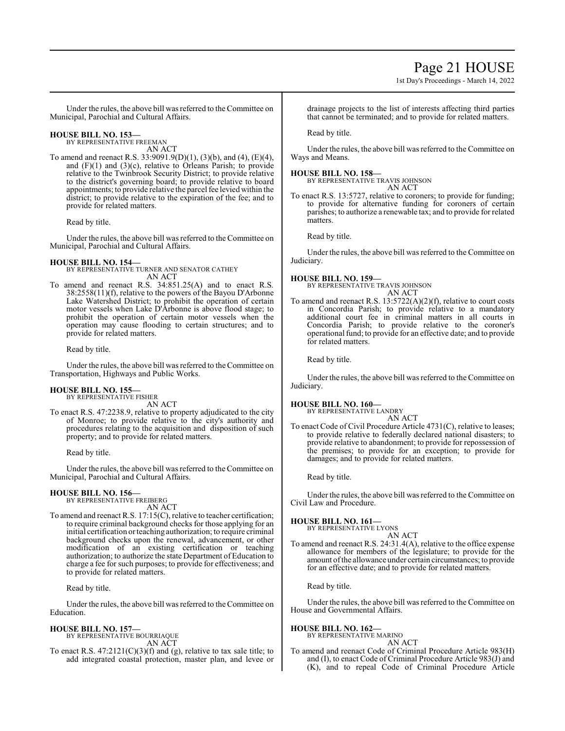# Page 21 HOUSE

1st Day's Proceedings - March 14, 2022

Under the rules, the above bill was referred to the Committee on Municipal, Parochial and Cultural Affairs.

# **HOUSE BILL NO. 153—** BY REPRESENTATIVE FREEMAN

AN ACT

To amend and reenact R.S. 33:9091.9(D)(1), (3)(b), and (4), (E)(4), and  $(F)(1)$  and  $(3)(c)$ , relative to Orleans Parish; to provide relative to the Twinbrook Security District; to provide relative to the district's governing board; to provide relative to board appointments; to provide relative the parcel fee levied within the district; to provide relative to the expiration of the fee; and to provide for related matters.

Read by title.

Under the rules, the above bill was referred to theCommittee on Municipal, Parochial and Cultural Affairs.

### **HOUSE BILL NO. 154—**

BY REPRESENTATIVE TURNER AND SENATOR CATHEY AN ACT

To amend and reenact R.S. 34:851.25(A) and to enact R.S. 38:2558(11)(f), relative to the powers of the Bayou D'Arbonne Lake Watershed District; to prohibit the operation of certain motor vessels when Lake D'Arbonne is above flood stage; to prohibit the operation of certain motor vessels when the operation may cause flooding to certain structures; and to provide for related matters.

Read by title.

Under the rules, the above bill was referred to the Committee on Transportation, Highways and Public Works.

#### **HOUSE BILL NO. 155—** BY REPRESENTATIVE FISHER

AN ACT

To enact R.S. 47:2238.9, relative to property adjudicated to the city of Monroe; to provide relative to the city's authority and procedures relating to the acquisition and disposition of such property; and to provide for related matters.

Read by title.

Under the rules, the above bill was referred to the Committee on Municipal, Parochial and Cultural Affairs.

# **HOUSE BILL NO. 156—** BY REPRESENTATIVE FREIBERG

AN ACT

To amend and reenact R.S. 17:15(C), relative to teacher certification; to require criminal background checks for those applying for an initial certification or teaching authorization; to require criminal background checks upon the renewal, advancement, or other modification of an existing certification or teaching authorization; to authorize the state Department of Education to charge a fee for such purposes; to provide for effectiveness; and to provide for related matters.

Read by title.

Under the rules, the above bill was referred to the Committee on Education.

### **HOUSE BILL NO. 157—**

BY REPRESENTATIVE BOURRIAQUE AN ACT

To enact R.S.  $47:2121(C)(3)(f)$  and (g), relative to tax sale title; to add integrated coastal protection, master plan, and levee or drainage projects to the list of interests affecting third parties that cannot be terminated; and to provide for related matters.

Read by title.

Under the rules, the above bill was referred to the Committee on Ways and Means.

### **HOUSE BILL NO. 158—**

BY REPRESENTATIVE TRAVIS JOHNSON AN ACT

To enact R.S. 13:5727, relative to coroners; to provide for funding; to provide for alternative funding for coroners of certain parishes; to authorize a renewable tax; and to provide for related matters.

Read by title.

Under the rules, the above bill was referred to the Committee on Judiciary.

**HOUSE BILL NO. 159—** BY REPRESENTATIVE TRAVIS JOHNSON AN ACT

To amend and reenact R.S. 13:5722(A)(2)(f), relative to court costs in Concordia Parish; to provide relative to a mandatory additional court fee in criminal matters in all courts in Concordia Parish; to provide relative to the coroner's operational fund; to provide for an effective date; and to provide for related matters.

Read by title.

Under the rules, the above bill was referred to the Committee on Judiciary.

# **HOUSE BILL NO. 160—** BY REPRESENTATIVE LANDRY

AN ACT

To enact Code of Civil Procedure Article 4731(C), relative to leases; to provide relative to federally declared national disasters; to provide relative to abandonment; to provide for repossession of the premises; to provide for an exception; to provide for damages; and to provide for related matters.

Read by title.

Under the rules, the above bill was referred to the Committee on Civil Law and Procedure.

### **HOUSE BILL NO. 161—**

BY REPRESENTATIVE LYONS

AN ACT To amend and reenact R.S. 24:31.4(A), relative to the office expense allowance for members of the legislature; to provide for the amount ofthe allowance under certain circumstances; to provide for an effective date; and to provide for related matters.

Read by title.

Under the rules, the above bill was referred to the Committee on House and Governmental Affairs.

## **HOUSE BILL NO. 162—**

BY REPRESENTATIVE MARINO AN ACT

To amend and reenact Code of Criminal Procedure Article 983(H) and (I), to enact Code of Criminal Procedure Article 983(J) and (K), and to repeal Code of Criminal Procedure Article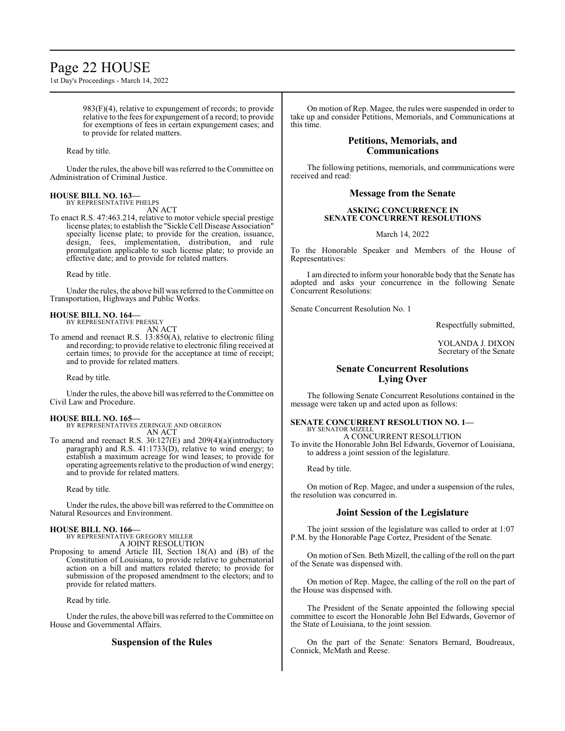# Page 22 HOUSE

1st Day's Proceedings - March 14, 2022

 $983(F)(4)$ , relative to expungement of records; to provide relative to the fees for expungement of a record; to provide for exemptions of fees in certain expungement cases; and to provide for related matters.

Read by title.

Under the rules, the above bill was referred to the Committee on Administration of Criminal Justice.

# **HOUSE BILL NO. 163—** BY REPRESENTATIVE PHELPS

AN ACT

To enact R.S. 47:463.214, relative to motor vehicle special prestige license plates; to establish the "Sickle Cell Disease Association" specialty license plate; to provide for the creation, issuance, design, fees, implementation, distribution, and rule promulgation applicable to such license plate; to provide an effective date; and to provide for related matters.

Read by title.

Under the rules, the above bill was referred to theCommittee on Transportation, Highways and Public Works.

#### **HOUSE BILL NO. 164—** BY REPRESENTATIVE PRESSLY

AN ACT

To amend and reenact R.S. 13:850(A), relative to electronic filing and recording; to provide relative to electronic filing received at certain times; to provide for the acceptance at time of receipt; and to provide for related matters.

Read by title.

Under the rules, the above bill was referred to the Committee on Civil Law and Procedure.

### **HOUSE BILL NO. 165—**

BY REPRESENTATIVES ZERINGUE AND ORGERON AN ACT

To amend and reenact R.S. 30:127(E) and 209(4)(a)(introductory paragraph) and R.S.  $41:1733(\dot{D})$ , relative to wind energy; to establish a maximum acreage for wind leases; to provide for operating agreements relative to the production of wind energy; and to provide for related matters.

Read by title.

Under the rules, the above bill was referred to the Committee on Natural Resources and Environment.

# **HOUSE BILL NO. 166—** BY REPRESENTATIVE GREGORY MILLER

A JOINT RESOLUTION

Proposing to amend Article III, Section 18(A) and (B) of the Constitution of Louisiana, to provide relative to gubernatorial action on a bill and matters related thereto; to provide for submission of the proposed amendment to the electors; and to provide for related matters.

Read by title.

Under the rules, the above bill was referred to the Committee on House and Governmental Affairs.

# **Suspension of the Rules**

On motion of Rep. Magee, the rules were suspended in order to take up and consider Petitions, Memorials, and Communications at this time.

## **Petitions, Memorials, and Communications**

The following petitions, memorials, and communications were received and read:

## **Message from the Senate**

### **ASKING CONCURRENCE IN SENATE CONCURRENT RESOLUTIONS**

March 14, 2022

To the Honorable Speaker and Members of the House of Representatives:

I am directed to inform your honorable body that the Senate has adopted and asks your concurrence in the following Senate Concurrent Resolutions:

Senate Concurrent Resolution No. 1

Respectfully submitted,

YOLANDA J. DIXON Secretary of the Senate

# **Senate Concurrent Resolutions Lying Over**

The following Senate Concurrent Resolutions contained in the message were taken up and acted upon as follows:

#### **SENATE CONCURRENT RESOLUTION NO. 1—** BY SENATOR MIZELL

A CONCURRENT RESOLUTION To invite the Honorable John Bel Edwards, Governor of Louisiana, to address a joint session of the legislature.

Read by title.

On motion of Rep. Magee, and under a suspension of the rules, the resolution was concurred in.

## **Joint Session of the Legislature**

The joint session of the legislature was called to order at 1:07 P.M. by the Honorable Page Cortez, President of the Senate.

On motion of Sen. Beth Mizell, the calling of the roll on the part of the Senate was dispensed with.

On motion of Rep. Magee, the calling of the roll on the part of the House was dispensed with.

The President of the Senate appointed the following special committee to escort the Honorable John Bel Edwards, Governor of the State of Louisiana, to the joint session.

On the part of the Senate: Senators Bernard, Boudreaux, Connick, McMath and Reese.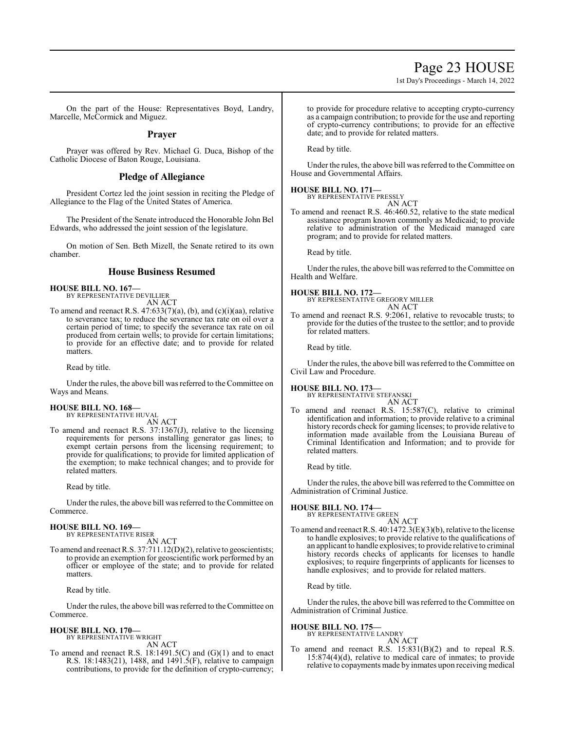# Page 23 HOUSE

1st Day's Proceedings - March 14, 2022

On the part of the House: Representatives Boyd, Landry, Marcelle, McCormick and Miguez.

**Prayer**

Prayer was offered by Rev. Michael G. Duca, Bishop of the Catholic Diocese of Baton Rouge, Louisiana.

## **Pledge of Allegiance**

President Cortez led the joint session in reciting the Pledge of Allegiance to the Flag of the United States of America.

The President of the Senate introduced the Honorable John Bel Edwards, who addressed the joint session of the legislature.

On motion of Sen. Beth Mizell, the Senate retired to its own chamber.

# **House Business Resumed**

**HOUSE BILL NO. 167—** BY REPRESENTATIVE DEVILLIER

AN ACT

To amend and reenact R.S. 47:633(7)(a), (b), and (c)(i)(aa), relative to severance tax; to reduce the severance tax rate on oil over a certain period of time; to specify the severance tax rate on oil produced from certain wells; to provide for certain limitations; to provide for an effective date; and to provide for related matters.

Read by title.

Under the rules, the above bill was referred to the Committee on Ways and Means.

# **HOUSE BILL NO. 168—**

BY REPRESENTATIVE HUVAL AN ACT

To amend and reenact R.S. 37:1367(J), relative to the licensing requirements for persons installing generator gas lines; to exempt certain persons from the licensing requirement; to provide for qualifications; to provide for limited application of the exemption; to make technical changes; and to provide for related matters.

Read by title.

Under the rules, the above bill was referred to the Committee on Commerce.

# **HOUSE BILL NO. 169—** BY REPRESENTATIVE RISER

AN ACT

To amend and reenact R.S. 37:711.12(D)(2), relative to geoscientists; to provide an exemption for geoscientific work performed by an officer or employee of the state; and to provide for related matters.

Read by title.

Under the rules, the above bill was referred to theCommittee on Commerce.

#### **HOUSE BILL NO. 170—** BY REPRESENTATIVE WRIGHT

AN ACT

To amend and reenact R.S. 18:1491.5(C) and (G)(1) and to enact R.S. 18:1483(21), 1488, and 1491.5(F), relative to campaign contributions, to provide for the definition of crypto-currency;

to provide for procedure relative to accepting crypto-currency as a campaign contribution; to provide for the use and reporting of crypto-currency contributions; to provide for an effective date; and to provide for related matters.

Read by title.

Under the rules, the above bill was referred to the Committee on House and Governmental Affairs.

## **HOUSE BILL NO. 171—**

BY REPRESENTATIVE PRESSLY AN ACT

To amend and reenact R.S. 46:460.52, relative to the state medical assistance program known commonly as Medicaid; to provide relative to administration of the Medicaid managed care program; and to provide for related matters.

Read by title.

Under the rules, the above bill was referred to the Committee on Health and Welfare.

### **HOUSE BILL NO. 172—**

BY REPRESENTATIVE GREGORY MILLER AN ACT

To amend and reenact R.S. 9:2061, relative to revocable trusts; to provide for the duties of the trustee to the settlor; and to provide for related matters.

Read by title.

Under the rules, the above bill was referred to the Committee on Civil Law and Procedure.

#### **HOUSE BILL NO. 173—** BY REPRESENTATIVE

AN ACT

To amend and reenact R.S. 15:587(C), relative to criminal identification and information; to provide relative to a criminal history records check for gaming licenses; to provide relative to information made available from the Louisiana Bureau of Criminal Identification and Information; and to provide for related matters.

Read by title.

Under the rules, the above bill was referred to the Committee on Administration of Criminal Justice.

## **HOUSE BILL NO. 174—**

BY REPRESENTATIVE GREEN AN ACT

To amend and reenact R.S. 40:1472.3(E)(3)(b), relative to the license to handle explosives; to provide relative to the qualifications of an applicant to handle explosives; to provide relative to criminal history records checks of applicants for licenses to handle explosives; to require fingerprints of applicants for licenses to handle explosives; and to provide for related matters.

Read by title.

Under the rules, the above bill was referred to the Committee on Administration of Criminal Justice.

# **HOUSE BILL NO. 175—** BY REPRESENTATIVE LANDRY

AN ACT To amend and reenact R.S. 15:831(B)(2) and to repeal R.S. 15:874(4)(d), relative to medical care of inmates; to provide relative to copayments made by inmates upon receiving medical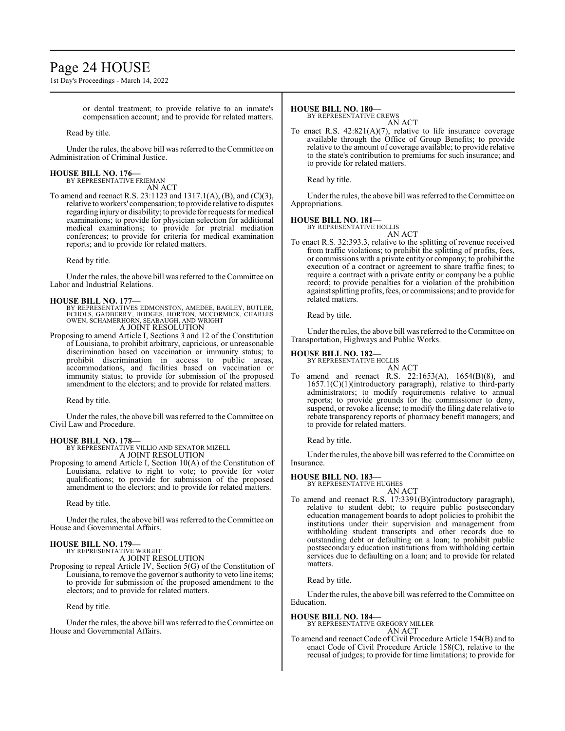# Page 24 HOUSE

1st Day's Proceedings - March 14, 2022

or dental treatment; to provide relative to an inmate's compensation account; and to provide for related matters.

Read by title.

Under the rules, the above bill was referred to the Committee on Administration of Criminal Justice.

#### **HOUSE BILL NO. 176—** BY REPRESENTATIVE FRIEMAN

AN ACT

To amend and reenact R.S. 23:1123 and 1317.1(A), (B), and (C)(3), relative to workers' compensation; to provide relative to disputes regarding injury or disability; to provide for requests for medical examinations; to provide for physician selection for additional medical examinations; to provide for pretrial mediation conferences; to provide for criteria for medical examination reports; and to provide for related matters.

Read by title.

Under the rules, the above bill was referred to the Committee on Labor and Industrial Relations.

### **HOUSE BILL NO. 177—**

- BY REPRESENTATIVES EDMONSTON, AMEDEE, BAGLEY, BUTLER, ECHOLS, GADBERRY, HODGES, HORTON, MCCORMICK, CHARLES OWEN, SCHAMERHORN, SEABAUGH, AND WRIGHT A JOINT RESOLUTION
- Proposing to amend Article I, Sections 3 and 12 of the Constitution of Louisiana, to prohibit arbitrary, capricious, or unreasonable discrimination based on vaccination or immunity status; to prohibit discrimination in access to public areas, accommodations, and facilities based on vaccination or immunity status; to provide for submission of the proposed amendment to the electors; and to provide for related matters.

Read by title.

Under the rules, the above bill was referred to the Committee on Civil Law and Procedure.

### **HOUSE BILL NO. 178—**

BY REPRESENTATIVE VILLIO AND SENATOR MIZELL A JOINT RESOLUTION

Proposing to amend Article I, Section 10(A) of the Constitution of Louisiana, relative to right to vote; to provide for voter qualifications; to provide for submission of the proposed amendment to the electors; and to provide for related matters.

Read by title.

Under the rules, the above bill was referred to theCommittee on House and Governmental Affairs.

#### **HOUSE BILL NO. 179—** BY REPRESENTATIVE WRIGHT

A JOINT RESOLUTION

Proposing to repeal Article IV, Section 5(G) of the Constitution of Louisiana, to remove the governor's authority to veto line items; to provide for submission of the proposed amendment to the electors; and to provide for related matters.

Read by title.

Under the rules, the above bill was referred to the Committee on House and Governmental Affairs.

#### **HOUSE BILL NO. 180—**

BY REPRESENTATIVE CREWS

AN ACT To enact R.S.  $42:821(A)(7)$ , relative to life insurance coverage available through the Office of Group Benefits; to provide relative to the amount of coverage available; to provide relative to the state's contribution to premiums for such insurance; and to provide for related matters.

Read by title.

Under the rules, the above bill was referred to the Committee on Appropriations.

# **HOUSE BILL NO. 181—** BY REPRESENTATIVE HOLLIS

AN ACT To enact R.S. 32:393.3, relative to the splitting of revenue received from traffic violations; to prohibit the splitting of profits, fees, or commissions with a private entity or company; to prohibit the execution of a contract or agreement to share traffic fines; to require a contract with a private entity or company be a public record; to provide penalties for a violation of the prohibition against splitting profits, fees, or commissions; and to provide for related matters.

Read by title.

Under the rules, the above bill was referred to the Committee on Transportation, Highways and Public Works.

### **HOUSE BILL NO. 182—**

BY REPRESENTATIVE HOLLIS AN ACT

To amend and reenact R.S. 22:1653(A), 1654(B)(8), and 1657.1(C)(1)(introductory paragraph), relative to third-party administrators; to modify requirements relative to annual reports; to provide grounds for the commissioner to deny, suspend, or revoke a license; to modify the filing date relative to rebate transparency reports of pharmacy benefit managers; and to provide for related matters.

Read by title.

Under the rules, the above bill was referred to the Committee on Insurance.

### **HOUSE BILL NO. 183—**

BY REPRESENTATIVE HUGHES

- AN ACT
- To amend and reenact R.S. 17:3391(B)(introductory paragraph), relative to student debt; to require public postsecondary education management boards to adopt policies to prohibit the institutions under their supervision and management from withholding student transcripts and other records due to outstanding debt or defaulting on a loan; to prohibit public postsecondary education institutions from withholding certain services due to defaulting on a loan; and to provide for related matters.

Read by title.

Under the rules, the above bill was referred to the Committee on Education.

### **HOUSE BILL NO. 184—**

BY REPRESENTATIVE GREGORY MILLER AN ACT

To amend and reenact Code of Civil Procedure Article 154(B) and to enact Code of Civil Procedure Article 158(C), relative to the recusal of judges; to provide for time limitations; to provide for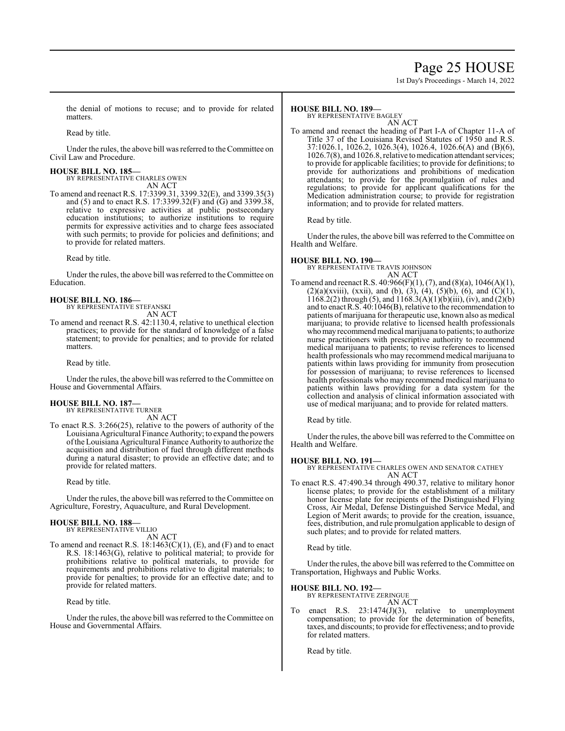# Page 25 HOUSE

1st Day's Proceedings - March 14, 2022

the denial of motions to recuse; and to provide for related matters.

Read by title.

Under the rules, the above bill was referred to the Committee on Civil Law and Procedure.

# **HOUSE BILL NO. 185—** BY REPRESENTATIVE CHARLES OWEN

AN ACT

To amend and reenact R.S. 17:3399.31, 3399.32(E), and 3399.35(3) and (5) and to enact R.S. 17:3399.32(F) and (G) and 3399.38, relative to expressive activities at public postsecondary education institutions; to authorize institutions to require permits for expressive activities and to charge fees associated with such permits; to provide for policies and definitions; and to provide for related matters.

Read by title.

Under the rules, the above bill was referred to theCommittee on Education.

# **HOUSE BILL NO. 186—** BY REPRESENTATIVE STEFANSKI

AN ACT

To amend and reenact R.S. 42:1130.4, relative to unethical election practices; to provide for the standard of knowledge of a false statement; to provide for penalties; and to provide for related matters.

Read by title.

Under the rules, the above bill was referred to the Committee on House and Governmental Affairs.

#### **HOUSE BILL NO. 187—** BY REPRESENTATIVE TURNER

AN ACT

To enact R.S. 3:266(25), relative to the powers of authority of the Louisiana Agricultural Finance Authority; to expand the powers ofthe Louisiana Agricultural Finance Authority to authorize the acquisition and distribution of fuel through different methods during a natural disaster; to provide an effective date; and to provide for related matters.

Read by title.

Under the rules, the above bill was referred to the Committee on Agriculture, Forestry, Aquaculture, and Rural Development.

# **HOUSE BILL NO. 188—** BY REPRESENTATIVE VILLIO

AN ACT

To amend and reenact R.S.  $18:1463(C)(1)$ , (E), and (F) and to enact R.S. 18:1463(G), relative to political material; to provide for prohibitions relative to political materials, to provide for requirements and prohibitions relative to digital materials; to provide for penalties; to provide for an effective date; and to provide for related matters.

Read by title.

Under the rules, the above bill was referred to the Committee on House and Governmental Affairs.

### **HOUSE BILL NO. 189—**

BY REPRESENTATIVE BAGLEY

AN ACT To amend and reenact the heading of Part I-A of Chapter 11-A of Title 37 of the Louisiana Revised Statutes of 1950 and R.S. 37:1026.1, 1026.2, 1026.3(4), 1026.4, 1026.6(A) and (B)(6), 1026.7(8), and 1026.8, relative to medication attendant services; to provide for applicable facilities; to provide for definitions; to provide for authorizations and prohibitions of medication attendants; to provide for the promulgation of rules and regulations; to provide for applicant qualifications for the Medication administration course; to provide for registration information; and to provide for related matters.

Read by title.

Under the rules, the above bill was referred to the Committee on Health and Welfare.

### **HOUSE BILL NO. 190—**

BY REPRESENTATIVE TRAVIS JOHNSON

AN ACT To amend and reenact R.S. 40:966(F)(1), (7), and (8)(a), 1046(A)(1),  $(2)(a)(xviii)$ , (xxii), and (b), (3), (4), (5)(b), (6), and (C)(1),  $1168.2(2)$  through (5), and  $1168.3(A)(1)(b)(iii)$ , (iv), and (2)(b) and to enact R.S. 40:1046(B), relative to the recommendation to patients of marijuana for therapeutic use, known also as medical marijuana; to provide relative to licensed health professionals who may recommend medical marijuana to patients; to authorize nurse practitioners with prescriptive authority to recommend medical marijuana to patients; to revise references to licensed health professionals who may recommend medical marijuana to patients within laws providing for immunity from prosecution for possession of marijuana; to revise references to licensed health professionals who may recommend medical marijuana to patients within laws providing for a data system for the collection and analysis of clinical information associated with use of medical marijuana; and to provide for related matters.

Read by title.

Under the rules, the above bill was referred to the Committee on Health and Welfare.

### **HOUSE BILL NO. 191—**

BY REPRESENTATIVE CHARLES OWEN AND SENATOR CATHEY AN ACT

To enact R.S. 47:490.34 through 490.37, relative to military honor license plates; to provide for the establishment of a military honor license plate for recipients of the Distinguished Flying Cross, Air Medal, Defense Distinguished Service Medal, and Legion of Merit awards; to provide for the creation, issuance, fees, distribution, and rule promulgation applicable to design of such plates; and to provide for related matters.

Read by title.

Under the rules, the above bill was referred to the Committee on Transportation, Highways and Public Works.

# **HOUSE BILL NO. 192—** BY REPRESENTATIVE ZERINGUE

AN ACT

To enact R.S. 23:1474(J)(3), relative to unemployment compensation; to provide for the determination of benefits, taxes, and discounts; to provide for effectiveness; and to provide for related matters.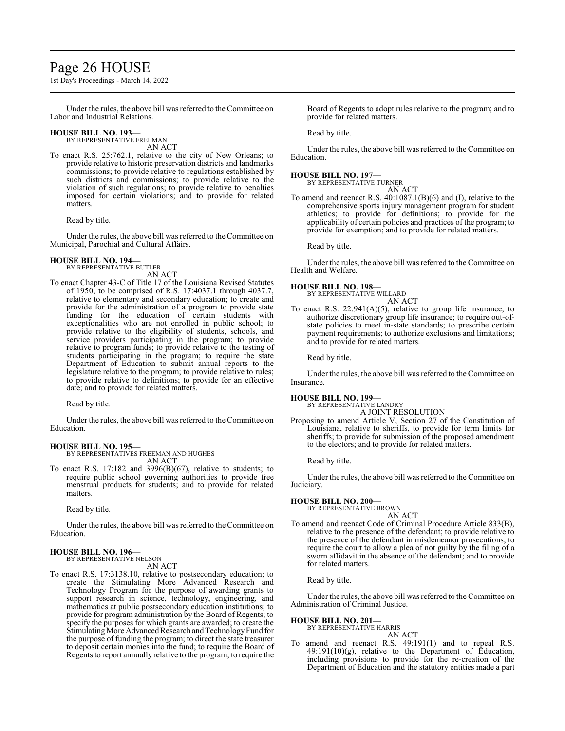# Page 26 HOUSE

1st Day's Proceedings - March 14, 2022

Under the rules, the above bill was referred to the Committee on Labor and Industrial Relations.

## **HOUSE BILL NO. 193—**

BY REPRESENTATIVE FREEMAN AN ACT

To enact R.S. 25:762.1, relative to the city of New Orleans; to provide relative to historic preservation districts and landmarks commissions; to provide relative to regulations established by such districts and commissions; to provide relative to the violation of such regulations; to provide relative to penalties imposed for certain violations; and to provide for related matters.

Read by title.

Under the rules, the above bill was referred to the Committee on Municipal, Parochial and Cultural Affairs.

### **HOUSE BILL NO. 194—**

BY REPRESENTATIVE BUTLER

AN ACT To enact Chapter 43-C of Title 17 of the Louisiana Revised Statutes of 1950, to be comprised of R.S. 17:4037.1 through 4037.7, relative to elementary and secondary education; to create and provide for the administration of a program to provide state funding for the education of certain students with exceptionalities who are not enrolled in public school; to provide relative to the eligibility of students, schools, and service providers participating in the program; to provide relative to program funds; to provide relative to the testing of students participating in the program; to require the state Department of Education to submit annual reports to the legislature relative to the program; to provide relative to rules; to provide relative to definitions; to provide for an effective date; and to provide for related matters.

Read by title.

Under the rules, the above bill was referred to the Committee on Education.

### **HOUSE BILL NO. 195—**

BY REPRESENTATIVES FREEMAN AND HUGHES AN ACT

To enact R.S. 17:182 and 3996(B)(67), relative to students; to require public school governing authorities to provide free menstrual products for students; and to provide for related matters.

Read by title.

Under the rules, the above bill was referred to the Committee on Education.

## **HOUSE BILL NO. 196—**

BY REPRESENTATIVE NELSON AN ACT

To enact R.S. 17:3138.10, relative to postsecondary education; to create the Stimulating More Advanced Research and Technology Program for the purpose of awarding grants to support research in science, technology, engineering, and mathematics at public postsecondary education institutions; to provide for program administration by the Board of Regents; to specify the purposes for which grants are awarded; to create the Stimulating More Advanced Research and Technology Fund for the purpose of funding the program; to direct the state treasurer to deposit certain monies into the fund; to require the Board of Regents to report annually relative to the program; to require the

Board of Regents to adopt rules relative to the program; and to provide for related matters.

Read by title.

Under the rules, the above bill was referred to the Committee on Education.

#### **HOUSE BILL NO. 197—** BY REPRESENTATIVE TURNER



To amend and reenact R.S. 40:1087.1(B)(6) and (I), relative to the comprehensive sports injury management program for student athletics; to provide for definitions; to provide for the applicability of certain policies and practices of the program; to provide for exemption; and to provide for related matters.

Read by title.

Under the rules, the above bill was referred to the Committee on Health and Welfare.

### **HOUSE BILL NO. 198—**

BY REPRESENTATIVE WILLARD AN ACT

To enact R.S.  $22:941(A)(5)$ , relative to group life insurance; to authorize discretionary group life insurance; to require out-ofstate policies to meet in-state standards; to prescribe certain payment requirements; to authorize exclusions and limitations; and to provide for related matters.

Read by title.

Under the rules, the above bill was referred to the Committee on Insurance.

### **HOUSE BILL NO. 199—**

BY REPRESENTATIVE LANDRY

A JOINT RESOLUTION Proposing to amend Article V, Section 27 of the Constitution of Louisiana, relative to sheriffs, to provide for term limits for sheriffs; to provide for submission of the proposed amendment to the electors; and to provide for related matters.

Read by title.

Under the rules, the above bill was referred to the Committee on Judiciary.

### **HOUSE BILL NO. 200—**

BY REPRESENTATIVE BROWN AN ACT

To amend and reenact Code of Criminal Procedure Article 833(B), relative to the presence of the defendant; to provide relative to the presence of the defendant in misdemeanor prosecutions; to require the court to allow a plea of not guilty by the filing of a sworn affidavit in the absence of the defendant; and to provide for related matters.

Read by title.

Under the rules, the above bill was referred to the Committee on Administration of Criminal Justice.

### **HOUSE BILL NO. 201—**

BY REPRESENTATIVE HARRIS AN ACT

To amend and reenact R.S. 49:191(1) and to repeal R.S. 49:191(10)(g), relative to the Department of Education, including provisions to provide for the re-creation of the Department of Education and the statutory entities made a part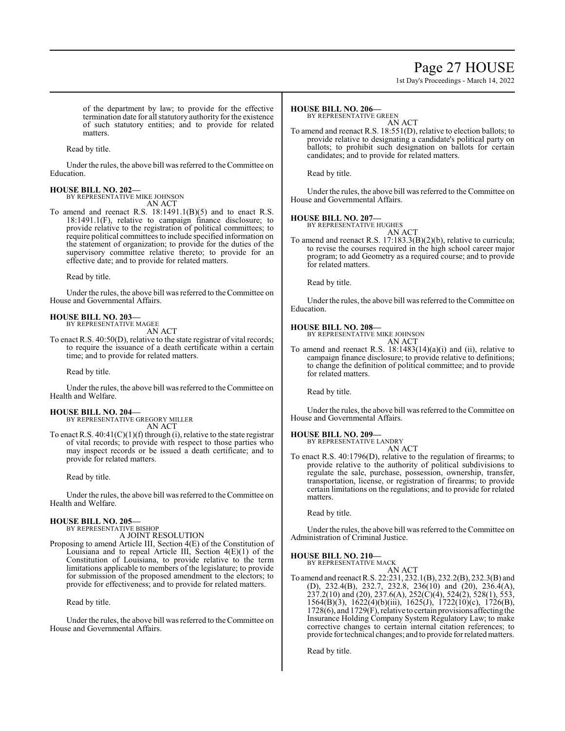# Page 27 HOUSE

1st Day's Proceedings - March 14, 2022

of the department by law; to provide for the effective termination date for all statutory authority for the existence of such statutory entities; and to provide for related matters.

Read by title.

Under the rules, the above bill was referred to theCommittee on Education.

# **HOUSE BILL NO. 202—** BY REPRESENTATIVE MIKE JOHNSON

AN ACT

To amend and reenact R.S. 18:1491.1(B)(5) and to enact R.S. 18:1491.1(F), relative to campaign finance disclosure; to provide relative to the registration of political committees; to require political committees to include specified information on the statement of organization; to provide for the duties of the supervisory committee relative thereto; to provide for an effective date; and to provide for related matters.

Read by title.

Under the rules, the above bill was referred to the Committee on House and Governmental Affairs.

### **HOUSE BILL NO. 203—**

BY REPRESENTATIVE MAGEE AN ACT

To enact R.S. 40:50(D), relative to the state registrar of vital records; to require the issuance of a death certificate within a certain time; and to provide for related matters.

Read by title.

Under the rules, the above bill was referred to the Committee on Health and Welfare.

### **HOUSE BILL NO. 204—**

BY REPRESENTATIVE GREGORY MILLER AN ACT

To enact R.S.  $40:41(C)(1)(f)$  through (i), relative to the state registrar of vital records; to provide with respect to those parties who may inspect records or be issued a death certificate; and to provide for related matters.

Read by title.

Under the rules, the above bill was referred to the Committee on Health and Welfare.

### **HOUSE BILL NO. 205—**

BY REPRESENTATIVE BISHOP A JOINT RESOLUTION

Proposing to amend Article III, Section 4(E) of the Constitution of Louisiana and to repeal Article III, Section  $4(E)(1)$  of the Constitution of Louisiana, to provide relative to the term limitations applicable to members of the legislature; to provide for submission of the proposed amendment to the electors; to provide for effectiveness; and to provide for related matters.

Read by title.

Under the rules, the above bill was referred to the Committee on House and Governmental Affairs.

#### **HOUSE BILL NO. 206—**

BY REPRESENTATIVE GREEN

AN ACT To amend and reenact R.S. 18:551(D), relative to election ballots; to provide relative to designating a candidate's political party on ballots; to prohibit such designation on ballots for certain candidates; and to provide for related matters.

Read by title.

Under the rules, the above bill was referred to the Committee on House and Governmental Affairs.

### **HOUSE BILL NO. 207—**

BY REPRESENTATIVE HUGHES AN ACT

To amend and reenact R.S. 17:183.3(B)(2)(b), relative to curricula; to revise the courses required in the high school career major program; to add Geometry as a required course; and to provide for related matters.

Read by title.

Under the rules, the above bill was referred to the Committee on Education.

**HOUSE BILL NO. 208—** BY REPRESENTATIVE MIKE JOHNSON AN ACT

To amend and reenact R.S. 18:1483(14)(a)(i) and (ii), relative to campaign finance disclosure; to provide relative to definitions; to change the definition of political committee; and to provide for related matters.

Read by title.

Under the rules, the above bill was referred to the Committee on House and Governmental Affairs.

# **HOUSE BILL NO. 209—** BY REPRESENTATIVE LANDRY

AN ACT

To enact R.S. 40:1796(D), relative to the regulation of firearms; to provide relative to the authority of political subdivisions to regulate the sale, purchase, possession, ownership, transfer, transportation, license, or registration of firearms; to provide certain limitations on the regulations; and to provide for related matters.

Read by title.

Under the rules, the above bill was referred to the Committee on Administration of Criminal Justice.

### **HOUSE BILL NO. 210—**

BY REPRESENTATIVE MACK AN ACT

To amend and reenact R.S. 22:231, 232.1(B), 232.2(B), 232.3(B) and (D), 232.4(B), 232.7, 232.8, 236(10) and (20), 236.4(A), 237.2(10) and (20), 237.6(A), 252(C)(4), 524(2), 528(1), 553, 1564(B)(3), 1622(4)(b)(iii), 1625(J), 1722(10)(c), 1726(B),  $1728(6)$ , and  $1729(F)$ , relative to certain provisions affecting the Insurance Holding Company System Regulatory Law; to make corrective changes to certain internal citation references; to provide for technical changes; and to provide for relatedmatters.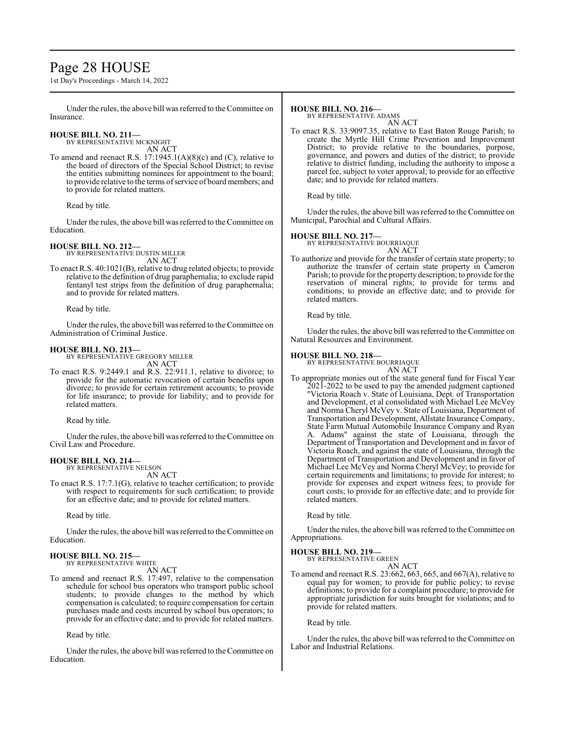# Page 28 HOUSE

1st Day's Proceedings - March 14, 2022

Under the rules, the above bill was referred to the Committee on Insurance.

# **HOUSE BILL NO. 211—** BY REPRESENTATIVE MCKNIGHT

AN ACT

To amend and reenact R.S. 17:1945.1(A)(8)(c) and (C), relative to the board of directors of the Special School District; to revise the entities submitting nominees for appointment to the board; to provide relative to the terms ofservice of board members; and to provide for related matters.

Read by title.

Under the rules, the above bill was referred to the Committee on Education.

## **HOUSE BILL NO. 212—**

BY REPRESENTATIVE DUSTIN MILLER AN ACT

To enact R.S. 40:1021(B), relative to drug related objects; to provide relative to the definition of drug paraphernalia; to exclude rapid fentanyl test strips from the definition of drug paraphernalia; and to provide for related matters.

Read by title.

Under the rules, the above bill was referred to the Committee on Administration of Criminal Justice.

### **HOUSE BILL NO. 213—**

BY REPRESENTATIVE GREGORY MILLER AN ACT

To enact R.S. 9:2449.1 and R.S. 22:911.1, relative to divorce; to provide for the automatic revocation of certain benefits upon divorce; to provide for certain retirement accounts; to provide for life insurance; to provide for liability; and to provide for related matters.

Read by title.

Under the rules, the above bill was referred to the Committee on Civil Law and Procedure.

#### **HOUSE BILL NO. 214—** BY REPRESENTATIVE NELSON

AN ACT

To enact R.S. 17:7.1(G), relative to teacher certification; to provide with respect to requirements for such certification; to provide for an effective date; and to provide for related matters.

Read by title.

Under the rules, the above bill was referred to the Committee on Education.

#### **HOUSE BILL NO. 215—** BY REPRESENTATIVE WHITE

AN ACT

To amend and reenact R.S. 17:497, relative to the compensation schedule for school bus operators who transport public school students; to provide changes to the method by which compensation is calculated; to require compensation for certain purchases made and costs incurred by school bus operators; to provide for an effective date; and to provide for related matters.

Read by title.

Under the rules, the above bill was referred to the Committee on Education.

### **HOUSE BILL NO. 216—**

BY REPRESENTATIVE ADAMS

AN ACT To enact R.S. 33:9097.35, relative to East Baton Rouge Parish; to create the Myrtle Hill Crime Prevention and Improvement District; to provide relative to the boundaries, purpose, governance, and powers and duties of the district; to provide relative to district funding, including the authority to impose a parcel fee, subject to voter approval; to provide for an effective date; and to provide for related matters.

Read by title.

Under the rules, the above bill was referred to the Committee on Municipal, Parochial and Cultural Affairs.

### **HOUSE BILL NO. 217—**

BY REPRESENTATIVE BOURRIAQUE AN ACT

To authorize and provide for the transfer of certain state property; to authorize the transfer of certain state property in Cameron Parish; to provide for the property description; to provide for the reservation of mineral rights; to provide for terms and conditions; to provide an effective date; and to provide for related matters.

Read by title.

Under the rules, the above bill was referred to the Committee on Natural Resources and Environment.

**HOUSE BILL NO. 218—** BY REPRESENTATIVE BOURRIAQUE

AN ACT To appropriate monies out of the state general fund for Fiscal Year 2021-2022 to be used to pay the amended judgment captioned "Victoria Roach v. State of Louisiana, Dept. of Transportation and Development, et al consolidated with Michael Lee McVey and Norma Cheryl McVey v. State of Louisiana, Department of Transportation and Development, Allstate Insurance Company, State Farm Mutual Automobile Insurance Company and Ryan A. Adams" against the state of Louisiana, through the Department of Transportation and Development and in favor of Victoria Roach, and against the state of Louisiana, through the Department of Transportation and Development and in favor of Michael Lee McVey and Norma Cheryl McVey; to provide for certain requirements and limitations; to provide for interest; to provide for expenses and expert witness fees; to provide for court costs; to provide for an effective date; and to provide for related matters.

Read by title.

Under the rules, the above bill was referred to the Committee on Appropriations.

# **HOUSE BILL NO. 219—**

BY REPRESENTATIVE GREEN

AN ACT To amend and reenact R.S. 23:662, 663, 665, and 667(A), relative to equal pay for women; to provide for public policy; to revise definitions; to provide for a complaint procedure; to provide for appropriate jurisdiction for suits brought for violations; and to provide for related matters.

Read by title.

Under the rules, the above bill was referred to the Committee on Labor and Industrial Relations.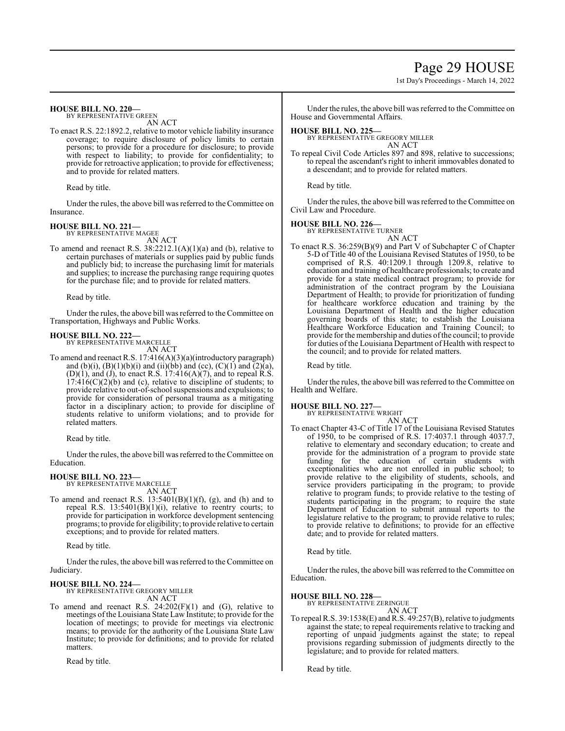# Page 29 HOUSE

1st Day's Proceedings - March 14, 2022

### **HOUSE BILL NO. 220—**

BY REPRESENTATIVE GREEN

AN ACT

To enact R.S. 22:1892.2, relative to motor vehicle liability insurance coverage; to require disclosure of policy limits to certain persons; to provide for a procedure for disclosure; to provide with respect to liability; to provide for confidentiality; to provide for retroactive application; to provide for effectiveness; and to provide for related matters.

Read by title.

Under the rules, the above bill was referred to the Committee on Insurance.

### **HOUSE BILL NO. 221—**

BY REPRESENTATIVE MAGEE AN ACT

To amend and reenact R.S. 38:2212.1(A)(1)(a) and (b), relative to certain purchases of materials or supplies paid by public funds and publicly bid; to increase the purchasing limit for materials and supplies; to increase the purchasing range requiring quotes for the purchase file; and to provide for related matters.

Read by title.

Under the rules, the above bill was referred to the Committee on Transportation, Highways and Public Works.

**HOUSE BILL NO. 222—** BY REPRESENTATIVE MARCELLE

AN ACT

To amend and reenact R.S. 17:416(A)(3)(a)(introductory paragraph) and (b)(i), (B)(1)(b)(i) and (ii)(bb) and (cc), (C)(1) and  $(2)(a)$ , (D)(1), and (J), to enact R.S. 17:416(A)(7), and to repeal  $\hat{R}$ .S.  $17:416(C)(2)(b)$  and (c), relative to discipline of students; to provide relative to out-of-school suspensions and expulsions; to provide for consideration of personal trauma as a mitigating factor in a disciplinary action; to provide for discipline of students relative to uniform violations; and to provide for related matters.

Read by title.

Under the rules, the above bill was referred to the Committee on Education.

### **HOUSE BILL NO. 223—**

BY REPRESENTATIVE MARCELLE AN ACT

To amend and reenact R.S.  $13:5401(B)(1)(f)$ , (g), and (h) and to repeal R.S. 13:5401(B)(1)(i), relative to reentry courts; to provide for participation in workforce development sentencing programs; to provide for eligibility; to provide relative to certain exceptions; and to provide for related matters.

Read by title.

Under the rules, the above bill was referred to the Committee on Judiciary.

### **HOUSE BILL NO. 224—**

BY REPRESENTATIVE GREGORY MILLER AN ACT

To amend and reenact R.S.  $24:202(F)(1)$  and (G), relative to meetings of the Louisiana State Law Institute; to provide for the location of meetings; to provide for meetings via electronic means; to provide for the authority of the Louisiana State Law Institute; to provide for definitions; and to provide for related matters.

Read by title.

Under the rules, the above bill was referred to the Committee on House and Governmental Affairs.

#### **HOUSE BILL NO. 225—**

BY REPRESENTATIVE GREGORY MILLER AN ACT

To repeal Civil Code Articles 897 and 898, relative to successions; to repeal the ascendant's right to inherit immovables donated to a descendant; and to provide for related matters.

Read by title.

Under the rules, the above bill was referred to the Committee on Civil Law and Procedure.

### **HOUSE BILL NO. 226—**

BY REPRESENTATIVE TURNER AN ACT

To enact R.S. 36:259(B)(9) and Part V of Subchapter C of Chapter 5-D of Title 40 of the Louisiana Revised Statutes of 1950, to be comprised of R.S. 40:1209.1 through 1209.8, relative to education and training of healthcare professionals; to create and provide for a state medical contract program; to provide for administration of the contract program by the Louisiana Department of Health; to provide for prioritization of funding for healthcare workforce education and training by the Louisiana Department of Health and the higher education governing boards of this state; to establish the Louisiana Healthcare Workforce Education and Training Council; to provide for the membership and duties ofthe council; to provide for duties of the Louisiana Department of Health with respect to the council; and to provide for related matters.

Read by title.

Under the rules, the above bill was referred to the Committee on Health and Welfare.

### **HOUSE BILL NO. 227—**

BY REPRESENTATIVE WRIGHT AN ACT

To enact Chapter 43-C of Title 17 of the Louisiana Revised Statutes of 1950, to be comprised of R.S. 17:4037.1 through 4037.7, relative to elementary and secondary education; to create and provide for the administration of a program to provide state funding for the education of certain students with exceptionalities who are not enrolled in public school; to provide relative to the eligibility of students, schools, and service providers participating in the program; to provide relative to program funds; to provide relative to the testing of students participating in the program; to require the state Department of Education to submit annual reports to the legislature relative to the program; to provide relative to rules; to provide relative to definitions; to provide for an effective date; and to provide for related matters.

Read by title.

Under the rules, the above bill was referred to the Committee on Education.

### **HOUSE BILL NO. 228—**

BY REPRESENTATIVE ZERINGUE

AN ACT To repeal R.S. 39:1538(E) and R.S. 49:257(B), relative to judgments against the state; to repeal requirements relative to tracking and reporting of unpaid judgments against the state; to repeal provisions regarding submission of judgments directly to the legislature; and to provide for related matters.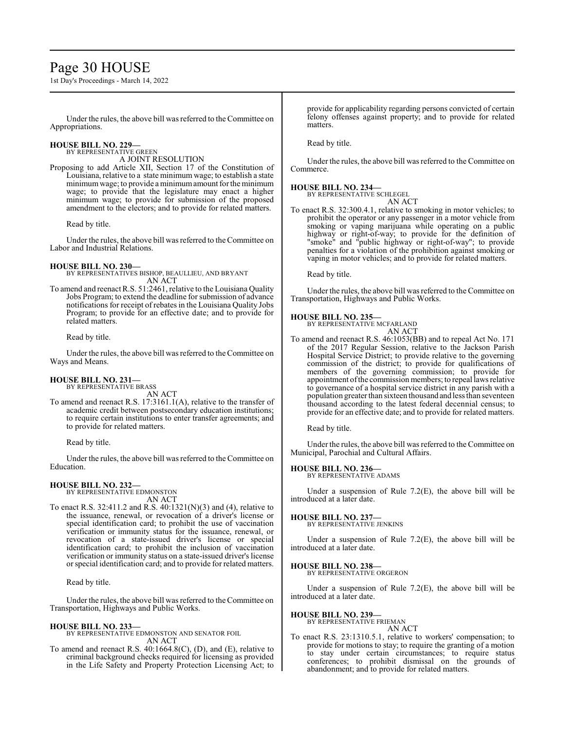# Page 30 HOUSE

1st Day's Proceedings - March 14, 2022

Under the rules, the above bill was referred to theCommittee on Appropriations.

#### **HOUSE BILL NO. 229—** BY REPRESENTATIVE GREEN

A JOINT RESOLUTION

Proposing to add Article XII, Section 17 of the Constitution of Louisiana, relative to a state minimum wage; to establish a state minimum wage; to provide a minimum amount for the minimum wage; to provide that the legislature may enact a higher minimum wage; to provide for submission of the proposed amendment to the electors; and to provide for related matters.

Read by title.

Under the rules, the above bill was referred to the Committee on Labor and Industrial Relations.

### **HOUSE BILL NO. 230—**

BY REPRESENTATIVES BISHOP, BEAULLIEU, AND BRYANT AN ACT

To amend and reenact R.S. 51:2461, relative to the Louisiana Quality Jobs Program; to extend the deadline for submission of advance notifications for receipt of rebates in the Louisiana Quality Jobs Program; to provide for an effective date; and to provide for related matters.

Read by title.

Under the rules, the above bill was referred to the Committee on Ways and Means.

#### **HOUSE BILL NO. 231—** BY REPRESENTATIVE BRASS

AN ACT

To amend and reenact R.S. 17:3161.1(A), relative to the transfer of academic credit between postsecondary education institutions; to require certain institutions to enter transfer agreements; and to provide for related matters.

Read by title.

Under the rules, the above bill was referred to theCommittee on Education.

### **HOUSE BILL NO. 232—** BY REPRESENTATIVE EDMONSTON

AN ACT

To enact R.S. 32:411.2 and R.S. 40:1321(N)(3) and (4), relative to the issuance, renewal, or revocation of a driver's license or special identification card; to prohibit the use of vaccination verification or immunity status for the issuance, renewal, or revocation of a state-issued driver's license or special identification card; to prohibit the inclusion of vaccination verification or immunity status on a state-issued driver's license orspecial identification card; and to provide for related matters.

Read by title.

Under the rules, the above bill was referred to the Committee on Transportation, Highways and Public Works.

### **HOUSE BILL NO. 233—**

BY REPRESENTATIVE EDMONSTON AND SENATOR FOIL AN ACT

To amend and reenact R.S. 40:1664.8(C), (D), and (E), relative to criminal background checks required for licensing as provided in the Life Safety and Property Protection Licensing Act; to provide for applicability regarding persons convicted of certain felony offenses against property; and to provide for related matters.

Read by title.

Under the rules, the above bill was referred to the Committee on Commerce.

## **HOUSE BILL NO. 234—**

BY REPRESENTATIVE SCHLEGEL

AN ACT To enact R.S. 32:300.4.1, relative to smoking in motor vehicles; to prohibit the operator or any passenger in a motor vehicle from smoking or vaping marijuana while operating on a public highway or right-of-way; to provide for the definition of "smoke" and "public highway or right-of-way"; to provide penalties for a violation of the prohibition against smoking or vaping in motor vehicles; and to provide for related matters.

Read by title.

Under the rules, the above bill was referred to the Committee on Transportation, Highways and Public Works.

### **HOUSE BILL NO. 235—**

BY REPRESENTATIVE MCFARLAND AN ACT

To amend and reenact R.S. 46:1053(BB) and to repeal Act No. 171 of the 2017 Regular Session, relative to the Jackson Parish Hospital Service District; to provide relative to the governing commission of the district; to provide for qualifications of members of the governing commission; to provide for appointment ofthe commission members; to repeal laws relative to governance of a hospital service district in any parish with a population greater than sixteen thousand and less than seventeen thousand according to the latest federal decennial census; to provide for an effective date; and to provide for related matters.

Read by title.

Under the rules, the above bill was referred to the Committee on Municipal, Parochial and Cultural Affairs.

## **HOUSE BILL NO. 236—**

BY REPRESENTATIVE ADAMS

Under a suspension of Rule 7.2(E), the above bill will be introduced at a later date.

**HOUSE BILL NO. 237—** BY REPRESENTATIVE JENKINS

Under a suspension of Rule 7.2(E), the above bill will be introduced at a later date.

# **HOUSE BILL NO. 238—** BY REPRESENTATIVE ORGERON

Under a suspension of Rule 7.2(E), the above bill will be introduced at a later date.

# **HOUSE BILL NO. 239—**

BY REPRESENTATIVE FRIEMAN AN ACT

To enact R.S. 23:1310.5.1, relative to workers' compensation; to provide for motions to stay; to require the granting of a motion to stay under certain circumstances; to require status conferences; to prohibit dismissal on the grounds of abandonment; and to provide for related matters.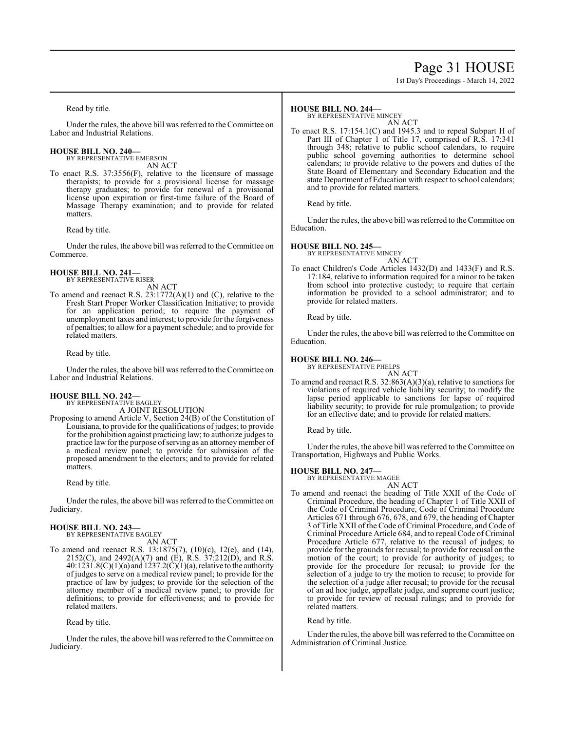# Page 31 HOUSE

1st Day's Proceedings - March 14, 2022

Read by title.

Under the rules, the above bill was referred to the Committee on Labor and Industrial Relations.

### **HOUSE BILL NO. 240—** BY REPRESENTATIVE EMERSON

AN ACT

To enact R.S. 37:3556(F), relative to the licensure of massage therapists; to provide for a provisional license for massage therapy graduates; to provide for renewal of a provisional license upon expiration or first-time failure of the Board of Massage Therapy examination; and to provide for related matters.

Read by title.

Under the rules, the above bill was referred to the Committee on Commerce.

**HOUSE BILL NO. 241—** BY REPRESENTATIVE RISER

- AN ACT To amend and reenact R.S. 23:1772(A)(1) and (C), relative to the Fresh Start Proper Worker Classification Initiative; to provide
	- for an application period; to require the payment of unemployment taxes and interest; to provide for the forgiveness of penalties; to allow for a payment schedule; and to provide for related matters.

Read by title.

Under the rules, the above bill was referred to the Committee on Labor and Industrial Relations.

# **HOUSE BILL NO. 242—** BY REPRESENTATIVE BAGLEY

A JOINT RESOLUTION

Proposing to amend Article V, Section 24(B) of the Constitution of Louisiana, to provide for the qualifications of judges; to provide for the prohibition against practicing law; to authorize judges to practice law for the purpose of serving as an attorney member of a medical review panel; to provide for submission of the proposed amendment to the electors; and to provide for related matters.

Read by title.

Under the rules, the above bill was referred to the Committee on Judiciary.

### **HOUSE BILL NO. 243—**

BY REPRESENTATIVE BAGLEY AN ACT

To amend and reenact R.S. 13:1875(7), (10)(c), 12(e), and (14), 2152(C), and 2492(A)(7) and (E), R.S.  $37:212(D)$ , and R.S.  $40:1231.8(C)(1)(a)$  and  $1237.2(C)(1)(a)$ , relative to the authority of judges to serve on a medical review panel; to provide for the practice of law by judges; to provide for the selection of the attorney member of a medical review panel; to provide for definitions; to provide for effectiveness; and to provide for related matters.

Read by title.

Under the rules, the above bill was referred to the Committee on Judiciary.

### **HOUSE BILL NO. 244—**

BY REPRESENTATIVE MINCEY

AN ACT To enact R.S. 17:154.1(C) and 1945.3 and to repeal Subpart H of Part III of Chapter 1 of Title 17, comprised of R.S. 17:341 through 348; relative to public school calendars, to require public school governing authorities to determine school calendars; to provide relative to the powers and duties of the State Board of Elementary and Secondary Education and the state Department of Education with respect to school calendars; and to provide for related matters.

Read by title.

Under the rules, the above bill was referred to the Committee on Education.

### **HOUSE BILL NO. 245—**

BY REPRESENTATIVE MINCEY

AN ACT To enact Children's Code Articles 1432(D) and 1433(F) and R.S. 17:184, relative to information required for a minor to be taken from school into protective custody; to require that certain information be provided to a school administrator; and to provide for related matters.

Read by title.

Under the rules, the above bill was referred to the Committee on Education.

### **HOUSE BILL NO. 246—**

BY REPRESENTATIVE PHELPS

AN ACT To amend and reenact R.S. 32:863(A)(3)(a), relative to sanctions for violations of required vehicle liability security; to modify the lapse period applicable to sanctions for lapse of required liability security; to provide for rule promulgation; to provide for an effective date; and to provide for related matters.

Read by title.

Under the rules, the above bill was referred to the Committee on Transportation, Highways and Public Works.

### **HOUSE BILL NO. 247—**

BY REPRESENTATIVE MAGEE AN ACT

To amend and reenact the heading of Title XXII of the Code of Criminal Procedure, the heading of Chapter 1 of Title XXII of the Code of Criminal Procedure, Code of Criminal Procedure Articles 671 through 676, 678, and 679, the heading of Chapter 3 of Title XXII of the Code of Criminal Procedure, and Code of Criminal Procedure Article 684, and to repeal Code of Criminal Procedure Article 677, relative to the recusal of judges; to provide for the grounds for recusal; to provide for recusal on the motion of the court; to provide for authority of judges; to provide for the procedure for recusal; to provide for the selection of a judge to try the motion to recuse; to provide for the selection of a judge after recusal; to provide for the recusal of an ad hoc judge, appellate judge, and supreme court justice; to provide for review of recusal rulings; and to provide for related matters.

Read by title.

Under the rules, the above bill was referred to the Committee on Administration of Criminal Justice.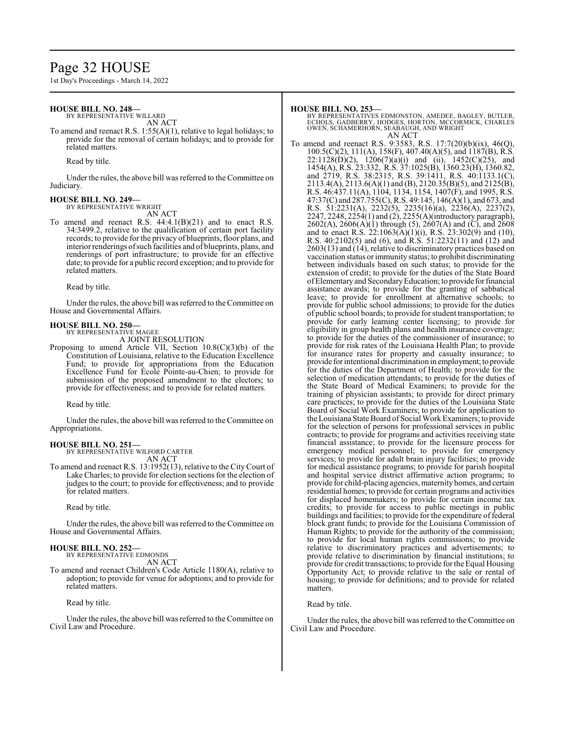# Page 32 HOUSE

1st Day's Proceedings - March 14, 2022

#### **HOUSE BILL NO. 248—**

BY REPRESENTATIVE WILLARD

AN ACT

To amend and reenact R.S. 1:55(A)(1), relative to legal holidays; to provide for the removal of certain holidays; and to provide for related matters.

Read by title.

Under the rules, the above bill was referred to the Committee on Judiciary.

#### **HOUSE BILL NO. 249—**

BY REPRESENTATIVE WRIGHT

AN ACT

To amend and reenact R.S. 44:4.1(B)(21) and to enact R.S. 34:3499.2, relative to the qualification of certain port facility records; to provide for the privacy of blueprints, floor plans, and interior renderings ofsuch facilities and of blueprints, plans, and renderings of port infrastructure; to provide for an effective date; to provide for a public record exception; and to provide for related matters.

Read by title.

Under the rules, the above bill was referred to theCommittee on House and Governmental Affairs.

# **HOUSE BILL NO. 250—** BY REPRESENTATIVE MAGEE

A JOINT RESOLUTION

Proposing to amend Article VII, Section  $10.8(C)(3)(b)$  of the Constitution of Louisiana, relative to the Education Excellence Fund; to provide for appropriations from the Education Excellence Fund for École Pointe-au-Chien; to provide for submission of the proposed amendment to the electors; to provide for effectiveness; and to provide for related matters.

### Read by title.

Under the rules, the above bill was referred to the Committee on Appropriations.

# **HOUSE BILL NO. 251—** BY REPRESENTATIVE WILFORD CARTER

AN ACT

To amend and reenact R.S. 13:1952(13), relative to the City Court of Lake Charles; to provide for election sections for the election of judges to the court; to provide for effectiveness; and to provide for related matters.

Read by title.

Under the rules, the above bill was referred to the Committee on House and Governmental Affairs.

#### **HOUSE BILL NO. 252—** BY REPRESENTATIVE EDMONDS

AN ACT

To amend and reenact Children's Code Article 1180(A), relative to adoption; to provide for venue for adoptions; and to provide for related matters.

Read by title.

Under the rules, the above bill was referred to the Committee on Civil Law and Procedure.

#### **HOUSE BILL NO. 253—**

BY REPRESENTATIVES EDMONSTON, AMEDEE, BAGLEY, BUTLER,<br>ECHOLS, GADBERRY, HODGES, HORTON, MCCORMICK, CHARLES<br>OWEN, SCHAMERHORN, SEABAUGH, AND WRIGHT

AN ACT

To amend and reenact R.S. 9:3583, R.S. 17:7(20)(b)(ix), 46(Q), 100.5(C)(2), 111(A), 158(F), 407.40(A)(5), and 1187(B), R.S.  $22:1128(D)(2)$ ,  $1206(7)(a)(i)$  and (ii),  $1452(C)(25)$ , and 1454(A), R.S. 23:332, R.S. 37:1025(B), 1360.23(H), 1360.82, and 2719, R.S. 38:2315, R.S. 39:1411, R.S. 40:1133.1(C), 2113.4(A), 2113.6(A)(1) and (B), 2120.35(B)(5), and 2125(B), R.S. 46:437.11(A), 1104, 1134, 1154, 1407(F), and 1995, R.S. 47:37(C) and 287.755(C), R.S. 49:145, 146(A)(1), and 673, and R.S. 51:2231(A), 2232(5), 2235(16)(a), 2236(A), 2237(2), 2247, 2248, 2254(1) and (2), 2255(A)(introductory paragraph),  $2602(A)$ ,  $2606(A)(1)$  through (5),  $2607(A)$  and (C), and  $2608$ and to enact R.S. 22:1063(A)(1)(i), R.S. 23:302(9) and (10), R.S. 40:2102(5) and (6), and R.S. 51:2232(11) and (12) and 2603(13) and (14), relative to discriminatory practices based on vaccination status or immunity status; to prohibit discriminating between individuals based on such status; to provide for the extension of credit; to provide for the duties of the State Board ofElementaryand SecondaryEducation; to provide forfinancial assistance awards; to provide for the granting of sabbatical leave; to provide for enrollment at alternative schools; to provide for public school admissions; to provide for the duties of public school boards; to provide for student transportation; to provide for early learning center licensing; to provide for eligibility in group health plans and health insurance coverage; to provide for the duties of the commissioner of insurance; to provide for risk rates of the Louisiana Health Plan; to provide for insurance rates for property and casualty insurance; to provide for intentional discrimination in employment; to provide for the duties of the Department of Health; to provide for the selection of medication attendants; to provide for the duties of the State Board of Medical Examiners; to provide for the training of physician assistants; to provide for direct primary care practices; to provide for the duties of the Louisiana State Board of Social Work Examiners; to provide for application to the Louisiana State Board of Social Work Examiners; to provide for the selection of persons for professional services in public contracts; to provide for programs and activities receiving state financial assistance; to provide for the licensure process for emergency medical personnel; to provide for emergency services; to provide for adult brain injury facilities; to provide for medical assistance programs; to provide for parish hospital and hospital service district affirmative action programs; to provide for child-placing agencies, maternity homes, and certain residential homes; to provide for certain programs and activities for displaced homemakers; to provide for certain income tax credits; to provide for access to public meetings in public buildings and facilities; to provide for the expenditure of federal block grant funds; to provide for the Louisiana Commission of Human Rights; to provide for the authority of the commission; to provide for local human rights commissions; to provide relative to discriminatory practices and advertisements; to provide relative to discrimination by financial institutions; to provide for credit transactions; to provide for the Equal Housing Opportunity Act; to provide relative to the sale or rental of housing; to provide for definitions; and to provide for related matters.

#### Read by title.

Under the rules, the above bill was referred to the Committee on Civil Law and Procedure.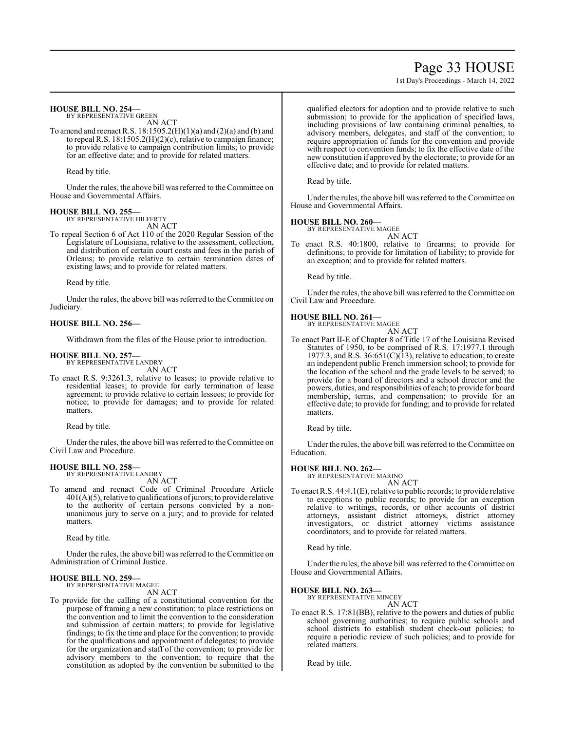# Page 33 HOUSE

1st Day's Proceedings - March 14, 2022

### **HOUSE BILL NO. 254—**

BY REPRESENTATIVE GREEN AN ACT

To amend and reenact R.S.  $18:1505.2(H)(1)(a)$  and  $(2)(a)$  and  $(b)$  and to repeal R.S. 18:1505.2(H)(2)(c), relative to campaign finance; to provide relative to campaign contribution limits; to provide for an effective date; and to provide for related matters.

Read by title.

Under the rules, the above bill was referred to the Committee on House and Governmental Affairs.

# **HOUSE BILL NO. 255—**

BY REPRESENTATIVE HILFERTY AN ACT

To repeal Section 6 of Act 110 of the 2020 Regular Session of the Legislature of Louisiana, relative to the assessment, collection, and distribution of certain court costs and fees in the parish of Orleans; to provide relative to certain termination dates of existing laws; and to provide for related matters.

Read by title.

Under the rules, the above bill was referred to the Committee on Judiciary.

### **HOUSE BILL NO. 256—**

Withdrawn from the files of the House prior to introduction.

#### **HOUSE BILL NO. 257—** BY REPRESENTATIVE LANDRY

AN ACT

To enact R.S. 9:3261.3, relative to leases; to provide relative to residential leases; to provide for early termination of lease agreement; to provide relative to certain lessees; to provide for notice; to provide for damages; and to provide for related matters.

Read by title.

Under the rules, the above bill was referred to the Committee on Civil Law and Procedure.

### **HOUSE BILL NO. 258—**

BY REPRESENTATIVE LANDRY AN ACT

To amend and reenact Code of Criminal Procedure Article  $401(A)(5)$ , relative to qualifications of jurors; to provide relative to the authority of certain persons convicted by a nonunanimous jury to serve on a jury; and to provide for related matters.

Read by title.

Under the rules, the above bill was referred to the Committee on Administration of Criminal Justice.

# **HOUSE BILL NO. 259—** BY REPRESENTATIVE MAGEE

AN ACT

To provide for the calling of a constitutional convention for the purpose of framing a new constitution; to place restrictions on the convention and to limit the convention to the consideration and submission of certain matters; to provide for legislative findings; to fix the time and place for the convention; to provide for the qualifications and appointment of delegates; to provide for the organization and staff of the convention; to provide for advisory members to the convention; to require that the constitution as adopted by the convention be submitted to the qualified electors for adoption and to provide relative to such submission; to provide for the application of specified laws, including provisions of law containing criminal penalties, to advisory members, delegates, and staff of the convention; to require appropriation of funds for the convention and provide with respect to convention funds; to fix the effective date of the new constitution if approved by the electorate; to provide for an effective date; and to provide for related matters.

Read by title.

Under the rules, the above bill was referred to the Committee on House and Governmental Affairs.

### **HOUSE BILL NO. 260—**

BY REPRESENTATIVE MAGEE AN ACT

To enact R.S. 40:1800, relative to firearms; to provide for definitions; to provide for limitation of liability; to provide for an exception; and to provide for related matters.

Read by title.

Under the rules, the above bill was referred to the Committee on Civil Law and Procedure.

#### **HOUSE BILL NO. 261—**

BY REPRESENTATIVE MAGEE AN ACT

To enact Part II-E of Chapter 8 of Title 17 of the Louisiana Revised Statutes of 1950, to be comprised of R.S. 17:1977.1 through 1977.3, and R.S.  $36:651(C)(13)$ , relative to education; to create an independent public French immersion school; to provide for the location of the school and the grade levels to be served; to provide for a board of directors and a school director and the powers, duties, and responsibilities of each; to provide for board membership, terms, and compensation; to provide for an effective date; to provide for funding; and to provide for related matters.

Read by title.

Under the rules, the above bill was referred to the Committee on Education.

### **HOUSE BILL NO. 262—**

BY REPRESENTATIVE MARINO AN ACT

To enact R.S. 44:4.1(E), relative to public records; to provide relative to exceptions to public records; to provide for an exception relative to writings, records, or other accounts of district attorneys, assistant district attorneys, district attorney investigators, or district attorney victims assistance coordinators; and to provide for related matters.

Read by title.

Under the rules, the above bill was referred to the Committee on House and Governmental Affairs.

# **HOUSE BILL NO. 263—** BY REPRESENTATIVE MINCEY

AN ACT

To enact R.S. 17:81(BB), relative to the powers and duties of public school governing authorities; to require public schools and school districts to establish student check-out policies; to require a periodic review of such policies; and to provide for related matters.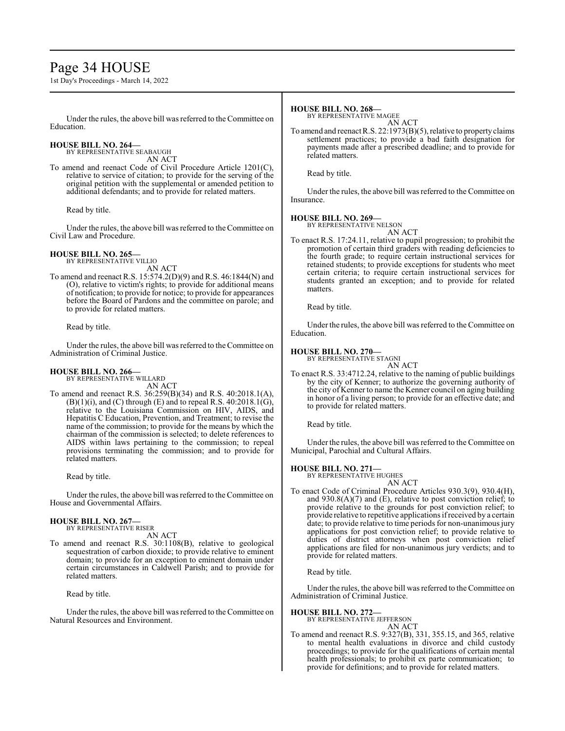# Page 34 HOUSE

1st Day's Proceedings - March 14, 2022

Under the rules, the above bill was referred to theCommittee on Education.

#### **HOUSE BILL NO. 264—** BY REPRESENTATIVE SEABAUGH

AN ACT

To amend and reenact Code of Civil Procedure Article 1201(C), relative to service of citation; to provide for the serving of the original petition with the supplemental or amended petition to additional defendants; and to provide for related matters.

Read by title.

Under the rules, the above bill was referred to the Committee on Civil Law and Procedure.

#### **HOUSE BILL NO. 265—** BY REPRESENTATIVE VILLIO

AN ACT

To amend and reenact R.S. 15:574.2(D)(9) and R.S. 46:1844(N) and (O), relative to victim's rights; to provide for additional means of notification; to provide for notice; to provide for appearances before the Board of Pardons and the committee on parole; and to provide for related matters.

Read by title.

Under the rules, the above bill was referred to the Committee on Administration of Criminal Justice.

#### **HOUSE BILL NO. 266—** BY REPRESENTATIVE WILLARD

AN ACT

To amend and reenact R.S. 36:259(B)(34) and R.S. 40:2018.1(A),  $(B)(1)(i)$ , and  $(C)$  through  $(E)$  and to repeal R.S. 40:2018.1 $(G)$ , relative to the Louisiana Commission on HIV, AIDS, and Hepatitis C Education, Prevention, and Treatment; to revise the name of the commission; to provide for the means by which the chairman of the commission is selected; to delete references to AIDS within laws pertaining to the commission; to repeal provisions terminating the commission; and to provide for related matters.

Read by title.

Under the rules, the above bill was referred to the Committee on House and Governmental Affairs.

# **HOUSE BILL NO. 267—** BY REPRESENTATIVE RISER

AN ACT

To amend and reenact R.S. 30:1108(B), relative to geological sequestration of carbon dioxide; to provide relative to eminent domain; to provide for an exception to eminent domain under certain circumstances in Caldwell Parish; and to provide for related matters.

Read by title.

Under the rules, the above bill was referred to the Committee on Natural Resources and Environment.

### **HOUSE BILL NO. 268—**

BY REPRESENTATIVE MAGEE

AN ACT To amend and reenact R.S. 22:1973(B)(5), relative to propertyclaims settlement practices; to provide a bad faith designation for payments made after a prescribed deadline; and to provide for related matters.

Read by title.

Under the rules, the above bill was referred to the Committee on Insurance.

### **HOUSE BILL NO. 269—**

BY REPRESENTATIVE NELSON AN ACT

To enact R.S. 17:24.11, relative to pupil progression; to prohibit the promotion of certain third graders with reading deficiencies to the fourth grade; to require certain instructional services for retained students; to provide exceptions for students who meet certain criteria; to require certain instructional services for students granted an exception; and to provide for related matters.

Read by title.

Under the rules, the above bill was referred to the Committee on Education.

## **HOUSE BILL NO. 270—**

BY REPRESENTATIVE STAGNI AN ACT

To enact R.S. 33:4712.24, relative to the naming of public buildings by the city of Kenner; to authorize the governing authority of the city of Kenner to name the Kenner council on aging building in honor of a living person; to provide for an effective date; and to provide for related matters.

Read by title.

Under the rules, the above bill was referred to the Committee on Municipal, Parochial and Cultural Affairs.

### **HOUSE BILL NO. 271—**

BY REPRESENTATIVE HUGHES AN ACT

To enact Code of Criminal Procedure Articles 930.3(9), 930.4(H), and  $930.8(A)(7)$  and (E), relative to post conviction relief; to provide relative to the grounds for post conviction relief; to provide relative to repetitive applications ifreceived by a certain date; to provide relative to time periods for non-unanimous jury applications for post conviction relief; to provide relative to duties of district attorneys when post conviction relief applications are filed for non-unanimous jury verdicts; and to provide for related matters.

Read by title.

Under the rules, the above bill was referred to the Committee on Administration of Criminal Justice.

**HOUSE BILL NO. 272—**

BY REPRESENTATIVE JEFFERSON AN ACT

To amend and reenact R.S. 9:327(B), 331, 355.15, and 365, relative to mental health evaluations in divorce and child custody proceedings; to provide for the qualifications of certain mental health professionals; to prohibit ex parte communication; to provide for definitions; and to provide for related matters.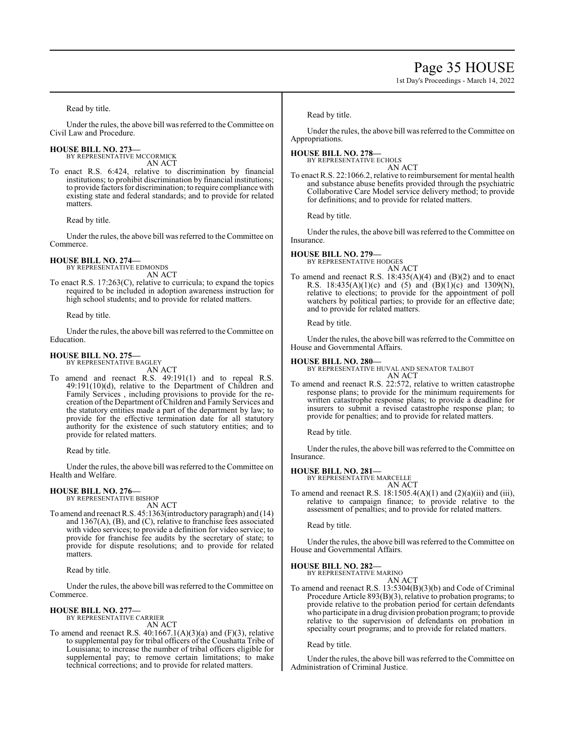# Page 35 HOUSE

1st Day's Proceedings - March 14, 2022

Read by title.

Under the rules, the above bill was referred to the Committee on Civil Law and Procedure.

**HOUSE BILL NO. 273—** BY REPRESENTATIVE MCCORMICK

AN ACT

To enact R.S. 6:424, relative to discrimination by financial institutions; to prohibit discrimination by financial institutions; to provide factors for discrimination; to require compliance with existing state and federal standards; and to provide for related matters.

Read by title.

Under the rules, the above bill was referred to the Committee on Commerce.

### **HOUSE BILL NO. 274—**

BY REPRESENTATIVE EDMONDS AN ACT

To enact R.S. 17:263(C), relative to curricula; to expand the topics required to be included in adoption awareness instruction for high school students; and to provide for related matters.

Read by title.

Under the rules, the above bill was referred to the Committee on Education.

#### **HOUSE BILL NO. 275—** BY REPRESENTATIVE BAGLEY

AN ACT

To amend and reenact R.S. 49:191(1) and to repeal R.S. 49:191(10)(d), relative to the Department of Children and Family Services , including provisions to provide for the recreation of the Department of Children and Family Services and the statutory entities made a part of the department by law; to provide for the effective termination date for all statutory authority for the existence of such statutory entities; and to provide for related matters.

Read by title.

Under the rules, the above bill was referred to the Committee on Health and Welfare.

# **HOUSE BILL NO. 276—** BY REPRESENTATIVE BISHOP

AN ACT

To amend and reenact R.S. 45:1363(introductory paragraph) and (14) and 1367(A), (B), and (C), relative to franchise fees associated with video services; to provide a definition for video service; to provide for franchise fee audits by the secretary of state; to provide for dispute resolutions; and to provide for related matters.

Read by title.

Under the rules, the above bill was referred to the Committee on Commerce.

### **HOUSE BILL NO. 277—**

BY REPRESENTATIVE CARRIER AN ACT

To amend and reenact R.S.  $40:1667.1(A)(3)(a)$  and  $(F)(3)$ , relative to supplemental pay for tribal officers of the Coushatta Tribe of Louisiana; to increase the number of tribal officers eligible for supplemental pay; to remove certain limitations; to make technical corrections; and to provide for related matters.

Read by title.

Under the rules, the above bill was referred to the Committee on Appropriations.

### **HOUSE BILL NO. 278—**

BY REPRESENTATIVE ECHOLS

AN ACT To enact R.S. 22:1066.2, relative to reimbursement for mental health and substance abuse benefits provided through the psychiatric Collaborative Care Model service delivery method; to provide for definitions; and to provide for related matters.

Read by title.

Under the rules, the above bill was referred to the Committee on Insurance.

### **HOUSE BILL NO. 279—**

BY REPRESENTATIVE HODGES AN ACT

To amend and reenact R.S.  $18:435(A)(4)$  and  $(B)(2)$  and to enact R.S.  $18:435(A)(1)(c)$  and  $(5)$  and  $(B)(1)(c)$  and  $1309(N)$ , relative to elections; to provide for the appointment of poll watchers by political parties; to provide for an effective date; and to provide for related matters.

Read by title.

Under the rules, the above bill was referred to the Committee on House and Governmental Affairs.

### **HOUSE BILL NO. 280—**

BY REPRESENTATIVE HUVAL AND SENATOR TALBOT AN ACT

To amend and reenact R.S. 22:572, relative to written catastrophe response plans; to provide for the minimum requirements for written catastrophe response plans; to provide a deadline for insurers to submit a revised catastrophe response plan; to provide for penalties; and to provide for related matters.

Read by title.

Under the rules, the above bill was referred to the Committee on Insurance.

### **HOUSE BILL NO. 281—**

BY REPRESENTATIVE MARCELLE AN ACT

To amend and reenact R.S.  $18:1505.4(A)(1)$  and  $(2)(a)(ii)$  and  $(iii)$ , relative to campaign finance; to provide relative to the assessment of penalties; and to provide for related matters.

Read by title.

Under the rules, the above bill was referred to the Committee on House and Governmental Affairs.

# **HOUSE BILL NO. 282—** BY REPRESENTATIVE MARINO

AN ACT

To amend and reenact R.S. 13:5304(B)(3)(b) and Code of Criminal Procedure Article 893(B)(3), relative to probation programs; to provide relative to the probation period for certain defendants who participate in a drug division probation program; to provide relative to the supervision of defendants on probation in specialty court programs; and to provide for related matters.

### Read by title.

Under the rules, the above bill was referred to the Committee on Administration of Criminal Justice.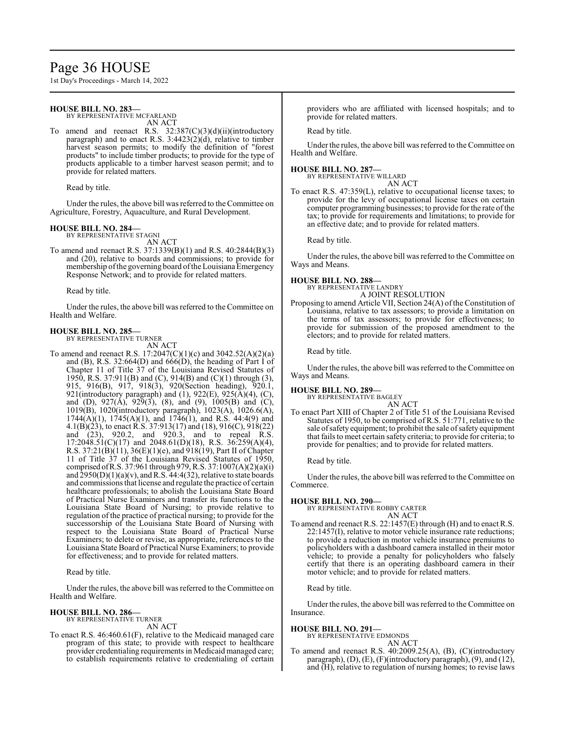# Page 36 HOUSE

1st Day's Proceedings - March 14, 2022

### **HOUSE BILL NO. 283—**

BY REPRESENTATIVE MCFARLAND AN ACT

To amend and reenact R.S. 32:387(C)(3)(d)(ii)(introductory paragraph) and to enact R.S. 3:4423(2)(d), relative to timber harvest season permits; to modify the definition of "forest products" to include timber products; to provide for the type of products applicable to a timber harvest season permit; and to provide for related matters.

Read by title.

Under the rules, the above bill was referred to the Committee on Agriculture, Forestry, Aquaculture, and Rural Development.

# **HOUSE BILL NO. 284—** BY REPRESENTATIVE STAGNI

AN ACT

To amend and reenact R.S. 37:1339(B)(1) and R.S. 40:2844(B)(3) and (20), relative to boards and commissions; to provide for membership of the governing board of the Louisiana Emergency Response Network; and to provide for related matters.

Read by title.

Under the rules, the above bill was referred to the Committee on Health and Welfare.

### **HOUSE BILL NO. 285—**

BY REPRESENTATIVE TURNER AN ACT

- To amend and reenact R.S. 17:2047(C)(1)(c) and 3042.52(A)(2)(a) and  $(B)$ , R.S. 32:664 $(D)$  and 666 $(D)$ , the heading of Part I of Chapter 11 of Title 37 of the Louisiana Revised Statutes of 1950, R.S. 37:911(B) and (C), 914(B) and (C)(1) through (3), 915, 916(B), 917, 918(3), 920(Section heading), 920.1, 921(introductory paragraph) and (1), 922(E), 925( $\widetilde{A}$ )(4), (C), and (D),  $927(A)$ ,  $929(3)$ ,  $(8)$ , and  $(9)$ ,  $1005(B)$  and  $(C)$ , 1019(B), 1020(introductory paragraph), 1023(A), 1026.6(A), 1744(A)(1), 1745(A)(1), and 1746(1), and R.S. 44:4(9) and 4.1(B)(23), to enact R.S. 37:913(17) and (18), 916(C), 918(22) and (23), 920.2, and 920.3, and to repeal R.S. 17:2048.51(C)(17) and 2048.61(D)(18), R.S. 36:259(A)(4), R.S. 37:21(B)(11), 36(E)(1)(e), and  $918(19)$ , Part II of Chapter 11 of Title 37 of the Louisiana Revised Statutes of 1950, comprised ofR.S. 37:961 through 979, R.S. 37:1007(A)(2)(a)(i) and  $\hat{2}950(D)(1)(a)(v)$ , and R.S. 44:4(32), relative to state boards and commissions that license and regulate the practice of certain healthcare professionals; to abolish the Louisiana State Board of Practical Nurse Examiners and transfer its functions to the Louisiana State Board of Nursing; to provide relative to regulation of the practice of practical nursing; to provide for the successorship of the Louisiana State Board of Nursing with respect to the Louisiana State Board of Practical Nurse Examiners; to delete or revise, as appropriate, references to the Louisiana State Board of Practical Nurse Examiners; to provide for effectiveness; and to provide for related matters.
	- Read by title.

Under the rules, the above bill was referred to the Committee on Health and Welfare.

# **HOUSE BILL NO. 286—** BY REPRESENTATIVE TURNER

AN ACT

To enact R.S. 46:460.61(F), relative to the Medicaid managed care program of this state; to provide with respect to healthcare provider credentialing requirements in Medicaid managed care; to establish requirements relative to credentialing of certain

providers who are affiliated with licensed hospitals; and to provide for related matters.

Read by title.

Under the rules, the above bill was referred to the Committee on Health and Welfare.

# **HOUSE BILL NO. 287—** BY REPRESENTATIVE WILLARD

AN ACT

To enact R.S. 47:359(L), relative to occupational license taxes; to provide for the levy of occupational license taxes on certain computer programming businesses; to provide for the rate of the tax; to provide for requirements and limitations; to provide for an effective date; and to provide for related matters.

Read by title.

Under the rules, the above bill was referred to the Committee on Ways and Means.

# **HOUSE BILL NO. 288—** BY REPRESENTATIVE LANDRY

A JOINT RESOLUTION

Proposing to amend Article VII, Section 24(A) of the Constitution of Louisiana, relative to tax assessors; to provide a limitation on the terms of tax assessors; to provide for effectiveness; to provide for submission of the proposed amendment to the electors; and to provide for related matters.

Read by title.

Under the rules, the above bill was referred to the Committee on Ways and Means.

### **HOUSE BILL NO. 289—**

BY REPRESENTATIVE BAGLEY AN ACT

To enact Part XIII of Chapter 2 of Title 51 of the Louisiana Revised Statutes of 1950, to be comprised of R.S. 51:771, relative to the sale of safety equipment; to prohibit the sale of safety equipment that fails to meet certain safety criteria; to provide for criteria; to provide for penalties; and to provide for related matters.

Read by title.

Under the rules, the above bill was referred to the Committee on Commerce.

### **HOUSE BILL NO. 290—**

BY REPRESENTATIVE ROBBY CARTER AN ACT

To amend and reenact R.S. 22:1457(E) through (H) and to enact R.S. 22:1457(I), relative to motor vehicle insurance rate reductions; to provide a reduction in motor vehicle insurance premiums to policyholders with a dashboard camera installed in their motor vehicle; to provide a penalty for policyholders who falsely certify that there is an operating dashboard camera in their motor vehicle; and to provide for related matters.

Read by title.

Under the rules, the above bill was referred to the Committee on Insurance.

### **HOUSE BILL NO. 291—**

BY REPRESENTATIVE EDMONDS

AN ACT

To amend and reenact R.S. 40:2009.25(A), (B), (C)(introductory paragraph), (D), (E), (F)(introductory paragraph), (9), and (12), and (H), relative to regulation of nursing homes; to revise laws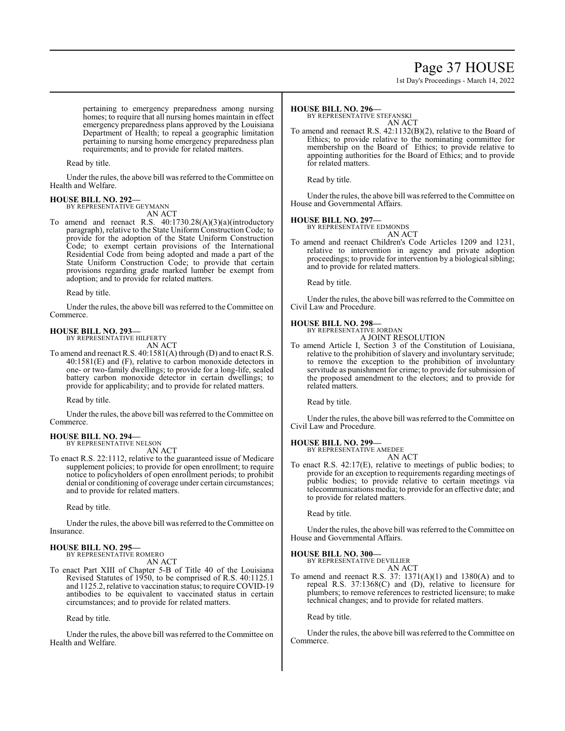# Page 37 HOUSE

1st Day's Proceedings - March 14, 2022

pertaining to emergency preparedness among nursing homes; to require that all nursing homes maintain in effect emergency preparedness plans approved by the Louisiana Department of Health; to repeal a geographic limitation pertaining to nursing home emergency preparedness plan requirements; and to provide for related matters.

Read by title.

Under the rules, the above bill was referred to theCommittee on Health and Welfare.

### **HOUSE BILL NO. 292—**

BY REPRESENTATIVE GEYMANN

- AN ACT
- To amend and reenact R.S. 40:1730.28(A)(3)(a)(introductory paragraph), relative to the State Uniform Construction Code; to provide for the adoption of the State Uniform Construction Code; to exempt certain provisions of the International Residential Code from being adopted and made a part of the State Uniform Construction Code; to provide that certain provisions regarding grade marked lumber be exempt from adoption; and to provide for related matters.

Read by title.

Under the rules, the above bill was referred to the Committee on Commerce.

#### **HOUSE BILL NO. 293—** BY REPRESENTATIVE HILFERTY

AN ACT

To amend and reenact R.S. 40:1581(A) through (D) and to enact R.S. 40:1581(E) and (F), relative to carbon monoxide detectors in one- or two-family dwellings; to provide for a long-life, sealed battery carbon monoxide detector in certain dwellings; to provide for applicability; and to provide for related matters.

Read by title.

Under the rules, the above bill was referred to the Committee on Commerce.

# **HOUSE BILL NO. 294—**

BY REPRESENTATIVE NELSON AN ACT

To enact R.S. 22:1112, relative to the guaranteed issue of Medicare supplement policies; to provide for open enrollment; to require notice to policyholders of open enrollment periods; to prohibit denial or conditioning of coverage under certain circumstances; and to provide for related matters.

Read by title.

Under the rules, the above bill was referred to theCommittee on Insurance.

### **HOUSE BILL NO. 295—** BY REPRESENTATIVE ROMERO

AN ACT

To enact Part XIII of Chapter 5-B of Title 40 of the Louisiana Revised Statutes of 1950, to be comprised of R.S. 40:1125.1 and 1125.2, relative to vaccination status; to require COVID-19 antibodies to be equivalent to vaccinated status in certain circumstances; and to provide for related matters.

Read by title.

Under the rules, the above bill was referred to the Committee on Health and Welfare.

### **HOUSE BILL NO. 296—**

BY REPRESENTATIVE STEFANSKI

AN ACT To amend and reenact R.S. 42:1132(B)(2), relative to the Board of Ethics; to provide relative to the nominating committee for membership on the Board of Ethics; to provide relative to appointing authorities for the Board of Ethics; and to provide for related matters.

Read by title.

Under the rules, the above bill was referred to the Committee on House and Governmental Affairs.

**HOUSE BILL NO. 297—** BY REPRESENTATIVE EDMONDS AN ACT

To amend and reenact Children's Code Articles 1209 and 1231, relative to intervention in agency and private adoption proceedings; to provide for intervention by a biological sibling; and to provide for related matters.

Read by title.

Under the rules, the above bill was referred to the Committee on Civil Law and Procedure.

# **HOUSE BILL NO. 298—**

BY REPRESENTATIVE JORDAN A JOINT RESOLUTION

To amend Article I, Section 3 of the Constitution of Louisiana, relative to the prohibition of slavery and involuntary servitude; to remove the exception to the prohibition of involuntary servitude as punishment for crime; to provide for submission of the proposed amendment to the electors; and to provide for related matters.

Read by title.

Under the rules, the above bill was referred to the Committee on Civil Law and Procedure.

# **HOUSE BILL NO. 299—**

BY REPRESENTATIVE AMEDEE AN ACT

To enact R.S. 42:17(E), relative to meetings of public bodies; to provide for an exception to requirements regarding meetings of public bodies; to provide relative to certain meetings via telecommunications media; to provide for an effective date; and to provide for related matters.

Read by title.

Under the rules, the above bill was referred to the Committee on House and Governmental Affairs.

# **HOUSE BILL NO. 300—**

BY REPRESENTATIVE DEVILLIER AN ACT

To amend and reenact R.S. 37: 1371(A)(1) and 1380(A) and to repeal R.S. 37:1368(C) and (D), relative to licensure for plumbers; to remove references to restricted licensure; to make technical changes; and to provide for related matters.

Read by title.

Under the rules, the above bill was referred to the Committee on Commerce.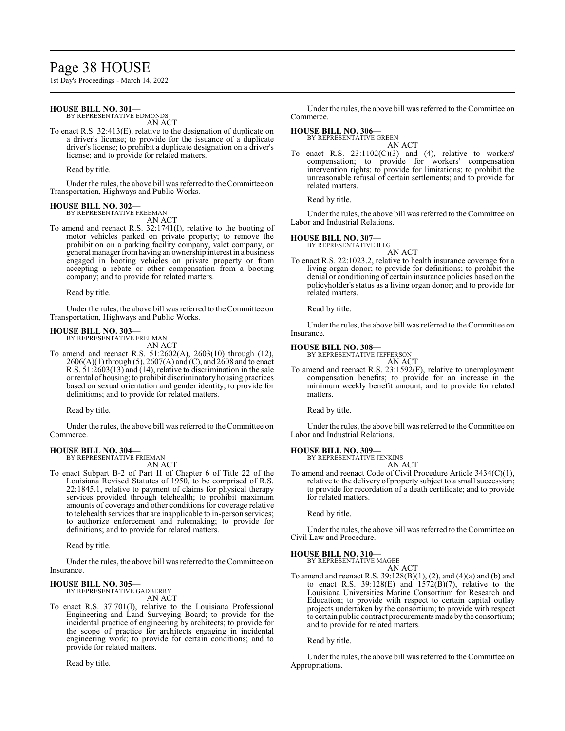# Page 38 HOUSE

1st Day's Proceedings - March 14, 2022

# **HOUSE BILL NO. 301—**

BY REPRESENTATIVE EDMONDS

AN ACT

To enact R.S. 32:413(E), relative to the designation of duplicate on a driver's license; to provide for the issuance of a duplicate driver's license; to prohibit a duplicate designation on a driver's license; and to provide for related matters.

Read by title.

Under the rules, the above bill was referred to the Committee on Transportation, Highways and Public Works.

#### **HOUSE BILL NO. 302—** BY REPRESENTATIVE FREEMAN

AN ACT

To amend and reenact R.S. 32:1741(I), relative to the booting of motor vehicles parked on private property; to remove the prohibition on a parking facility company, valet company, or general manager fromhaving an ownership interest in a business engaged in booting vehicles on private property or from accepting a rebate or other compensation from a booting company; and to provide for related matters.

Read by title.

Under the rules, the above bill was referred to the Committee on Transportation, Highways and Public Works.

# **HOUSE BILL NO. 303—**

BY REPRESENTATIVE FREEMAN AN ACT

To amend and reenact R.S. 51:2602(A), 2603(10) through (12), 2606(A)(1) through (5), 2607(A) and (C), and 2608 and to enact R.S. 51:2603(13) and (14), relative to discrimination in the sale orrental ofhousing; to prohibit discriminatory housing practices based on sexual orientation and gender identity; to provide for definitions; and to provide for related matters.

Read by title.

Under the rules, the above bill was referred to the Committee on Commerce.

#### **HOUSE BILL NO. 304—** BY REPRESENTATIVE FRIEMAN

AN ACT

To enact Subpart B-2 of Part II of Chapter 6 of Title 22 of the Louisiana Revised Statutes of 1950, to be comprised of R.S. 22:1845.1, relative to payment of claims for physical therapy services provided through telehealth; to prohibit maximum amounts of coverage and other conditions for coverage relative to telehealth services that are inapplicable to in-person services; to authorize enforcement and rulemaking; to provide for definitions; and to provide for related matters.

Read by title.

Under the rules, the above bill was referred to the Committee on Insurance.

### **HOUSE BILL NO. 305—**

BY REPRESENTATIVE GADBERRY AN ACT

To enact R.S. 37:701(I), relative to the Louisiana Professional Engineering and Land Surveying Board; to provide for the incidental practice of engineering by architects; to provide for the scope of practice for architects engaging in incidental engineering work; to provide for certain conditions; and to provide for related matters.

Read by title.

Under the rules, the above bill was referred to the Committee on Commerce.

### **HOUSE BILL NO. 306—**

BY REPRESENTATIVE GREEN AN ACT

To enact R.S.  $23:1102(C)(3)$  and (4), relative to workers' compensation; to provide for workers' compensation intervention rights; to provide for limitations; to prohibit the unreasonable refusal of certain settlements; and to provide for related matters.

Read by title.

Under the rules, the above bill was referred to the Committee on Labor and Industrial Relations.

### **HOUSE BILL NO. 307—**

BY REPRESENTATIVE ILLG

AN ACT To enact R.S. 22:1023.2, relative to health insurance coverage for a living organ donor; to provide for definitions; to prohibit the denial or conditioning of certain insurance policies based on the policyholder's status as a living organ donor; and to provide for related matters.

Read by title.

Under the rules, the above bill was referred to the Committee on Insurance.

### **HOUSE BILL NO. 308—**

BY REPRESENTATIVE JEFFERSON AN ACT

To amend and reenact R.S. 23:1592(F), relative to unemployment compensation benefits; to provide for an increase in the minimum weekly benefit amount; and to provide for related matters.

Read by title.

Under the rules, the above bill was referred to the Committee on Labor and Industrial Relations.

#### **HOUSE BILL NO. 309—** BY REPRESENTATIVE JENKINS

AN ACT

To amend and reenact Code of Civil Procedure Article 3434(C)(1), relative to the delivery of property subject to a small succession; to provide for recordation of a death certificate; and to provide for related matters.

Read by title.

Under the rules, the above bill was referred to the Committee on Civil Law and Procedure.

### **HOUSE BILL NO. 310—**

BY REPRESENTATIVE MAGEE AN ACT

To amend and reenact R.S. 39:128(B)(1), (2), and (4)(a) and (b) and to enact R.S.  $39:128(E)$  and  $1572(B)(7)$ , relative to the Louisiana Universities Marine Consortium for Research and Education; to provide with respect to certain capital outlay projects undertaken by the consortium; to provide with respect to certain public contract procurements made by the consortium; and to provide for related matters.

Read by title.

Under the rules, the above bill was referred to the Committee on Appropriations.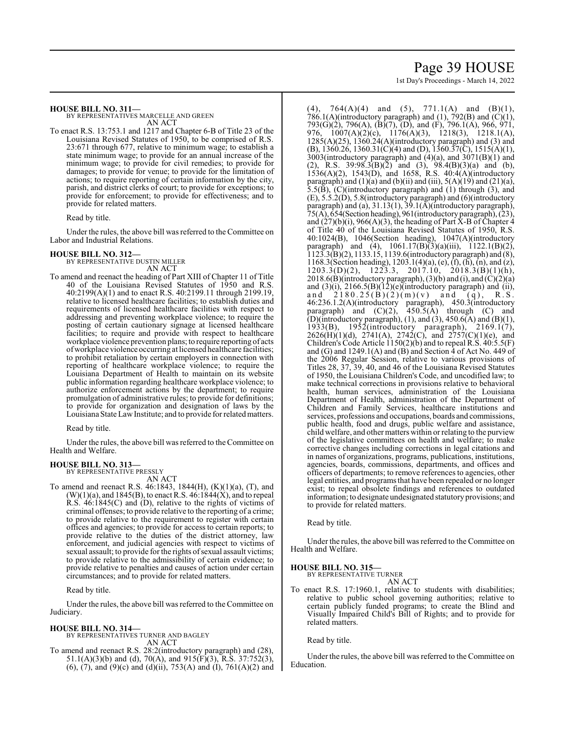# Page 39 HOUSE

1st Day's Proceedings - March 14, 2022

### **HOUSE BILL NO. 311—**

BY REPRESENTATIVES MARCELLE AND GREEN AN ACT

To enact R.S. 13:753.1 and 1217 and Chapter 6-B of Title 23 of the Louisiana Revised Statutes of 1950, to be comprised of R.S. 23:671 through 677, relative to minimum wage; to establish a state minimum wage; to provide for an annual increase of the minimum wage; to provide for civil remedies; to provide for damages; to provide for venue; to provide for the limitation of actions; to require reporting of certain information by the city, parish, and district clerks of court; to provide for exceptions; to provide for enforcement; to provide for effectiveness; and to provide for related matters.

Read by title.

Under the rules, the above bill was referred to the Committee on Labor and Industrial Relations.

# **HOUSE BILL NO. 312—** BY REPRESENTATIVE DUSTIN MILLER

AN ACT

To amend and reenact the heading of Part XIII of Chapter 11 of Title 40 of the Louisiana Revised Statutes of 1950 and R.S. 40:2199(A)(1) and to enact R.S. 40:2199.11 through 2199.19, relative to licensed healthcare facilities; to establish duties and requirements of licensed healthcare facilities with respect to addressing and preventing workplace violence; to require the posting of certain cautionary signage at licensed healthcare facilities; to require and provide with respect to healthcare workplace violence prevention plans; to require reporting of acts ofworkplace violence occurring at licensed healthcare facilities; to prohibit retaliation by certain employers in connection with reporting of healthcare workplace violence; to require the Louisiana Department of Health to maintain on its website public information regarding healthcare workplace violence; to authorize enforcement actions by the department; to require promulgation of administrative rules; to provide for definitions; to provide for organization and designation of laws by the Louisiana State Law Institute; and to provide for related matters.

Read by title.

Under the rules, the above bill was referred to the Committee on Health and Welfare.

### **HOUSE BILL NO. 313—**

BY REPRESENTATIVE PRESSLY AN ACT

To amend and reenact R.S. 46:1843, 1844(H), (K)(1)(a), (T), and  $(W)(1)(a)$ , and 1845(B), to enact R.S.  $46:1844(X)$ , and to repeal R.S. 46:1845(C) and (D), relative to the rights of victims of criminal offenses; to provide relative to the reporting of a crime; to provide relative to the requirement to register with certain offices and agencies; to provide for access to certain reports; to provide relative to the duties of the district attorney, law enforcement, and judicial agencies with respect to victims of sexual assault; to provide for the rights of sexual assault victims; to provide relative to the admissibility of certain evidence; to provide relative to penalties and causes of action under certain circumstances; and to provide for related matters.

Read by title.

Under the rules, the above bill was referred to the Committee on Judiciary.

## **HOUSE BILL NO. 314—**

BY REPRESENTATIVES TURNER AND BAGLEY AN ACT

To amend and reenact R.S. 28:2(introductory paragraph) and (28), 51.1(A)(3)(b) and (d), 70(A), and 915(F)(3), R.S. 37:752(3), (6), (7), and (9)(c) and (d)(ii),  $753(A)$  and (I),  $761(A)(2)$  and (4),  $764(A)(4)$  and (5),  $771.1(A)$  and (B)(1), 786.1(A)(introductory paragraph) and (1), 792(B) and (C)(1), 793(G)(2), 796(A), (B)(7), (D), and (F), 796.1(A), 966, 971, 976,  $1007(A)(2)(c)$ ,  $1176(A)(3)$ ,  $1218(3)$ ,  $1218.1(A)$ , 1285(A)(25), 1360.24(A)(introductory paragraph) and (3) and (B), 1360.26, 1360.31(C)(4) and (D), 1360.37(C), 1515(A)(1),  $3003$ (introductory paragraph) and  $(4)(a)$ , and  $3071(B)(1)$  and (2), R.S.  $39:98.3(B)(2)$  and (3),  $98.4(B)(3)(a)$  and (b), 1536(A)(2), 1543(D), and 1658, R.S. 40:4(A)(introductory paragraph) and  $(1)(a)$  and  $(b)(ii)$  and  $(iii)$ ,  $5(A)(19)$  and  $(21)(a)$ , 5.5(B), (C)(introductory paragraph) and (1) through (3), and (E), 5.5.2(D), 5.8(introductory paragraph) and (6)(introductory paragraph) and (a), 31.13(1), 39.1(A)(introductory paragraph), 75(A), 654(Section heading), 961(introductory paragraph), (23), and  $(27)(b)(i)$ , 966(A)(3), the heading of Part X-B of Chapter 4 of Title 40 of the Louisiana Revised Statutes of 1950, R.S. 40:1024(B), 1046(Section heading), 1047(A)(introductory paragraph) and (4), 1061.17(B)(3)(a)(iii), 1122.1(B)(2), 1123.3(B)(2), 1133.15, 1139.6(introductory paragraph) and (8), 1168.3(Section heading), 1203.1(4)(a), (e), (f), (h), (n), and (z),  $1203.3(D)(2)$ ,  $1223.3$ ,  $2017.10$ ,  $2018.3(B)(1)(h)$ , 2018.6(B)(introductory paragraph), (3)(b) and (i), and  $\overrightarrow{C}(2)(a)$ and  $(3)(i)$ ,  $2166.5(B)(12)(e)$ (introductory paragraph) and (ii), and  $2180.25(B)(2)(m)(v)$  and  $(q)$ , R.S. 46:236.1.2(A)(introductory paragraph), 450.3(introductory paragraph) and  $(C)(2)$ , 450.5(A) through  $(C)$  and (D)(introductory paragraph), (1), and (3), 450.6(A) and (B)(1), 1933(B), 1952(introductory paragraph), 2169.1(7),  $2626(H)(1)(d)$ ,  $2741(A)$ ,  $2742(C)$ , and  $2757(C)(1)(e)$ , and Children's Code Article 1150(2)(b) and to repeal R.S. 40:5.5(F) and (G) and  $1249.1(A)$  and (B) and Section  $\overline{4}$  of Act No. 449 of the 2006 Regular Session, relative to various provisions of Titles 28, 37, 39, 40, and 46 of the Louisiana Revised Statutes of 1950, the Louisiana Children's Code, and uncodified law; to make technical corrections in provisions relative to behavioral health, human services, administration of the Louisiana Department of Health, administration of the Department of Children and Family Services, healthcare institutions and services, professions and occupations, boards and commissions, public health, food and drugs, public welfare and assistance, child welfare, and other matters within or relating to the purview of the legislative committees on health and welfare; to make corrective changes including corrections in legal citations and in names of organizations, programs, publications, institutions, agencies, boards, commissions, departments, and offices and officers of departments; to remove references to agencies, other legal entities, and programsthat have been repealed or no longer exist; to repeal obsolete findings and references to outdated information; to designate undesignated statutory provisions; and to provide for related matters.

Read by title.

Under the rules, the above bill was referred to the Committee on Health and Welfare.

### **HOUSE BILL NO. 315—**

BY REPRESENTATIVE TURNER AN ACT

To enact R.S. 17:1960.1, relative to students with disabilities; relative to public school governing authorities; relative to certain publicly funded programs; to create the Blind and Visually Impaired Child's Bill of Rights; and to provide for related matters.

Read by title.

Under the rules, the above bill was referred to the Committee on Education.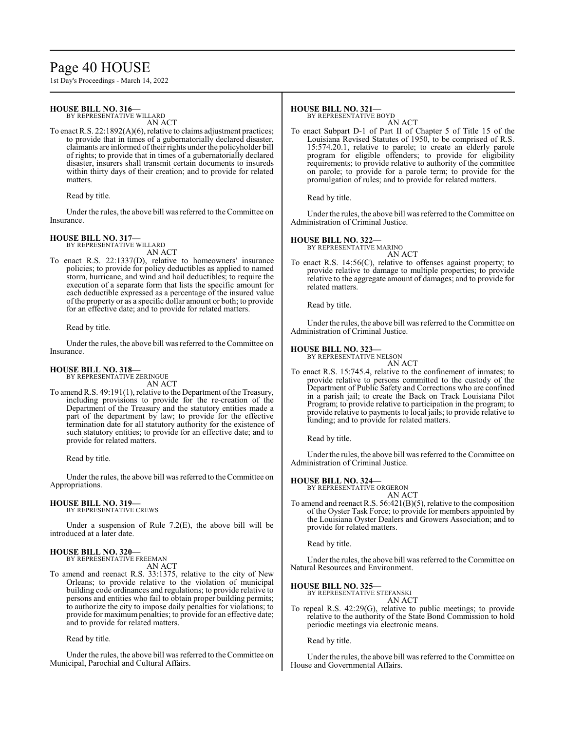# Page 40 HOUSE

1st Day's Proceedings - March 14, 2022

# **HOUSE BILL NO. 316—**

BY REPRESENTATIVE WILLARD

AN ACT To enact R.S. 22:1892(A)(6), relative to claims adjustment practices; to provide that in times of a gubernatorially declared disaster, claimants are informed oftheir rights under the policyholder bill of rights; to provide that in times of a gubernatorially declared disaster, insurers shall transmit certain documents to insureds within thirty days of their creation; and to provide for related matters.

Read by title.

Under the rules, the above bill was referred to the Committee on Insurance.

## **HOUSE BILL NO. 317—**

BY REPRESENTATIVE WILLARD AN ACT

To enact R.S. 22:1337(D), relative to homeowners' insurance policies; to provide for policy deductibles as applied to named storm, hurricane, and wind and hail deductibles; to require the execution of a separate form that lists the specific amount for each deductible expressed as a percentage of the insured value of the property or as a specific dollar amount or both; to provide for an effective date; and to provide for related matters.

Read by title.

Under the rules, the above bill was referred to the Committee on Insurance.

# **HOUSE BILL NO. 318—**

BY REPRESENTATIVE ZERINGUE AN ACT

To amend R.S. 49:191(1), relative to the Department of the Treasury, including provisions to provide for the re-creation of the Department of the Treasury and the statutory entities made a part of the department by law; to provide for the effective termination date for all statutory authority for the existence of such statutory entities; to provide for an effective date; and to provide for related matters.

Read by title.

Under the rules, the above bill was referred to the Committee on Appropriations.

#### **HOUSE BILL NO. 319—** BY REPRESENTATIVE CREWS

Under a suspension of Rule 7.2(E), the above bill will be introduced at a later date.

# **HOUSE BILL NO. 320—**

BY REPRESENTATIVE FREEMAN AN ACT

To amend and reenact R.S. 33:1375, relative to the city of New Orleans; to provide relative to the violation of municipal building code ordinances and regulations; to provide relative to persons and entities who fail to obtain proper building permits; to authorize the city to impose daily penalties for violations; to provide for maximumpenalties; to provide for an effective date; and to provide for related matters.

Read by title.

Under the rules, the above bill was referred to the Committee on Municipal, Parochial and Cultural Affairs.

## **HOUSE BILL NO. 321—**

BY REPRESENTATIVE BOYD

AN ACT To enact Subpart D-1 of Part II of Chapter 5 of Title 15 of the Louisiana Revised Statutes of 1950, to be comprised of R.S. 15:574.20.1, relative to parole; to create an elderly parole program for eligible offenders; to provide for eligibility requirements; to provide relative to authority of the committee on parole; to provide for a parole term; to provide for the promulgation of rules; and to provide for related matters.

Read by title.

Under the rules, the above bill was referred to the Committee on Administration of Criminal Justice.

### **HOUSE BILL NO. 322—**

BY REPRESENTATIVE MARINO AN ACT

To enact R.S. 14:56(C), relative to offenses against property; to provide relative to damage to multiple properties; to provide relative to the aggregate amount of damages; and to provide for related matters.

Read by title.

Under the rules, the above bill was referred to the Committee on Administration of Criminal Justice.

### **HOUSE BILL NO. 323—**

BY REPRESENTATIVE NELSON AN ACT

To enact R.S. 15:745.4, relative to the confinement of inmates; to provide relative to persons committed to the custody of the Department of Public Safety and Corrections who are confined in a parish jail; to create the Back on Track Louisiana Pilot Program; to provide relative to participation in the program; to provide relative to payments to local jails; to provide relative to funding; and to provide for related matters.

Read by title.

Under the rules, the above bill was referred to the Committee on Administration of Criminal Justice.

# **HOUSE BILL NO. 324—** BY REPRESENTATIVE ORGERON

AN ACT

To amend and reenact R.S. 56:421(B)(5), relative to the composition of the Oyster Task Force; to provide for members appointed by the Louisiana Oyster Dealers and Growers Association; and to provide for related matters.

Read by title.

Under the rules, the above bill was referred to the Committee on Natural Resources and Environment.

### **HOUSE BILL NO. 325—**

BY REPRESENTATIVE STEFANSKI AN ACT

To repeal R.S. 42:29(G), relative to public meetings; to provide relative to the authority of the State Bond Commission to hold periodic meetings via electronic means.

Read by title.

Under the rules, the above bill was referred to the Committee on House and Governmental Affairs.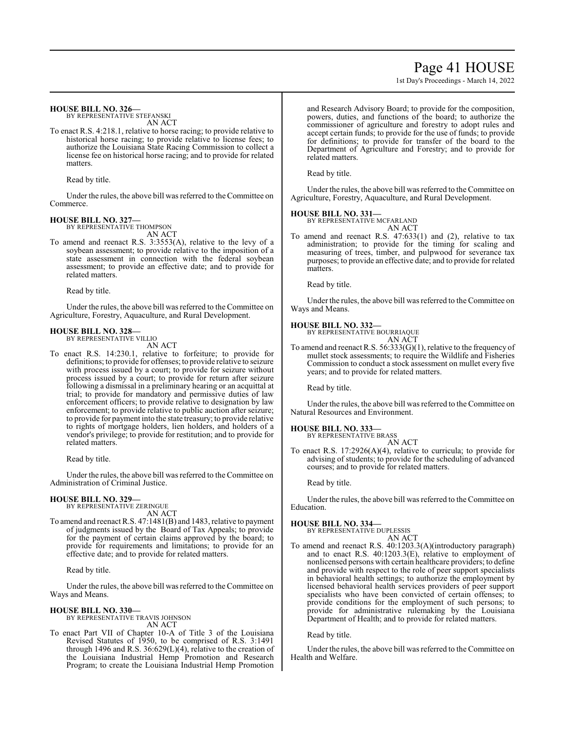# Page 41 HOUSE

1st Day's Proceedings - March 14, 2022

### **HOUSE BILL NO. 326—**

BY REPRESENTATIVE STEFANSKI AN ACT

To enact R.S. 4:218.1, relative to horse racing; to provide relative to historical horse racing; to provide relative to license fees; to authorize the Louisiana State Racing Commission to collect a license fee on historical horse racing; and to provide for related matters.

Read by title.

Under the rules, the above bill was referred to theCommittee on Commerce.

# **HOUSE BILL NO. 327—** BY REPRESENTATIVE THOMPSON

AN ACT

To amend and reenact R.S. 3:3553(A), relative to the levy of a soybean assessment; to provide relative to the imposition of a state assessment in connection with the federal soybean assessment; to provide an effective date; and to provide for related matters.

Read by title.

Under the rules, the above bill was referred to the Committee on Agriculture, Forestry, Aquaculture, and Rural Development.

#### **HOUSE BILL NO. 328—** BY REPRESENTATIVE VILLIO

AN ACT

To enact R.S. 14:230.1, relative to forfeiture; to provide for definitions; to provide for offenses; to provide relative to seizure with process issued by a court; to provide for seizure without process issued by a court; to provide for return after seizure following a dismissal in a preliminary hearing or an acquittal at trial; to provide for mandatory and permissive duties of law enforcement officers; to provide relative to designation by law enforcement; to provide relative to public auction after seizure; to provide for payment into the state treasury; to provide relative to rights of mortgage holders, lien holders, and holders of a vendor's privilege; to provide for restitution; and to provide for related matters.

Read by title.

Under the rules, the above bill was referred to the Committee on Administration of Criminal Justice.

### **HOUSE BILL NO. 329—**

BY REPRESENTATIVE ZERINGUE AN ACT

To amend and reenact R.S. 47:1481(B) and 1483, relative to payment of judgments issued by the Board of Tax Appeals; to provide for the payment of certain claims approved by the board; to provide for requirements and limitations; to provide for an effective date; and to provide for related matters.

Read by title.

Under the rules, the above bill was referred to the Committee on Ways and Means.

### **HOUSE BILL NO. 330—**

BY REPRESENTATIVE TRAVIS JOHNSON AN ACT

To enact Part VII of Chapter 10-A of Title 3 of the Louisiana Revised Statutes of 1950, to be comprised of R.S. 3:1491 through 1496 and R.S. 36:629(L)(4), relative to the creation of the Louisiana Industrial Hemp Promotion and Research Program; to create the Louisiana Industrial Hemp Promotion and Research Advisory Board; to provide for the composition, powers, duties, and functions of the board; to authorize the commissioner of agriculture and forestry to adopt rules and accept certain funds; to provide for the use of funds; to provide for definitions; to provide for transfer of the board to the Department of Agriculture and Forestry; and to provide for related matters.

Read by title.

Under the rules, the above bill was referred to the Committee on Agriculture, Forestry, Aquaculture, and Rural Development.

# **HOUSE BILL NO. 331—**

BY REPRESENTATIVE MCFARLAND AN ACT

To amend and reenact R.S. 47:633(1) and (2), relative to tax administration; to provide for the timing for scaling and measuring of trees, timber, and pulpwood for severance tax purposes; to provide an effective date; and to provide for related matters.

Read by title.

Under the rules, the above bill was referred to the Committee on Ways and Means.

**HOUSE BILL NO. 332—** BY REPRESENTATIVE BOURRIAQUE AN ACT

To amend and reenact R.S. 56:333(G)(1), relative to the frequency of mullet stock assessments; to require the Wildlife and Fisheries Commission to conduct a stock assessment on mullet every five years; and to provide for related matters.

Read by title.

Under the rules, the above bill was referred to the Committee on Natural Resources and Environment.

**HOUSE BILL NO. 333** 

BY REPRESENTATIVE BRASS AN ACT

To enact R.S. 17:2926(A)(4), relative to curricula; to provide for advising of students; to provide for the scheduling of advanced courses; and to provide for related matters.

Read by title.

Under the rules, the above bill was referred to the Committee on Education.

### **HOUSE BILL NO. 334—**

BY REPRESENTATIVE DUPLESSIS

AN ACT To amend and reenact R.S. 40:1203.3(A)(introductory paragraph) and to enact R.S. 40:1203.3(E), relative to employment of nonlicensed persons with certain healthcare providers; to define and provide with respect to the role of peer support specialists in behavioral health settings; to authorize the employment by licensed behavioral health services providers of peer support specialists who have been convicted of certain offenses; to provide conditions for the employment of such persons; to provide for administrative rulemaking by the Louisiana Department of Health; and to provide for related matters.

Read by title.

Under the rules, the above bill was referred to the Committee on Health and Welfare.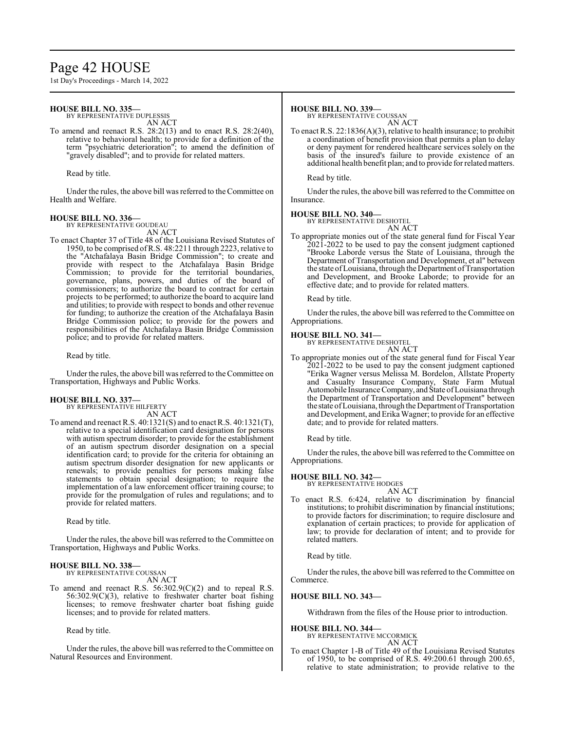# Page 42 HOUSE

1st Day's Proceedings - March 14, 2022

## **HOUSE BILL NO. 335—**

BY REPRESENTATIVE DUPLESSIS

AN ACT

To amend and reenact R.S. 28:2(13) and to enact R.S. 28:2(40), relative to behavioral health; to provide for a definition of the term "psychiatric deterioration"; to amend the definition of "gravely disabled"; and to provide for related matters.

Read by title.

Under the rules, the above bill was referred to the Committee on Health and Welfare.

# **HOUSE BILL NO. 336—** BY REPRESENTATIVE GOUDEAU

AN ACT

To enact Chapter 37 of Title 48 of the Louisiana Revised Statutes of 1950, to be comprised ofR.S. 48:2211 through 2223, relative to the "Atchafalaya Basin Bridge Commission"; to create and provide with respect to the Atchafalaya Basin Bridge Commission; to provide for the territorial boundaries, governance, plans, powers, and duties of the board of commissioners; to authorize the board to contract for certain projects to be performed; to authorize the board to acquire land and utilities; to provide with respect to bonds and other revenue for funding; to authorize the creation of the Atchafalaya Basin Bridge Commission police; to provide for the powers and responsibilities of the Atchafalaya Basin Bridge Commission police; and to provide for related matters.

Read by title.

Under the rules, the above bill was referred to theCommittee on Transportation, Highways and Public Works.

# **HOUSE BILL NO. 337—**

BY REPRESENTATIVE HILFERTY AN ACT

To amend and reenact R.S. 40:1321(S) and to enact R.S. 40:1321(T), relative to a special identification card designation for persons with autism spectrum disorder; to provide for the establishment of an autism spectrum disorder designation on a special identification card; to provide for the criteria for obtaining an autism spectrum disorder designation for new applicants or renewals; to provide penalties for persons making false statements to obtain special designation; to require the implementation of a law enforcement officer training course; to provide for the promulgation of rules and regulations; and to provide for related matters.

Read by title.

Under the rules, the above bill was referred to the Committee on Transportation, Highways and Public Works.

### **HOUSE BILL NO. 338—**

BY REPRESENTATIVE COUSSAN

- AN ACT
- To amend and reenact R.S. 56:302.9(C)(2) and to repeal R.S. 56:302.9(C)(3), relative to freshwater charter boat fishing licenses; to remove freshwater charter boat fishing guide licenses; and to provide for related matters.

Read by title.

Under the rules, the above bill was referred to the Committee on Natural Resources and Environment.

#### **HOUSE BILL NO. 339—**

BY REPRESENTATIVE COUSSAN

AN ACT To enact R.S. 22:1836(A)(3), relative to health insurance; to prohibit a coordination of benefit provision that permits a plan to delay or deny payment for rendered healthcare services solely on the basis of the insured's failure to provide existence of an additional health benefit plan; and to provide for related matters.

Read by title.

Under the rules, the above bill was referred to the Committee on Insurance.

### **HOUSE BILL NO. 340—**

BY REPRESENTATIVE DESHOTEL

AN ACT To appropriate monies out of the state general fund for Fiscal Year 2021-2022 to be used to pay the consent judgment captioned "Brooke Laborde versus the State of Louisiana, through the Department of Transportation and Development, et al" between the state of Louisiana, through the Department of Transportation and Development, and Brooke Laborde; to provide for an effective date; and to provide for related matters.

Read by title.

Under the rules, the above bill was referred to the Committee on Appropriations.

### **HOUSE BILL NO. 341—**

BY REPRESENTATIVE DESHOTEL

- AN ACT
- To appropriate monies out of the state general fund for Fiscal Year 2021-2022 to be used to pay the consent judgment captioned "Erika Wagner versus Melissa M. Bordelon, Allstate Property and Casualty Insurance Company, State Farm Mutual Automobile Insurance Company, and State ofLouisiana through the Department of Transportation and Development" between the state of Louisiana, through the Department of Transportation and Development, and Erika Wagner; to provide for an effective date; and to provide for related matters.

Read by title.

Under the rules, the above bill was referred to the Committee on Appropriations.

### **HOUSE BILL NO. 342—**

BY REPRESENTATIVE HODGES

- AN ACT
- To enact R.S. 6:424, relative to discrimination by financial institutions; to prohibit discrimination by financial institutions; to provide factors for discrimination; to require disclosure and explanation of certain practices; to provide for application of law; to provide for declaration of intent; and to provide for related matters.

Read by title.

Under the rules, the above bill was referred to the Committee on Commerce.

### **HOUSE BILL NO. 343—**

Withdrawn from the files of the House prior to introduction.

**HOUSE BILL NO. 344—**

BY REPRESENTATIVE MCCORMICK AN ACT

To enact Chapter 1-B of Title 49 of the Louisiana Revised Statutes of 1950, to be comprised of R.S. 49:200.61 through 200.65, relative to state administration; to provide relative to the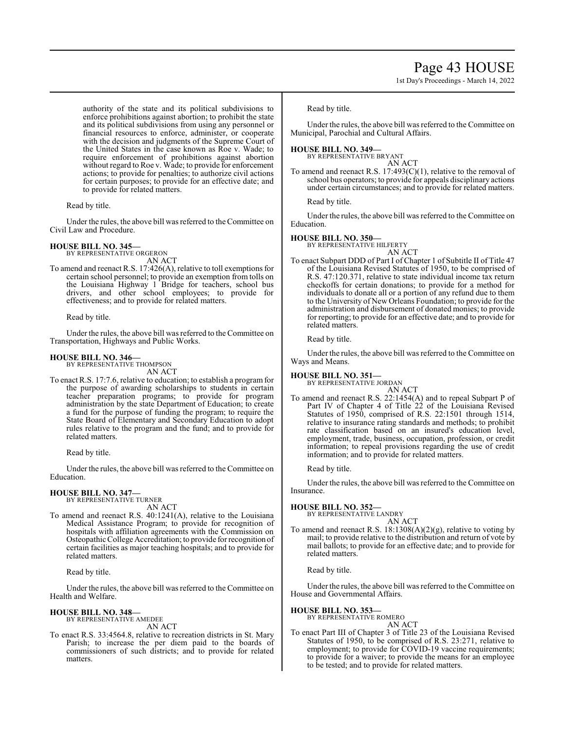# Page 43 HOUSE

1st Day's Proceedings - March 14, 2022

authority of the state and its political subdivisions to enforce prohibitions against abortion; to prohibit the state and its political subdivisions from using any personnel or financial resources to enforce, administer, or cooperate with the decision and judgments of the Supreme Court of the United States in the case known as Roe v. Wade; to require enforcement of prohibitions against abortion without regard to Roe v. Wade; to provide for enforcement actions; to provide for penalties; to authorize civil actions for certain purposes; to provide for an effective date; and to provide for related matters.

### Read by title.

Under the rules, the above bill was referred to the Committee on Civil Law and Procedure.

### **HOUSE BILL NO. 345—**

BY REPRESENTATIVE ORGERON AN ACT

To amend and reenact R.S. 17:426(A), relative to toll exemptions for certain school personnel; to provide an exemption from tolls on the Louisiana Highway 1 Bridge for teachers, school bus drivers, and other school employees; to provide for effectiveness; and to provide for related matters.

Read by title.

Under the rules, the above bill was referred to theCommittee on Transportation, Highways and Public Works.

# **HOUSE BILL NO. 346—** BY REPRESENTATIVE THOMPSON

AN ACT

To enact R.S. 17:7.6, relative to education; to establish a programfor the purpose of awarding scholarships to students in certain teacher preparation programs; to provide for program administration by the state Department of Education; to create a fund for the purpose of funding the program; to require the State Board of Elementary and Secondary Education to adopt rules relative to the program and the fund; and to provide for related matters.

Read by title.

Under the rules, the above bill was referred to the Committee on Education.

# **HOUSE BILL NO. 347—**

BY REPRESENTATIVE TURNER AN ACT

To amend and reenact R.S. 40:1241(A), relative to the Louisiana Medical Assistance Program; to provide for recognition of hospitals with affiliation agreements with the Commission on Osteopathic College Accreditation; to provide for recognition of certain facilities as major teaching hospitals; and to provide for related matters.

Read by title.

Under the rules, the above bill was referred to the Committee on Health and Welfare.

# **HOUSE BILL NO. 348—** BY REPRESENTATIVE AMEDEE

AN ACT

To enact R.S. 33:4564.8, relative to recreation districts in St. Mary Parish; to increase the per diem paid to the boards of commissioners of such districts; and to provide for related matters.

Read by title.

Under the rules, the above bill was referred to the Committee on Municipal, Parochial and Cultural Affairs.

### **HOUSE BILL NO. 349—**

BY REPRESENTATIVE BRYANT AN ACT

To amend and reenact R.S. 17:493(C)(1), relative to the removal of school bus operators; to provide for appeals disciplinary actions under certain circumstances; and to provide for related matters.

Read by title.

Under the rules, the above bill was referred to the Committee on Education.

### **HOUSE BILL NO. 350—**

BY REPRESENTATIVE HILFERTY

AN ACT To enact Subpart DDD of Part I of Chapter 1 of Subtitle II of Title 47 of the Louisiana Revised Statutes of 1950, to be comprised of R.S. 47:120.371, relative to state individual income tax return checkoffs for certain donations; to provide for a method for individuals to donate all or a portion of any refund due to them to the University of New Orleans Foundation; to provide for the administration and disbursement of donated monies; to provide for reporting; to provide for an effective date; and to provide for related matters.

Read by title.

Under the rules, the above bill was referred to the Committee on Ways and Means.

# **HOUSE BILL NO. 351—** BY REPRESENTATIVE JORDAN

AN ACT

To amend and reenact R.S. 22:1454(A) and to repeal Subpart P of Part IV of Chapter 4 of Title 22 of the Louisiana Revised Statutes of 1950, comprised of R.S. 22:1501 through 1514, relative to insurance rating standards and methods; to prohibit rate classification based on an insured's education level, employment, trade, business, occupation, profession, or credit information; to repeal provisions regarding the use of credit information; and to provide for related matters.

Read by title.

Under the rules, the above bill was referred to the Committee on Insurance.

### **HOUSE BILL NO. 352—**

BY REPRESENTATIVE LANDRY AN ACT

To amend and reenact R.S. 18:1308(A)(2)(g), relative to voting by mail; to provide relative to the distribution and return of vote by mail ballots; to provide for an effective date; and to provide for related matters.

Read by title.

Under the rules, the above bill was referred to the Committee on House and Governmental Affairs.

**HOUSE BILL NO. 353—**

BY REPRESENTATIVE ROMERO AN ACT

To enact Part III of Chapter 3 of Title 23 of the Louisiana Revised Statutes of 1950, to be comprised of R.S. 23:271, relative to employment; to provide for COVID-19 vaccine requirements; to provide for a waiver; to provide the means for an employee to be tested; and to provide for related matters.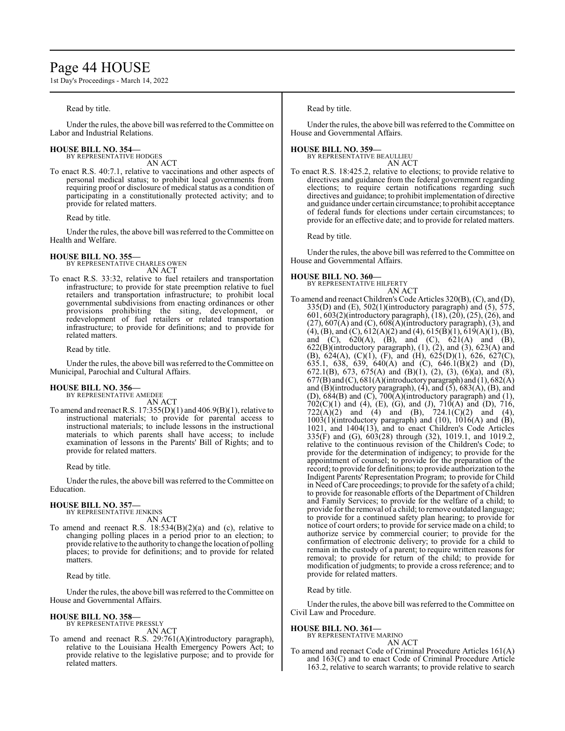# Page 44 HOUSE

1st Day's Proceedings - March 14, 2022

### Read by title.

Under the rules, the above bill was referred to the Committee on Labor and Industrial Relations.

#### **HOUSE BILL NO. 354—** BY REPRESENTATIVE HODGES

AN ACT

To enact R.S. 40:7.1, relative to vaccinations and other aspects of personal medical status; to prohibit local governments from requiring proof or disclosure of medical status as a condition of participating in a constitutionally protected activity; and to provide for related matters.

Read by title.

Under the rules, the above bill was referred to the Committee on Health and Welfare.

# **HOUSE BILL NO. 355—** BY REPRESENTATIVE CHARLES OWEN

AN ACT

To enact R.S. 33:32, relative to fuel retailers and transportation infrastructure; to provide for state preemption relative to fuel retailers and transportation infrastructure; to prohibit local governmental subdivisions from enacting ordinances or other provisions prohibiting the siting, development, or redevelopment of fuel retailers or related transportation infrastructure; to provide for definitions; and to provide for related matters.

Read by title.

Under the rules, the above bill was referred to theCommittee on Municipal, Parochial and Cultural Affairs.

### **HOUSE BILL NO. 356—**

BY REPRESENTATIVE AMEDEE AN ACT

To amend and reenact R.S. 17:355(D)(1) and 406.9(B)(1), relative to instructional materials; to provide for parental access to instructional materials; to include lessons in the instructional materials to which parents shall have access; to include examination of lessons in the Parents' Bill of Rights; and to provide for related matters.

Read by title.

Under the rules, the above bill was referred to the Committee on Education.

# **HOUSE BILL NO. 357—**

BY REPRESENTATIVE JENKINS AN ACT

To amend and reenact R.S. 18:534(B)(2)(a) and (c), relative to changing polling places in a period prior to an election; to provide relative to the authority to change the location of polling places; to provide for definitions; and to provide for related matters.

Read by title.

Under the rules, the above bill was referred to the Committee on House and Governmental Affairs.

#### **HOUSE BILL NO. 358—** BY REPRESENTATIVE PRESSLY

AN ACT

To amend and reenact R.S. 29:761(A)(introductory paragraph), relative to the Louisiana Health Emergency Powers Act; to provide relative to the legislative purpose; and to provide for related matters.

Read by title.

Under the rules, the above bill was referred to the Committee on House and Governmental Affairs.

#### **HOUSE BILL NO. 359—** BY REPRESENTATIVE BEAULLIEU

AN ACT

To enact R.S. 18:425.2, relative to elections; to provide relative to directives and guidance from the federal government regarding elections; to require certain notifications regarding such directives and guidance; to prohibit implementation of directive and guidance under certain circumstance; to prohibit acceptance of federal funds for elections under certain circumstances; to provide for an effective date; and to provide for related matters.

Read by title.

Under the rules, the above bill was referred to the Committee on House and Governmental Affairs.

### **HOUSE BILL NO. 360—**

BY REPRESENTATIVE HILFERTY

# AN ACT

To amend and reenact Children's Code Articles 320(B), (C), and (D),  $335(D)$  and  $(E)$ ,  $502(1)$ (introductory paragraph) and  $(5)$ ,  $575$ , 601, 603(2)(introductory paragraph), (18), (20), (25), (26), and  $(27)$ ,  $607(A)$  and  $(C)$ ,  $608(A)$ (introductory paragraph),  $(3)$ , and  $(4)$ ,  $(B)$ , and  $(C)$ ,  $612(A)(2)$  and  $(4)$ ,  $615(B(1), 619(A)(1), (B),$ and (C), 620(A), (B), and (C), 621(A) and (B),  $622(B)$ (introductory paragraph),  $(1)$ ,  $(2)$ , and  $(3)$ ,  $623(A)$  and (B),  $624(A)$ , (C)(1), (F), and (H),  $625(D)(1)$ , 626, 627(C), 635.1, 638, 639, 640(A) and (C), 646.1(B)(2) and (D), 672.1(B), 673, 675(A) and (B)(1), (2), (3), (6)(a), and (8),  $677(B)$  and (C),  $681(A)$ (introductory paragraph) and (1),  $682(A)$ and (B)(introductory paragraph), (4), and (5), 683(A), (B), and (D), 684(B) and (C), 700(A)(introductory paragraph) and (1), 702(C)(1) and (4), (E), (G), and (J), 710(A) and (D), 716,  $722(A)(2)$  and  $(4)$  and  $(B)$ ,  $724.1(C)(2)$  and  $(4)$ ,  $1003(1)$ (introductory paragraph) and  $(10)$ ,  $1016(A)$  and  $(B)$ , 1021, and 1404(13), and to enact Children's Code Articles 335(F) and (G), 603(28) through (32), 1019.1, and 1019.2, relative to the continuous revision of the Children's Code; to provide for the determination of indigency; to provide for the appointment of counsel; to provide for the preparation of the record; to provide for definitions; to provide authorization to the Indigent Parents' Representation Program; to provide for Child in Need ofCare proceedings; to provide for the safety of a child; to provide for reasonable efforts of the Department of Children and Family Services; to provide for the welfare of a child; to provide for the removal of a child; to remove outdated language; to provide for a continued safety plan hearing; to provide for notice of court orders; to provide for service made on a child; to authorize service by commercial courier; to provide for the confirmation of electronic delivery; to provide for a child to remain in the custody of a parent; to require written reasons for removal; to provide for return of the child; to provide for modification of judgments; to provide a cross reference; and to provide for related matters.

Read by title.

Under the rules, the above bill was referred to the Committee on Civil Law and Procedure.

### **HOUSE BILL NO. 361—**

BY REPRESENTATIVE MARINO

# AN ACT

To amend and reenact Code of Criminal Procedure Articles 161(A) and 163(C) and to enact Code of Criminal Procedure Article 163.2, relative to search warrants; to provide relative to search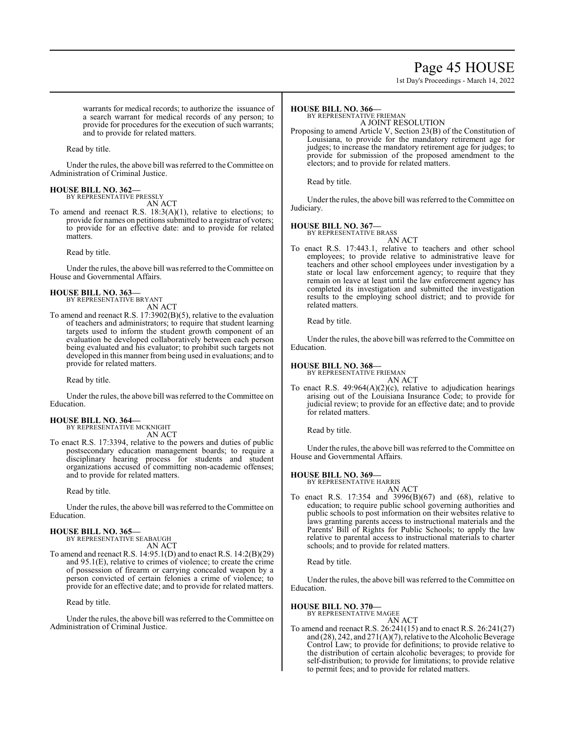# Page 45 HOUSE

1st Day's Proceedings - March 14, 2022

warrants for medical records; to authorize the issuance of a search warrant for medical records of any person; to provide for procedures for the execution of such warrants; and to provide for related matters.

Read by title.

Under the rules, the above bill was referred to theCommittee on Administration of Criminal Justice.

# **HOUSE BILL NO. 362—** BY REPRESENTATIVE PRESSLY

AN ACT

To amend and reenact R.S. 18:3(A)(1), relative to elections; to provide for names on petitions submitted to a registrar of voters; to provide for an effective date: and to provide for related matters.

Read by title.

Under the rules, the above bill was referred to the Committee on House and Governmental Affairs.

### **HOUSE BILL NO. 363—**

BY REPRESENTATIVE BRYANT AN ACT

To amend and reenact R.S. 17:3902(B)(5), relative to the evaluation of teachers and administrators; to require that student learning targets used to inform the student growth component of an evaluation be developed collaboratively between each person being evaluated and his evaluator; to prohibit such targets not developed in this manner from being used in evaluations; and to provide for related matters.

Read by title.

Under the rules, the above bill was referred to the Committee on Education.

# **HOUSE BILL NO. 364—**

BY REPRESENTATIVE MCKNIGHT AN ACT

To enact R.S. 17:3394, relative to the powers and duties of public postsecondary education management boards; to require a disciplinary hearing process for students and student organizations accused of committing non-academic offenses; and to provide for related matters.

Read by title.

Under the rules, the above bill was referred to the Committee on Education.

#### **HOUSE BILL NO. 365—** BY REPRESENTATIVE SEABAUGH

AN ACT

To amend and reenact R.S. 14:95.1(D) and to enact R.S. 14:2(B)(29) and 95.1(E), relative to crimes of violence; to create the crime of possession of firearm or carrying concealed weapon by a person convicted of certain felonies a crime of violence; to provide for an effective date; and to provide for related matters.

Read by title.

Under the rules, the above bill was referred to the Committee on Administration of Criminal Justice.

#### **HOUSE BILL NO. 366—**

BY REPRESENTATIVE FRIEMAN

A JOINT RESOLUTION Proposing to amend Article V, Section 23(B) of the Constitution of Louisiana, to provide for the mandatory retirement age for judges; to increase the mandatory retirement age for judges; to provide for submission of the proposed amendment to the electors; and to provide for related matters.

Read by title.

Under the rules, the above bill was referred to the Committee on Judiciary.

### **HOUSE BILL NO. 367—**

BY REPRESENTATIVE BRASS AN ACT

To enact R.S. 17:443.1, relative to teachers and other school employees; to provide relative to administrative leave for teachers and other school employees under investigation by a state or local law enforcement agency; to require that they remain on leave at least until the law enforcement agency has completed its investigation and submitted the investigation results to the employing school district; and to provide for related matters.

Read by title.

Under the rules, the above bill was referred to the Committee on Education.

### **HOUSE BILL NO. 368—**

BY REPRESENTATIVE FRIEMAN AN ACT

To enact R.S.  $49:964(A)(2)(c)$ , relative to adjudication hearings arising out of the Louisiana Insurance Code; to provide for judicial review; to provide for an effective date; and to provide for related matters.

Read by title.

Under the rules, the above bill was referred to the Committee on House and Governmental Affairs.

### **HOUSE BILL NO. 369—**

BY REPRESENTATIVE HARRIS

AN ACT To enact R.S. 17:354 and 3996(B)(67) and (68), relative to education; to require public school governing authorities and public schools to post information on their websites relative to laws granting parents access to instructional materials and the Parents' Bill of Rights for Public Schools; to apply the law relative to parental access to instructional materials to charter schools; and to provide for related matters.

Read by title.

Under the rules, the above bill was referred to the Committee on Education.

### **HOUSE BILL NO. 370—**

BY REPRESENTATIVE MAGEE AN ACT

To amend and reenact R.S. 26:241(15) and to enact R.S. 26:241(27) and  $(28)$ , 242, and  $271(A)(7)$ , relative to the Alcoholic Beverage Control Law; to provide for definitions; to provide relative to the distribution of certain alcoholic beverages; to provide for self-distribution; to provide for limitations; to provide relative to permit fees; and to provide for related matters.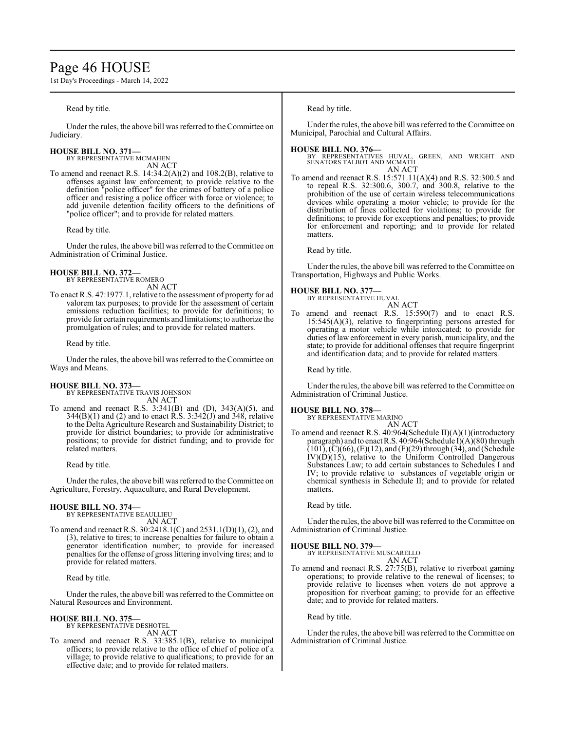# Page 46 HOUSE

1st Day's Proceedings - March 14, 2022

### Read by title.

Under the rules, the above bill was referred to the Committee on Judiciary.

# **HOUSE BILL NO. 371—** BY REPRESENTATIVE MCMAHEN

AN ACT

To amend and reenact R.S. 14:34.2(A)(2) and 108.2(B), relative to offenses against law enforcement; to provide relative to the definition "police officer" for the crimes of battery of a police officer and resisting a police officer with force or violence; to add juvenile detention facility officers to the definitions of "police officer"; and to provide for related matters.

Read by title.

Under the rules, the above bill was referred to the Committee on Administration of Criminal Justice.

#### **HOUSE BILL NO. 372—** BY REPRESENTATIVE ROMERO

AN ACT

To enact R.S. 47:1977.1, relative to the assessment of property for ad valorem tax purposes; to provide for the assessment of certain emissions reduction facilities; to provide for definitions; to provide for certain requirements and limitations; to authorize the promulgation of rules; and to provide for related matters.

### Read by title.

Under the rules, the above bill was referred to the Committee on Ways and Means.

# **HOUSE BILL NO. 373—** BY REPRESENTATIVE TRAVIS JOHNSON

AN ACT

To amend and reenact R.S.  $3:341(B)$  and  $(D)$ ,  $343(A)(5)$ , and 344(B)(1) and (2) and to enact R.S. 3:342(J) and 348, relative to the Delta Agriculture Research and Sustainability District; to provide for district boundaries; to provide for administrative positions; to provide for district funding; and to provide for related matters.

Read by title.

Under the rules, the above bill was referred to the Committee on Agriculture, Forestry, Aquaculture, and Rural Development.

#### **HOUSE BILL NO. 374—** BY REPRESENTATIVE BEAULLIEU

AN ACT

To amend and reenact R.S. 30:2418.1(C) and 2531.1(D)(1), (2), and (3), relative to tires; to increase penalties for failure to obtain a generator identification number; to provide for increased penalties for the offense of gross littering involving tires; and to provide for related matters.

Read by title.

Under the rules, the above bill was referred to the Committee on Natural Resources and Environment.

### **HOUSE BILL NO. 375—**

BY REPRESENTATIVE DESHOTEL AN ACT

To amend and reenact R.S. 33:385.1(B), relative to municipal officers; to provide relative to the office of chief of police of a village; to provide relative to qualifications; to provide for an effective date; and to provide for related matters.

Read by title.

Under the rules, the above bill was referred to the Committee on Municipal, Parochial and Cultural Affairs.

**HOUSE BILL NO. 376—** BY REPRESENTATIVES HUVAL, GREEN, AND WRIGHT AND SENATORS TALBOT AND MCMATH AN ACT

To amend and reenact R.S. 15:571.11(A)(4) and R.S. 32:300.5 and to repeal R.S. 32:300.6, 300.7, and 300.8, relative to the prohibition of the use of certain wireless telecommunications devices while operating a motor vehicle; to provide for the distribution of fines collected for violations; to provide for definitions; to provide for exceptions and penalties; to provide for enforcement and reporting; and to provide for related matters.

Read by title.

Under the rules, the above bill was referred to the Committee on Transportation, Highways and Public Works.

### **HOUSE BILL NO. 377—**

BY REPRESENTATIVE HUVAL

AN ACT To amend and reenact R.S. 15:590(7) and to enact R.S. 15:545(A)(3), relative to fingerprinting persons arrested for operating a motor vehicle while intoxicated; to provide for duties of law enforcement in every parish, municipality, and the state; to provide for additional offenses that require fingerprint and identification data; and to provide for related matters.

Read by title.

Under the rules, the above bill was referred to the Committee on Administration of Criminal Justice.

**HOUSE BILL NO. 378—** BY REPRESENTATIVE MARINO AN ACT

To amend and reenact R.S. 40:964(Schedule II)(A)(1)(introductory paragraph) and to enact R.S. 40:964(Schedule  $\hat{I}(\hat{A})(80)$  through  $(101)$ ,  $(C)(66)$ ,  $(E)(12)$ , and  $(F)(29)$  through  $(34)$ , and (Schedule  $IV)(D)(15)$ , relative to the Uniform Controlled Dangerous Substances Law; to add certain substances to Schedules I and IV; to provide relative to substances of vegetable origin or chemical synthesis in Schedule II; and to provide for related matters.

Read by title.

Under the rules, the above bill was referred to the Committee on Administration of Criminal Justice.

### **HOUSE BILL NO. 379—**

BY REPRESENTATIVE MUSCARELLO AN ACT

To amend and reenact R.S. 27:75(B), relative to riverboat gaming operations; to provide relative to the renewal of licenses; to provide relative to licenses when voters do not approve a proposition for riverboat gaming; to provide for an effective date; and to provide for related matters.

Read by title.

Under the rules, the above bill was referred to the Committee on Administration of Criminal Justice.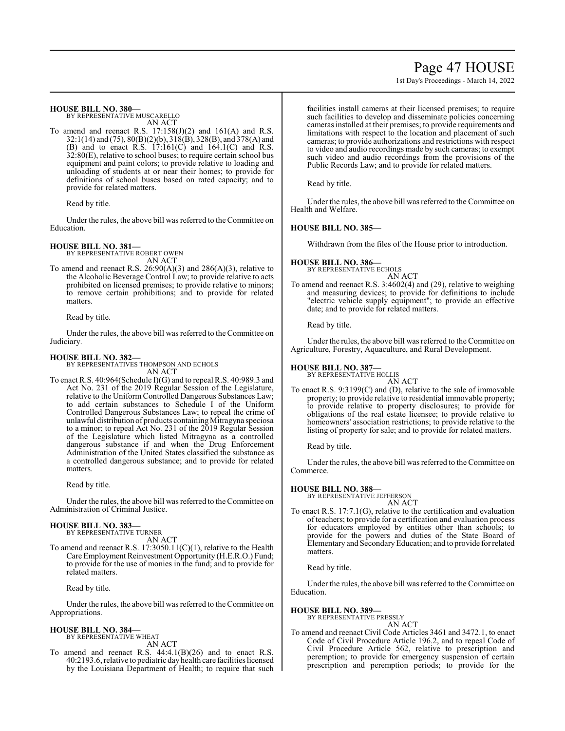# Page 47 HOUSE

1st Day's Proceedings - March 14, 2022

### **HOUSE BILL NO. 380—**

BY REPRESENTATIVE MUSCARELLO AN ACT

To amend and reenact R.S.  $17:158(J)(2)$  and  $161(A)$  and R.S. 32:1(14) and (75), 80(B)(2)(b), 318(B), 328(B), and 378(A) and (B) and to enact R.S. 17:161(C) and 164.1(C) and R.S. 32:80(E), relative to school buses; to require certain school bus equipment and paint colors; to provide relative to loading and unloading of students at or near their homes; to provide for definitions of school buses based on rated capacity; and to provide for related matters.

Read by title.

Under the rules, the above bill was referred to the Committee on Education.

# **HOUSE BILL NO. 381—**

BY REPRESENTATIVE ROBERT OWEN AN ACT

To amend and reenact R.S. 26:90(A)(3) and 286(A)(3), relative to the Alcoholic Beverage Control Law; to provide relative to acts prohibited on licensed premises; to provide relative to minors; to remove certain prohibitions; and to provide for related matters.

Read by title.

Under the rules, the above bill was referred to the Committee on Judiciary.

### **HOUSE BILL NO. 382—**

BY REPRESENTATIVES THOMPSON AND ECHOLS AN ACT

To enact R.S. 40:964(Schedule I)(G) and to repeal R.S. 40:989.3 and Act No. 231 of the 2019 Regular Session of the Legislature, relative to the Uniform Controlled Dangerous Substances Law; to add certain substances to Schedule I of the Uniform Controlled Dangerous Substances Law; to repeal the crime of unlawful distribution of products containingMitragyna speciosa to a minor; to repeal Act No. 231 of the 2019 Regular Session of the Legislature which listed Mitragyna as a controlled dangerous substance if and when the Drug Enforcement Administration of the United States classified the substance as a controlled dangerous substance; and to provide for related matters.

Read by title.

Under the rules, the above bill was referred to the Committee on Administration of Criminal Justice.

### **HOUSE BILL NO. 383—**

BY REPRESENTATIVE TURNER AN ACT

To amend and reenact R.S. 17:3050.11(C)(1), relative to the Health Care Employment Reinvestment Opportunity (H.E.R.O.) Fund; to provide for the use of monies in the fund; and to provide for related matters.

Read by title.

Under the rules, the above bill was referred to the Committee on Appropriations.

# **HOUSE BILL NO. 384—**

BY REPRESENTATIVE WHEAT AN ACT

To amend and reenact R.S. 44:4.1(B)(26) and to enact R.S. 40:2193.6, relative to pediatric dayhealth care facilities licensed by the Louisiana Department of Health; to require that such facilities install cameras at their licensed premises; to require such facilities to develop and disseminate policies concerning cameras installed at their premises; to provide requirements and limitations with respect to the location and placement of such cameras; to provide authorizations and restrictions with respect to video and audio recordings made by such cameras; to exempt such video and audio recordings from the provisions of the Public Records Law; and to provide for related matters.

Read by title.

Under the rules, the above bill was referred to the Committee on Health and Welfare.

# **HOUSE BILL NO. 385—**

Withdrawn from the files of the House prior to introduction.

# **HOUSE BILL NO. 386—**

BY REPRESENTATIVE ECHOLS AN ACT

To amend and reenact R.S. 3:4602(4) and (29), relative to weighing and measuring devices; to provide for definitions to include "electric vehicle supply equipment"; to provide an effective date; and to provide for related matters.

Read by title.

Under the rules, the above bill was referred to the Committee on Agriculture, Forestry, Aquaculture, and Rural Development.

## **HOUSE BILL NO. 387—**

BY REPRESENTATIVE HOLLIS

AN ACT To enact R.S. 9:3199(C) and (D), relative to the sale of immovable property; to provide relative to residential immovable property; to provide relative to property disclosures; to provide for obligations of the real estate licensee; to provide relative to homeowners' association restrictions; to provide relative to the listing of property for sale; and to provide for related matters.

Read by title.

Under the rules, the above bill was referred to the Committee on Commerce.

# **HOUSE BILL NO. 388—**

BY REPRESENTATIVE JEFFERSON

AN ACT To enact R.S. 17:7.1(G), relative to the certification and evaluation of teachers; to provide for a certification and evaluation process for educators employed by entities other than schools; to provide for the powers and duties of the State Board of Elementary and SecondaryEducation; and to provide for related matters.

Read by title.

Under the rules, the above bill was referred to the Committee on Education.

# **HOUSE BILL NO. 389—**

BY REPRESENTATIVE PRESSLY AN ACT

To amend and reenact Civil Code Articles 3461 and 3472.1, to enact Code of Civil Procedure Article 196.2, and to repeal Code of Civil Procedure Article 562, relative to prescription and peremption; to provide for emergency suspension of certain prescription and peremption periods; to provide for the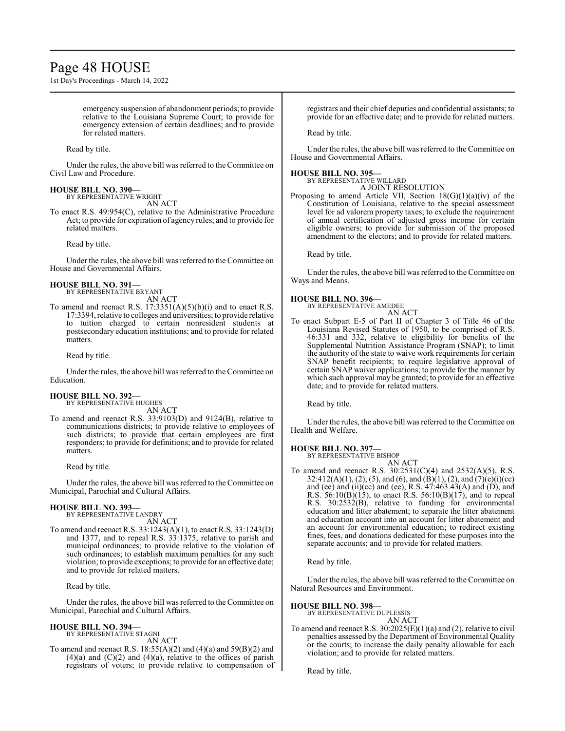# Page 48 HOUSE

1st Day's Proceedings - March 14, 2022

emergency suspension of abandonment periods; to provide relative to the Louisiana Supreme Court; to provide for emergency extension of certain deadlines; and to provide for related matters.

Read by title.

Under the rules, the above bill was referred to theCommittee on Civil Law and Procedure.

# **HOUSE BILL NO. 390—** BY REPRESENTATIVE WRIGHT

AN ACT

To enact R.S. 49:954(C), relative to the Administrative Procedure Act; to provide for expiration of agency rules; and to provide for related matters.

Read by title.

Under the rules, the above bill was referred to the Committee on House and Governmental Affairs.

#### **HOUSE BILL NO. 391—** BY REPRESENTATIVE BRYANT

AN ACT

To amend and reenact R.S.  $17:3351(A)(5)(b)(i)$  and to enact R.S. 17:3394, relative to colleges and universities; to provide relative to tuition charged to certain nonresident students at postsecondary education institutions; and to provide for related matters.

Read by title.

Under the rules, the above bill was referred to the Committee on Education.

# **HOUSE BILL NO. 392—**

BY REPRESENTATIVE HUGHES

AN ACT To amend and reenact R.S. 33:9103(D) and 9124(B), relative to communications districts; to provide relative to employees of such districts; to provide that certain employees are first responders; to provide for definitions; and to provide for related matters.

Read by title.

Under the rules, the above bill was referred to theCommittee on Municipal, Parochial and Cultural Affairs.

#### **HOUSE BILL NO. 393—** BY REPRESENTATIVE LANDRY

AN ACT

To amend and reenact R.S. 33:1243(A)(1), to enact R.S. 33:1243(D) and 1377, and to repeal R.S. 33:1375, relative to parish and municipal ordinances; to provide relative to the violation of such ordinances; to establish maximum penalties for any such violation; to provide exceptions; to provide for an effective date; and to provide for related matters.

Read by title.

Under the rules, the above bill was referred to theCommittee on Municipal, Parochial and Cultural Affairs.

# **HOUSE BILL NO. 394—** BY REPRESENTATIVE STAGNI

AN ACT

To amend and reenact R.S.  $18:55(A)(2)$  and  $(4)(a)$  and  $59(B)(2)$  and  $(4)(a)$  and  $(C)(2)$  and  $(4)(a)$ , relative to the offices of parish registrars of voters; to provide relative to compensation of registrars and their chief deputies and confidential assistants; to provide for an effective date; and to provide for related matters.

Read by title.

Under the rules, the above bill was referred to the Committee on House and Governmental Affairs.

# **HOUSE BILL NO. 395—**

BY REPRESENTATIVE WILLARD A JOINT RESOLUTION

Proposing to amend Article VII, Section 18(G)(1)(a)(iv) of the Constitution of Louisiana, relative to the special assessment level for ad valorem property taxes; to exclude the requirement of annual certification of adjusted gross income for certain eligible owners; to provide for submission of the proposed amendment to the electors; and to provide for related matters.

Read by title.

Under the rules, the above bill was referred to the Committee on Ways and Means.

# **HOUSE BILL NO. 396—**

BY REPRESENTATIVE AMEDEE AN ACT

To enact Subpart E-5 of Part II of Chapter 3 of Title 46 of the Louisiana Revised Statutes of 1950, to be comprised of R.S. 46:331 and 332, relative to eligibility for benefits of the Supplemental Nutrition Assistance Program (SNAP); to limit the authority of the state to waive work requirements for certain SNAP benefit recipients; to require legislative approval of certain SNAP waiver applications; to provide for the manner by which such approval may be granted; to provide for an effective date; and to provide for related matters.

Read by title.

Under the rules, the above bill was referred to the Committee on Health and Welfare.

# **HOUSE BILL NO. 397—**

BY REPRESENTATIVE BISHOP AN ACT

To amend and reenact R.S. 30:2531(C)(4) and 2532(A)(5), R.S. 32:412(A)(1), (2), (5), and (6), and (B)(1), (2), and (7)(e)(i)(cc) and (ee) and (ii)(cc) and (ee), R.S. 47:463.43(A) and (D), and R.S.  $56:10(B)(15)$ , to enact R.S.  $56:10(B)(17)$ , and to repeal R.S. 30:2532(B), relative to funding for environmental education and litter abatement; to separate the litter abatement and education account into an account for litter abatement and an account for environmental education; to redirect existing fines, fees, and donations dedicated for these purposes into the separate accounts; and to provide for related matters.

Read by title.

Under the rules, the above bill was referred to the Committee on Natural Resources and Environment.

# **HOUSE BILL NO. 398—**

BY REPRESENTATIVE DUPLESSIS AN ACT

To amend and reenact R.S.  $30:2025(E)(1)(a)$  and (2), relative to civil penalties assessed by the Department of Environmental Quality or the courts; to increase the daily penalty allowable for each violation; and to provide for related matters.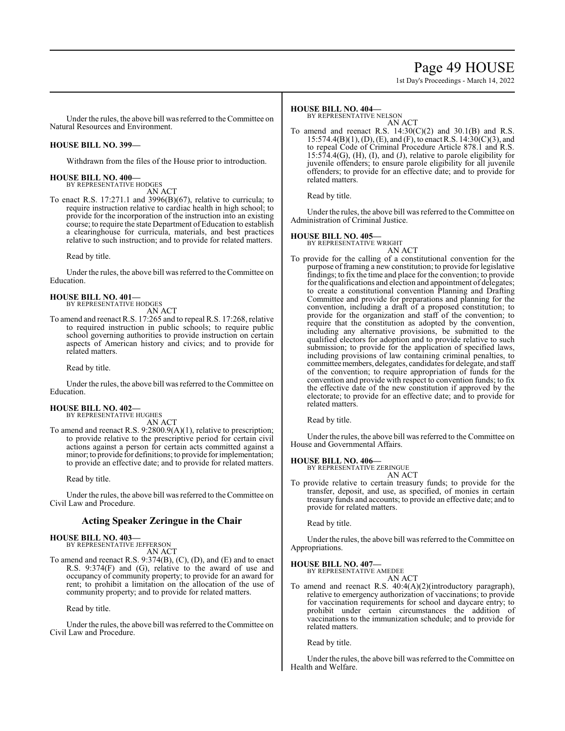# Page 49 HOUSE

1st Day's Proceedings - March 14, 2022

Under the rules, the above bill was referred to theCommittee on Natural Resources and Environment.

# **HOUSE BILL NO. 399—**

Withdrawn from the files of the House prior to introduction.

# **HOUSE BILL NO. 400—**

BY REPRESENTATIVE HODGES AN ACT

To enact R.S. 17:271.1 and 3996(B)(67), relative to curricula; to require instruction relative to cardiac health in high school; to provide for the incorporation of the instruction into an existing course; to require the state Department of Education to establish a clearinghouse for curricula, materials, and best practices relative to such instruction; and to provide for related matters.

Read by title.

Under the rules, the above bill was referred to theCommittee on Education.

**HOUSE BILL NO. 401—** BY REPRESENTATIVE HODGES

AN ACT To amend and reenact R.S. 17:265 and to repeal R.S. 17:268, relative to required instruction in public schools; to require public school governing authorities to provide instruction on certain aspects of American history and civics; and to provide for related matters.

Read by title.

Under the rules, the above bill was referred to the Committee on Education.

#### **HOUSE BILL NO. 402—** BY REPRESENTATIVE HUGHES

AN ACT

To amend and reenact R.S. 9:2800.9(A)(1), relative to prescription; to provide relative to the prescriptive period for certain civil actions against a person for certain acts committed against a minor; to provide for definitions; to provide for implementation; to provide an effective date; and to provide for related matters.

Read by title.

Under the rules, the above bill was referred to the Committee on Civil Law and Procedure.

# **Acting Speaker Zeringue in the Chair**

### **HOUSE BILL NO. 403—**

BY REPRESENTATIVE JEFFERSON AN ACT

To amend and reenact R.S. 9:374(B), (C), (D), and (E) and to enact R.S. 9:374(F) and (G), relative to the award of use and occupancy of community property; to provide for an award for rent; to prohibit a limitation on the allocation of the use of community property; and to provide for related matters.

Read by title.

Under the rules, the above bill was referred to the Committee on Civil Law and Procedure.

### **HOUSE BILL NO. 404—**

BY REPRESENTATIVE NELSON

AN ACT To amend and reenact R.S.  $14:30(C)(2)$  and  $30.1(B)$  and R.S. 15:574.4(B)(1), (D), (E), and (F), to enact R.S. 14:30(C)(3), and to repeal Code of Criminal Procedure Article 878.1 and R.S. 15:574.4(G), (H), (I), and (J), relative to parole eligibility for juvenile offenders; to ensure parole eligibility for all juvenile offenders; to provide for an effective date; and to provide for related matters.

Read by title.

Under the rules, the above bill was referred to the Committee on Administration of Criminal Justice.

### **HOUSE BILL NO. 405—**

BY REPRESENTATIVE WRIGHT

AN ACT To provide for the calling of a constitutional convention for the purpose of framing a new constitution; to provide for legislative findings; to fix the time and place for the convention; to provide for the qualifications and election and appointment of delegates; to create a constitutional convention Planning and Drafting Committee and provide for preparations and planning for the convention, including a draft of a proposed constitution; to provide for the organization and staff of the convention; to require that the constitution as adopted by the convention, including any alternative provisions, be submitted to the qualified electors for adoption and to provide relative to such submission; to provide for the application of specified laws, including provisions of law containing criminal penalties, to committeemembers, delegates, candidates for delegate, and staff of the convention; to require appropriation of funds for the convention and provide with respect to convention funds; to fix the effective date of the new constitution if approved by the electorate; to provide for an effective date; and to provide for related matters.

Read by title.

Under the rules, the above bill was referred to the Committee on House and Governmental Affairs.

### **HOUSE BILL NO. 406—**

BY REPRESENTATIVE ZERINGUE AN ACT

To provide relative to certain treasury funds; to provide for the transfer, deposit, and use, as specified, of monies in certain treasury funds and accounts; to provide an effective date; and to provide for related matters.

Read by title.

Under the rules, the above bill was referred to the Committee on Appropriations.

# **HOUSE BILL NO. 407—**

BY REPRESENTATIVE AMEDEE AN ACT

To amend and reenact R.S. 40:4(A)(2)(introductory paragraph), relative to emergency authorization of vaccinations; to provide for vaccination requirements for school and daycare entry; to prohibit under certain circumstances the addition of vaccinations to the immunization schedule; and to provide for related matters.

Read by title.

Under the rules, the above bill was referred to the Committee on Health and Welfare.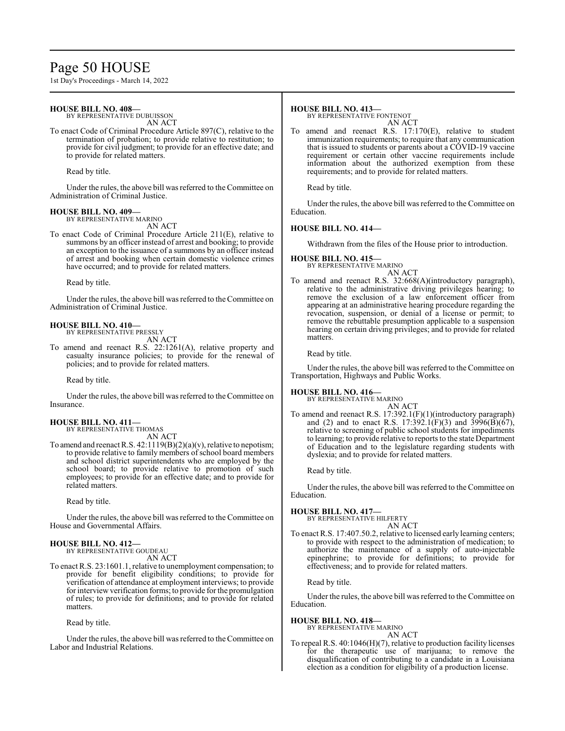# Page 50 HOUSE

1st Day's Proceedings - March 14, 2022

### **HOUSE BILL NO. 408—**

BY REPRESENTATIVE DUBUISSON AN ACT

To enact Code of Criminal Procedure Article 897(C), relative to the termination of probation; to provide relative to restitution; to provide for civil judgment; to provide for an effective date; and to provide for related matters.

Read by title.

Under the rules, the above bill was referred to the Committee on Administration of Criminal Justice.

# **HOUSE BILL NO. 409—**

BY REPRESENTATIVE MARINO AN ACT

To enact Code of Criminal Procedure Article 211(E), relative to summons by an officer instead of arrest and booking; to provide an exception to the issuance of a summons by an officer instead of arrest and booking when certain domestic violence crimes have occurred; and to provide for related matters.

Read by title.

Under the rules, the above bill was referred to the Committee on Administration of Criminal Justice.

#### **HOUSE BILL NO. 410—** BY REPRESENTATIVE PRESSLY

AN ACT

To amend and reenact R.S. 22:1261(A), relative property and casualty insurance policies; to provide for the renewal of policies; and to provide for related matters.

Read by title.

Under the rules, the above bill was referred to the Committee on Insurance.

### **HOUSE BILL NO. 411—** BY REPRESENTATIVE THOMAS

AN ACT

To amend and reenact R.S.  $42:1119(B)(2)(a)(v)$ , relative to nepotism; to provide relative to family members ofschool board members and school district superintendents who are employed by the school board; to provide relative to promotion of such employees; to provide for an effective date; and to provide for related matters.

Read by title.

Under the rules, the above bill was referred to the Committee on House and Governmental Affairs.

#### **HOUSE BILL NO. 412—** BY REPRESENTATIVE GOUDEAU

AN ACT

To enact R.S. 23:1601.1, relative to unemployment compensation; to provide for benefit eligibility conditions; to provide for verification of attendance at employment interviews; to provide for interviewverification forms; to provide for the promulgation of rules; to provide for definitions; and to provide for related matters.

Read by title.

Under the rules, the above bill was referred to the Committee on Labor and Industrial Relations.

### **HOUSE BILL NO. 413—**

BY REPRESENTATIVE FONTENOT AN ACT

To amend and reenact R.S. 17:170(E), relative to student immunization requirements; to require that any communication that is issued to students or parents about a COVID-19 vaccine requirement or certain other vaccine requirements include information about the authorized exemption from these requirements; and to provide for related matters.

Read by title.

Under the rules, the above bill was referred to the Committee on Education.

### **HOUSE BILL NO. 414—**

Withdrawn from the files of the House prior to introduction.

#### **HOUSE BILL NO. 415—** BY REPRESENTATIVE MARINO

AN ACT

To amend and reenact R.S. 32:668(A)(introductory paragraph), relative to the administrative driving privileges hearing; to remove the exclusion of a law enforcement officer from appearing at an administrative hearing procedure regarding the revocation, suspension, or denial of a license or permit; to remove the rebuttable presumption applicable to a suspension hearing on certain driving privileges; and to provide for related matters.

Read by title.

Under the rules, the above bill was referred to the Committee on Transportation, Highways and Public Works.

# **HOUSE BILL NO. 416—**

BY REPRESENTATIVE MARINO AN ACT

To amend and reenact R.S. 17:392.1(F)(1)(introductory paragraph) and (2) and to enact R.S. 17:392.1(F)(3) and 3996(B)( $\overline{67}$ ), relative to screening of public school students for impediments to learning; to provide relative to reports to the state Department of Education and to the legislature regarding students with dyslexia; and to provide for related matters.

Read by title.

Under the rules, the above bill was referred to the Committee on Education.

### **HOUSE BILL NO. 417—**

BY REPRESENTATIVE HILFERTY AN ACT

To enact R.S. 17:407.50.2, relative to licensed early learning centers; to provide with respect to the administration of medication; to authorize the maintenance of a supply of auto-injectable epinephrine; to provide for definitions; to provide for effectiveness; and to provide for related matters.

Read by title.

Under the rules, the above bill was referred to the Committee on Education.

### **HOUSE BILL NO. 418—**

BY REPRESENTATIVE MARINO AN ACT

To repeal R.S. 40:1046(H)(7), relative to production facility licenses for the therapeutic use of marijuana; to remove the disqualification of contributing to a candidate in a Louisiana election as a condition for eligibility of a production license.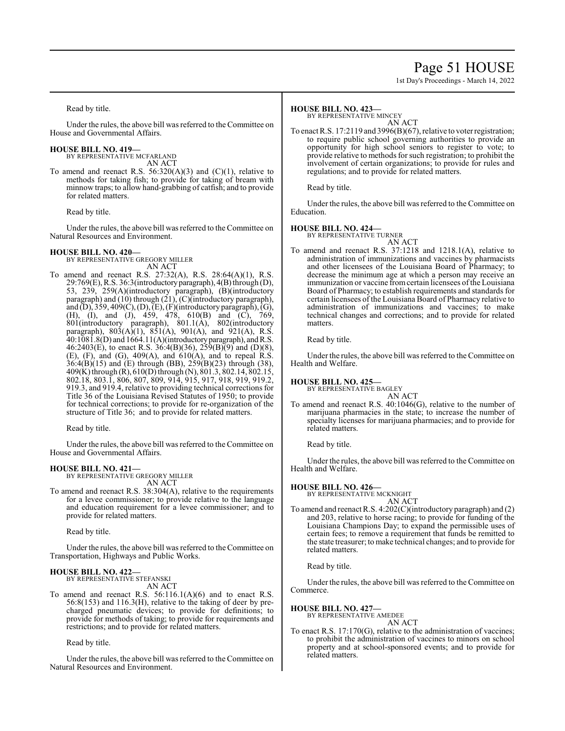# Page 51 HOUSE

1st Day's Proceedings - March 14, 2022

Read by title.

Under the rules, the above bill was referred to the Committee on House and Governmental Affairs.

#### **HOUSE BILL NO. 419—** BY REPRESENTATIVE MCFARLAND

AN ACT

To amend and reenact R.S.  $56:320(A)(3)$  and  $(C)(1)$ , relative to methods for taking fish; to provide for taking of bream with minnow traps; to allow hand-grabbing of catfish; and to provide for related matters.

Read by title.

Under the rules, the above bill was referred to the Committee on Natural Resources and Environment.

# **HOUSE BILL NO. 420—**

BY REPRESENTATIVE GREGORY MILLER AN ACT

To amend and reenact R.S. 27:32(A), R.S. 28:64(A)(1), R.S. 29:769(E), R.S. 36:3(introductoryparagraph), 4(B) through (D), 53, 239, 259(A)(introductory paragraph), (B)(introductory paragraph) and (10) through (21), (C)(introductory paragraph), and (D), 359, 409(C), (D), (E), (F)(introductory paragraph), (G), (H), (I), and (J), 459, 478, 610(B) and (C), 769, 801(introductory paragraph), 801.1(A), 802(introductory paragraph),  $803(A)(1)$ ,  $851(A)$ ,  $901(A)$ , and  $921(A)$ , R.S. 40:1081.8(D) and 1664.11(A)(introductoryparagraph), andR.S. 46:2403(E), to enact R.S. 36:4(B)(36), 259(B)(9) and (D)(8),  $(E)$ ,  $(F)$ , and  $(G)$ ,  $409(A)$ , and  $610(A)$ , and to repeal R.S. 36:4(B)(15) and (E) through (BB), 259(B)(23) through (38), 409(K) through (R), 610(D) through (N), 801.3, 802.14, 802.15, 802.18, 803.1, 806, 807, 809, 914, 915, 917, 918, 919, 919.2, 919.3, and 919.4, relative to providing technical corrections for Title 36 of the Louisiana Revised Statutes of 1950; to provide for technical corrections; to provide for re-organization of the structure of Title 36; and to provide for related matters.

Read by title.

Under the rules, the above bill was referred to the Committee on House and Governmental Affairs.

# **HOUSE BILL NO. 421—**

BY REPRESENTATIVE GREGORY MILLER AN ACT

To amend and reenact R.S. 38:304(A), relative to the requirements for a levee commissioner; to provide relative to the language and education requirement for a levee commissioner; and to provide for related matters.

Read by title.

Under the rules, the above bill was referred to the Committee on Transportation, Highways and Public Works.

#### **HOUSE BILL NO. 422—** BY REPRESENTATIVE STEFANSKI

AN ACT

To amend and reenact R.S. 56:116.1(A)(6) and to enact R.S. 56:8(153) and 116.3(H), relative to the taking of deer by precharged pneumatic devices; to provide for definitions; to provide for methods of taking; to provide for requirements and restrictions; and to provide for related matters.

Read by title.

Under the rules, the above bill was referred to the Committee on Natural Resources and Environment.

### **HOUSE BILL NO. 423—**

BY REPRESENTATIVE MINCEY

AN ACT To enact R.S. 17:2119 and 3996(B)(67), relative to voter registration; to require public school governing authorities to provide an opportunity for high school seniors to register to vote; to provide relative to methods for such registration; to prohibit the involvement of certain organizations; to provide for rules and regulations; and to provide for related matters.

Read by title.

Under the rules, the above bill was referred to the Committee on Education.

**HOUSE BILL NO. 424—** BY REPRESENTATIVE TURNER AN ACT

To amend and reenact R.S. 37:1218 and 1218.1(A), relative to administration of immunizations and vaccines by pharmacists and other licensees of the Louisiana Board of Pharmacy; to decrease the minimum age at which a person may receive an immunization or vaccine fromcertain licensees ofthe Louisiana Board of Pharmacy; to establish requirements and standards for certain licensees of the Louisiana Board of Pharmacy relative to administration of immunizations and vaccines; to make technical changes and corrections; and to provide for related matters.

Read by title.

Under the rules, the above bill was referred to the Committee on Health and Welfare.

# **HOUSE BILL NO. 425—**

BY REPRESENTATIVE BAGLEY

AN ACT To amend and reenact R.S. 40:1046(G), relative to the number of marijuana pharmacies in the state; to increase the number of specialty licenses for marijuana pharmacies; and to provide for related matters.

Read by title.

Under the rules, the above bill was referred to the Committee on Health and Welfare.

# **HOUSE BILL NO. 426—**

BY REPRESENTATIVE MCKNIGHT AN ACT

To amend and reenact R.S. 4:202(C)(introductory paragraph) and (2) and 203, relative to horse racing; to provide for funding of the Louisiana Champions Day; to expand the permissible uses of certain fees; to remove a requirement that funds be remitted to the state treasurer; to make technical changes; and to provide for related matters.

Read by title.

Under the rules, the above bill was referred to the Committee on Commerce.

## **HOUSE BILL NO. 427—**

BY REPRESENTATIVE AMEDEE AN ACT

To enact R.S. 17:170(G), relative to the administration of vaccines; to prohibit the administration of vaccines to minors on school property and at school-sponsored events; and to provide for related matters.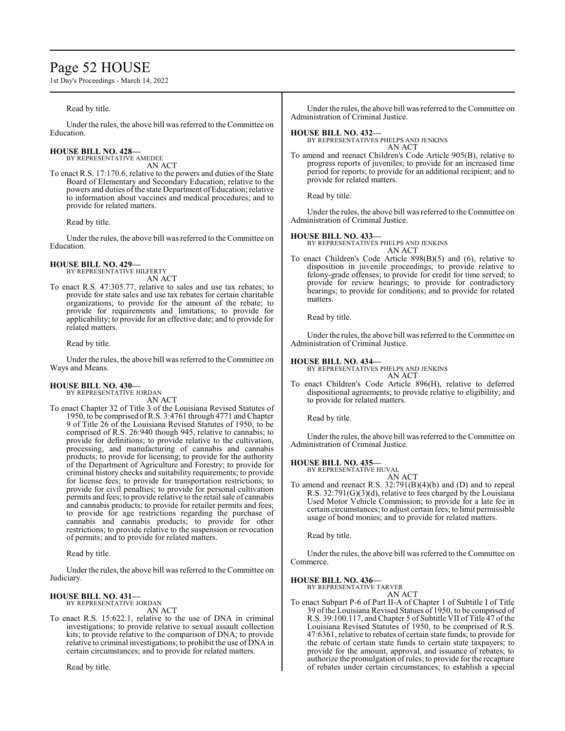# Page 52 HOUSE

1st Day's Proceedings - March 14, 2022

Read by title. Under the rules, the above bill was referred to the Committee on Education. **HOUSE BILL NO. 428—** BY REPRESENTATIVE AMEDEE AN ACT To enact R.S. 17:170.6, relative to the powers and duties of the State Board of Elementary and Secondary Education; relative to the powers and duties of the state Department of Education; relative to information about vaccines and medical procedures; and to provide for related matters. Read by title. Under the rules, the above bill was referred to the Committee on Education. **HOUSE BILL NO. 429—** BY REPRESENTATIVE HILFERTY AN ACT To enact R.S. 47:305.77, relative to sales and use tax rebates; to provide for state sales and use tax rebates for certain charitable organizations; to provide for the amount of the rebate; to provide for requirements and limitations; to provide for applicability; to provide for an effective date; and to provide for related matters. Read by title. Under the rules, the above bill was referred to the Committee on Ways and Means. **HOUSE BILL NO. 430—** BY REPRESENTATIVE JORDAN Under the rules, the above bill was referred to the Committee on Administration of Criminal Justice. **HOUSE BILL NO. 432—** BY REPRESENTATIVES PHELPS AND JENKINS AN ACT To amend and reenact Children's Code Article 905(B), relative to progress reports of juveniles; to provide for an increased time period for reports; to provide for an additional recipient; and to provide for related matters. Read by title. Under the rules, the above bill was referred to the Committee on Administration of Criminal Justice. **HOUSE BILL NO. 433—** BY REPRESENTATIVES PHELPS AND JENKINS AN ACT To enact Children's Code Article 898(B)(5) and (6), relative to disposition in juvenile proceedings; to provide relative to felony-grade offenses; to provide for credit for time served; to provide for review hearings; to provide for contradictory hearings; to provide for conditions; and to provide for related matters. Read by title. Under the rules, the above bill was referred to the Committee on Administration of Criminal Justice. **HOUSE BILL NO. 434—** BY REPRESENTATIVES PHELPS AND JENKINS AN ACT To enact Children's Code Article 896(H), relative to deferred dispositional agreements; to provide relative to eligibility; and

### AN ACT To enact Chapter 32 of Title 3 of the Louisiana Revised Statutes of 1950, to be comprised ofR.S. 3:4761 through 4771 and Chapter 9 of Title 26 of the Louisiana Revised Statutes of 1950, to be comprised of R.S. 26:940 though 945, relative to cannabis; to provide for definitions; to provide relative to the cultivation, processing, and manufacturing of cannabis and cannabis products; to provide for licensing; to provide for the authority of the Department of Agriculture and Forestry; to provide for criminal history checks and suitability requirements; to provide for license fees; to provide for transportation restrictions; to provide for civil penalties; to provide for personal cultivation permits and fees; to provide relative to the retail sale of cannabis and cannabis products; to provide for retailer permits and fees; to provide for age restrictions regarding the purchase of cannabis and cannabis products; to provide for other restrictions; to provide relative to the suspension or revocation

of permits; and to provide for related matters.

Read by title.

Under the rules, the above bill was referred to the Committee on Judiciary.

# **HOUSE BILL NO. 431—**

BY REPRESENTATIVE JORDAN

AN ACT

To enact R.S. 15:622.1, relative to the use of DNA in criminal investigations; to provide relative to sexual assault collection kits; to provide relative to the comparison of DNA; to provide relative to criminal investigations; to prohibit the use of DNA in certain circumstances; and to provide for related matters.

Read by title.

to provide for related matters.

Read by title.

Under the rules, the above bill was referred to the Committee on Administration of Criminal Justice.

# **HOUSE BILL NO. 435—**

BY REPRESENTATIVE HUVAL AN ACT

To amend and reenact R.S. 32:791(B)(4)(b) and (D) and to repeal R.S.  $32:791(G)(3)(d)$ , relative to fees charged by the Louisiana Used Motor Vehicle Commission; to provide for a late fee in certain circumstances; to adjust certain fees; to limit permissible usage of bond monies; and to provide for related matters.

Read by title.

Under the rules, the above bill was referred to the Committee on Commerce.

**HOUSE BILL NO. 436—**

BY REPRESENTATIVE TARVER AN ACT

To enact Subpart P-6 of Part II-A of Chapter 1 of Subtitle I of Title 39 ofthe Louisiana Revised Statues of 1950, to be comprised of R.S. 39:100.117, and Chapter 5 of Subtitle VII of Title 47 of the Louisiana Revised Statutes of 1950, to be comprised of R.S. 47:6361, relative to rebates of certain state funds; to provide for the rebate of certain state funds to certain state taxpayers; to provide for the amount, approval, and issuance of rebates; to authorize the promulgation ofrules; to provide for the recapture of rebates under certain circumstances; to establish a special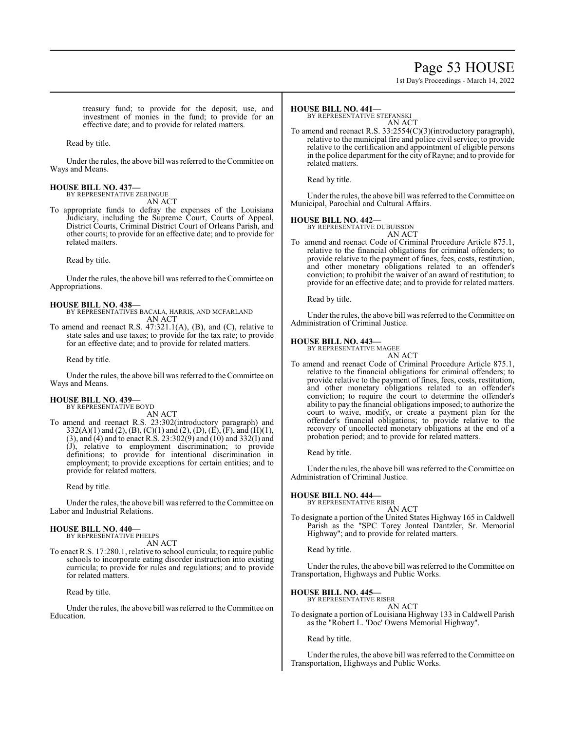# Page 53 HOUSE

1st Day's Proceedings - March 14, 2022

treasury fund; to provide for the deposit, use, and investment of monies in the fund; to provide for an effective date; and to provide for related matters.

Read by title.

Under the rules, the above bill was referred to the Committee on Ways and Means.

## **HOUSE BILL NO. 437—**

BY REPRESENTATIVE ZERINGUE AN ACT

To appropriate funds to defray the expenses of the Louisiana Judiciary, including the Supreme Court, Courts of Appeal, District Courts, Criminal District Court of Orleans Parish, and other courts; to provide for an effective date; and to provide for related matters.

Read by title.

Under the rules, the above bill was referred to theCommittee on Appropriations.

# **HOUSE BILL NO. 438—**

BY REPRESENTATIVES BACALA, HARRIS, AND MCFARLAND AN ACT

To amend and reenact R.S. 47:321.1(A), (B), and (C), relative to state sales and use taxes; to provide for the tax rate; to provide for an effective date; and to provide for related matters.

Read by title.

Under the rules, the above bill was referred to the Committee on Ways and Means.

#### **HOUSE BILL NO. 439—** BY REPRESENTATIVE BOYD

AN ACT

To amend and reenact R.S. 23:302(introductory paragraph) and  $332(A)(1)$  and  $(2), (B), (C)(1)$  and  $(2), (D), (E), (F),$  and  $(H)(1),$ (3), and (4) and to enact R.S. 23:302(9) and (10) and 332(I) and (J), relative to employment discrimination; to provide definitions; to provide for intentional discrimination in employment; to provide exceptions for certain entities; and to provide for related matters.

Read by title.

Under the rules, the above bill was referred to the Committee on Labor and Industrial Relations.

#### **HOUSE BILL NO. 440—** BY REPRESENTATIVE PHELPS

AN ACT

To enact R.S. 17:280.1, relative to school curricula; to require public schools to incorporate eating disorder instruction into existing curricula; to provide for rules and regulations; and to provide for related matters.

Read by title.

Under the rules, the above bill was referred to the Committee on Education.

#### **HOUSE BILL NO. 441—**

BY REPRESENTATIVE STEFANSKI

AN ACT To amend and reenact R.S. 33:2554(C)(3)(introductory paragraph), relative to the municipal fire and police civil service; to provide relative to the certification and appointment of eligible persons in the police department for the city of Rayne; and to provide for related matters.

Read by title.

Under the rules, the above bill was referred to the Committee on Municipal, Parochial and Cultural Affairs.

# **HOUSE BILL NO. 442—** BY REPRESENTATIVE DUBUISSON

AN ACT

To amend and reenact Code of Criminal Procedure Article 875.1, relative to the financial obligations for criminal offenders; to provide relative to the payment of fines, fees, costs, restitution, and other monetary obligations related to an offender's conviction; to prohibit the waiver of an award of restitution; to provide for an effective date; and to provide for related matters.

Read by title.

Under the rules, the above bill was referred to the Committee on Administration of Criminal Justice.

### **HOUSE BILL NO. 443—**

BY REPRESENTATIVE MAGEE

AN ACT To amend and reenact Code of Criminal Procedure Article 875.1, relative to the financial obligations for criminal offenders; to provide relative to the payment of fines, fees, costs, restitution, and other monetary obligations related to an offender's conviction; to require the court to determine the offender's ability to pay the financial obligations imposed; to authorize the court to waive, modify, or create a payment plan for the offender's financial obligations; to provide relative to the recovery of uncollected monetary obligations at the end of a probation period; and to provide for related matters.

Read by title.

Under the rules, the above bill was referred to the Committee on Administration of Criminal Justice.

# **HOUSE BILL NO. 444—** BY REPRESENTATIVE RISER

AN ACT

To designate a portion of the United States Highway 165 in Caldwell Parish as the "SPC Torey Jonteal Dantzler, Sr. Memorial Highway"; and to provide for related matters.

Read by title.

Under the rules, the above bill was referred to the Committee on Transportation, Highways and Public Works.

## **HOUSE BILL NO. 445—**

BY REPRESENTATIVE RISER AN ACT

To designate a portion of Louisiana Highway 133 in Caldwell Parish as the "Robert L. 'Doc' Owens Memorial Highway".

Read by title.

Under the rules, the above bill was referred to the Committee on Transportation, Highways and Public Works.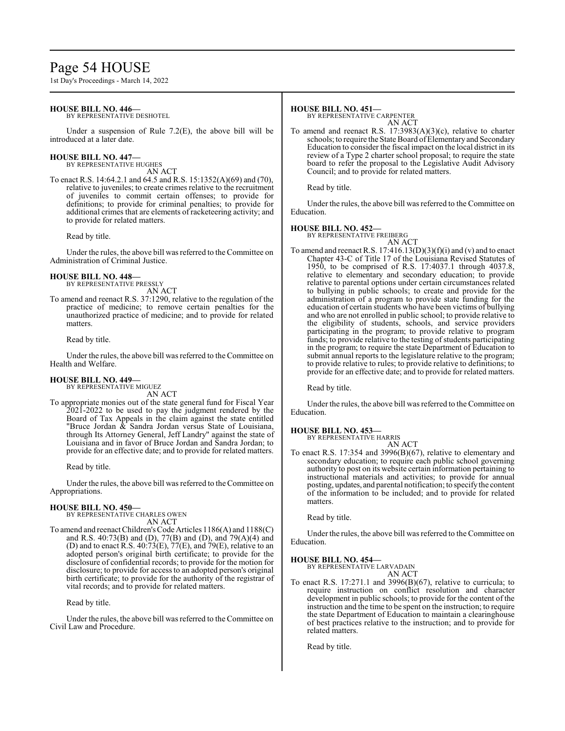# Page 54 HOUSE

1st Day's Proceedings - March 14, 2022

# **HOUSE BILL NO. 446—**

BY REPRESENTATIVE DESHOTEL

Under a suspension of Rule  $7.2(E)$ , the above bill will be introduced at a later date.

#### **HOUSE BILL NO. 447—** BY REPRESENTATIVE HUGHES

AN ACT

To enact R.S. 14:64.2.1 and 64.5 and R.S. 15:1352(A)(69) and (70), relative to juveniles; to create crimes relative to the recruitment of juveniles to commit certain offenses; to provide for definitions; to provide for criminal penalties; to provide for additional crimes that are elements of racketeering activity; and to provide for related matters.

Read by title.

Under the rules, the above bill was referred to the Committee on Administration of Criminal Justice.

#### **HOUSE BILL NO. 448—** BY REPRESENTATIVE PRESSLY

AN ACT

To amend and reenact R.S. 37:1290, relative to the regulation of the practice of medicine; to remove certain penalties for the unauthorized practice of medicine; and to provide for related matters.

Read by title.

Under the rules, the above bill was referred to the Committee on Health and Welfare.

# **HOUSE BILL NO. 449—**

BY REPRESENTATIVE MIGUEZ AN ACT

To appropriate monies out of the state general fund for Fiscal Year 2021-2022 to be used to pay the judgment rendered by the Board of Tax Appeals in the claim against the state entitled "Bruce Jordan  $\&$  Sandra Jordan versus State of Louisiana, through Its Attorney General, Jeff Landry" against the state of Louisiana and in favor of Bruce Jordan and Sandra Jordan; to provide for an effective date; and to provide for related matters.

Read by title.

Under the rules, the above bill was referred to the Committee on Appropriations.

### **HOUSE BILL NO. 450—**

BY REPRESENTATIVE CHARLES OWEN AN ACT

To amend and reenact Children's Code Articles 1186(A) and 1188(C) and R.S. 40:73(B) and (D), 77(B) and (D), and 79(A)(4) and (D) and to enact R.S.  $40.73(E)$ ,  $77(E)$ , and  $79(E)$ , relative to an adopted person's original birth certificate; to provide for the disclosure of confidential records; to provide for the motion for disclosure; to provide for access to an adopted person's original birth certificate; to provide for the authority of the registrar of vital records; and to provide for related matters.

Read by title.

Under the rules, the above bill was referred to the Committee on Civil Law and Procedure.

### **HOUSE BILL NO. 451—**

BY REPRESENTATIVE CARPENTER AN ACT

To amend and reenact R.S. 17:3983(A)(3)(c), relative to charter schools; to require the State Board of Elementary and Secondary Education to consider the fiscal impact on the local district in its review of a Type 2 charter school proposal; to require the state board to refer the proposal to the Legislative Audit Advisory Council; and to provide for related matters.

Read by title.

Under the rules, the above bill was referred to the Committee on Education.

**HOUSE BILL NO. 452—** BY REPRESENTATIVE FREIBERG

- AN ACT
- To amend and reenact R.S.  $17:416.13(D)(3)(f)(i)$  and (v) and to enact Chapter 43-C of Title 17 of the Louisiana Revised Statutes of 1950, to be comprised of R.S. 17:4037.1 through 4037.8, relative to elementary and secondary education; to provide relative to parental options under certain circumstances related to bullying in public schools; to create and provide for the administration of a program to provide state funding for the education of certain students who have been victims of bullying and who are not enrolled in public school; to provide relative to the eligibility of students, schools, and service providers participating in the program; to provide relative to program funds; to provide relative to the testing of students participating in the program; to require the state Department of Education to submit annual reports to the legislature relative to the program; to provide relative to rules; to provide relative to definitions; to provide for an effective date; and to provide for related matters.

Read by title.

Under the rules, the above bill was referred to the Committee on Education.

# **HOUSE BILL NO. 453—**

BY REPRESENTATIVE HARRIS

AN ACT To enact R.S. 17:354 and 3996(B)(67), relative to elementary and secondary education; to require each public school governing authority to post on its website certain information pertaining to instructional materials and activities; to provide for annual posting, updates, and parental notification; to specify the content of the information to be included; and to provide for related matters.

Read by title.

Under the rules, the above bill was referred to the Committee on Education.

# **HOUSE BILL NO. 454—**

BY REPRESENTATIVE LARVADAIN AN ACT

To enact R.S. 17:271.1 and 3996(B)(67), relative to curricula; to require instruction on conflict resolution and character development in public schools; to provide for the content of the instruction and the time to be spent on the instruction; to require the state Department of Education to maintain a clearinghouse of best practices relative to the instruction; and to provide for related matters.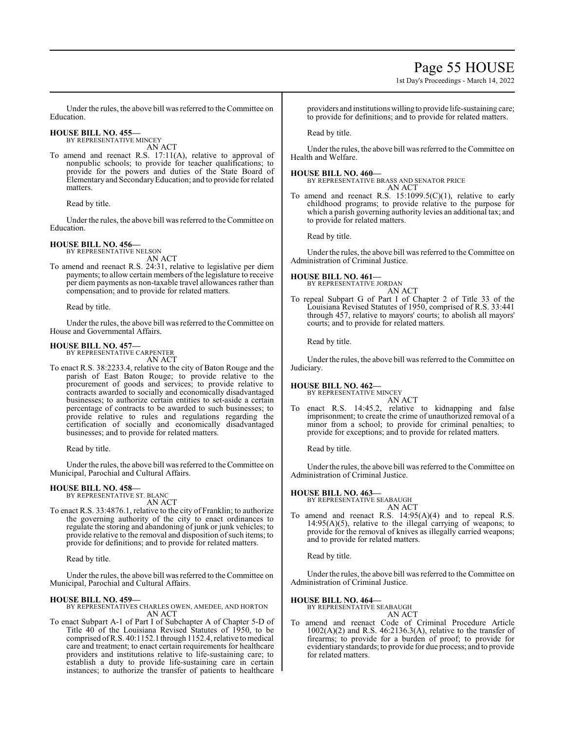# Page 55 HOUSE

1st Day's Proceedings - March 14, 2022

Under the rules, the above bill was referred to the Committee on Education.

#### **HOUSE BILL NO. 455—** BY REPRESENTATIVE MINCEY

AN ACT

To amend and reenact R.S. 17:11(A), relative to approval of nonpublic schools; to provide for teacher qualifications; to provide for the powers and duties of the State Board of Elementary and SecondaryEducation; and to provide for related matters.

Read by title.

Under the rules, the above bill was referred to the Committee on Education.

# **HOUSE BILL NO. 456—**

BY REPRESENTATIVE NELSON AN ACT

To amend and reenact R.S. 24:31, relative to legislative per diem payments; to allow certain members of the legislature to receive per diem payments as non-taxable travel allowances rather than compensation; and to provide for related matters.

Read by title.

Under the rules, the above bill was referred to the Committee on House and Governmental Affairs.

# **HOUSE BILL NO. 457—**

BY REPRESENTATIVE CARPENTER AN ACT

To enact R.S. 38:2233.4, relative to the city of Baton Rouge and the parish of East Baton Rouge; to provide relative to the procurement of goods and services; to provide relative to contracts awarded to socially and economically disadvantaged businesses; to authorize certain entities to set-aside a certain percentage of contracts to be awarded to such businesses; to provide relative to rules and regulations regarding the certification of socially and economically disadvantaged businesses; and to provide for related matters.

Read by title.

Under the rules, the above bill was referred to theCommittee on Municipal, Parochial and Cultural Affairs.

# **HOUSE BILL NO. 458—**

BY REPRESENTATIVE ST. BLANC AN ACT

To enact R.S. 33:4876.1, relative to the city of Franklin; to authorize the governing authority of the city to enact ordinances to regulate the storing and abandoning of junk or junk vehicles; to provide relative to the removal and disposition of such items; to provide for definitions; and to provide for related matters.

Read by title.

Under the rules, the above bill was referred to the Committee on Municipal, Parochial and Cultural Affairs.

# **HOUSE BILL NO. 459—**

BY REPRESENTATIVES CHARLES OWEN, AMEDEE, AND HORTON AN ACT

To enact Subpart A-1 of Part I of Subchapter A of Chapter 5-D of Title 40 of the Louisiana Revised Statutes of 1950, to be comprised of R.S. 40:1152.1 through 1152.4, relative to medical care and treatment; to enact certain requirements for healthcare providers and institutions relative to life-sustaining care; to establish a duty to provide life-sustaining care in certain instances; to authorize the transfer of patients to healthcare

providers and institutions willing to provide life-sustaining care; to provide for definitions; and to provide for related matters.

Read by title.

Under the rules, the above bill was referred to the Committee on Health and Welfare.

### **HOUSE BILL NO. 460—**

BY REPRESENTATIVE BRASS AND SENATOR PRICE AN ACT

To amend and reenact R.S.  $15:1099.5(C)(1)$ , relative to early childhood programs; to provide relative to the purpose for which a parish governing authority levies an additional tax; and to provide for related matters.

Read by title.

Under the rules, the above bill was referred to the Committee on Administration of Criminal Justice.

**HOUSE BILL NO. 461—**

BY REPRESENTATIVE JORDAN AN ACT

To repeal Subpart G of Part I of Chapter 2 of Title 33 of the Louisiana Revised Statutes of 1950, comprised of R.S. 33:441 through 457, relative to mayors' courts; to abolish all mayors' courts; and to provide for related matters.

Read by title.

Under the rules, the above bill was referred to the Committee on Judiciary.

# **HOUSE BILL NO. 462—** BY REPRESENTATIVE MINCEY

- AN ACT
- enact R.S. 14:45.2, relative to kidnapping and false imprisonment; to create the crime of unauthorized removal of a minor from a school; to provide for criminal penalties; to provide for exceptions; and to provide for related matters.

Read by title.

Under the rules, the above bill was referred to the Committee on Administration of Criminal Justice.

# **HOUSE BILL NO. 463—**

BY REPRESENTATIVE SEABAUGH AN ACT

To amend and reenact R.S. 14:95(A)(4) and to repeal R.S.  $14:95(A)(5)$ , relative to the illegal carrying of weapons; to provide for the removal of knives as illegally carried weapons; and to provide for related matters.

Read by title.

Under the rules, the above bill was referred to the Committee on Administration of Criminal Justice.

# **HOUSE BILL NO. 464—**

BY REPRESENTATIVE SEABAUGH

AN ACT To amend and reenact Code of Criminal Procedure Article  $1002(A)(2)$  and R.S.  $46:2136.3(A)$ , relative to the transfer of firearms; to provide for a burden of proof; to provide for evidentiary standards; to provide for due process; and to provide for related matters.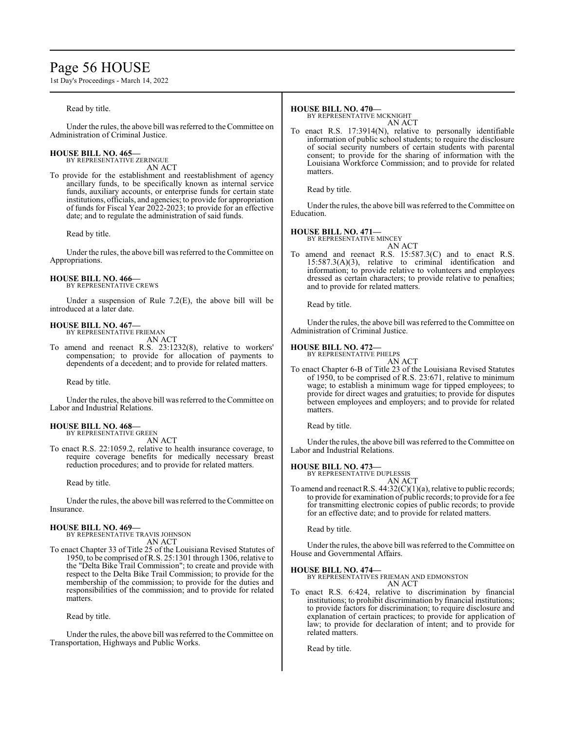# Page 56 HOUSE

1st Day's Proceedings - March 14, 2022

### Read by title.

Under the rules, the above bill was referred to the Committee on Administration of Criminal Justice.

# **HOUSE BILL NO. 465—**

BY REPRESENTATIVE ZERINGUE AN ACT

To provide for the establishment and reestablishment of agency ancillary funds, to be specifically known as internal service funds, auxiliary accounts, or enterprise funds for certain state institutions, officials, and agencies; to provide for appropriation of funds for Fiscal Year 2022-2023; to provide for an effective date; and to regulate the administration of said funds.

Read by title.

Under the rules, the above bill was referred to the Committee on Appropriations.

#### **HOUSE BILL NO. 466—** BY REPRESENTATIVE CREWS

Under a suspension of Rule 7.2(E), the above bill will be introduced at a later date.

# **HOUSE BILL NO. 467—** BY REPRESENTATIVE FRIEMAN

AN ACT

To amend and reenact R.S. 23:1232(8), relative to workers' compensation; to provide for allocation of payments to dependents of a decedent; and to provide for related matters.

Read by title.

Under the rules, the above bill was referred to the Committee on Labor and Industrial Relations.

#### **HOUSE BILL NO. 468—** BY REPRESENTATIVE GREEN

AN ACT

To enact R.S. 22:1059.2, relative to health insurance coverage, to require coverage benefits for medically necessary breast reduction procedures; and to provide for related matters.

Read by title.

Under the rules, the above bill was referred to the Committee on Insurance.

### **HOUSE BILL NO. 469—**

BY REPRESENTATIVE TRAVIS JOHNSON AN ACT

To enact Chapter 33 of Title 25 of the Louisiana Revised Statutes of 1950, to be comprised ofR.S. 25:1301 through 1306, relative to the "Delta Bike Trail Commission"; to create and provide with respect to the Delta Bike Trail Commission; to provide for the membership of the commission; to provide for the duties and responsibilities of the commission; and to provide for related matters.

Read by title.

Under the rules, the above bill was referred to the Committee on Transportation, Highways and Public Works.

## **HOUSE BILL NO. 470—**

BY REPRESENTATIVE MCKNIGHT AN ACT

To enact R.S. 17:3914(N), relative to personally identifiable information of public school students; to require the disclosure of social security numbers of certain students with parental consent; to provide for the sharing of information with the Louisiana Workforce Commission; and to provide for related matters.

Read by title.

Under the rules, the above bill was referred to the Committee on Education.

### **HOUSE BILL NO. 471—**

BY REPRESENTATIVE MINCEY AN ACT

To amend and reenact R.S. 15:587.3(C) and to enact R.S. 15:587.3(A)(3), relative to criminal identification and information; to provide relative to volunteers and employees dressed as certain characters; to provide relative to penalties; and to provide for related matters.

Read by title.

Under the rules, the above bill was referred to the Committee on Administration of Criminal Justice.

### **HOUSE BILL NO. 472—**

BY REPRESENTATIVE PHELPS AN ACT

To enact Chapter 6-B of Title 23 of the Louisiana Revised Statutes of 1950, to be comprised of R.S. 23:671, relative to minimum wage; to establish a minimum wage for tipped employees; to provide for direct wages and gratuities; to provide for disputes between employees and employers; and to provide for related matters.

Read by title.

Under the rules, the above bill was referred to the Committee on Labor and Industrial Relations.

### **HOUSE BILL NO. 473—**

BY REPRESENTATIVE DUPLESSIS AN ACT

To amend and reenact R.S. 44:32(C)(1)(a), relative to public records; to provide for examination of public records; to provide for a fee for transmitting electronic copies of public records; to provide for an effective date; and to provide for related matters.

Read by title.

Under the rules, the above bill was referred to the Committee on House and Governmental Affairs.

### **HOUSE BILL NO. 474—**

BY REPRESENTATIVES FRIEMAN AND EDMONSTON

AN ACT

To enact R.S. 6:424, relative to discrimination by financial institutions; to prohibit discrimination by financial institutions; to provide factors for discrimination; to require disclosure and explanation of certain practices; to provide for application of law; to provide for declaration of intent; and to provide for related matters.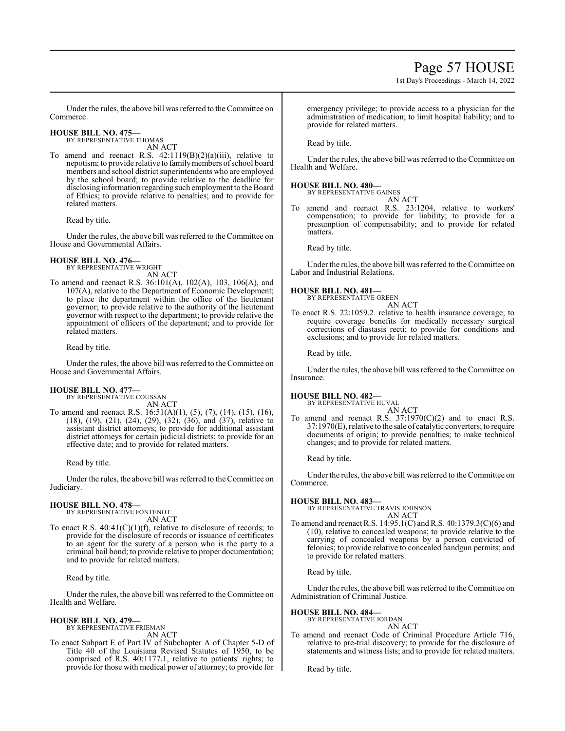1st Day's Proceedings - March 14, 2022

Under the rules, the above bill was referred to the Committee on Commerce.

### **HOUSE BILL NO. 475—** BY REPRESENTATIVE THOMAS

AN ACT To amend and reenact R.S. 42:1119(B)(2)(a)(iii), relative to nepotism; to provide relative to family members of school board members and school district superintendents who are employed by the school board; to provide relative to the deadline for disclosing information regarding such employment to the Board of Ethics; to provide relative to penalties; and to provide for related matters.

Read by title.

Under the rules, the above bill was referred to the Committee on House and Governmental Affairs.

# **HOUSE BILL NO. 476—**

BY REPRESENTATIVE WRIGHT AN ACT

To amend and reenact R.S. 36:101(A), 102(A), 103, 106(A), and 107(A), relative to the Department of Economic Development; to place the department within the office of the lieutenant governor; to provide relative to the authority of the lieutenant governor with respect to the department; to provide relative the appointment of officers of the department; and to provide for related matters.

Read by title.

Under the rules, the above bill was referred to the Committee on House and Governmental Affairs.

# **HOUSE BILL NO. 477—**

BY REPRESENTATIVE COUSSAN AN ACT

To amend and reenact R.S. 16:51(A)(1), (5), (7), (14), (15), (16), (18), (19), (21), (24), (29), (32), (36), and (37), relative to assistant district attorneys; to provide for additional assistant district attorneys for certain judicial districts; to provide for an effective date; and to provide for related matters.

Read by title.

Under the rules, the above bill was referred to the Committee on Judiciary.

# **HOUSE BILL NO. 478—**

BY REPRESENTATIVE FONTENOT AN ACT

To enact R.S.  $40:41(C)(1)(f)$ , relative to disclosure of records; to provide for the disclosure of records or issuance of certificates to an agent for the surety of a person who is the party to a criminal bail bond; to provide relative to proper documentation; and to provide for related matters.

Read by title.

Under the rules, the above bill was referred to the Committee on Health and Welfare.

#### **HOUSE BILL NO. 479—** BY REPRESENTATIVE FRIEMAN

AN ACT

To enact Subpart E of Part IV of Subchapter A of Chapter 5-D of Title 40 of the Louisiana Revised Statutes of 1950, to be comprised of R.S. 40:1177.1, relative to patients' rights; to provide for those with medical power of attorney; to provide for emergency privilege; to provide access to a physician for the administration of medication; to limit hospital liability; and to provide for related matters.

# Read by title.

Under the rules, the above bill was referred to the Committee on Health and Welfare.

# **HOUSE BILL NO. 480—**

BY REPRESENTATIVE GAINES

AN ACT To amend and reenact R.S. 23:1204, relative to workers' compensation; to provide for liability; to provide for a presumption of compensability; and to provide for related matters.

Read by title.

Under the rules, the above bill was referred to the Committee on Labor and Industrial Relations.

**HOUSE BILL NO. 481—**

BY REPRESENTATIVE GREEN AN ACT

To enact R.S. 22:1059.2. relative to health insurance coverage; to require coverage benefits for medically necessary surgical corrections of diastasis recti; to provide for conditions and exclusions; and to provide for related matters.

Read by title.

Under the rules, the above bill was referred to the Committee on Insurance.

# **HOUSE BILL NO. 482—**

BY REPRESENTATIVE HUVAL AN ACT

To amend and reenact R.S.  $37:1970(C)(2)$  and to enact R.S. 37:1970(E), relative to the sale of catalytic converters; to require documents of origin; to provide penalties; to make technical changes; and to provide for related matters.

Read by title.

Under the rules, the above bill was referred to the Committee on Commerce.

# **HOUSE BILL NO. 483—**

BY REPRESENTATIVE TRAVIS JOHNSON AN ACT

To amend and reenact R.S. 14:95.1(C) and R.S. 40:1379.3(C)(6) and (10), relative to concealed weapons; to provide relative to the carrying of concealed weapons by a person convicted of felonies; to provide relative to concealed handgun permits; and to provide for related matters.

Read by title.

Under the rules, the above bill was referred to the Committee on Administration of Criminal Justice.

# **HOUSE BILL NO. 484—**

BY REPRESENTATIVE JORDAN AN ACT

To amend and reenact Code of Criminal Procedure Article 716, relative to pre-trial discovery; to provide for the disclosure of statements and witness lists; and to provide for related matters.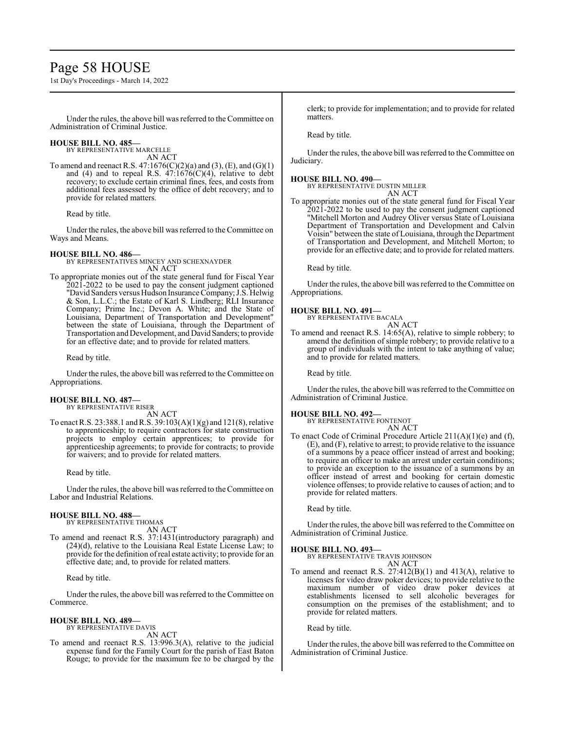# Page 58 HOUSE

1st Day's Proceedings - March 14, 2022

Under the rules, the above bill was referred to theCommittee on Administration of Criminal Justice.

#### **HOUSE BILL NO. 485—** BY REPRESENTATIVE MARCELLE

AN ACT

To amend and reenact R.S.  $47:1676(C)(2)(a)$  and  $(3)$ ,  $(E)$ , and  $(G)(1)$ and (4) and to repeal R.S.  $47:1676(C)(4)$ , relative to debt recovery; to exclude certain criminal fines, fees, and costs from additional fees assessed by the office of debt recovery; and to provide for related matters.

Read by title.

Under the rules, the above bill was referred to the Committee on Ways and Means.

### **HOUSE BILL NO. 486—**

BY REPRESENTATIVES MINCEY AND SCHEXNAYDER AN ACT

To appropriate monies out of the state general fund for Fiscal Year 2021-2022 to be used to pay the consent judgment captioned "David Sanders versus Hudson Insurance Company; J.S. Helwig & Son, L.L.C.; the Estate of Karl S. Lindberg; RLI Insurance Company; Prime Inc.; Devon A. White; and the State of Louisiana, Department of Transportation and Development" between the state of Louisiana, through the Department of Transportation and Development, and David Sanders;to provide for an effective date; and to provide for related matters.

Read by title.

Under the rules, the above bill was referred to the Committee on Appropriations.

#### **HOUSE BILL NO. 487—** BY REPRESENTATIVE RISER

AN ACT

To enact R.S. 23:388.1 and R.S. 39:103(A)(1)(g) and 121(8), relative to apprenticeship; to require contractors for state construction projects to employ certain apprentices; to provide for apprenticeship agreements; to provide for contracts; to provide for waivers; and to provide for related matters.

Read by title.

Under the rules, the above bill was referred to the Committee on Labor and Industrial Relations.

#### **HOUSE BILL NO. 488—** BY REPRESENTATIVE THOMAS

AN ACT

To amend and reenact R.S. 37:1431(introductory paragraph) and (24)(d), relative to the Louisiana Real Estate License Law; to provide for the definition ofreal estate activity; to provide for an effective date; and, to provide for related matters.

Read by title.

Under the rules, the above bill was referred to the Committee on Commerce.

#### **HOUSE BILL NO. 489—** BY REPRESENTATIVE DAVIS

AN ACT

To amend and reenact R.S. 13:996.3(A), relative to the judicial expense fund for the Family Court for the parish of East Baton Rouge; to provide for the maximum fee to be charged by the clerk; to provide for implementation; and to provide for related matters.

Read by title.

Under the rules, the above bill was referred to the Committee on Judiciary.

## **HOUSE BILL NO. 490—**

BY REPRESENTATIVE DUSTIN MILLER AN ACT

To appropriate monies out of the state general fund for Fiscal Year 2021-2022 to be used to pay the consent judgment captioned "Mitchell Morton and Audrey Oliver versus State of Louisiana Department of Transportation and Development and Calvin Voisin" between the state of Louisiana, through the Department of Transportation and Development, and Mitchell Morton; to provide for an effective date; and to provide for related matters.

Read by title.

Under the rules, the above bill was referred to the Committee on Appropriations.

### **HOUSE BILL NO. 491—**

BY REPRESENTATIVE BACALA AN ACT

To amend and reenact R.S. 14:65(A), relative to simple robbery; to amend the definition of simple robbery; to provide relative to a group of individuals with the intent to take anything of value; and to provide for related matters.

Read by title.

Under the rules, the above bill was referred to the Committee on Administration of Criminal Justice.

### **HOUSE BILL NO. 492—**

BY REPRESENTATIVE FONTENOT AN ACT

To enact Code of Criminal Procedure Article 211(A)(1)(e) and (f), (E), and (F), relative to arrest; to provide relative to the issuance of a summons by a peace officer instead of arrest and booking; to require an officer to make an arrest under certain conditions; to provide an exception to the issuance of a summons by an officer instead of arrest and booking for certain domestic violence offenses; to provide relative to causes of action; and to provide for related matters.

Read by title.

Under the rules, the above bill was referred to the Committee on Administration of Criminal Justice.

### **HOUSE BILL NO. 493—**

BY REPRESENTATIVE TRAVIS JOHNSON AN ACT

To amend and reenact R.S. 27:412(B)(1) and 413(A), relative to licenses for video draw poker devices; to provide relative to the maximum number of video draw poker devices at establishments licensed to sell alcoholic beverages for consumption on the premises of the establishment; and to provide for related matters.

Read by title.

Under the rules, the above bill was referred to the Committee on Administration of Criminal Justice.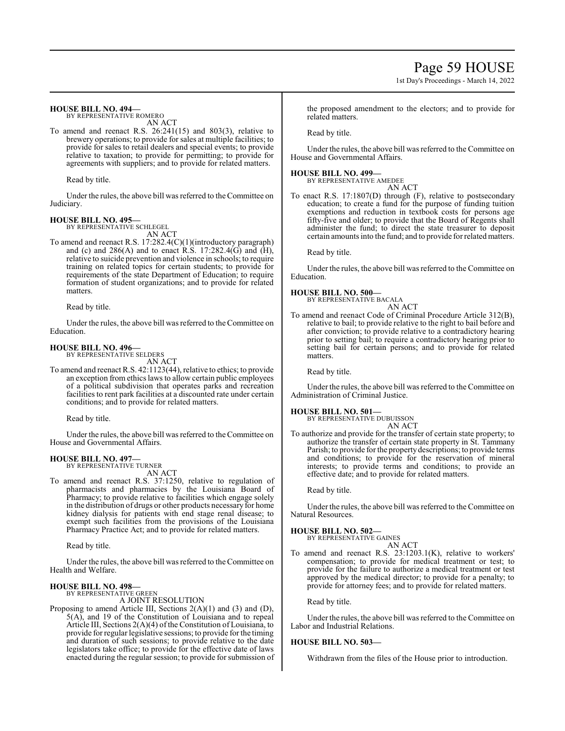# Page 59 HOUSE

1st Day's Proceedings - March 14, 2022

### **HOUSE BILL NO. 494—**

BY REPRESENTATIVE ROMERO AN ACT

To amend and reenact R.S. 26:241(15) and 803(3), relative to brewery operations; to provide for sales at multiple facilities; to provide for sales to retail dealers and special events; to provide relative to taxation; to provide for permitting; to provide for agreements with suppliers; and to provide for related matters.

Read by title.

Under the rules, the above bill was referred to theCommittee on Judiciary.

# **HOUSE BILL NO. 495—** BY REPRESENTATIVE SCHLEGEL

AN ACT

To amend and reenact R.S. 17:282.4(C)(1)(introductory paragraph) and (c) and  $286(A)$  and to enact R.S. 17:282.4(G) and (H), relative to suicide prevention and violence in schools; to require training on related topics for certain students; to provide for requirements of the state Department of Education; to require formation of student organizations; and to provide for related matters.

Read by title.

Under the rules, the above bill was referred to the Committee on Education.

# **HOUSE BILL NO. 496—**

BY REPRESENTATIVE SELDERS

AN ACT To amend and reenact R.S. 42:1123(44), relative to ethics; to provide an exception from ethics laws to allow certain public employees of a political subdivision that operates parks and recreation facilities to rent park facilities at a discounted rate under certain conditions; and to provide for related matters.

Read by title.

Under the rules, the above bill was referred to the Committee on House and Governmental Affairs.

### **HOUSE BILL NO. 497—**

BY REPRESENTATIVE TURNER AN ACT

To amend and reenact R.S. 37:1250, relative to regulation of pharmacists and pharmacies by the Louisiana Board of Pharmacy; to provide relative to facilities which engage solely in the distribution of drugs or other products necessaryfor home kidney dialysis for patients with end stage renal disease; to exempt such facilities from the provisions of the Louisiana Pharmacy Practice Act; and to provide for related matters.

Read by title.

Under the rules, the above bill was referred to the Committee on Health and Welfare.

# **HOUSE BILL NO. 498—** BY REPRESENTATIVE GREEN

A JOINT RESOLUTION

Proposing to amend Article III, Sections 2(A)(1) and (3) and (D), 5(A), and 19 of the Constitution of Louisiana and to repeal Article III, Sections 2(A)(4) of the Constitution of Louisiana, to provide forregular legislative sessions; to provide for the timing and duration of such sessions; to provide relative to the date legislators take office; to provide for the effective date of laws enacted during the regular session; to provide for submission of the proposed amendment to the electors; and to provide for related matters.

Read by title.

Under the rules, the above bill was referred to the Committee on House and Governmental Affairs.

# **HOUSE BILL NO. 499—**

BY REPRESENTATIVE AMEDEE AN ACT

To enact R.S. 17:1807(D) through (F), relative to postsecondary education; to create a fund for the purpose of funding tuition exemptions and reduction in textbook costs for persons age fifty-five and older; to provide that the Board of Regents shall administer the fund; to direct the state treasurer to deposit certain amounts into the fund; and to provide for related matters.

Read by title.

Under the rules, the above bill was referred to the Committee on Education.

**HOUSE BILL NO. 500—** BY REPRESENTATIVE BACALA AN ACT

To amend and reenact Code of Criminal Procedure Article 312(B), relative to bail; to provide relative to the right to bail before and after conviction; to provide relative to a contradictory hearing prior to setting bail; to require a contradictory hearing prior to setting bail for certain persons; and to provide for related matters.

Read by title.

Under the rules, the above bill was referred to the Committee on Administration of Criminal Justice.

### **HOUSE BILL NO. 501—**

BY REPRESENTATIVE DUBUISSON AN ACT

To authorize and provide for the transfer of certain state property; to authorize the transfer of certain state property in St. Tammany Parish; to provide for the property descriptions; to provide terms and conditions; to provide for the reservation of mineral interests; to provide terms and conditions; to provide an effective date; and to provide for related matters.

Read by title.

Under the rules, the above bill was referred to the Committee on Natural Resources.

# **HOUSE BILL NO. 502—**

BY REPRESENTATIVE GAINES AN ACT

To amend and reenact R.S. 23:1203.1(K), relative to workers' compensation; to provide for medical treatment or test; to provide for the failure to authorize a medical treatment or test approved by the medical director; to provide for a penalty; to provide for attorney fees; and to provide for related matters.

Read by title.

Under the rules, the above bill was referred to the Committee on Labor and Industrial Relations.

# **HOUSE BILL NO. 503—**

Withdrawn from the files of the House prior to introduction.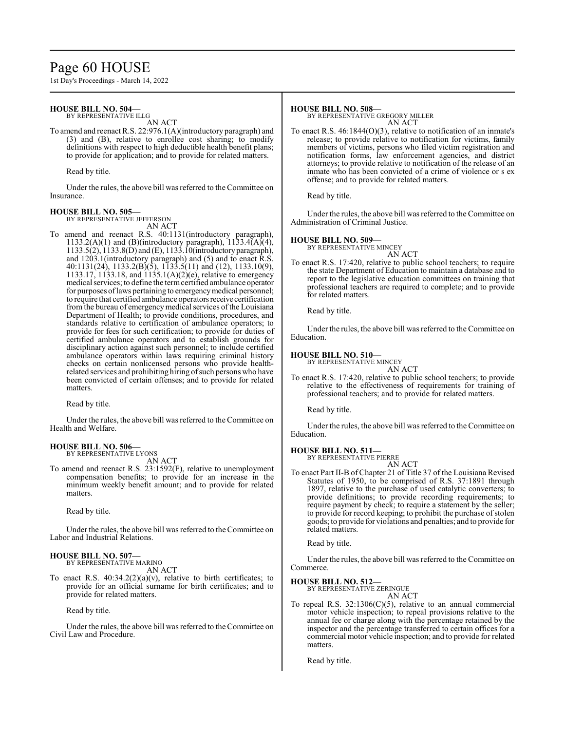# Page 60 HOUSE

1st Day's Proceedings - March 14, 2022

## **HOUSE BILL NO. 504—**

BY REPRESENTATIVE ILLG AN ACT

To amend and reenact R.S. 22:976.1(A)(introductory paragraph) and (3) and (B), relative to enrollee cost sharing; to modify definitions with respect to high deductible health benefit plans; to provide for application; and to provide for related matters.

Read by title.

Under the rules, the above bill was referred to the Committee on Insurance.

### **HOUSE BILL NO. 505—** BY REPRESENTATIVE JEFFERSON

AN ACT

To amend and reenact R.S. 40:1131(introductory paragraph), 1133.2(A)(1) and (B)(introductory paragraph),  $1133.4(A)(4)$ , 1133.5(2), 1133.8(D) and (E), 1133.10(introductoryparagraph), and 1203.1(introductory paragraph) and (5) and to enact R.S. 40:1131(24), 1133.2(B)(5), 1133.5(11) and (12), 1133.10(9), 1133.17, 1133.18, and 1135.1(A)(2)(e), relative to emergency medical services; to define the termcertified ambulance operator for purposes of laws pertaining to emergency medical personnel; to require that certified ambulance operators receive certification from the bureau of emergency medical services of the Louisiana Department of Health; to provide conditions, procedures, and standards relative to certification of ambulance operators; to provide for fees for such certification; to provide for duties of certified ambulance operators and to establish grounds for disciplinary action against such personnel; to include certified ambulance operators within laws requiring criminal history checks on certain nonlicensed persons who provide healthrelated services and prohibiting hiring ofsuch persons who have been convicted of certain offenses; and to provide for related matters.

Read by title.

Under the rules, the above bill was referred to the Committee on Health and Welfare.

# **HOUSE BILL NO. 506—**

BY REPRESENTATIVE LYONS AN ACT

To amend and reenact R.S. 23:1592(F), relative to unemployment compensation benefits; to provide for an increase in the minimum weekly benefit amount; and to provide for related matters.

Read by title.

Under the rules, the above bill was referred to theCommittee on Labor and Industrial Relations.

#### **HOUSE BILL NO. 507—** BY REPRESENTATIVE MARINO

AN ACT

To enact R.S.  $40:34.2(2)(a)(v)$ , relative to birth certificates; to provide for an official surname for birth certificates; and to provide for related matters.

Read by title.

Under the rules, the above bill was referred to the Committee on Civil Law and Procedure.

### **HOUSE BILL NO. 508—**

BY REPRESENTATIVE GREGORY MILLER AN ACT

To enact R.S. 46:1844(O)(3), relative to notification of an inmate's release; to provide relative to notification for victims, family members of victims, persons who filed victim registration and notification forms, law enforcement agencies, and district attorneys; to provide relative to notification of the release of an inmate who has been convicted of a crime of violence or s ex offense; and to provide for related matters.

Read by title.

Under the rules, the above bill was referred to the Committee on Administration of Criminal Justice.

### **HOUSE BILL NO. 509—**

BY REPRESENTATIVE MINCEY AN ACT

To enact R.S. 17:420, relative to public school teachers; to require the state Department of Education to maintain a database and to report to the legislative education committees on training that professional teachers are required to complete; and to provide for related matters.

Read by title.

Under the rules, the above bill was referred to the Committee on Education.

### **HOUSE BILL NO. 510—**

BY REPRESENTATIVE MINCEY

AN ACT To enact R.S. 17:420, relative to public school teachers; to provide relative to the effectiveness of requirements for training of professional teachers; and to provide for related matters.

Read by title.

Under the rules, the above bill was referred to the Committee on Education.

**HOUSE BILL NO. 511—** BY REPRESENTATIVE PIERRE AN ACT

To enact Part II-B of Chapter 21 of Title 37 of the Louisiana Revised Statutes of 1950, to be comprised of R.S. 37:1891 through 1897, relative to the purchase of used catalytic converters; to provide definitions; to provide recording requirements; to require payment by check; to require a statement by the seller; to provide for record keeping; to prohibit the purchase of stolen goods; to provide for violations and penalties; and to provide for related matters.

Read by title.

Under the rules, the above bill was referred to the Committee on Commerce.

**HOUSE BILL NO. 512—**

BY REPRESENTATIVE ZERINGUE AN ACT

To repeal R.S.  $32:1306(C)(5)$ , relative to an annual commercial motor vehicle inspection; to repeal provisions relative to the annual fee or charge along with the percentage retained by the inspector and the percentage transferred to certain offices for a commercial motor vehicle inspection; and to provide for related matters.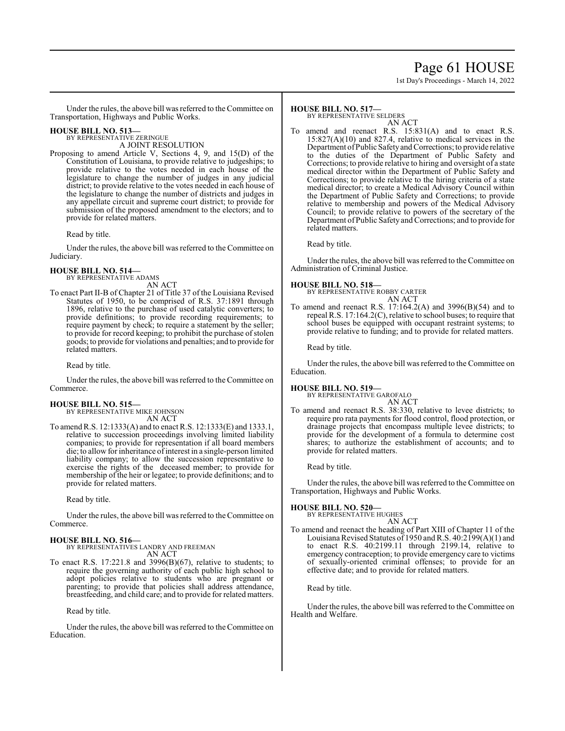# Page 61 HOUSE

1st Day's Proceedings - March 14, 2022

Under the rules, the above bill was referred to the Committee on Transportation, Highways and Public Works.

# **HOUSE BILL NO. 513—**

BY REPRESENTATIVE ZERINGUE A JOINT RESOLUTION

Proposing to amend Article V, Sections 4, 9, and 15(D) of the Constitution of Louisiana, to provide relative to judgeships; to provide relative to the votes needed in each house of the legislature to change the number of judges in any judicial district; to provide relative to the votes needed in each house of the legislature to change the number of districts and judges in any appellate circuit and supreme court district; to provide for submission of the proposed amendment to the electors; and to provide for related matters.

Read by title.

Under the rules, the above bill was referred to the Committee on Judiciary.

**HOUSE BILL NO. 514—** BY REPRESENTATIVE ADAMS

AN ACT

To enact Part II-B of Chapter 21 of Title 37 of the Louisiana Revised Statutes of 1950, to be comprised of R.S. 37:1891 through 1896, relative to the purchase of used catalytic converters; to provide definitions; to provide recording requirements; to require payment by check; to require a statement by the seller; to provide for record keeping; to prohibit the purchase of stolen goods; to provide for violations and penalties; and to provide for related matters.

Read by title.

Under the rules, the above bill was referred to the Committee on Commerce.

# **HOUSE BILL NO. 515—**

BY REPRESENTATIVE MIKE JOHNSON AN ACT

To amendR.S. 12:1333(A) and to enact R.S. 12:1333(E) and 1333.1, relative to succession proceedings involving limited liability companies; to provide for representation if all board members die; to allow for inheritance of interest in a single-person limited liability company; to allow the succession representative to exercise the rights of the deceased member; to provide for membership of the heir or legatee; to provide definitions; and to provide for related matters.

Read by title.

Under the rules, the above bill was referred to the Committee on Commerce.

# **HOUSE BILL NO. 516—**

BY REPRESENTATIVES LANDRY AND FREEMAN AN ACT

To enact R.S. 17:221.8 and 3996(B)(67), relative to students; to require the governing authority of each public high school to adopt policies relative to students who are pregnant or parenting; to provide that policies shall address attendance, breastfeeding, and child care; and to provide for related matters.

Read by title.

Under the rules, the above bill was referred to theCommittee on Education.

# **HOUSE BILL NO. 517—**

BY REPRESENTATIVE SELDERS

- AN ACT
- To amend and reenact R.S. 15:831(A) and to enact R.S. 15:827(A)(10) and 827.4, relative to medical services in the Department of Public Safety and Corrections; to provide relative to the duties of the Department of Public Safety and Corrections; to provide relative to hiring and oversight of a state medical director within the Department of Public Safety and Corrections; to provide relative to the hiring criteria of a state medical director; to create a Medical Advisory Council within the Department of Public Safety and Corrections; to provide relative to membership and powers of the Medical Advisory Council; to provide relative to powers of the secretary of the Department of Public Safety and Corrections; and to provide for related matters.

Read by title.

Under the rules, the above bill was referred to the Committee on Administration of Criminal Justice.

# **HOUSE BILL NO. 518—**

BY REPRESENTATIVE ROBBY CARTER AN ACT

To amend and reenact R.S. 17:164.2(A) and 3996(B)(54) and to repeal R.S. 17:164.2(C), relative to school buses; to require that school buses be equipped with occupant restraint systems; to provide relative to funding; and to provide for related matters.

Read by title.

Under the rules, the above bill was referred to the Committee on Education.

# **HOUSE BILL NO. 519—** BY REPRESENTATIVE GAROFALO

AN ACT

To amend and reenact R.S. 38:330, relative to levee districts; to require pro rata payments for flood control, flood protection, or drainage projects that encompass multiple levee districts; to provide for the development of a formula to determine cost shares; to authorize the establishment of accounts; and to provide for related matters.

Read by title.

Under the rules, the above bill was referred to the Committee on Transportation, Highways and Public Works.

# **HOUSE BILL NO. 520—**

BY REPRESENTATIVE HUGHES AN ACT

To amend and reenact the heading of Part XIII of Chapter 11 of the Louisiana Revised Statutes of 1950 and R.S. 40:2199(A)(1) and to enact R.S. 40:2199.11 through 2199.14, relative to emergency contraception; to provide emergency care to victims of sexually-oriented criminal offenses; to provide for an effective date; and to provide for related matters.

Read by title.

Under the rules, the above bill was referred to the Committee on Health and Welfare.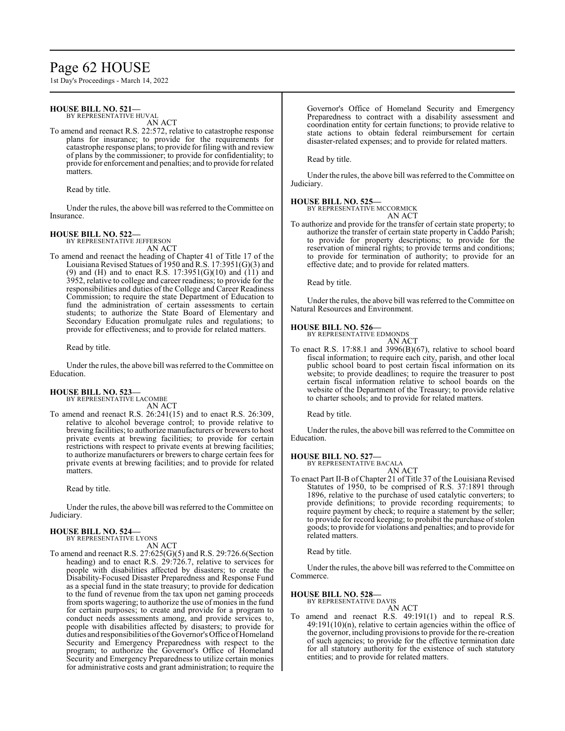# Page 62 HOUSE

1st Day's Proceedings - March 14, 2022

# **HOUSE BILL NO. 521—**

BY REPRESENTATIVE HUVAL

AN ACT To amend and reenact R.S. 22:572, relative to catastrophe response plans for insurance; to provide for the requirements for catastrophe response plans; to provide forfiling with and review of plans by the commissioner; to provide for confidentiality; to provide for enforcement and penalties; and to provide for related matters.

Read by title.

Under the rules, the above bill was referred to the Committee on Insurance.

### **HOUSE BILL NO. 522—**

BY REPRESENTATIVE JEFFERSON AN ACT

To amend and reenact the heading of Chapter 41 of Title 17 of the Louisiana Revised Statues of 1950 and R.S. 17:3951(G)(3) and (9) and (H) and to enact R.S.  $17:3951(G)(10)$  and  $(11)$  and 3952, relative to college and career readiness; to provide for the responsibilities and duties of the College and Career Readiness Commission; to require the state Department of Education to fund the administration of certain assessments to certain students; to authorize the State Board of Elementary and Secondary Education promulgate rules and regulations; to provide for effectiveness; and to provide for related matters.

Read by title.

Under the rules, the above bill was referred to the Committee on Education.

# **HOUSE BILL NO. 523—**

BY REPRESENTATIVE LACOMBE AN ACT

To amend and reenact R.S. 26:241(15) and to enact R.S. 26:309, relative to alcohol beverage control; to provide relative to brewing facilities; to authorize manufacturers or brewers to host private events at brewing facilities; to provide for certain restrictions with respect to private events at brewing facilities; to authorize manufacturers or brewers to charge certain fees for private events at brewing facilities; and to provide for related matters.

Read by title.

Under the rules, the above bill was referred to the Committee on Judiciary.

#### **HOUSE BILL NO. 524—** BY REPRESENTATIVE LYONS

AN ACT

To amend and reenact R.S. 27:625(G)(5) and R.S. 29:726.6(Section heading) and to enact R.S. 29:726.7, relative to services for people with disabilities affected by disasters; to create the Disability-Focused Disaster Preparedness and Response Fund as a special fund in the state treasury; to provide for dedication to the fund of revenue from the tax upon net gaming proceeds from sports wagering; to authorize the use of monies in the fund for certain purposes; to create and provide for a program to conduct needs assessments among, and provide services to, people with disabilities affected by disasters; to provide for duties and responsibilities of the Governor's Office of Homeland Security and Emergency Preparedness with respect to the program; to authorize the Governor's Office of Homeland Security and Emergency Preparedness to utilize certain monies for administrative costs and grant administration; to require the Governor's Office of Homeland Security and Emergency Preparedness to contract with a disability assessment and coordination entity for certain functions; to provide relative to state actions to obtain federal reimbursement for certain disaster-related expenses; and to provide for related matters.

Read by title.

Under the rules, the above bill was referred to the Committee on Judiciary.

### **HOUSE BILL NO. 525—**

BY REPRESENTATIVE MCCORMICK

AN ACT To authorize and provide for the transfer of certain state property; to authorize the transfer of certain state property in Caddo Parish; to provide for property descriptions; to provide for the reservation of mineral rights; to provide terms and conditions; to provide for termination of authority; to provide for an effective date; and to provide for related matters.

Read by title.

Under the rules, the above bill was referred to the Committee on Natural Resources and Environment.

# **HOUSE BILL NO. 526—** BY REPRESENTATIVE EDMONDS



To enact R.S. 17:88.1 and 3996(B)(67), relative to school board fiscal information; to require each city, parish, and other local public school board to post certain fiscal information on its website; to provide deadlines; to require the treasurer to post certain fiscal information relative to school boards on the website of the Department of the Treasury; to provide relative to charter schools; and to provide for related matters.

Read by title.

Under the rules, the above bill was referred to the Committee on Education.

**HOUSE BILL NO. 527—** BY REPRESENTATIVE BACALA AN ACT

To enact Part II-B of Chapter 21 of Title 37 of the Louisiana Revised Statutes of 1950, to be comprised of R.S. 37:1891 through 1896, relative to the purchase of used catalytic converters; to provide definitions; to provide recording requirements; to require payment by check; to require a statement by the seller; to provide for record keeping; to prohibit the purchase of stolen goods; to provide for violations and penalties; and to provide for related matters.

Read by title.

Under the rules, the above bill was referred to the Committee on Commerce.

### **HOUSE BILL NO. 528—**

BY REPRESENTATIVE DAVIS

AN ACT To amend and reenact R.S. 49:191(1) and to repeal R.S. 49:191(10)(n), relative to certain agencies within the office of the governor, including provisions to provide for the re-creation of such agencies; to provide for the effective termination date for all statutory authority for the existence of such statutory entities; and to provide for related matters.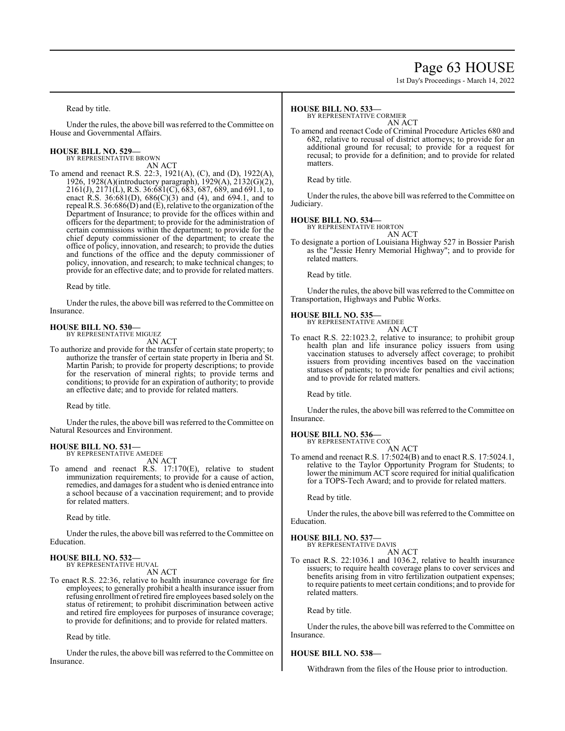# Page 63 HOUSE

1st Day's Proceedings - March 14, 2022

Read by title.

Under the rules, the above bill was referred to the Committee on House and Governmental Affairs.

#### **HOUSE BILL NO. 529—** BY REPRESENTATIVE BROWN

AN ACT

To amend and reenact R.S. 22:3, 1921(A), (C), and (D), 1922(A), 1926, 1928(A)(introductory paragraph), 1929(A), 2132(G)(2),  $2161(J), 2171(L), R.S. 36.681(C), 683, 687, 689,$  and 691.1, to enact R.S. 36:681(D), 686(C)(3) and (4), and 694.1, and to repeal R.S. 36:686(D) and (E), relative to the organization ofthe Department of Insurance; to provide for the offices within and officers for the department; to provide for the administration of certain commissions within the department; to provide for the chief deputy commissioner of the department; to create the office of policy, innovation, and research; to provide the duties and functions of the office and the deputy commissioner of policy, innovation, and research; to make technical changes; to provide for an effective date; and to provide for related matters.

Read by title.

Under the rules, the above bill was referred to the Committee on Insurance.

# **HOUSE BILL NO. 530—** BY REPRESENTATIVE MIGUEZ

AN ACT

To authorize and provide for the transfer of certain state property; to authorize the transfer of certain state property in Iberia and St. Martin Parish; to provide for property descriptions; to provide for the reservation of mineral rights; to provide terms and conditions; to provide for an expiration of authority; to provide an effective date; and to provide for related matters.

Read by title.

Under the rules, the above bill was referred to the Committee on Natural Resources and Environment.

### **HOUSE BILL NO. 531—**

BY REPRESENTATIVE AMEDEE AN ACT

To amend and reenact R.S. 17:170(E), relative to student immunization requirements; to provide for a cause of action, remedies, and damages for a student who is denied entrance into a school because of a vaccination requirement; and to provide for related matters.

Read by title.

Under the rules, the above bill was referred to the Committee on Education.

#### **HOUSE BILL NO. 532—** BY REPRESENTATIVE HUVAL

AN ACT

To enact R.S. 22:36, relative to health insurance coverage for fire employees; to generally prohibit a health insurance issuer from refusing enrollment ofretired fire employees based solely on the status of retirement; to prohibit discrimination between active and retired fire employees for purposes of insurance coverage; to provide for definitions; and to provide for related matters.

Read by title.

Under the rules, the above bill was referred to the Committee on Insurance.

### **HOUSE BILL NO. 533—**

BY REPRESENTATIVE CORMIER

AN ACT To amend and reenact Code of Criminal Procedure Articles 680 and 682, relative to recusal of district attorneys; to provide for an additional ground for recusal; to provide for a request for recusal; to provide for a definition; and to provide for related matters.

Read by title.

Under the rules, the above bill was referred to the Committee on Judiciary.

# **HOUSE BILL NO. 534—** BY REPRESENTATIVE HORTON

AN ACT

To designate a portion of Louisiana Highway 527 in Bossier Parish as the "Jessie Henry Memorial Highway"; and to provide for related matters.

Read by title.

Under the rules, the above bill was referred to the Committee on Transportation, Highways and Public Works.

### **HOUSE BILL NO. 535—**

BY REPRESENTATIVE AMEDEE AN ACT

To enact R.S. 22:1023.2, relative to insurance; to prohibit group health plan and life insurance policy issuers from using vaccination statuses to adversely affect coverage; to prohibit issuers from providing incentives based on the vaccination statuses of patients; to provide for penalties and civil actions; and to provide for related matters.

Read by title.

Under the rules, the above bill was referred to the Committee on Insurance.

# **HOUSE BILL NO. 536—** BY REPRESENTATIVE COX

AN ACT

To amend and reenact R.S. 17:5024(B) and to enact R.S. 17:5024.1, relative to the Taylor Opportunity Program for Students; to lower the minimum ACT score required for initial qualification for a TOPS-Tech Award; and to provide for related matters.

Read by title.

Under the rules, the above bill was referred to the Committee on Education.

**HOUSE BILL NO. 537—**

BY REPRESENTATIVE DAVIS AN ACT

To enact R.S. 22:1036.1 and 1036.2, relative to health insurance issuers; to require health coverage plans to cover services and benefits arising from in vitro fertilization outpatient expenses; to require patients to meet certain conditions; and to provide for related matters.

Read by title.

Under the rules, the above bill was referred to the Committee on Insurance.

# **HOUSE BILL NO. 538—**

Withdrawn from the files of the House prior to introduction.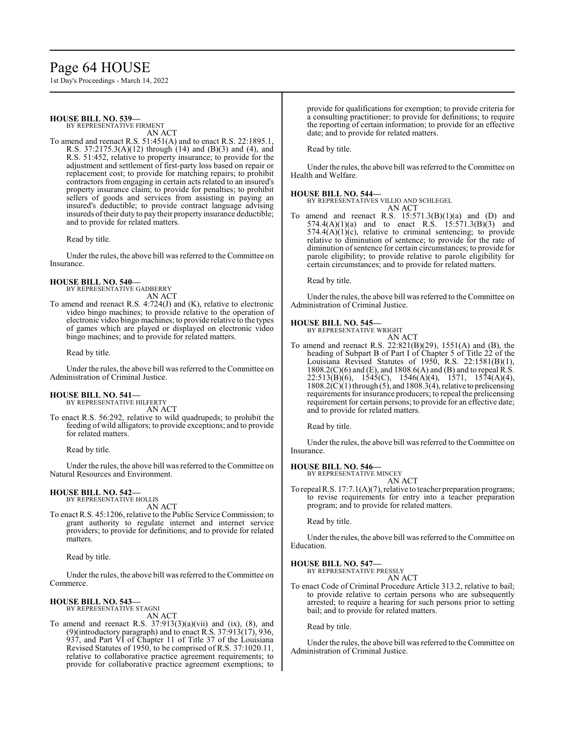# Page 64 HOUSE

1st Day's Proceedings - March 14, 2022

**HOUSE BILL NO. 539—** BY REPRESENTATIVE FIRMENT

AN ACT

To amend and reenact R.S. 51:451(A) and to enact R.S. 22:1895.1, R.S. 37:2175.3(A)(12) through (14) and (B)(3) and (4), and R.S. 51:452, relative to property insurance; to provide for the adjustment and settlement of first-party loss based on repair or replacement cost; to provide for matching repairs; to prohibit contractors from engaging in certain acts related to an insured's property insurance claim; to provide for penalties; to prohibit sellers of goods and services from assisting in paying an insured's deductible; to provide contract language advising insureds oftheir duty to pay their property insurance deductible; and to provide for related matters.

Read by title.

Under the rules, the above bill was referred to the Committee on Insurance.

### **HOUSE BILL NO. 540—**

BY REPRESENTATIVE GADBERRY AN ACT

To amend and reenact R.S. 4:724(J) and (K), relative to electronic video bingo machines; to provide relative to the operation of electronic video bingo machines; to provide relative to the types of games which are played or displayed on electronic video bingo machines; and to provide for related matters.

Read by title.

Under the rules, the above bill was referred to the Committee on Administration of Criminal Justice.

# **HOUSE BILL NO. 541—** BY REPRESENTATIVE HILFERTY

AN ACT

To enact R.S. 56:292, relative to wild quadrupeds; to prohibit the feeding of wild alligators; to provide exceptions; and to provide for related matters.

Read by title.

Under the rules, the above bill was referred to the Committee on Natural Resources and Environment.

# **HOUSE BILL NO. 542—**

BY REPRESENTATIVE HOLLIS AN ACT

To enact R.S. 45:1206, relative to the Public Service Commission; to grant authority to regulate internet and internet service providers; to provide for definitions; and to provide for related matters.

Read by title.

Under the rules, the above bill was referred to the Committee on Commerce.

#### **HOUSE BILL NO. 543—** BY REPRESENTATIVE STAGNI

AN ACT

To amend and reenact R.S.  $37:913(3)(a)(vii)$  and (ix), (8), and (9)(introductory paragraph) and to enact R.S. 37:913(17), 936, 937, and Part VI of Chapter 11 of Title 37 of the Louisiana Revised Statutes of 1950, to be comprised of R.S. 37:1020.11, relative to collaborative practice agreement requirements; to provide for collaborative practice agreement exemptions; to provide for qualifications for exemption; to provide criteria for a consulting practitioner; to provide for definitions; to require the reporting of certain information; to provide for an effective date; and to provide for related matters.

Read by title.

Under the rules, the above bill was referred to the Committee on Health and Welfare.

# **HOUSE BILL NO. 544—**

BY REPRESENTATIVES VILLIO AND SCHLEGEL AN ACT

To amend and reenact R.S.  $15:571.3(B)(1)(a)$  and (D) and  $574.4(A)(1)(a)$  and to enact R.S.  $15.571.3(B)(3)$  and  $574.4(A)(1)(c)$ , relative to criminal sentencing; to provide relative to diminution of sentence; to provide for the rate of diminution ofsentence for certain circumstances; to provide for parole eligibility; to provide relative to parole eligibility for certain circumstances; and to provide for related matters.

Read by title.

Under the rules, the above bill was referred to the Committee on Administration of Criminal Justice.

# **HOUSE BILL NO. 545—**

BY REPRESENTATIVE WRIGHT AN ACT

To amend and reenact R.S. 22:821(B)(29), 1551(A) and (B), the heading of Subpart B of Part I of Chapter 5 of Title 22 of the Louisiana Revised Statutes of 1950, R.S. 22:1581(B)(1), 1808.2(C)(6) and (E), and 1808.6(A) and (B) and to repeal R.S. 22:513(B)(6), 1545(C), 1546(A)(4), 1571, 1574(A)(4), 1808.2(C)(1) through (5), and 1808.3(4), relative to prelicensing requirements for insurance producers; to repeal the prelicensing requirement for certain persons; to provide for an effective date; and to provide for related matters.

Read by title.

Under the rules, the above bill was referred to the Committee on Insurance.

# **HOUSE BILL NO. 546—**

BY REPRESENTATIVE MINCEY AN ACT

To repeal R.S. 17:7.1(A)(7), relative to teacher preparation programs; to revise requirements for entry into a teacher preparation program; and to provide for related matters.

Read by title.

Under the rules, the above bill was referred to the Committee on Education.

# **HOUSE BILL NO. 547—**

BY REPRESENTATIVE PRESSLY AN ACT

To enact Code of Criminal Procedure Article 313.2, relative to bail; to provide relative to certain persons who are subsequently arrested; to require a hearing for such persons prior to setting bail; and to provide for related matters.

Read by title.

Under the rules, the above bill was referred to the Committee on Administration of Criminal Justice.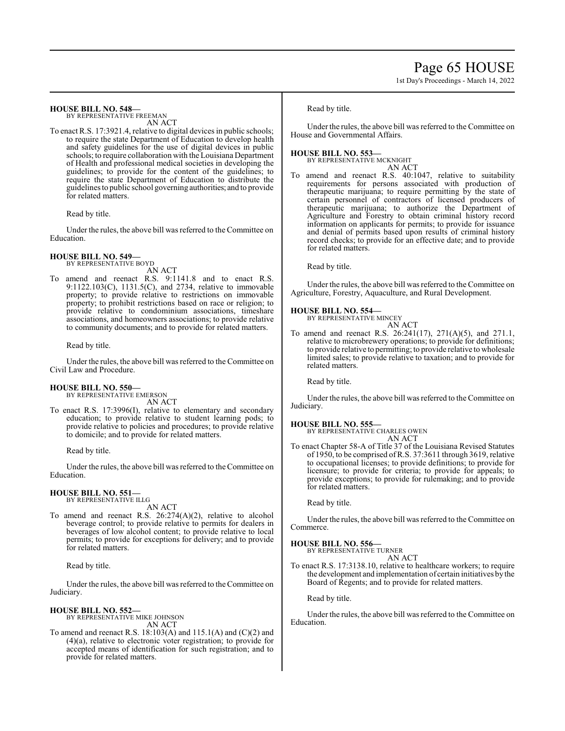### **HOUSE BILL NO. 548—**

BY REPRESENTATIVE FREEMAN AN ACT

To enact R.S. 17:3921.4, relative to digital devices in public schools; to require the state Department of Education to develop health and safety guidelines for the use of digital devices in public schools; to require collaboration with the Louisiana Department of Health and professional medical societies in developing the guidelines; to provide for the content of the guidelines; to require the state Department of Education to distribute the guidelines to public school governing authorities; and to provide for related matters.

Read by title.

Under the rules, the above bill was referred to the Committee on Education.

# **HOUSE BILL NO. 549—** BY REPRESENTATIVE BOYD

AN ACT

To amend and reenact R.S. 9:1141.8 and to enact R.S. 9:1122.103(C), 1131.5(C), and 2734, relative to immovable property; to provide relative to restrictions on immovable property; to prohibit restrictions based on race or religion; to provide relative to condominium associations, timeshare associations, and homeowners associations; to provide relative to community documents; and to provide for related matters.

Read by title.

Under the rules, the above bill was referred to the Committee on Civil Law and Procedure.

# **HOUSE BILL NO. 550—**

BY REPRESENTATIVE EMERSON AN ACT

To enact R.S. 17:3996(I), relative to elementary and secondary education; to provide relative to student learning pods; to provide relative to policies and procedures; to provide relative to domicile; and to provide for related matters.

Read by title.

Under the rules, the above bill was referred to the Committee on Education.

#### **HOUSE BILL NO. 551—** BY REPRESENTATIVE ILLG

AN ACT

To amend and reenact R.S. 26:274(A)(2), relative to alcohol beverage control; to provide relative to permits for dealers in beverages of low alcohol content; to provide relative to local permits; to provide for exceptions for delivery; and to provide for related matters.

Read by title.

Under the rules, the above bill was referred to the Committee on Judiciary.

# **HOUSE BILL NO. 552—**

BY REPRESENTATIVE MIKE JOHNSON AN ACT

To amend and reenact R.S. 18:103(A) and 115.1(A) and (C)(2) and (4)(a), relative to electronic voter registration; to provide for accepted means of identification for such registration; and to provide for related matters.

Read by title.

Under the rules, the above bill was referred to the Committee on House and Governmental Affairs.

### **HOUSE BILL NO. 553—**

BY REPRESENTATIVE MCKNIGHT

- AN ACT
- To amend and reenact R.S. 40:1047, relative to suitability requirements for persons associated with production of therapeutic marijuana; to require permitting by the state of certain personnel of contractors of licensed producers of therapeutic marijuana; to authorize the Department of Agriculture and Forestry to obtain criminal history record information on applicants for permits; to provide for issuance and denial of permits based upon results of criminal history record checks; to provide for an effective date; and to provide for related matters.

Read by title.

Under the rules, the above bill was referred to the Committee on Agriculture, Forestry, Aquaculture, and Rural Development.

# **HOUSE BILL NO. 554—**

BY REPRESENTATIVE MINCEY AN ACT

To amend and reenact R.S. 26:241(17), 271(A)(5), and 271.1, relative to microbrewery operations; to provide for definitions; to provide relative to permitting; to provide relative to wholesale limited sales; to provide relative to taxation; and to provide for related matters.

Read by title.

Under the rules, the above bill was referred to the Committee on Judiciary.

# **HOUSE BILL NO. 555—**

BY REPRESENTATIVE CHARLES OWEN AN ACT

To enact Chapter 58-A of Title 37 of the Louisiana Revised Statutes of 1950, to be comprised ofR.S. 37:3611 through 3619, relative to occupational licenses; to provide definitions; to provide for licensure; to provide for criteria; to provide for appeals; to provide exceptions; to provide for rulemaking; and to provide for related matters.

Read by title.

Under the rules, the above bill was referred to the Committee on Commerce.

# **HOUSE BILL NO. 556—**

BY REPRESENTATIVE TURNER AN ACT

To enact R.S. 17:3138.10, relative to healthcare workers; to require the development and implementation of certain initiatives bythe Board of Regents; and to provide for related matters.

Read by title.

Under the rules, the above bill was referred to the Committee on Education.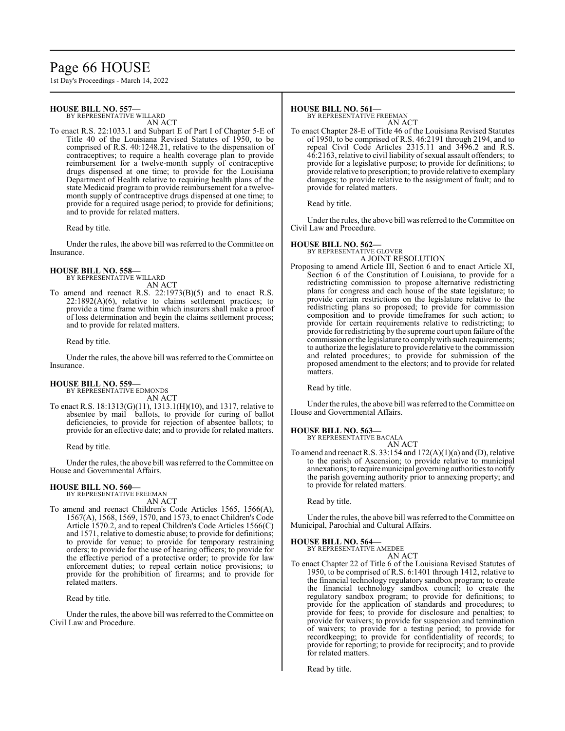# Page 66 HOUSE

1st Day's Proceedings - March 14, 2022

# **HOUSE BILL NO. 557—**

BY REPRESENTATIVE WILLARD

AN ACT To enact R.S. 22:1033.1 and Subpart E of Part I of Chapter 5-E of Title 40 of the Louisiana Revised Statutes of 1950, to be comprised of R.S. 40:1248.21, relative to the dispensation of contraceptives; to require a health coverage plan to provide reimbursement for a twelve-month supply of contraceptive drugs dispensed at one time; to provide for the Louisiana Department of Health relative to requiring health plans of the state Medicaid program to provide reimbursement for a twelvemonth supply of contraceptive drugs dispensed at one time; to provide for a required usage period; to provide for definitions; and to provide for related matters.

Read by title.

Under the rules, the above bill was referred to theCommittee on Insurance.

#### **HOUSE BILL NO. 558—** BY REPRESENTATIVE WILLARD

AN ACT

To amend and reenact R.S. 22:1973(B)(5) and to enact R.S.  $22:1892(A)(6)$ , relative to claims settlement practices; to provide a time frame within which insurers shall make a proof of loss determination and begin the claims settlement process; and to provide for related matters.

Read by title.

Under the rules, the above bill was referred to the Committee on Insurance.

### **HOUSE BILL NO. 559—**

BY REPRESENTATIVE EDMONDS AN ACT

To enact R.S. 18:1313(G)(11), 1313.1(H)(10), and 1317, relative to absentee by mail ballots, to provide for curing of ballot deficiencies, to provide for rejection of absentee ballots; to provide for an effective date; and to provide for related matters.

Read by title.

Under the rules, the above bill was referred to the Committee on House and Governmental Affairs.

#### **HOUSE BILL NO. 560—** BY REPRESENTATIVE FREEMAN

AN ACT

To amend and reenact Children's Code Articles 1565, 1566(A), 1567(A), 1568, 1569, 1570, and 1573, to enact Children's Code Article 1570.2, and to repeal Children's Code Articles 1566(C) and 1571, relative to domestic abuse; to provide for definitions; to provide for venue; to provide for temporary restraining orders; to provide for the use of hearing officers; to provide for the effective period of a protective order; to provide for law enforcement duties; to repeal certain notice provisions; to provide for the prohibition of firearms; and to provide for related matters.

Read by title.

Under the rules, the above bill was referred to the Committee on Civil Law and Procedure.

### **HOUSE BILL NO. 561—**

BY REPRESENTATIVE FREEMAN AN ACT

To enact Chapter 28-E of Title 46 of the Louisiana Revised Statutes of 1950, to be comprised of R.S. 46:2191 through 2194, and to repeal Civil Code Articles 2315.11 and 3496.2 and R.S. 46:2163, relative to civil liability of sexual assault offenders; to provide for a legislative purpose; to provide for definitions; to provide relative to prescription; to provide relative to exemplary damages; to provide relative to the assignment of fault; and to provide for related matters.

Read by title.

Under the rules, the above bill was referred to the Committee on Civil Law and Procedure.

# **HOUSE BILL NO. 562—**

BY REPRESENTATIVE GLOVER A JOINT RESOLUTION

Proposing to amend Article III, Section 6 and to enact Article XI, Section 6 of the Constitution of Louisiana, to provide for a redistricting commission to propose alternative redistricting plans for congress and each house of the state legislature; to provide certain restrictions on the legislature relative to the redistricting plans so proposed; to provide for commission composition and to provide timeframes for such action; to provide for certain requirements relative to redistricting; to provide for redistricting by the supreme court upon failure ofthe commission or the legislature to comply with such requirements; to authorize the legislature to provide relative to the commission and related procedures; to provide for submission of the proposed amendment to the electors; and to provide for related matters.

Read by title.

Under the rules, the above bill was referred to the Committee on House and Governmental Affairs.

# **HOUSE BILL NO. 563—**

BY REPRESENTATIVE BACALA AN ACT

To amend and reenact R.S. 33:154 and  $172(A)(1)(a)$  and (D), relative to the parish of Ascension; to provide relative to municipal annexations; to require municipal governing authorities to notify the parish governing authority prior to annexing property; and to provide for related matters.

Read by title.

Under the rules, the above bill was referred to the Committee on Municipal, Parochial and Cultural Affairs.

# **HOUSE BILL NO. 564—** BY REPRESENTATIVE AMEDEE

AN ACT

To enact Chapter 22 of Title 6 of the Louisiana Revised Statutes of 1950, to be comprised of R.S. 6:1401 through 1412, relative to the financial technology regulatory sandbox program; to create the financial technology sandbox council; to create the regulatory sandbox program; to provide for definitions; to provide for the application of standards and procedures; to provide for fees; to provide for disclosure and penalties; to provide for waivers; to provide for suspension and termination of waivers; to provide for a testing period; to provide for recordkeeping; to provide for confidentiality of records; to provide for reporting; to provide for reciprocity; and to provide for related matters.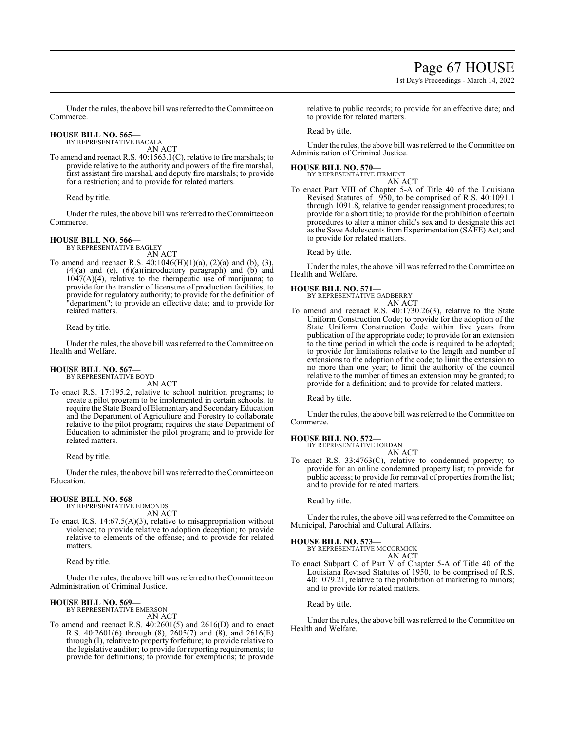1st Day's Proceedings - March 14, 2022

Under the rules, the above bill was referred to the Committee on Commerce.

**HOUSE BILL NO. 565—** BY REPRESENTATIVE BACALA

AN ACT To amend and reenact R.S. 40:1563.1(C), relative to fire marshals; to provide relative to the authority and powers of the fire marshal, first assistant fire marshal, and deputy fire marshals; to provide for a restriction; and to provide for related matters.

Read by title.

Under the rules, the above bill was referred to the Committee on Commerce.

#### **HOUSE BILL NO. 566—** BY REPRESENTATIVE BAGLEY

AN ACT

To amend and reenact R.S. 40:1046(H)(1)(a), (2)(a) and (b), (3), (4)(a) and (e), (6)(a)(introductory paragraph) and (b) and  $1047(A)(4)$ , relative to the therapeutic use of marijuana; to provide for the transfer of licensure of production facilities; to provide for regulatory authority; to provide for the definition of "department"; to provide an effective date; and to provide for related matters.

Read by title.

Under the rules, the above bill was referred to the Committee on Health and Welfare.

### **HOUSE BILL NO. 567—** BY REPRESENTATIVE BOYD

AN ACT

To enact R.S. 17:195.2, relative to school nutrition programs; to create a pilot program to be implemented in certain schools; to require the State Board of Elementary and Secondary Education and the Department of Agriculture and Forestry to collaborate relative to the pilot program; requires the state Department of Education to administer the pilot program; and to provide for related matters.

Read by title.

Under the rules, the above bill was referred to the Committee on Education.

# **HOUSE BILL NO. 568—**

BY REPRESENTATIVE EDMONDS AN ACT

To enact R.S. 14:67.5(A)(3), relative to misappropriation without violence; to provide relative to adoption deception; to provide relative to elements of the offense; and to provide for related matters.

Read by title.

Under the rules, the above bill was referred to the Committee on Administration of Criminal Justice.

# **HOUSE BILL NO. 569—**

BY REPRESENTATIVE EMERSON AN ACT

To amend and reenact R.S. 40:2601(5) and 2616(D) and to enact R.S.  $40:2601(6)$  through (8),  $2605(7)$  and (8), and  $2616(E)$ through (I), relative to property forfeiture; to provide relative to the legislative auditor; to provide for reporting requirements; to provide for definitions; to provide for exemptions; to provide

relative to public records; to provide for an effective date; and to provide for related matters.

Read by title.

Under the rules, the above bill was referred to the Committee on Administration of Criminal Justice.

### **HOUSE BILL NO. 570—**

BY REPRESENTATIVE FIRMENT AN ACT

To enact Part VIII of Chapter 5-A of Title 40 of the Louisiana Revised Statutes of 1950, to be comprised of R.S. 40:1091.1 through 1091.8, relative to gender reassignment procedures; to provide for a short title; to provide for the prohibition of certain procedures to alter a minor child's sex and to designate this act as the Save Adolescents fromExperimentation (SAFE) Act; and to provide for related matters.

Read by title.

Under the rules, the above bill was referred to the Committee on Health and Welfare.

**HOUSE BILL NO. 571—** BY REPRESENTATIVE GADBERRY AN ACT

To amend and reenact R.S. 40:1730.26(3), relative to the State Uniform Construction Code; to provide for the adoption of the State Uniform Construction Code within five years from publication of the appropriate code; to provide for an extension to the time period in which the code is required to be adopted; to provide for limitations relative to the length and number of extensions to the adoption of the code; to limit the extension to no more than one year; to limit the authority of the council relative to the number of times an extension may be granted; to provide for a definition; and to provide for related matters.

Read by title.

Under the rules, the above bill was referred to the Committee on Commerce.

# **HOUSE BILL NO. 572—**

BY REPRESENTATIVE JORDAN AN ACT

To enact R.S. 33:4763(C), relative to condemned property; to provide for an online condemned property list; to provide for public access; to provide for removal of properties from the list; and to provide for related matters.

Read by title.

Under the rules, the above bill was referred to the Committee on Municipal, Parochial and Cultural Affairs.

**HOUSE BILL NO. 573—** BY REPRESENTATIVE MCCORMICK AN ACT

To enact Subpart C of Part V of Chapter 5-A of Title 40 of the Louisiana Revised Statutes of 1950, to be comprised of R.S. 40:1079.21, relative to the prohibition of marketing to minors; and to provide for related matters.

Read by title.

Under the rules, the above bill was referred to the Committee on Health and Welfare.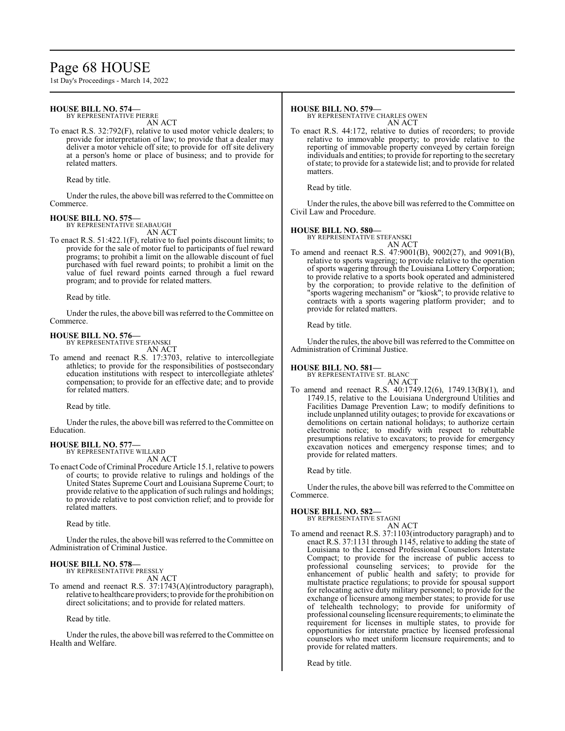# Page 68 HOUSE

1st Day's Proceedings - March 14, 2022

## **HOUSE BILL NO. 574—**

BY REPRESENTATIVE PIERRE

AN ACT

To enact R.S. 32:792(F), relative to used motor vehicle dealers; to provide for interpretation of law; to provide that a dealer may deliver a motor vehicle off site; to provide for off site delivery at a person's home or place of business; and to provide for related matters.

Read by title.

Under the rules, the above bill was referred to theCommittee on Commerce.

# **HOUSE BILL NO. 575—**

BY REPRESENTATIVE SEABAUGH

AN ACT To enact R.S. 51:422.1(F), relative to fuel points discount limits; to provide for the sale of motor fuel to participants of fuel reward programs; to prohibit a limit on the allowable discount of fuel purchased with fuel reward points; to prohibit a limit on the value of fuel reward points earned through a fuel reward program; and to provide for related matters.

Read by title.

Under the rules, the above bill was referred to the Committee on Commerce.

**HOUSE BILL NO. 576—**

BY REPRESENTATIVE STEFANSKI AN ACT

To amend and reenact R.S. 17:3703, relative to intercollegiate athletics; to provide for the responsibilities of postsecondary education institutions with respect to intercollegiate athletes' compensation; to provide for an effective date; and to provide for related matters.

Read by title.

Under the rules, the above bill was referred to the Committee on Education.

#### **HOUSE BILL NO. 577—** BY REPRESENTATIVE WILLARD

AN ACT

To enact Code of Criminal Procedure Article 15.1, relative to powers of courts; to provide relative to rulings and holdings of the United States Supreme Court and Louisiana Supreme Court; to provide relative to the application of such rulings and holdings; to provide relative to post conviction relief; and to provide for related matters.

Read by title.

Under the rules, the above bill was referred to the Committee on Administration of Criminal Justice.

#### **HOUSE BILL NO. 578—** BY REPRESENTATIVE PRESSLY

AN ACT

To amend and reenact R.S. 37:1743(A)(introductory paragraph), relative to healthcare providers; to provide for the prohibition on direct solicitations; and to provide for related matters.

Read by title.

Under the rules, the above bill was referred to the Committee on Health and Welfare.

### **HOUSE BILL NO. 579—**

BY REPRESENTATIVE CHARLES OWEN AN ACT

To enact R.S. 44:172, relative to duties of recorders; to provide relative to immovable property; to provide relative to the reporting of immovable property conveyed by certain foreign individuals and entities; to provide for reporting to the secretary ofstate; to provide for a statewide list; and to provide for related matters.

Read by title.

Under the rules, the above bill was referred to the Committee on Civil Law and Procedure.

# **HOUSE BILL NO. 580—**

BY REPRESENTATIVE STEFANSKI

AN ACT To amend and reenact R.S. 47:9001(B), 9002(27), and 9091(B), relative to sports wagering; to provide relative to the operation of sports wagering through the Louisiana Lottery Corporation; to provide relative to a sports book operated and administered by the corporation; to provide relative to the definition of "sports wagering mechanism" or "kiosk"; to provide relative to contracts with a sports wagering platform provider; and to provide for related matters.

Read by title.

Under the rules, the above bill was referred to the Committee on Administration of Criminal Justice.

### **HOUSE BILL NO. 581—**

BY REPRESENTATIVE ST. BLANC AN ACT

To amend and reenact R.S. 40:1749.12(6), 1749.13(B)(1), and 1749.15, relative to the Louisiana Underground Utilities and Facilities Damage Prevention Law; to modify definitions to include unplanned utility outages; to provide for excavations or demolitions on certain national holidays; to authorize certain electronic notice; to modify with respect to rebuttable presumptions relative to excavators; to provide for emergency excavation notices and emergency response times; and to provide for related matters.

Read by title.

Under the rules, the above bill was referred to the Committee on Commerce.

# **HOUSE BILL NO. 582—**

BY REPRESENTATIVE STAGNI AN ACT

To amend and reenact R.S. 37:1103(introductory paragraph) and to enact R.S. 37:1131 through 1145, relative to adding the state of Louisiana to the Licensed Professional Counselors Interstate Compact; to provide for the increase of public access to professional counseling services; to provide for the enhancement of public health and safety; to provide for multistate practice regulations; to provide for spousal support for relocating active duty military personnel; to provide for the exchange of licensure among member states; to provide for use of telehealth technology; to provide for uniformity of professional counseling licensure requirements; to eliminate the requirement for licenses in multiple states, to provide for opportunities for interstate practice by licensed professional counselors who meet uniform licensure requirements; and to provide for related matters.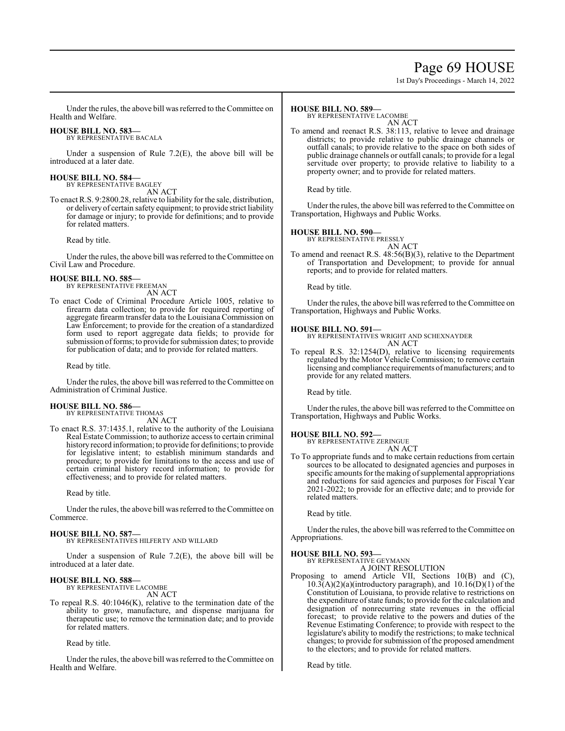# Page 69 HOUSE

1st Day's Proceedings - March 14, 2022

Under the rules, the above bill was referred to the Committee on Health and Welfare.

# **HOUSE BILL NO. 583—**

BY REPRESENTATIVE BACALA

Under a suspension of Rule  $7.2(E)$ , the above bill will be introduced at a later date.

#### **HOUSE BILL NO. 584—** BY REPRESENTATIVE BAGLEY

AN ACT

To enact R.S. 9:2800.28, relative to liability for the sale, distribution, or delivery of certain safety equipment; to provide strict liability for damage or injury; to provide for definitions; and to provide for related matters.

Read by title.

Under the rules, the above bill was referred to theCommittee on Civil Law and Procedure.

# **HOUSE BILL NO. 585—** BY REPRESENTATIVE FREEMAN

AN ACT

To enact Code of Criminal Procedure Article 1005, relative to firearm data collection; to provide for required reporting of aggregate firearm transfer data to the Louisiana Commission on Law Enforcement; to provide for the creation of a standardized form used to report aggregate data fields; to provide for submission of forms; to provide for submission dates; to provide for publication of data; and to provide for related matters.

Read by title.

Under the rules, the above bill was referred to theCommittee on Administration of Criminal Justice.

# **HOUSE BILL NO. 586—** BY REPRESENTATIVE THOMAS

AN ACT

To enact R.S. 37:1435.1, relative to the authority of the Louisiana Real Estate Commission; to authorize access to certain criminal history record information; to provide for definitions; to provide for legislative intent; to establish minimum standards and procedure; to provide for limitations to the access and use of certain criminal history record information; to provide for effectiveness; and to provide for related matters.

Read by title.

Under the rules, the above bill was referred to the Committee on Commerce.

# **HOUSE BILL NO. 587—**

BY REPRESENTATIVES HILFERTY AND WILLARD

Under a suspension of Rule 7.2(E), the above bill will be introduced at a later date.

# **HOUSE BILL NO. 588—** BY REPRESENTATIVE LACOMBE

AN ACT

To repeal R.S. 40:1046(K), relative to the termination date of the ability to grow, manufacture, and dispense marijuana for therapeutic use; to remove the termination date; and to provide for related matters.

Read by title.

Under the rules, the above bill was referred to the Committee on Health and Welfare.

### **HOUSE BILL NO. 589—**

BY REPRESENTATIVE LACOMBE

- AN ACT
- To amend and reenact R.S. 38:113, relative to levee and drainage districts; to provide relative to public drainage channels or outfall canals; to provide relative to the space on both sides of public drainage channels or outfall canals; to provide for a legal servitude over property; to provide relative to liability to a property owner; and to provide for related matters.

Read by title.

Under the rules, the above bill was referred to the Committee on Transportation, Highways and Public Works.

# **HOUSE BILL NO. 590—**

BY REPRESENTATIVE PRESSLY

AN ACT To amend and reenact R.S. 48:56(B)(3), relative to the Department of Transportation and Development; to provide for annual reports; and to provide for related matters.

Read by title.

Under the rules, the above bill was referred to the Committee on Transportation, Highways and Public Works.

### **HOUSE BILL NO. 591—**

BY REPRESENTATIVES WRIGHT AND SCHEXNAYDER AN ACT

To repeal R.S. 32:1254(D), relative to licensing requirements regulated by the Motor Vehicle Commission; to remove certain licensing and compliance requirements of manufacturers; and to provide for any related matters.

Read by title.

Under the rules, the above bill was referred to the Committee on Transportation, Highways and Public Works.

# **HOUSE BILL NO. 592—** BY REPRESENTATIVE ZERINGUE

AN ACT

To To appropriate funds and to make certain reductions from certain sources to be allocated to designated agencies and purposes in specific amounts for the making of supplemental appropriations and reductions for said agencies and purposes for Fiscal Year 2021-2022; to provide for an effective date; and to provide for related matters.

Read by title.

Under the rules, the above bill was referred to the Committee on Appropriations.

# **HOUSE BILL NO. 593—**

BY REPRESENTATIVE GEYMANN A JOINT RESOLUTION

Proposing to amend Article VII, Sections 10(B) and (C),  $10.3(A)(2)(a)$ (introductory paragraph), and  $10.16(D)(1)$  of the Constitution of Louisiana, to provide relative to restrictions on the expenditure ofstate funds; to provide for the calculation and designation of nonrecurring state revenues in the official forecast; to provide relative to the powers and duties of the Revenue Estimating Conference; to provide with respect to the legislature's ability to modify the restrictions; to make technical changes; to provide for submission of the proposed amendment to the electors; and to provide for related matters.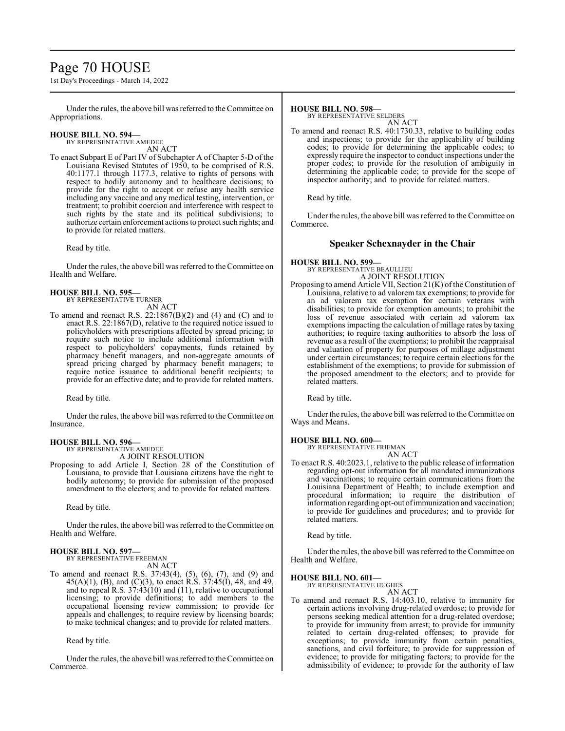# Page 70 HOUSE

1st Day's Proceedings - March 14, 2022

Under the rules, the above bill was referred to the Committee on Appropriations.

#### **HOUSE BILL NO. 594—** BY REPRESENTATIVE AMEDEE

AN ACT

To enact Subpart E of Part IV of Subchapter A of Chapter 5-D of the Louisiana Revised Statutes of 1950, to be comprised of R.S. 40:1177.1 through 1177.3, relative to rights of persons with respect to bodily autonomy and to healthcare decisions; to provide for the right to accept or refuse any health service including any vaccine and any medical testing, intervention, or treatment; to prohibit coercion and interference with respect to such rights by the state and its political subdivisions; to authorize certain enforcement actions to protect such rights; and to provide for related matters.

Read by title.

Under the rules, the above bill was referred to the Committee on Health and Welfare.

# **HOUSE BILL NO. 595—**

BY REPRESENTATIVE TURNER

AN ACT

To amend and reenact R.S. 22:1867(B)(2) and (4) and (C) and to enact R.S. 22:1867(D), relative to the required notice issued to policyholders with prescriptions affected by spread pricing; to require such notice to include additional information with respect to policyholders' copayments, funds retained by pharmacy benefit managers, and non-aggregate amounts of spread pricing charged by pharmacy benefit managers; to require notice issuance to additional benefit recipients; to provide for an effective date; and to provide for related matters.

Read by title.

Under the rules, the above bill was referred to the Committee on Insurance.

#### **HOUSE BILL NO. 596—** BY REPRESENTATIVE AMEDEE

A JOINT RESOLUTION

Proposing to add Article I, Section 28 of the Constitution of Louisiana, to provide that Louisiana citizens have the right to bodily autonomy; to provide for submission of the proposed amendment to the electors; and to provide for related matters.

Read by title.

Under the rules, the above bill was referred to the Committee on Health and Welfare.

# **HOUSE BILL NO. 597—** BY REPRESENTATIVE FREEMAN

AN ACT

To amend and reenact R.S. 37:43(4), (5), (6), (7), and (9) and  $45(A)(1)$ , (B), and (C)(3), to enact R.S.  $37:45(I)$ , 48, and 49, and to repeal R.S. 37:43(10) and (11), relative to occupational licensing; to provide definitions; to add members to the occupational licensing review commission; to provide for appeals and challenges; to require review by licensing boards; to make technical changes; and to provide for related matters.

Read by title.

Under the rules, the above bill was referred to theCommittee on Commerce.

### **HOUSE BILL NO. 598—**

BY REPRESENTATIVE SELDERS AN ACT

To amend and reenact R.S. 40:1730.33, relative to building codes and inspections; to provide for the applicability of building codes; to provide for determining the applicable codes; to expressly require the inspector to conduct inspections under the proper codes; to provide for the resolution of ambiguity in determining the applicable code; to provide for the scope of inspector authority; and to provide for related matters.

Read by title.

Under the rules, the above bill was referred to the Committee on Commerce.

# **Speaker Schexnayder in the Chair**

#### **HOUSE BILL NO. 599—** BY REPRESENTATIVE BEAULLIEU A JOINT RESOLUTION

Proposing to amend Article VII, Section 21(K) of the Constitution of Louisiana, relative to ad valorem tax exemptions; to provide for an ad valorem tax exemption for certain veterans with disabilities; to provide for exemption amounts; to prohibit the loss of revenue associated with certain ad valorem tax exemptions impacting the calculation of millage rates by taxing authorities; to require taxing authorities to absorb the loss of revenue as a result of the exemptions; to prohibit the reappraisal and valuation of property for purposes of millage adjustment under certain circumstances; to require certain elections for the establishment of the exemptions; to provide for submission of the proposed amendment to the electors; and to provide for related matters.

Read by title.

Under the rules, the above bill was referred to the Committee on Ways and Means.

# **HOUSE BILL NO. 600—**

BY REPRESENTATIVE FRIEMAN AN ACT

To enact R.S. 40:2023.1, relative to the public release of information regarding opt-out information for all mandated immunizations and vaccinations; to require certain communications from the Louisiana Department of Health; to include exemption and procedural information; to require the distribution of information regarding opt-out ofimmunization and vaccination; to provide for guidelines and procedures; and to provide for related matters.

Read by title.

Under the rules, the above bill was referred to the Committee on Health and Welfare.

# **HOUSE BILL NO. 601—**

BY REPRESENTATIVE HUGHES AN ACT

To amend and reenact R.S. 14:403.10, relative to immunity for certain actions involving drug-related overdose; to provide for persons seeking medical attention for a drug-related overdose; to provide for immunity from arrest; to provide for immunity related to certain drug-related offenses; to provide for exceptions; to provide immunity from certain penalties, sanctions, and civil forfeiture; to provide for suppression of evidence; to provide for mitigating factors; to provide for the admissibility of evidence; to provide for the authority of law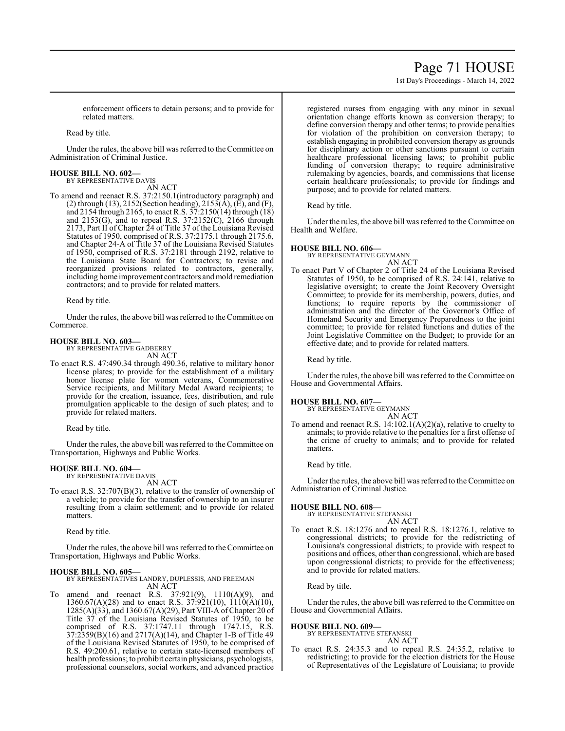# Page 71 HOUSE

1st Day's Proceedings - March 14, 2022

enforcement officers to detain persons; and to provide for related matters.

Read by title.

Under the rules, the above bill was referred to the Committee on Administration of Criminal Justice.

#### **HOUSE BILL NO. 602—** BY REPRESENTATIVE DAVIS

AN ACT

To amend and reenact R.S. 37:2150.1(introductory paragraph) and (2) through (13), 2152(Section heading), 2153(A), (E), and (F), and 2154 through 2165, to enact R.S.  $37:2150(14)$  through  $(18)$ and 2153(G), and to repeal R.S. 37:2152(C), 2166 through 2173, Part II of Chapter 24 of Title 37 of the Louisiana Revised Statutes of 1950, comprised of R.S. 37:2175.1 through 2175.6, and Chapter 24-A of Title 37 of the Louisiana Revised Statutes of 1950, comprised of R.S. 37:2181 through 2192, relative to the Louisiana State Board for Contractors; to revise and reorganized provisions related to contractors, generally, including home improvement contractors and mold remediation contractors; and to provide for related matters.

Read by title.

Under the rules, the above bill was referred to the Committee on Commerce.

### **HOUSE BILL NO. 603—**

BY REPRESENTATIVE GADBERRY AN ACT

To enact R.S. 47:490.34 through 490.36, relative to military honor license plates; to provide for the establishment of a military honor license plate for women veterans, Commemorative Service recipients, and Military Medal Award recipients; to provide for the creation, issuance, fees, distribution, and rule promulgation applicable to the design of such plates; and to provide for related matters.

Read by title.

Under the rules, the above bill was referred to the Committee on Transportation, Highways and Public Works.

# **HOUSE BILL NO. 604—**

BY REPRESENTATIVE DAVIS AN ACT

To enact R.S. 32:707(B)(3), relative to the transfer of ownership of a vehicle; to provide for the transfer of ownership to an insurer resulting from a claim settlement; and to provide for related matters.

Read by title.

Under the rules, the above bill was referred to the Committee on Transportation, Highways and Public Works.

### **HOUSE BILL NO. 605—**

BY REPRESENTATIVES LANDRY, DUPLESSIS, AND FREEMAN AN ACT

To amend and reenact R.S. 37:921(9), 1110(A)(9), and 1360.67(A)(28) and to enact R.S. 37:921(10), 1110(A)(10), 1285(A)(33), and 1360.67(A)(29), Part VIII-A ofChapter 20 of Title 37 of the Louisiana Revised Statutes of 1950, to be comprised of R.S. 37:1747.11 through 1747.15, R.S. 37:2359(B)(16) and 2717(A)(14), and Chapter 1-B of Title 49 of the Louisiana Revised Statutes of 1950, to be comprised of R.S. 49:200.61, relative to certain state-licensed members of health professions; to prohibit certain physicians, psychologists, professional counselors, social workers, and advanced practice

registered nurses from engaging with any minor in sexual orientation change efforts known as conversion therapy; to define conversion therapy and other terms; to provide penalties for violation of the prohibition on conversion therapy; to establish engaging in prohibited conversion therapy as grounds for disciplinary action or other sanctions pursuant to certain healthcare professional licensing laws; to prohibit public funding of conversion therapy; to require administrative rulemaking by agencies, boards, and commissions that license certain healthcare professionals; to provide for findings and purpose; and to provide for related matters.

Read by title.

Under the rules, the above bill was referred to the Committee on Health and Welfare.

# **HOUSE BILL NO. 606—** BY REPRESENTATIVE GEYMANN

AN ACT

To enact Part V of Chapter 2 of Title 24 of the Louisiana Revised Statutes of 1950, to be comprised of R.S. 24:141, relative to legislative oversight; to create the Joint Recovery Oversight Committee; to provide for its membership, powers, duties, and functions; to require reports by the commissioner of administration and the director of the Governor's Office of Homeland Security and Emergency Preparedness to the joint committee; to provide for related functions and duties of the Joint Legislative Committee on the Budget; to provide for an effective date; and to provide for related matters.

Read by title.

Under the rules, the above bill was referred to the Committee on House and Governmental Affairs.

### **HOUSE BILL NO. 607—**

BY REPRESENTATIVE GEYMANN AN ACT

To amend and reenact R.S. 14:102.1(A)(2)(a), relative to cruelty to animals; to provide relative to the penalties for a first offense of the crime of cruelty to animals; and to provide for related matters.

Read by title.

Under the rules, the above bill was referred to the Committee on Administration of Criminal Justice.

# **HOUSE BILL NO. 608—**

BY REPRESENTATIVE STEFANSKI AN ACT

To enact R.S. 18:1276 and to repeal R.S. 18:1276.1, relative to congressional districts; to provide for the redistricting of Louisiana's congressional districts; to provide with respect to positions and offices, other than congressional, which are based upon congressional districts; to provide for the effectiveness; and to provide for related matters.

Read by title.

Under the rules, the above bill was referred to the Committee on House and Governmental Affairs.

#### **HOUSE BILL NO. 609—**

BY REPRESENTATIVE STEFANSKI AN ACT

To enact R.S. 24:35.3 and to repeal R.S. 24:35.2, relative to redistricting; to provide for the election districts for the House of Representatives of the Legislature of Louisiana; to provide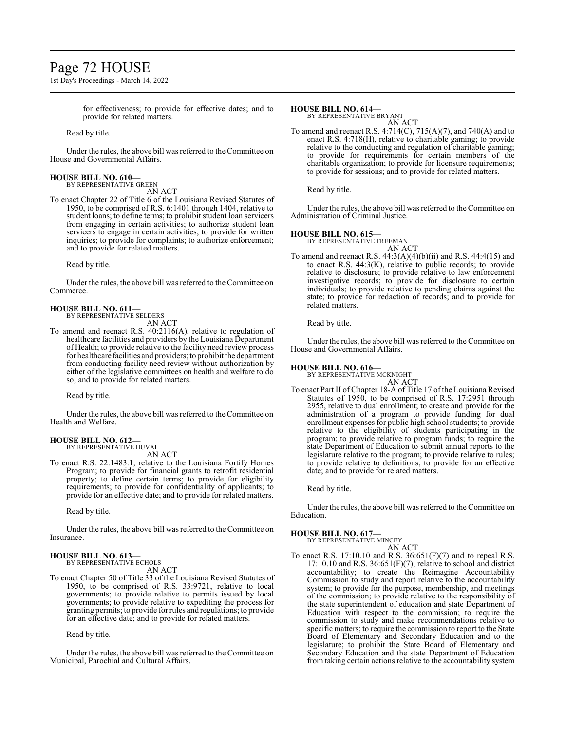# Page 72 HOUSE

1st Day's Proceedings - March 14, 2022

for effectiveness; to provide for effective dates; and to provide for related matters.

Read by title.

Under the rules, the above bill was referred to the Committee on House and Governmental Affairs.

### **HOUSE BILL NO. 610—**

BY REPRESENTATIVE GREEN AN ACT

To enact Chapter 22 of Title 6 of the Louisiana Revised Statutes of 1950, to be comprised of R.S. 6:1401 through 1404, relative to student loans; to define terms; to prohibit student loan servicers from engaging in certain activities; to authorize student loan servicers to engage in certain activities; to provide for written inquiries; to provide for complaints; to authorize enforcement; and to provide for related matters.

Read by title.

Under the rules, the above bill was referred to the Committee on Commerce.

### **HOUSE BILL NO. 611—**

BY REPRESENTATIVE SELDERS AN ACT

To amend and reenact R.S. 40:2116(A), relative to regulation of healthcare facilities and providers by the Louisiana Department of Health; to provide relative to the facility need review process for healthcare facilities and providers; to prohibit the department from conducting facility need review without authorization by either of the legislative committees on health and welfare to do so; and to provide for related matters.

Read by title.

Under the rules, the above bill was referred to the Committee on Health and Welfare.

#### **HOUSE BILL NO. 612—** BY REPRESENTATIVE HUVAL

AN ACT

To enact R.S. 22:1483.1, relative to the Louisiana Fortify Homes Program; to provide for financial grants to retrofit residential property; to define certain terms; to provide for eligibility requirements; to provide for confidentiality of applicants; to provide for an effective date; and to provide for related matters.

Read by title.

Under the rules, the above bill was referred to the Committee on Insurance.

#### **HOUSE BILL NO. 613—** BY REPRESENTATIVE ECHOLS

AN ACT

To enact Chapter 50 of Title 33 of the Louisiana Revised Statutes of 1950, to be comprised of R.S. 33:9721, relative to local governments; to provide relative to permits issued by local governments; to provide relative to expediting the process for granting permits; to provide forrules and regulations; to provide for an effective date; and to provide for related matters.

Read by title.

Under the rules, the above bill was referred to the Committee on Municipal, Parochial and Cultural Affairs.

### **HOUSE BILL NO. 614—**

BY REPRESENTATIVE BRYANT AN ACT

To amend and reenact R.S. 4:714(C), 715(A)(7), and 740(A) and to enact R.S. 4:718(H), relative to charitable gaming; to provide relative to the conducting and regulation of charitable gaming; to provide for requirements for certain members of the charitable organization; to provide for licensure requirements; to provide for sessions; and to provide for related matters.

Read by title.

Under the rules, the above bill was referred to the Committee on Administration of Criminal Justice.

### **HOUSE BILL NO. 615—**

BY REPRESENTATIVE FREEMAN

AN ACT To amend and reenact R.S. 44:3(A)(4)(b)(ii) and R.S. 44:4(15) and to enact R.S. 44:3(K), relative to public records; to provide relative to disclosure; to provide relative to law enforcement investigative records; to provide for disclosure to certain individuals; to provide relative to pending claims against the state; to provide for redaction of records; and to provide for

Read by title.

related matters.

Under the rules, the above bill was referred to the Committee on House and Governmental Affairs.

**HOUSE BILL NO. 616—** BY REPRESENTATIVE MCKNIGHT AN ACT

To enact Part II of Chapter 18-A of Title 17 of the Louisiana Revised Statutes of 1950, to be comprised of R.S. 17:2951 through 2955, relative to dual enrollment; to create and provide for the administration of a program to provide funding for dual enrollment expenses for public high school students; to provide relative to the eligibility of students participating in the program; to provide relative to program funds; to require the state Department of Education to submit annual reports to the legislature relative to the program; to provide relative to rules; to provide relative to definitions; to provide for an effective date; and to provide for related matters.

Read by title.

Under the rules, the above bill was referred to the Committee on Education.

### **HOUSE BILL NO. 617—**

BY REPRESENTATIVE MINCEY

AN ACT To enact R.S. 17:10.10 and R.S. 36:651(F)(7) and to repeal R.S. 17:10.10 and R.S.  $36:651(F)(7)$ , relative to school and district accountability; to create the Reimagine Accountability Commission to study and report relative to the accountability system; to provide for the purpose, membership, and meetings of the commission; to provide relative to the responsibility of the state superintendent of education and state Department of Education with respect to the commission; to require the commission to study and make recommendations relative to specific matters; to require the commission to report to the State Board of Elementary and Secondary Education and to the legislature; to prohibit the State Board of Elementary and Secondary Education and the state Department of Education from taking certain actions relative to the accountability system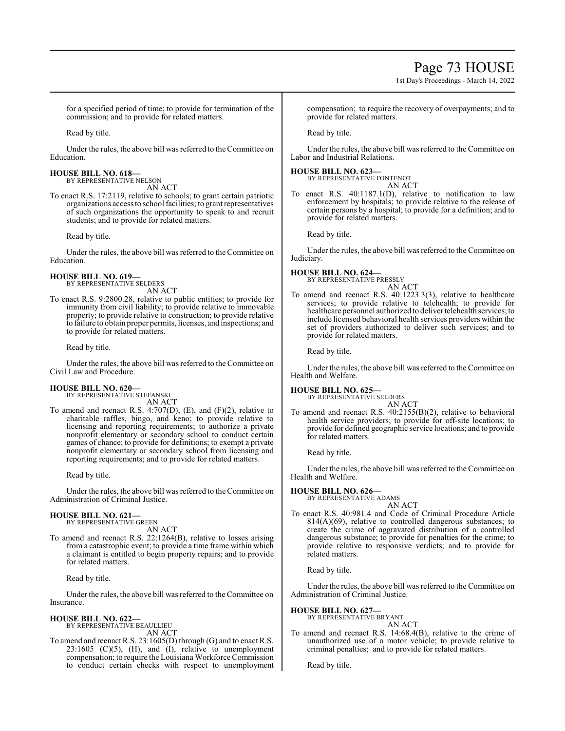# Page 73 HOUSE

1st Day's Proceedings - March 14, 2022

for a specified period of time; to provide for termination of the commission; and to provide for related matters.

Read by title.

Under the rules, the above bill was referred to the Committee on Education.

#### **HOUSE BILL NO. 618—** BY REPRESENTATIVE NELSON

AN ACT

To enact R.S. 17:2119, relative to schools; to grant certain patriotic organizations access to school facilities; to grant representatives of such organizations the opportunity to speak to and recruit students; and to provide for related matters.

Read by title.

Under the rules, the above bill was referred to the Committee on Education.

# **HOUSE BILL NO. 619—**

BY REPRESENTATIVE SELDERS AN ACT

To enact R.S. 9:2800.28, relative to public entities; to provide for immunity from civil liability; to provide relative to immovable property; to provide relative to construction; to provide relative to failure to obtain proper permits, licenses, and inspections; and to provide for related matters.

Read by title.

Under the rules, the above bill was referred to the Committee on Civil Law and Procedure.

#### **HOUSE BILL NO. 620—** BY REPRESENTATIVE STEFANSKI

AN ACT

To amend and reenact R.S. 4:707(D), (E), and (F)(2), relative to charitable raffles, bingo, and keno; to provide relative to licensing and reporting requirements; to authorize a private nonprofit elementary or secondary school to conduct certain games of chance; to provide for definitions; to exempt a private nonprofit elementary or secondary school from licensing and reporting requirements; and to provide for related matters.

Read by title.

Under the rules, the above bill was referred to the Committee on Administration of Criminal Justice.

#### **HOUSE BILL NO. 621—** BY REPRESENTATIVE GREEN

AN ACT

To amend and reenact R.S. 22:1264(B), relative to losses arising from a catastrophic event; to provide a time frame within which a claimant is entitled to begin property repairs; and to provide for related matters.

Read by title.

Under the rules, the above bill was referred to the Committee on Insurance.

## **HOUSE BILL NO. 622—**

BY REPRESENTATIVE BEAULLIEU AN ACT

To amend and reenact R.S. 23:1605(D) through (G) and to enact R.S.  $23:1605$  (C)(5), (H), and (I), relative to unemployment compensation; to require the Louisiana Workforce Commission to conduct certain checks with respect to unemployment compensation; to require the recovery of overpayments; and to provide for related matters.

Read by title.

Under the rules, the above bill was referred to the Committee on Labor and Industrial Relations.

# **HOUSE BILL NO. 623—** BY REPRESENTATIVE FONTENOT

AN ACT

To enact R.S. 40:1187.1(D), relative to notification to law enforcement by hospitals; to provide relative to the release of certain persons by a hospital; to provide for a definition; and to provide for related matters.

Read by title.

Under the rules, the above bill was referred to the Committee on Judiciary.

#### **HOUSE BILL NO. 624—** BY REPRESENTATIVE PRESSLY

AN ACT

To amend and reenact R.S. 40:1223.3(3), relative to healthcare services; to provide relative to telehealth; to provide for healthcare personnel authorized to deliver telehealth services; to include licensed behavioral health services providers within the set of providers authorized to deliver such services; and to provide for related matters.

Read by title.

Under the rules, the above bill was referred to the Committee on Health and Welfare.

# **HOUSE BILL NO. 625—**

BY REPRESENTATIVE SELDERS AN ACT

To amend and reenact R.S. 40:2155(B)(2), relative to behavioral health service providers; to provide for off-site locations; to provide for defined geographic service locations; and to provide for related matters.

Read by title.

Under the rules, the above bill was referred to the Committee on Health and Welfare.

**HOUSE BILL NO. 626—** BY REPRESENTATIVE ADAMS

AN ACT To enact R.S. 40:981.4 and Code of Criminal Procedure Article  $814(A)(69)$ , relative to controlled dangerous substances; to create the crime of aggravated distribution of a controlled dangerous substance; to provide for penalties for the crime; to provide relative to responsive verdicts; and to provide for related matters.

Read by title.

Under the rules, the above bill was referred to the Committee on Administration of Criminal Justice.

# **HOUSE BILL NO. 627—**

BY REPRESENTATIVE BRYANT AN ACT

To amend and reenact R.S. 14:68.4(B), relative to the crime of unauthorized use of a motor vehicle; to provide relative to criminal penalties; and to provide for related matters.

Read by title.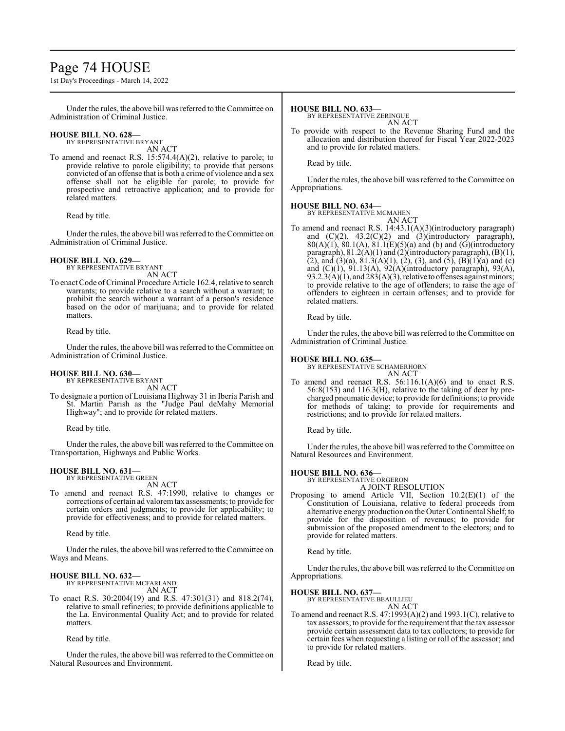# Page 74 HOUSE

1st Day's Proceedings - March 14, 2022

Under the rules, the above bill was referred to the Committee on Administration of Criminal Justice.

# **HOUSE BILL NO. 628—** BY REPRESENTATIVE BRYANT

AN ACT

To amend and reenact R.S. 15:574.4(A)(2), relative to parole; to provide relative to parole eligibility; to provide that persons convicted of an offense that is both a crime of violence and a sex offense shall not be eligible for parole; to provide for prospective and retroactive application; and to provide for related matters.

Read by title.

Under the rules, the above bill was referred to the Committee on Administration of Criminal Justice.

## **HOUSE BILL NO. 629—**

BY REPRESENTATIVE BRYANT

AN ACT

To enact Code of Criminal Procedure Article 162.4, relative to search warrants; to provide relative to a search without a warrant; to prohibit the search without a warrant of a person's residence based on the odor of marijuana; and to provide for related matters.

Read by title.

Under the rules, the above bill was referred to the Committee on Administration of Criminal Justice.

# **HOUSE BILL NO. 630—** BY REPRESENTATIVE BRYANT

AN ACT

To designate a portion of Louisiana Highway 31 in Iberia Parish and St. Martin Parish as the "Judge Paul deMahy Memorial Highway"; and to provide for related matters.

Read by title.

Under the rules, the above bill was referred to the Committee on Transportation, Highways and Public Works.

# **HOUSE BILL NO. 631—**

BY REPRESENTATIVE GREEN AN ACT

To amend and reenact R.S. 47:1990, relative to changes or corrections of certain ad valoremtax assessments; to provide for certain orders and judgments; to provide for applicability; to provide for effectiveness; and to provide for related matters.

Read by title.

Under the rules, the above bill was referred to the Committee on Ways and Means.

# **HOUSE BILL NO. 632—**

BY REPRESENTATIVE MCFARLAND AN ACT

To enact R.S. 30:2004(19) and R.S. 47:301(31) and 818.2(74), relative to small refineries; to provide definitions applicable to the La. Environmental Quality Act; and to provide for related matters.

Read by title.

Under the rules, the above bill was referred to the Committee on Natural Resources and Environment.

#### **HOUSE BILL NO. 633—**

BY REPRESENTATIVE ZERINGUE

AN ACT

To provide with respect to the Revenue Sharing Fund and the allocation and distribution thereof for Fiscal Year 2022-2023 and to provide for related matters.

Read by title.

Under the rules, the above bill was referred to the Committee on Appropriations.

### **HOUSE BILL NO. 634—**

BY REPRESENTATIVE MCMAHEN AN ACT

To amend and reenact R.S. 14:43.1(A)(3)(introductory paragraph) and  $(C)(2)$ ,  $43.2(C)(2)$  and  $(3)(introductory)$  paragraph),  $80(A)(1)$ ,  $80.1(A)$ ,  $81.1(E)(5)(a)$  and (b) and (G)(introductory paragraph), 81.2(A)(1) and (2)(introductory paragraph), (B)(1), (2), and (3)(a),  $81.3(A)(1)$ , (2), (3), and (5), (B)(1)(a) and (c) and  $(C)(1)$ ,  $91.13(A)$ ,  $92(A)$ (introductory paragraph),  $93(A)$ ,  $93.2.3(A)(1)$ , and  $283(A)(3)$ , relative to offenses against minors; to provide relative to the age of offenders; to raise the age of offenders to eighteen in certain offenses; and to provide for related matters.

Read by title.

Under the rules, the above bill was referred to the Committee on Administration of Criminal Justice.

### **HOUSE BILL NO. 635—**

BY REPRESENTATIVE SCHAMERHORN AN ACT

To amend and reenact R.S.  $56:116.1(A)(6)$  and to enact R.S. 56:8(153) and 116.3(H), relative to the taking of deer by precharged pneumatic device; to provide for definitions; to provide for methods of taking; to provide for requirements and restrictions; and to provide for related matters.

Read by title.

Under the rules, the above bill was referred to the Committee on Natural Resources and Environment.

## **HOUSE BILL NO. 636—**

BY REPRESENTATIVE ORGERON

- A JOINT RESOLUTION
- Proposing to amend Article VII, Section 10.2(E)(1) of the Constitution of Louisiana, relative to federal proceeds from alternative energy production on the Outer Continental Shelf; to provide for the disposition of revenues; to provide for submission of the proposed amendment to the electors; and to provide for related matters.

Read by title.

Under the rules, the above bill was referred to the Committee on Appropriations.

## **HOUSE BILL NO. 637—**

BY REPRESENTATIVE BEAULLIEU AN ACT

To amend and reenact R.S. 47:1993(A)(2) and 1993.1(C), relative to tax assessors; to provide for the requirement that the tax assessor provide certain assessment data to tax collectors; to provide for certain fees when requesting a listing or roll of the assessor; and to provide for related matters.

Read by title.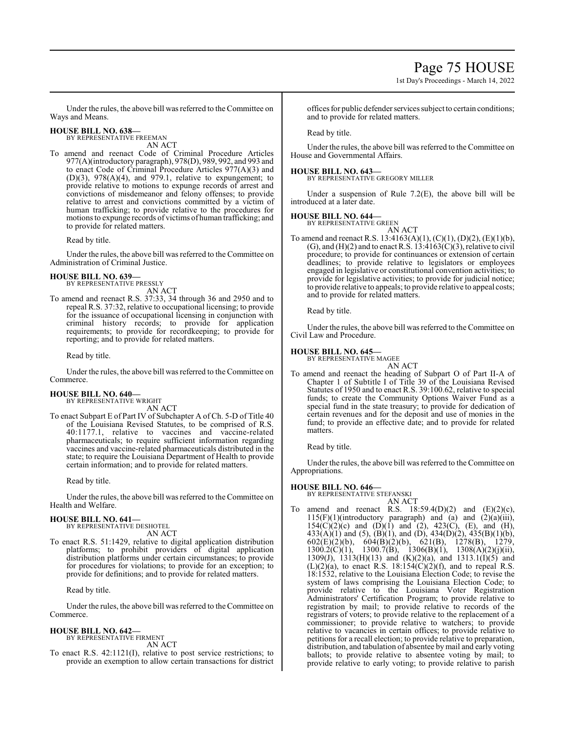Under the rules, the above bill was referred to the Committee on Ways and Means.

# **HOUSE BILL NO. 638—**

BY REPRESENTATIVE FREEMAN AN ACT

To amend and reenact Code of Criminal Procedure Articles 977(A)(introductory paragraph), 978(D), 989, 992, and 993 and to enact Code of Criminal Procedure Articles 977(A)(3) and  $(D)(3)$ ,  $978(A)(4)$ , and  $979.1$ , relative to expungement; to provide relative to motions to expunge records of arrest and convictions of misdemeanor and felony offenses; to provide relative to arrest and convictions committed by a victim of human trafficking; to provide relative to the procedures for motions to expunge records of victims of human trafficking; and to provide for related matters.

Read by title.

Under the rules, the above bill was referred to the Committee on Administration of Criminal Justice.

#### **HOUSE BILL NO. 639—** BY REPRESENTATIVE PRESSLY

AN ACT

To amend and reenact R.S. 37:33, 34 through 36 and 2950 and to repeal R.S. 37:32, relative to occupational licensing; to provide for the issuance of occupational licensing in conjunction with criminal history records; to provide for application requirements; to provide for recordkeeping; to provide for reporting; and to provide for related matters.

Read by title.

Under the rules, the above bill was referred to the Committee on Commerce.

#### **HOUSE BILL NO. 640—** BY REPRESENTATIVE WRIGHT

AN ACT

To enact Subpart E of Part IV of Subchapter A of Ch. 5-D of Title 40 of the Louisiana Revised Statutes, to be comprised of R.S. 40:1177.1, relative to vaccines and vaccine-related pharmaceuticals; to require sufficient information regarding vaccines and vaccine-related pharmaceuticals distributed in the state; to require the Louisiana Department of Health to provide certain information; and to provide for related matters.

Read by title.

Under the rules, the above bill was referred to the Committee on Health and Welfare.

## **HOUSE BILL NO. 641—**

BY REPRESENTATIVE DESHOTEL AN ACT

To enact R.S. 51:1429, relative to digital application distribution platforms; to prohibit providers of digital application distribution platforms under certain circumstances; to provide for procedures for violations; to provide for an exception; to provide for definitions; and to provide for related matters.

Read by title.

Under the rules, the above bill was referred to theCommittee on Commerce.

# **HOUSE BILL NO. 642—**

BY REPRESENTATIVE FIRMENT AN ACT

To enact R.S. 42:1121(I), relative to post service restrictions; to provide an exemption to allow certain transactions for district offices for public defender services subject to certain conditions; and to provide for related matters.

Read by title.

Under the rules, the above bill was referred to the Committee on House and Governmental Affairs.

**HOUSE BILL NO. 643—** BY REPRESENTATIVE GREGORY MILLER

Under a suspension of Rule 7.2(E), the above bill will be introduced at a later date.

# **HOUSE BILL NO. 644—**

BY REPRESENTATIVE GREEN AN ACT

To amend and reenact R.S. 13:4163(A)(1), (C)(1), (D)(2), (E)(1)(b), (G), and (H)(2) and to enact R.S.  $13:4163(\tilde{C})(3)$ , relative to civil procedure; to provide for continuances or extension of certain deadlines; to provide relative to legislators or employees engaged in legislative or constitutional convention activities; to provide for legislative activities; to provide for judicial notice; to provide relative to appeals; to provide relative to appeal costs; and to provide for related matters.

Read by title.

Under the rules, the above bill was referred to the Committee on Civil Law and Procedure.

# **HOUSE BILL NO. 645—**

BY REPRESENTATIVE MAGEE AN ACT

To amend and reenact the heading of Subpart O of Part II-A of Chapter 1 of Subtitle I of Title 39 of the Louisiana Revised Statutes of 1950 and to enact R.S. 39:100.62, relative to special funds; to create the Community Options Waiver Fund as a special fund in the state treasury; to provide for dedication of certain revenues and for the deposit and use of monies in the fund; to provide an effective date; and to provide for related matters.

Read by title.

Under the rules, the above bill was referred to the Committee on Appropriations.

#### **HOUSE BILL NO. 646—** BY REPRESENTATIVE STEFANSKI

AN ACT

To amend and reenact R.S.  $18:59.4(D)(2)$  and  $(E)(2)(c)$ ,  $115(F)(1)$ (introductory paragraph) and (a) and  $(2)(a)(iii)$ , 154(C)(2)(c) and (D)(1) and (2), 423(C), (E), and (H),  $433(A)(1)$  and  $(5)$ ,  $(B)(1)$ , and  $(D)$ ,  $434(D)(2)$ ,  $435(B)(1)(b)$ , 602(E)(2)(b), 604(B)(2)(b), 621(B), 1278(B), 1279, 1300.2(C)(1), 1300.7(B), 1306(B)(1), 1308(A)(2)(j)(ii), 1309(J), 1313(H)(13) and (K)(2)(a), and 1313.1(I)(5) and  $(L)(2)(a)$ , to enact R.S. 18:154 $(C)(2)(f)$ , and to repeal R.S. 18:1532, relative to the Louisiana Election Code; to revise the system of laws comprising the Louisiana Election Code; to provide relative to the Louisiana Voter Registration Administrators' Certification Program; to provide relative to registration by mail; to provide relative to records of the registrars of voters; to provide relative to the replacement of a commissioner; to provide relative to watchers; to provide relative to vacancies in certain offices; to provide relative to petitions for a recall election; to provide relative to preparation, distribution, and tabulation of absentee by mail and early voting ballots; to provide relative to absentee voting by mail; to provide relative to early voting; to provide relative to parish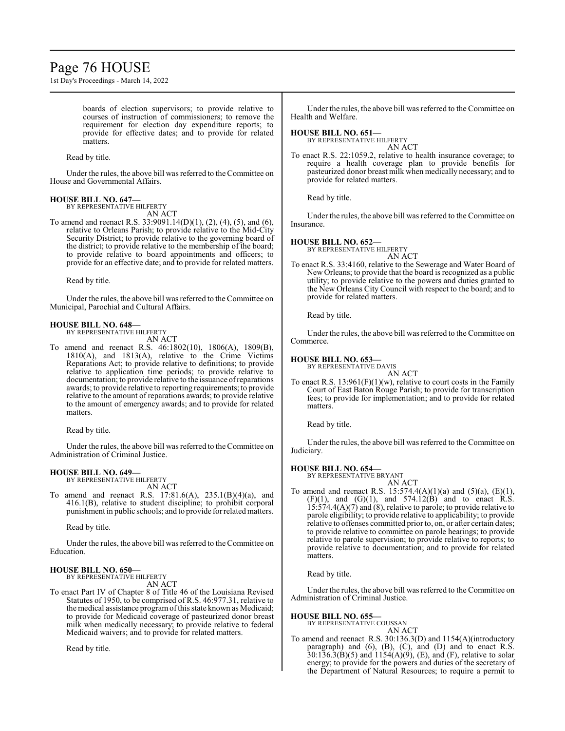# Page 76 HOUSE

1st Day's Proceedings - March 14, 2022

boards of election supervisors; to provide relative to courses of instruction of commissioners; to remove the requirement for election day expenditure reports; to provide for effective dates; and to provide for related matters.

Read by title.

Under the rules, the above bill was referred to the Committee on House and Governmental Affairs.

#### **HOUSE BILL NO. 647—**

BY REPRESENTATIVE HILFERTY AN ACT

To amend and reenact R.S. 33:9091.14(D)(1), (2), (4), (5), and (6), relative to Orleans Parish; to provide relative to the Mid-City Security District; to provide relative to the governing board of the district; to provide relative to the membership of the board; to provide relative to board appointments and officers; to provide for an effective date; and to provide for related matters.

Read by title.

Under the rules, the above bill was referred to the Committee on Municipal, Parochial and Cultural Affairs.

#### **HOUSE BILL NO. 648—** BY REPRESENTATIVE HILFERTY

AN ACT

To amend and reenact R.S. 46:1802(10), 1806(A), 1809(B), 1810(A), and 1813(A), relative to the Crime Victims Reparations Act; to provide relative to definitions; to provide relative to application time periods; to provide relative to documentation; to provide relative to the issuance ofreparations awards; to provide relative to reporting requirements; to provide relative to the amount of reparations awards; to provide relative to the amount of emergency awards; and to provide for related matters.

Read by title.

Under the rules, the above bill was referred to the Committee on Administration of Criminal Justice.

#### **HOUSE BILL NO. 649—**

BY REPRESENTATIVE HILFERTY AN ACT

To amend and reenact R.S. 17:81.6(A), 235.1(B)(4)(a), and 416.1(B), relative to student discipline; to prohibit corporal punishment in public schools; and to provide for related matters.

Read by title.

Under the rules, the above bill was referred to the Committee on Education.

#### **HOUSE BILL NO. 650—**

BY REPRESENTATIVE HILFERTY AN ACT

To enact Part IV of Chapter 8 of Title 46 of the Louisiana Revised Statutes of 1950, to be comprised of R.S. 46:977.31, relative to the medical assistance programofthis state known as Medicaid; to provide for Medicaid coverage of pasteurized donor breast milk when medically necessary; to provide relative to federal Medicaid waivers; and to provide for related matters.

Read by title.

Under the rules, the above bill was referred to the Committee on Health and Welfare.

# **HOUSE BILL NO. 651—**

BY REPRESENTATIVE HILFERTY AN ACT

To enact R.S. 22:1059.2, relative to health insurance coverage; to require a health coverage plan to provide benefits for pasteurized donor breast milk when medically necessary; and to provide for related matters.

Read by title.

Under the rules, the above bill was referred to the Committee on Insurance.

# **HOUSE BILL NO. 652—**

BY REPRESENTATIVE HILFERTY AN ACT

To enact R.S. 33:4160, relative to the Sewerage and Water Board of New Orleans; to provide that the board is recognized as a public utility; to provide relative to the powers and duties granted to the New Orleans City Council with respect to the board; and to provide for related matters.

Read by title.

Under the rules, the above bill was referred to the Committee on Commerce.

#### **HOUSE BILL NO. 653—**

BY REPRESENTATIVE DAVIS

AN ACT To enact R.S.  $13:961(F)(1)(w)$ , relative to court costs in the Family Court of East Baton Rouge Parish; to provide for transcription fees; to provide for implementation; and to provide for related matters.

Read by title.

Under the rules, the above bill was referred to the Committee on Judiciary.

#### **HOUSE BILL NO. 654—**

BY REPRESENTATIVE BRYANT AN ACT

To amend and reenact R.S. 15:574.4(A)(1)(a) and (5)(a), (E)(1),  $(F)(1)$ , and  $(G)(1)$ , and  $574.12(B)$  and to enact R.S. 15:574.4(A)(7) and (8), relative to parole; to provide relative to parole eligibility; to provide relative to applicability; to provide relative to offenses committed prior to, on, or after certain dates; to provide relative to committee on parole hearings; to provide relative to parole supervision; to provide relative to reports; to provide relative to documentation; and to provide for related matters.

Read by title.

Under the rules, the above bill was referred to the Committee on Administration of Criminal Justice.

#### **HOUSE BILL NO. 655—**

BY REPRESENTATIVE COUSSAN AN ACT

To amend and reenact R.S. 30:136.3(D) and 1154(A)(introductory paragraph) and  $(6)$ ,  $(B)$ ,  $(C)$ , and  $(D)$  and to enact R.S.  $30:136.3(B)(5)$  and  $1154(A)(9)$ , (E), and (F), relative to solar energy; to provide for the powers and duties of the secretary of the Department of Natural Resources; to require a permit to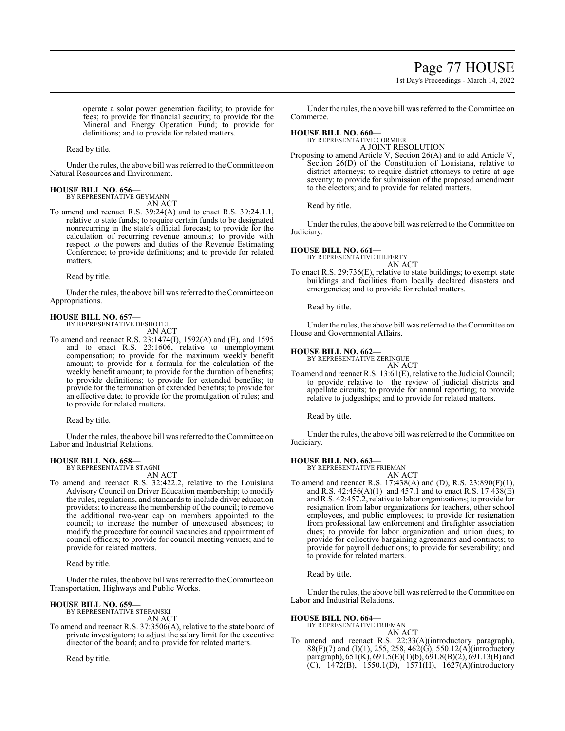# Page 77 HOUSE

1st Day's Proceedings - March 14, 2022

operate a solar power generation facility; to provide for fees; to provide for financial security; to provide for the Mineral and Energy Operation Fund; to provide for definitions; and to provide for related matters.

Read by title.

Under the rules, the above bill was referred to theCommittee on Natural Resources and Environment.

# **HOUSE BILL NO. 656—** BY REPRESENTATIVE GEYMANN

AN ACT

To amend and reenact R.S. 39:24(A) and to enact R.S. 39:24.1.1, relative to state funds; to require certain funds to be designated nonrecurring in the state's official forecast; to provide for the calculation of recurring revenue amounts; to provide with respect to the powers and duties of the Revenue Estimating Conference; to provide definitions; and to provide for related matters.

Read by title.

Under the rules, the above bill was referred to the Committee on Appropriations.

#### **HOUSE BILL NO. 657—** BY REPRESENTATIVE DESHOTEL

AN ACT

To amend and reenact R.S. 23:1474(I), 1592(A) and (E), and 1595 and to enact R.S. 23:1606, relative to unemployment compensation; to provide for the maximum weekly benefit amount; to provide for a formula for the calculation of the weekly benefit amount; to provide for the duration of benefits; to provide definitions; to provide for extended benefits; to provide for the termination of extended benefits; to provide for an effective date; to provide for the promulgation of rules; and to provide for related matters.

Read by title.

Under the rules, the above bill was referred to the Committee on Labor and Industrial Relations.

#### **HOUSE BILL NO. 658—** BY REPRESENTATIVE STAGNI

AN ACT

To amend and reenact R.S. 32:422.2, relative to the Louisiana Advisory Council on Driver Education membership; to modify the rules, regulations, and standards to include driver education providers; to increase the membership of the council; to remove the additional two-year cap on members appointed to the council; to increase the number of unexcused absences; to modify the procedure for council vacancies and appointment of council officers; to provide for council meeting venues; and to provide for related matters.

Read by title.

Under the rules, the above bill was referred to the Committee on Transportation, Highways and Public Works.

## **HOUSE BILL NO. 659—**

BY REPRESENTATIVE STEFANSKI AN ACT

To amend and reenact R.S. 37:3506(A), relative to the state board of private investigators; to adjust the salary limit for the executive director of the board; and to provide for related matters.

Read by title.

Under the rules, the above bill was referred to the Committee on Commerce.

**HOUSE BILL NO. 660—**

BY REPRESENTATIVE CORMIER A JOINT RESOLUTION

Proposing to amend Article V, Section 26(A) and to add Article V, Section 26(D) of the Constitution of Louisiana, relative to district attorneys; to require district attorneys to retire at age seventy; to provide for submission of the proposed amendment to the electors; and to provide for related matters.

Read by title.

Under the rules, the above bill was referred to the Committee on Judiciary.

## **HOUSE BILL NO. 661—**

BY REPRESENTATIVE HILFERTY AN ACT

To enact R.S. 29:736(E), relative to state buildings; to exempt state buildings and facilities from locally declared disasters and emergencies; and to provide for related matters.

Read by title.

Under the rules, the above bill was referred to the Committee on House and Governmental Affairs.

# **HOUSE BILL NO. 662—** BY REPRESENTATIVE ZERINGUE

AN ACT

To amend and reenact R.S. 13:61(E), relative to the Judicial Council; to provide relative to the review of judicial districts and appellate circuits; to provide for annual reporting; to provide relative to judgeships; and to provide for related matters.

Read by title.

Under the rules, the above bill was referred to the Committee on Judiciary.

## **HOUSE BILL NO. 663—**

BY REPRESENTATIVE FRIEMAN AN ACT

To amend and reenact R.S. 17:438(A) and (D), R.S. 23:890(F)(1), and R.S. 42:456(A)(1) and 457.1 and to enact R.S. 17:438(E) andR.S. 42:457.2, relative to labor organizations; to provide for resignation from labor organizations for teachers, other school employees, and public employees; to provide for resignation from professional law enforcement and firefighter association dues; to provide for labor organization and union dues; to provide for collective bargaining agreements and contracts; to provide for payroll deductions; to provide for severability; and to provide for related matters.

Read by title.

Under the rules, the above bill was referred to the Committee on Labor and Industrial Relations.

#### **HOUSE BILL NO. 664—**

BY REPRESENTATIVE FRIEMAN

AN ACT To amend and reenact R.S. 22:33(A)(introductory paragraph), 88(F)(7) and (I)(1), 255, 258, 462(G), 550.12(A)(introductory paragraph), 651(K), 691.5(E)(1)(b), 691.8(B)(2), 691.13(B) and  $(C)$ , 1472(B), 1550.1(D), 1571(H), 1627(A)(introductory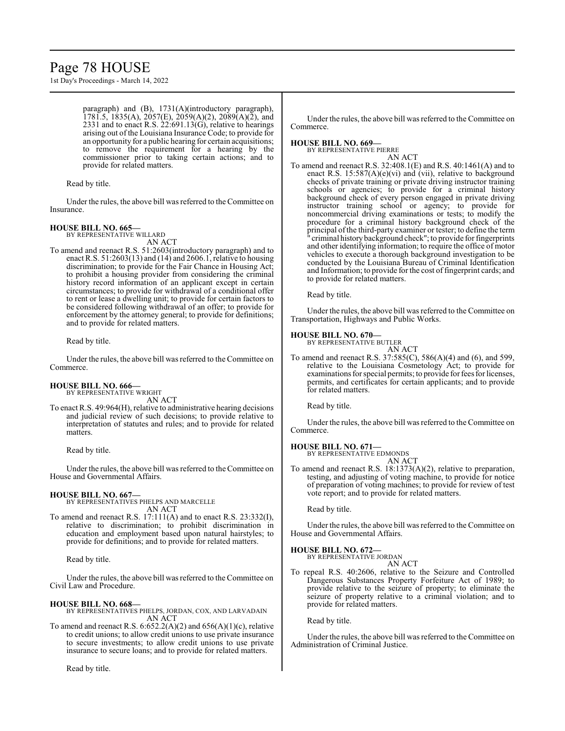# Page 78 HOUSE

1st Day's Proceedings - March 14, 2022

paragraph) and (B), 1731(A)(introductory paragraph), 1781.5, 1835(A), 2057(E), 2059(A)(2), 2089(A)(2), and 2331 and to enact R.S. 22:691.13(G), relative to hearings arising out of the Louisiana Insurance Code; to provide for an opportunity for a public hearing for certain acquisitions; to remove the requirement for a hearing by the commissioner prior to taking certain actions; and to provide for related matters.

Read by title.

Under the rules, the above bill was referred to the Committee on Insurance.

# **HOUSE BILL NO. 665—**

BY REPRESENTATIVE WILLARD

AN ACT To amend and reenact R.S. 51:2603(introductory paragraph) and to enact R.S. 51:2603(13) and (14) and 2606.1, relative to housing discrimination; to provide for the Fair Chance in Housing Act; to prohibit a housing provider from considering the criminal history record information of an applicant except in certain circumstances; to provide for withdrawal of a conditional offer to rent or lease a dwelling unit; to provide for certain factors to be considered following withdrawal of an offer; to provide for enforcement by the attorney general; to provide for definitions; and to provide for related matters.

Read by title.

Under the rules, the above bill was referred to the Committee on Commerce.

## **HOUSE BILL NO. 666—**

BY REPRESENTATIVE WRIGHT

AN ACT

To enact R.S. 49:964(H), relative to administrative hearing decisions and judicial review of such decisions; to provide relative to interpretation of statutes and rules; and to provide for related matters.

Read by title.

Under the rules, the above bill was referred to theCommittee on House and Governmental Affairs.

## **HOUSE BILL NO. 667—**

BY REPRESENTATIVES PHELPS AND MARCELLE AN ACT

To amend and reenact R.S. 17:111(A) and to enact R.S. 23:332(I), relative to discrimination; to prohibit discrimination in education and employment based upon natural hairstyles; to provide for definitions; and to provide for related matters.

Read by title.

Under the rules, the above bill was referred to the Committee on Civil Law and Procedure.

# **HOUSE BILL NO. 668—**

BY REPRESENTATIVES PHELPS, JORDAN, COX, AND LARVADAIN AN ACT

To amend and reenact R.S.  $6:652.2(A)(2)$  and  $656(A)(1)(c)$ , relative to credit unions; to allow credit unions to use private insurance to secure investments; to allow credit unions to use private insurance to secure loans; and to provide for related matters.

Read by title.

Under the rules, the above bill was referred to the Committee on Commerce.

#### **HOUSE BILL NO. 669—** BY REPRESENTATIVE PIERRE

AN ACT

To amend and reenact R.S. 32:408.1(E) and R.S. 40:1461(A) and to enact R.S. 15:587(A)(e)(vi) and (vii), relative to background checks of private training or private driving instructor training schools or agencies; to provide for a criminal history background check of every person engaged in private driving instructor training school or agency; to provide for noncommercial driving examinations or tests; to modify the procedure for a criminal history background check of the principal ofthe third-party examiner or tester; to define the term " criminal historybackground check"; to provide for fingerprints and other identifying information; to require the office of motor vehicles to execute a thorough background investigation to be conducted by the Louisiana Bureau of Criminal Identification and Information; to provide for the cost of fingerprint cards; and to provide for related matters.

Read by title.

Under the rules, the above bill was referred to the Committee on Transportation, Highways and Public Works.

#### **HOUSE BILL NO. 670—**

BY REPRESENTATIVE BUTLER AN ACT

To amend and reenact R.S. 37:585(C), 586(A)(4) and (6), and 599, relative to the Louisiana Cosmetology Act; to provide for examinations for special permits; to provide for fees for licenses, permits, and certificates for certain applicants; and to provide for related matters.

Read by title.

Under the rules, the above bill was referred to the Committee on Commerce.

# **HOUSE BILL NO. 671—**

BY REPRESENTATIVE EDMONDS

AN ACT To amend and reenact R.S. 18:1373(A)(2), relative to preparation, testing, and adjusting of voting machine, to provide for notice of preparation of voting machines; to provide for review of test vote report; and to provide for related matters.

Read by title.

Under the rules, the above bill was referred to the Committee on House and Governmental Affairs.

# **HOUSE BILL NO. 672—**

BY REPRESENTATIVE JORDAN

AN ACT To repeal R.S. 40:2606, relative to the Seizure and Controlled Dangerous Substances Property Forfeiture Act of 1989; to provide relative to the seizure of property; to eliminate the seizure of property relative to a criminal violation; and to provide for related matters.

Read by title.

Under the rules, the above bill was referred to the Committee on Administration of Criminal Justice.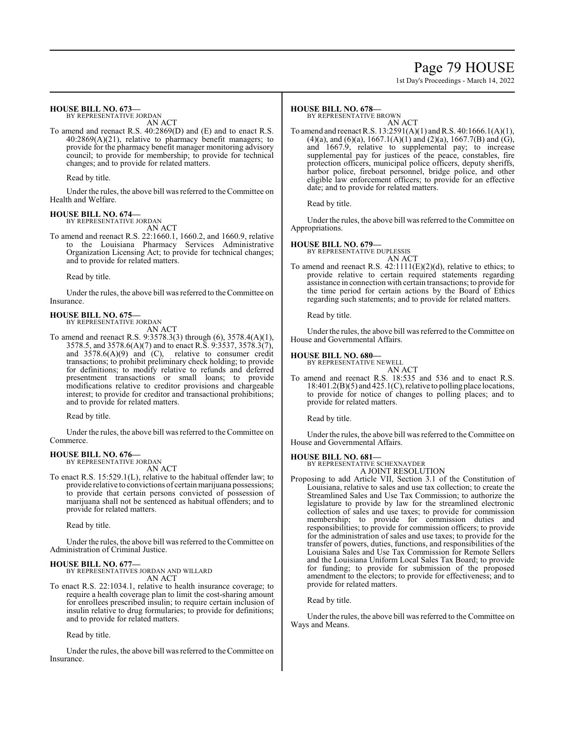# Page 79 HOUSE

1st Day's Proceedings - March 14, 2022

#### **HOUSE BILL NO. 673—**

BY REPRESENTATIVE JORDAN

- AN ACT
- To amend and reenact R.S. 40:2869(D) and (E) and to enact R.S. 40:2869(A)(21), relative to pharmacy benefit managers; to provide for the pharmacy benefit manager monitoring advisory council; to provide for membership; to provide for technical changes; and to provide for related matters.

Read by title.

Under the rules, the above bill was referred to the Committee on Health and Welfare.

#### **HOUSE BILL NO. 674—**

BY REPRESENTATIVE JORDAN

AN ACT To amend and reenact R.S. 22:1660.1, 1660.2, and 1660.9, relative to the Louisiana Pharmacy Services Administrative Organization Licensing Act; to provide for technical changes; and to provide for related matters.

Read by title.

Under the rules, the above bill was referred to the Committee on Insurance.

# **HOUSE BILL NO. 675—**

BY REPRESENTATIVE JORDAN AN ACT

To amend and reenact R.S. 9:3578.3(3) through (6), 3578.4(A)(1), 3578.5, and 3578.6(A)(7) and to enact R.S. 9:3537, 3578.3(7), and 3578.6(A)(9) and (C), relative to consumer credit transactions; to prohibit preliminary check holding; to provide for definitions; to modify relative to refunds and deferred presentment transactions or small loans; to provide modifications relative to creditor provisions and chargeable interest; to provide for creditor and transactional prohibitions; and to provide for related matters.

Read by title.

Under the rules, the above bill was referred to the Committee on Commerce.

#### **HOUSE BILL NO. 676—** BY REPRESENTATIVE JORDAN

AN ACT

To enact R.S. 15:529.1(L), relative to the habitual offender law; to provide relative to convictions of certain marijuana possessions; to provide that certain persons convicted of possession of marijuana shall not be sentenced as habitual offenders; and to provide for related matters.

Read by title.

Under the rules, the above bill was referred to the Committee on Administration of Criminal Justice.

## **HOUSE BILL NO. 677—**

BY REPRESENTATIVES JORDAN AND WILLARD AN ACT

To enact R.S. 22:1034.1, relative to health insurance coverage; to require a health coverage plan to limit the cost-sharing amount for enrollees prescribed insulin; to require certain inclusion of insulin relative to drug formularies; to provide for definitions; and to provide for related matters.

Read by title.

Under the rules, the above bill was referred to the Committee on Insurance.

#### **HOUSE BILL NO. 678—**

BY REPRESENTATIVE BROWN

AN ACT To amend and reenact R.S. 13:2591(A)(1) andR.S. 40:1666.1(A)(1), (4)(a), and (6)(a), 1667.1(A)(1) and (2)(a), 1667.7(B) and (G), and 1667.9, relative to supplemental pay; to increase supplemental pay for justices of the peace, constables, fire protection officers, municipal police officers, deputy sheriffs, harbor police, fireboat personnel, bridge police, and other eligible law enforcement officers; to provide for an effective date; and to provide for related matters.

Read by title.

Under the rules, the above bill was referred to the Committee on Appropriations.

# **HOUSE BILL NO. 679—**

BY REPRESENTATIVE DUPLESSIS AN ACT

To amend and reenact R.S.  $42:1111(E)(2)(d)$ , relative to ethics; to provide relative to certain required statements regarding assistance in connection with certain transactions; to provide for the time period for certain actions by the Board of Ethics regarding such statements; and to provide for related matters.

Read by title.

Under the rules, the above bill was referred to the Committee on House and Governmental Affairs.

### **HOUSE BILL NO. 680—**

BY REPRESENTATIVE NEWELL

AN ACT To amend and reenact R.S. 18:535 and 536 and to enact R.S. 18:401.2(B)(5) and 425.1(C), relative to polling place locations, to provide for notice of changes to polling places; and to provide for related matters.

Read by title.

Under the rules, the above bill was referred to the Committee on House and Governmental Affairs.

# **HOUSE BILL NO. 681—**

BY REPRESENTATIVE SCHEXNAYDER A JOINT RESOLUTION

Proposing to add Article VII, Section 3.1 of the Constitution of Louisiana, relative to sales and use tax collection; to create the Streamlined Sales and Use Tax Commission; to authorize the legislature to provide by law for the streamlined electronic collection of sales and use taxes; to provide for commission membership; to provide for commission duties and responsibilities; to provide for commission officers; to provide for the administration of sales and use taxes; to provide for the transfer of powers, duties, functions, and responsibilities of the Louisiana Sales and Use Tax Commission for Remote Sellers and the Louisiana Uniform Local Sales Tax Board; to provide for funding; to provide for submission of the proposed amendment to the electors; to provide for effectiveness; and to provide for related matters.

Read by title.

Under the rules, the above bill was referred to the Committee on Ways and Means.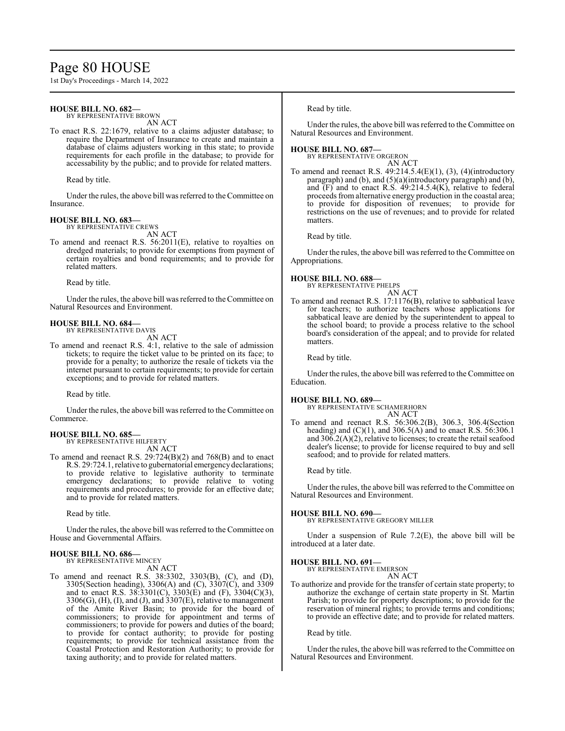# Page 80 HOUSE

1st Day's Proceedings - March 14, 2022

#### **HOUSE BILL NO. 682—**

BY REPRESENTATIVE BROWN AN ACT

To enact R.S. 22:1679, relative to a claims adjuster database; to require the Department of Insurance to create and maintain a database of claims adjusters working in this state; to provide requirements for each profile in the database; to provide for accessability by the public; and to provide for related matters.

Read by title.

Under the rules, the above bill was referred to the Committee on Insurance.

# **HOUSE BILL NO. 683—** BY REPRESENTATIVE CREWS

AN ACT

To amend and reenact R.S. 56:2011(E), relative to royalties on dredged materials; to provide for exemptions from payment of certain royalties and bond requirements; and to provide for related matters.

Read by title.

Under the rules, the above bill was referred to the Committee on Natural Resources and Environment.

#### **HOUSE BILL NO. 684—** BY REPRESENTATIVE DAVIS

AN ACT

To amend and reenact R.S. 4:1, relative to the sale of admission tickets; to require the ticket value to be printed on its face; to provide for a penalty; to authorize the resale of tickets via the internet pursuant to certain requirements; to provide for certain exceptions; and to provide for related matters.

Read by title.

Under the rules, the above bill was referred to the Committee on Commerce.

# **HOUSE BILL NO. 685—** BY REPRESENTATIVE HILFERTY

AN ACT

To amend and reenact R.S. 29:724(B)(2) and 768(B) and to enact R.S. 29:724.1, relative to gubernatorial emergencydeclarations; to provide relative to legislative authority to terminate emergency declarations; to provide relative to voting requirements and procedures; to provide for an effective date; and to provide for related matters.

Read by title.

Under the rules, the above bill was referred to the Committee on House and Governmental Affairs.

#### **HOUSE BILL NO. 686—**

BY REPRESENTATIVE MINCEY AN ACT

To amend and reenact R.S. 38:3302, 3303(B), (C), and (D), 3305(Section heading), 3306(A) and (C), 3307(C), and 3309 and to enact R.S.  $38:3301(C)$ ,  $3303(E)$  and (F),  $3304(C)(3)$ ,  $3306(G)$ , (H), (I), and (J), and  $3307(E)$ , relative to management of the Amite River Basin; to provide for the board of commissioners; to provide for appointment and terms of commissioners; to provide for powers and duties of the board; to provide for contact authority; to provide for posting requirements; to provide for technical assistance from the Coastal Protection and Restoration Authority; to provide for taxing authority; and to provide for related matters.

Read by title.

Under the rules, the above bill was referred to the Committee on Natural Resources and Environment.

### **HOUSE BILL NO. 687—**

BY REPRESENTATIVE ORGERON AN ACT

To amend and reenact R.S. 49:214.5.4(E)(1), (3), (4)(introductory paragraph) and (b), and (5)(a)(introductory paragraph) and (b), and  $(F)$  and to enact R.S.  $49:214.5.4(K)$ , relative to federal proceeds from alternative energy production in the coastal area; to provide for disposition of revenues; to provide for restrictions on the use of revenues; and to provide for related matters.

Read by title.

Under the rules, the above bill was referred to the Committee on Appropriations.

### **HOUSE BILL NO. 688—**

BY REPRESENTATIVE PHELPS AN ACT

To amend and reenact R.S. 17:1176(B), relative to sabbatical leave for teachers; to authorize teachers whose applications for sabbatical leave are denied by the superintendent to appeal to the school board; to provide a process relative to the school board's consideration of the appeal; and to provide for related matters.

Read by title.

Under the rules, the above bill was referred to the Committee on Education.

#### **HOUSE BILL NO. 689—**

BY REPRESENTATIVE SCHAMERHORN AN ACT

To amend and reenact R.S. 56:306.2(B), 306.3, 306.4(Section heading) and  $(C)(1)$ , and 306.5(A) and to enact R.S. 56:306.1 and 306.2(A)(2), relative to licenses; to create the retail seafood dealer's license; to provide for license required to buy and sell seafood; and to provide for related matters.

Read by title.

Under the rules, the above bill was referred to the Committee on Natural Resources and Environment.

#### **HOUSE BILL NO. 690—**

BY REPRESENTATIVE GREGORY MILLER

Under a suspension of Rule 7.2(E), the above bill will be introduced at a later date.

#### **HOUSE BILL NO. 691—**

BY REPRESENTATIVE EMERSON AN ACT

To authorize and provide for the transfer of certain state property; to authorize the exchange of certain state property in St. Martin Parish; to provide for property descriptions; to provide for the reservation of mineral rights; to provide terms and conditions; to provide an effective date; and to provide for related matters.

Read by title.

Under the rules, the above bill was referred to the Committee on Natural Resources and Environment.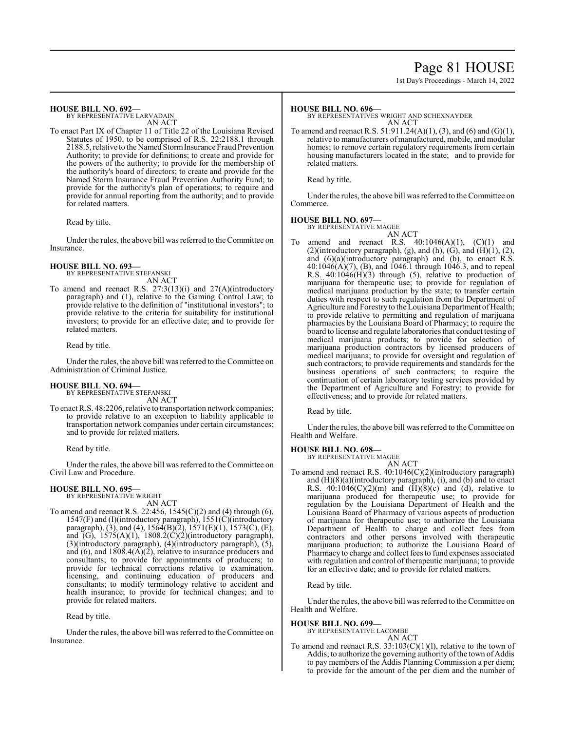# Page 81 HOUSE

1st Day's Proceedings - March 14, 2022

#### **HOUSE BILL NO. 692—**

BY REPRESENTATIVE LARVADAIN AN ACT

To enact Part IX of Chapter 11 of Title 22 of the Louisiana Revised Statutes of 1950, to be comprised of R.S. 22:2188.1 through 2188.5, relative to theNamed StormInsurance Fraud Prevention Authority; to provide for definitions; to create and provide for the powers of the authority; to provide for the membership of the authority's board of directors; to create and provide for the Named Storm Insurance Fraud Prevention Authority Fund; to provide for the authority's plan of operations; to require and provide for annual reporting from the authority; and to provide for related matters.

Read by title.

Under the rules, the above bill was referred to the Committee on Insurance.

# **HOUSE BILL NO. 693—** BY REPRESENTATIVE STEFANSKI

AN ACT

To amend and reenact R.S. 27:3(13)(i) and 27(A)(introductory paragraph) and (1), relative to the Gaming Control Law; to provide relative to the definition of "institutional investors"; to provide relative to the criteria for suitability for institutional investors; to provide for an effective date; and to provide for related matters.

Read by title.

Under the rules, the above bill was referred to the Committee on Administration of Criminal Justice.

#### **HOUSE BILL NO. 694—** BY REPRESENTATIVE STEFANSKI

AN ACT

To enact R.S. 48:2206, relative to transportation network companies; to provide relative to an exception to liability applicable to transportation network companies under certain circumstances; and to provide for related matters.

Read by title.

Under the rules, the above bill was referred to the Committee on Civil Law and Procedure.

## **HOUSE BILL NO. 695—**

BY REPRESENTATIVE WRIGHT AN ACT

To amend and reenact R.S. 22:456, 1545(C)(2) and (4) through (6), 1547(F) and (I)(introductory paragraph), 1551(C)(introductory paragraph), (3), and (4),  $15\dot{6}4(B)(2)$ ,  $1571(E)(1)$ ,  $1573(C)$ , (E), and  $(G)$ ,  $1575(A)(1)$ ,  $1808.2(C)(2)$ (introductory paragraph), (3)(introductory paragraph), (4)(introductory paragraph), (5), and (6), and  $1808.4(A)(2)$ , relative to insurance producers and consultants; to provide for appointments of producers; to provide for technical corrections relative to examination, licensing, and continuing education of producers and consultants; to modify terminology relative to accident and health insurance; to provide for technical changes; and to provide for related matters.

Read by title.

Under the rules, the above bill was referred to the Committee on Insurance.

## **HOUSE BILL NO. 696—**

BY REPRESENTATIVES WRIGHT AND SCHEXNAYDER AN ACT

To amend and reenact R.S. 51:911.24(A)(1), (3), and (6) and (G)(1), relative to manufacturers of manufactured, mobile, and modular homes; to remove certain regulatory requirements from certain housing manufacturers located in the state; and to provide for related matters.

Read by title.

Under the rules, the above bill was referred to the Committee on Commerce.

# **HOUSE BILL NO. 697—** BY REPRESENTATIVE MAGEE

AN ACT amend and reenact R.S.  $40:1046(A)(1)$ ,  $(C)(1)$  and  $(2)$ (introductory paragraph),  $(g)$ , and  $(h)$ ,  $(G)$ , and  $(H)(1)$ ,  $(2)$ , and (6)(a)(introductory paragraph) and (b), to enact R.S. 40:1046(A)(7), (B), and 1046.1 through 1046.3, and to repeal R.S. 40:1046(H)(3) through (5), relative to production of marijuana for therapeutic use; to provide for regulation of medical marijuana production by the state; to transfer certain duties with respect to such regulation from the Department of Agriculture and Forestry to the Louisiana Department of Health; to provide relative to permitting and regulation of marijuana pharmacies by the Louisiana Board of Pharmacy; to require the board to license and regulate laboratories that conduct testing of medical marijuana products; to provide for selection of marijuana production contractors by licensed producers of medical marijuana; to provide for oversight and regulation of such contractors; to provide requirements and standards for the business operations of such contractors; to require the continuation of certain laboratory testing services provided by the Department of Agriculture and Forestry; to provide for effectiveness; and to provide for related matters.

Read by title.

Under the rules, the above bill was referred to the Committee on Health and Welfare.

#### **HOUSE BILL NO. 698—** BY REPRESENTATIVE MAGEE

AN ACT

To amend and reenact R.S. 40:1046(C)(2)(introductory paragraph) and (H)(8)(a)(introductory paragraph), (i), and (b) and to enact R.S.  $40:1046(C)(2)(m)$  and  $(H)(8)(c)$  and  $(d)$ , relative to marijuana produced for therapeutic use; to provide for regulation by the Louisiana Department of Health and the Louisiana Board of Pharmacy of various aspects of production of marijuana for therapeutic use; to authorize the Louisiana Department of Health to charge and collect fees from contractors and other persons involved with therapeutic marijuana production; to authorize the Louisiana Board of Pharmacy to charge and collect fees to fund expenses associated with regulation and control of therapeutic marijuana; to provide for an effective date; and to provide for related matters.

Read by title.

Under the rules, the above bill was referred to the Committee on Health and Welfare.

# **HOUSE BILL NO. 699—**

BY REPRESENTATIVE LACOMBE

# AN ACT

To amend and reenact R.S.  $33:103(C)(1)(1)$ , relative to the town of Addis; to authorize the governing authority of the town of Addis to pay members of the Addis Planning Commission a per diem; to provide for the amount of the per diem and the number of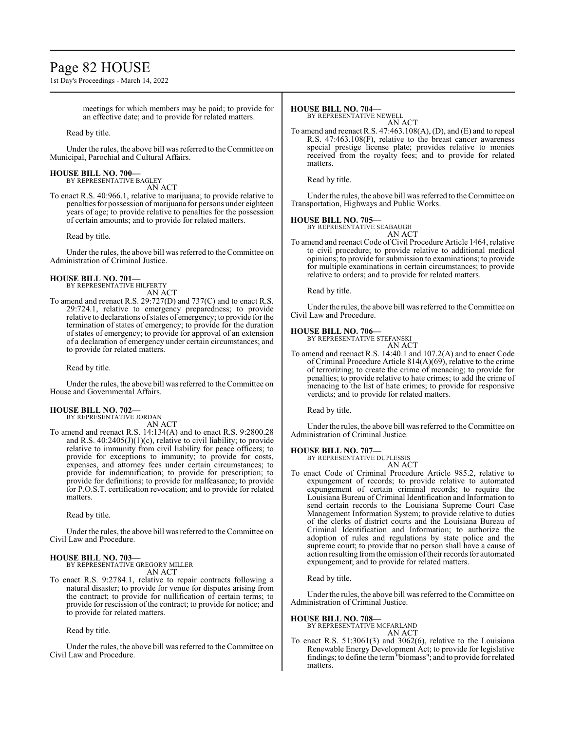# Page 82 HOUSE

1st Day's Proceedings - March 14, 2022

meetings for which members may be paid; to provide for an effective date; and to provide for related matters.

Read by title.

Under the rules, the above bill was referred to the Committee on Municipal, Parochial and Cultural Affairs.

#### **HOUSE BILL NO. 700—** BY REPRESENTATIVE BAGLEY

AN ACT

To enact R.S. 40:966.1, relative to marijuana; to provide relative to penalties for possession ofmarijuana for persons under eighteen years of age; to provide relative to penalties for the possession of certain amounts; and to provide for related matters.

Read by title.

Under the rules, the above bill was referred to the Committee on Administration of Criminal Justice.

# **HOUSE BILL NO. 701—** BY REPRESENTATIVE HILFERTY

AN ACT

To amend and reenact R.S. 29:727(D) and 737(C) and to enact R.S. 29:724.1, relative to emergency preparedness; to provide relative to declarations of states of emergency; to provide for the termination of states of emergency; to provide for the duration of states of emergency; to provide for approval of an extension of a declaration of emergency under certain circumstances; and to provide for related matters.

Read by title.

Under the rules, the above bill was referred to the Committee on House and Governmental Affairs.

# **HOUSE BILL NO. 702—** BY REPRESENTATIVE JORDAN

AN ACT

To amend and reenact R.S. 14:134(A) and to enact R.S. 9:2800.28 and R.S.  $40:2405(J)(1)(c)$ , relative to civil liability; to provide relative to immunity from civil liability for peace officers; to provide for exceptions to immunity; to provide for costs, expenses, and attorney fees under certain circumstances; to provide for indemnification; to provide for prescription; to provide for definitions; to provide for malfeasance; to provide for P.O.S.T. certification revocation; and to provide for related matters.

Read by title.

Under the rules, the above bill was referred to the Committee on Civil Law and Procedure.

# **HOUSE BILL NO. 703—**

BY REPRESENTATIVE GREGORY MILLER AN ACT

To enact R.S. 9:2784.1, relative to repair contracts following a natural disaster; to provide for venue for disputes arising from the contract; to provide for nullification of certain terms; to provide for rescission of the contract; to provide for notice; and to provide for related matters.

Read by title.

Under the rules, the above bill was referred to the Committee on Civil Law and Procedure.

#### **HOUSE BILL NO. 704—**

BY REPRESENTATIVE NEWELL AN ACT

To amend and reenact R.S. 47:463.108(A), (D), and (E) and to repeal R.S. 47:463.108(F), relative to the breast cancer awareness special prestige license plate; provides relative to monies received from the royalty fees; and to provide for related matters.

Read by title.

Under the rules, the above bill was referred to the Committee on Transportation, Highways and Public Works.

**HOUSE BILL NO. 705—** BY REPRESENTATIVE SEABAUGH

AN ACT To amend and reenact Code of Civil Procedure Article 1464, relative to civil procedure; to provide relative to additional medical opinions; to provide for submission to examinations; to provide for multiple examinations in certain circumstances; to provide relative to orders; and to provide for related matters.

Read by title.

Under the rules, the above bill was referred to the Committee on Civil Law and Procedure.

## **HOUSE BILL NO. 706—**

BY REPRESENTATIVE STEFANSKI AN ACT

To amend and reenact R.S. 14:40.1 and 107.2(A) and to enact Code of Criminal Procedure Article 814(A)(69), relative to the crime of terrorizing; to create the crime of menacing; to provide for penalties; to provide relative to hate crimes; to add the crime of menacing to the list of hate crimes; to provide for responsive verdicts; and to provide for related matters.

Read by title.

Under the rules, the above bill was referred to the Committee on Administration of Criminal Justice.

## **HOUSE BILL NO. 707—**

BY REPRESENTATIVE DUPLESSIS AN ACT

To enact Code of Criminal Procedure Article 985.2, relative to expungement of records; to provide relative to automated expungement of certain criminal records; to require the Louisiana Bureau of Criminal Identification and Information to send certain records to the Louisiana Supreme Court Case Management Information System; to provide relative to duties of the clerks of district courts and the Louisiana Bureau of Criminal Identification and Information; to authorize the adoption of rules and regulations by state police and the supreme court; to provide that no person shall have a cause of action resulting fromthe omission oftheir records for automated expungement; and to provide for related matters.

Read by title.

Under the rules, the above bill was referred to the Committee on Administration of Criminal Justice.

## **HOUSE BILL NO. 708—**

BY REPRESENTATIVE MCFARLAND AN ACT

To enact R.S. 51:3061(3) and 3062(6), relative to the Louisiana Renewable Energy Development Act; to provide for legislative findings; to define the term"biomass"; and to provide for related matters.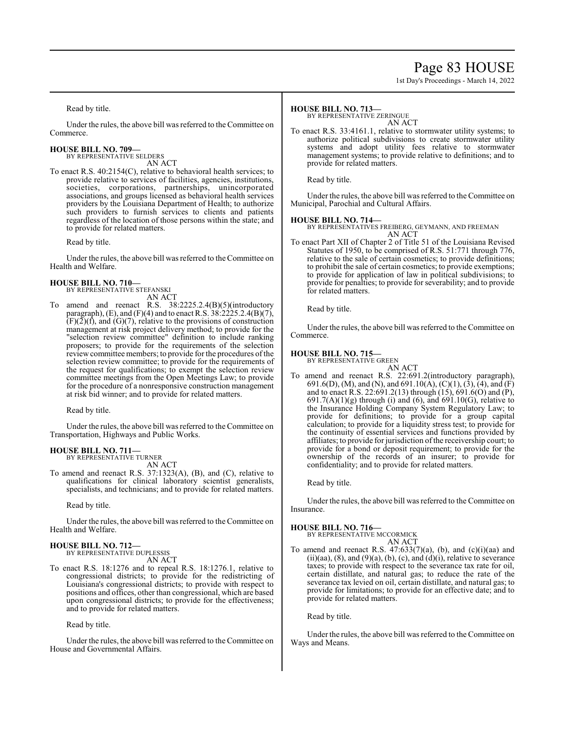# Page 83 HOUSE

1st Day's Proceedings - March 14, 2022

Read by title.

Under the rules, the above bill was referred to the Committee on Commerce.

**HOUSE BILL NO. 709—** BY REPRESENTATIVE SELDERS

AN ACT

To enact R.S. 40:2154(C), relative to behavioral health services; to provide relative to services of facilities, agencies, institutions, societies, corporations, partnerships, unincorporated associations, and groups licensed as behavioral health services providers by the Louisiana Department of Health; to authorize such providers to furnish services to clients and patients regardless of the location of those persons within the state; and to provide for related matters.

Read by title.

Under the rules, the above bill was referred to the Committee on Health and Welfare.

#### **HOUSE BILL NO. 710—** BY REPRESENTATIVE STEFANSKI

AN ACT

To amend and reenact R.S. 38:2225.2.4(B)(5)(introductory paragraph), (E), and (F)(4) and to enact R.S. 38:2225.2.4(B)(7),  $(F)(\tilde{2})(f)$ , and  $(G)(7)$ , relative to the provisions of construction management at risk project delivery method; to provide for the "selection review committee" definition to include ranking proposers; to provide for the requirements of the selection review committee members; to provide for the procedures ofthe selection review committee; to provide for the requirements of the request for qualifications; to exempt the selection review committee meetings from the Open Meetings Law; to provide for the procedure of a nonresponsive construction management at risk bid winner; and to provide for related matters.

Read by title.

Under the rules, the above bill was referred to the Committee on Transportation, Highways and Public Works.

#### **HOUSE BILL NO. 711—** BY REPRESENTATIVE TURNER

AN ACT

To amend and reenact R.S. 37:1323(A), (B), and (C), relative to qualifications for clinical laboratory scientist generalists, specialists, and technicians; and to provide for related matters.

Read by title.

Under the rules, the above bill was referred to the Committee on Health and Welfare.

# **HOUSE BILL NO. 712—** BY REPRESENTATIVE DUPLESSIS

AN ACT

To enact R.S. 18:1276 and to repeal R.S. 18:1276.1, relative to congressional districts; to provide for the redistricting of Louisiana's congressional districts; to provide with respect to positions and offices, other than congressional, which are based upon congressional districts; to provide for the effectiveness; and to provide for related matters.

Read by title.

Under the rules, the above bill was referred to the Committee on House and Governmental Affairs.

### **HOUSE BILL NO. 713—**

BY REPRESENTATIVE ZERINGUE

AN ACT

To enact R.S. 33:4161.1, relative to stormwater utility systems; to authorize political subdivisions to create stormwater utility systems and adopt utility fees relative to stormwater management systems; to provide relative to definitions; and to provide for related matters.

Read by title.

Under the rules, the above bill was referred to the Committee on Municipal, Parochial and Cultural Affairs.

**HOUSE BILL NO. 714—** BY REPRESENTATIVES FREIBERG, GEYMANN, AND FREEMAN AN ACT

To enact Part XII of Chapter 2 of Title 51 of the Louisiana Revised Statutes of 1950, to be comprised of R.S. 51:771 through 776, relative to the sale of certain cosmetics; to provide definitions; to prohibit the sale of certain cosmetics; to provide exemptions; to provide for application of law in political subdivisions; to provide for penalties; to provide for severability; and to provide for related matters.

Read by title.

Under the rules, the above bill was referred to the Committee on Commerce.

# **HOUSE BILL NO. 715—**

BY REPRESENTATIVE GREEN

AN ACT To amend and reenact R.S. 22:691.2(introductory paragraph), 691.6(D), (M), and (N), and 691.10(A), (C)(1), (3), (4), and (F) and to enact R.S. 22:691.2(13) through  $(15)$ , 691.6(O) and (P),  $691.7(A)(1)(g)$  through (i) and (6), and  $691.10(G)$ , relative to the Insurance Holding Company System Regulatory Law; to provide for definitions; to provide for a group capital calculation; to provide for a liquidity stress test; to provide for the continuity of essential services and functions provided by affiliates; to provide for jurisdiction of the receivership court; to provide for a bond or deposit requirement; to provide for the ownership of the records of an insurer; to provide for confidentiality; and to provide for related matters.

Read by title.

Under the rules, the above bill was referred to the Committee on Insurance.

**HOUSE BILL NO. 716—** BY REPRESENTATIVE MCCORMICK AN ACT

To amend and reenact R.S.  $47:633(7)(a)$ , (b), and (c)(i)(aa) and (ii)(aa),  $(8)$ , and  $(9)(a)$ ,  $(b)$ ,  $(c)$ , and  $(d)(i)$ , relative to severance taxes; to provide with respect to the severance tax rate for oil, certain distillate, and natural gas; to reduce the rate of the severance tax levied on oil, certain distillate, and natural gas; to provide for limitations; to provide for an effective date; and to provide for related matters.

Read by title.

Under the rules, the above bill was referred to the Committee on Ways and Means.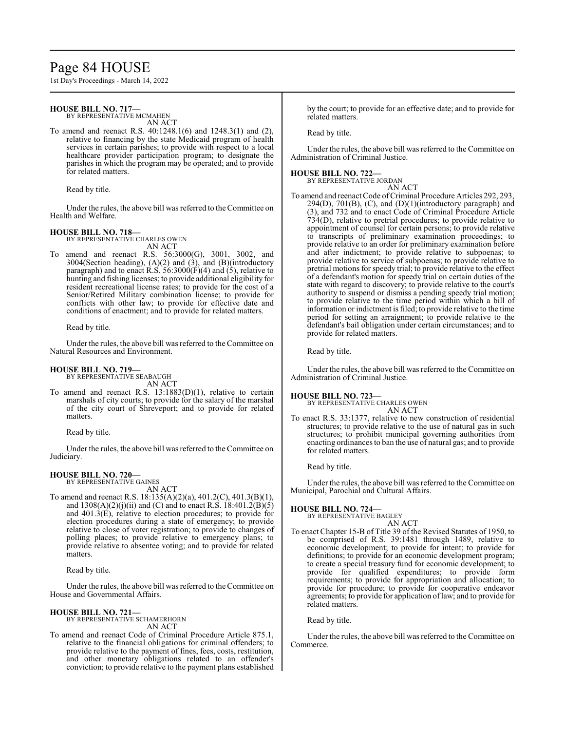# Page 84 HOUSE

1st Day's Proceedings - March 14, 2022

## **HOUSE BILL NO. 717—**

BY REPRESENTATIVE MCMAHEN

AN ACT

To amend and reenact R.S. 40:1248.1(6) and 1248.3(1) and (2), relative to financing by the state Medicaid program of health services in certain parishes; to provide with respect to a local healthcare provider participation program; to designate the parishes in which the program may be operated; and to provide for related matters.

Read by title.

Under the rules, the above bill was referred to the Committee on Health and Welfare.

# **HOUSE BILL NO. 718—** BY REPRESENTATIVE CHARLES OWEN

AN ACT

To amend and reenact R.S. 56:3000(G), 3001, 3002, and 3004(Section heading),  $(A)(2)$  and  $(\overline{3})$ , and  $(B)$ (introductory paragraph) and to enact R.S.  $56:3000(F)(4)$  and  $(5)$ , relative to hunting and fishing licenses; to provide additional eligibility for resident recreational license rates; to provide for the cost of a Senior/Retired Military combination license; to provide for conflicts with other law; to provide for effective date and conditions of enactment; and to provide for related matters.

Read by title.

Under the rules, the above bill was referred to the Committee on Natural Resources and Environment.

# **HOUSE BILL NO. 719—**

BY REPRESENTATIVE SEABAUGH AN ACT

To amend and reenact R.S. 13:1883(D)(1), relative to certain marshals of city courts; to provide for the salary of the marshal of the city court of Shreveport; and to provide for related matters.

Read by title.

Under the rules, the above bill was referred to the Committee on Judiciary.

### **HOUSE BILL NO. 720—**

BY REPRESENTATIVE GAINES

AN ACT To amend and reenact R.S. 18:135(A)(2)(a), 401.2(C), 401.3(B)(1), and  $1308(A)(2)(j)(ii)$  and (C) and to enact R.S. 18:401.2(B)(5) and 401.3(E), relative to election procedures; to provide for election procedures during a state of emergency; to provide relative to close of voter registration; to provide to changes of polling places; to provide relative to emergency plans; to provide relative to absentee voting; and to provide for related matters.

Read by title.

Under the rules, the above bill was referred to the Committee on House and Governmental Affairs.

**HOUSE BILL NO. 721—** BY REPRESENTATIVE SCHAMERHORN

AN ACT

To amend and reenact Code of Criminal Procedure Article 875.1, relative to the financial obligations for criminal offenders; to provide relative to the payment of fines, fees, costs, restitution, and other monetary obligations related to an offender's conviction; to provide relative to the payment plans established by the court; to provide for an effective date; and to provide for related matters.

Read by title.

Under the rules, the above bill was referred to the Committee on Administration of Criminal Justice.

#### **HOUSE BILL NO. 722—** BY REPRESENTATIV

| VE JORDAN |  |
|-----------|--|
| AN ACT    |  |

To amend and reenact Code of Criminal Procedure Articles 292, 293,  $294(D)$ ,  $701(B)$ ,  $(C)$ , and  $(D)(1)(introductory paragraph)$  and (3), and 732 and to enact Code of Criminal Procedure Article 734(D), relative to pretrial procedures; to provide relative to appointment of counsel for certain persons; to provide relative to transcripts of preliminary examination proceedings; to provide relative to an order for preliminary examination before and after indictment; to provide relative to subpoenas; to provide relative to service of subpoenas; to provide relative to pretrial motions for speedy trial; to provide relative to the effect of a defendant's motion for speedy trial on certain duties of the state with regard to discovery; to provide relative to the court's authority to suspend or dismiss a pending speedy trial motion; to provide relative to the time period within which a bill of information or indictment is filed; to provide relative to the time period for setting an arraignment; to provide relative to the defendant's bail obligation under certain circumstances; and to provide for related matters.

Read by title.

Under the rules, the above bill was referred to the Committee on Administration of Criminal Justice.

**HOUSE BILL NO. 723—** BY REPRESENTATIVE CHARLES OWEN AN ACT

To enact R.S. 33:1377, relative to new construction of residential structures; to provide relative to the use of natural gas in such structures; to prohibit municipal governing authorities from enacting ordinances to ban the use of natural gas; and to provide for related matters.

Read by title.

Under the rules, the above bill was referred to the Committee on Municipal, Parochial and Cultural Affairs.

#### **HOUSE BILL NO. 724—**

- BY REPRESENTATIVE BAGLEY AN ACT
- To enact Chapter 15-B of Title 39 of the Revised Statutes of 1950, to be comprised of R.S. 39:1481 through 1489, relative to economic development; to provide for intent; to provide for definitions; to provide for an economic development program; to create a special treasury fund for economic development; to provide for qualified expenditures; to provide form requirements; to provide for appropriation and allocation; to provide for procedure; to provide for cooperative endeavor agreements; to provide for application oflaw; and to provide for related matters.

Read by title.

Under the rules, the above bill was referred to the Committee on Commerce.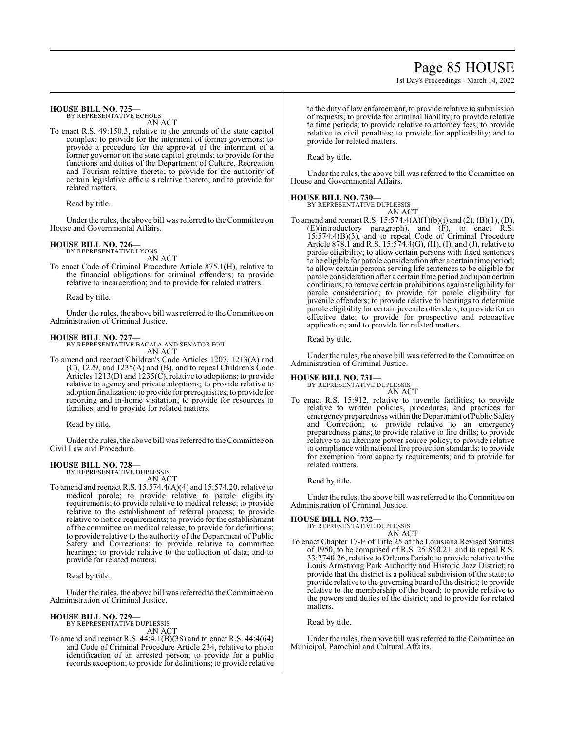# Page 85 HOUSE

1st Day's Proceedings - March 14, 2022

### **HOUSE BILL NO. 725—**

BY REPRESENTATIVE ECHOLS AN ACT

To enact R.S. 49:150.3, relative to the grounds of the state capitol complex; to provide for the interment of former governors; to provide a procedure for the approval of the interment of a former governor on the state capitol grounds; to provide for the functions and duties of the Department of Culture, Recreation and Tourism relative thereto; to provide for the authority of certain legislative officials relative thereto; and to provide for related matters.

Read by title.

Under the rules, the above bill was referred to theCommittee on House and Governmental Affairs.

#### **HOUSE BILL NO. 726—** BY REPRESENTATIVE LYONS

AN ACT

To enact Code of Criminal Procedure Article 875.1(H), relative to the financial obligations for criminal offenders; to provide relative to incarceration; and to provide for related matters.

Read by title.

Under the rules, the above bill was referred to the Committee on Administration of Criminal Justice.

**HOUSE BILL NO. 727—** BY REPRESENTATIVE BACALA AND SENATOR FOIL AN ACT

To amend and reenact Children's Code Articles 1207, 1213(A) and (C), 1229, and 1235(A) and (B), and to repeal Children's Code Articles 1213(D) and 1235(C), relative to adoptions; to provide relative to agency and private adoptions; to provide relative to adoption finalization; to provide for prerequisites; to provide for reporting and in-home visitation; to provide for resources to families; and to provide for related matters.

Read by title.

Under the rules, the above bill was referred to the Committee on Civil Law and Procedure.

## **HOUSE BILL NO. 728—**

BY REPRESENTATIVE DUPLESSIS AN ACT

To amend and reenact R.S. 15.574.4(A)(4) and 15:574.20, relative to medical parole; to provide relative to parole eligibility requirements; to provide relative to medical release; to provide relative to the establishment of referral process; to provide relative to notice requirements; to provide for the establishment of the committee on medical release; to provide for definitions; to provide relative to the authority of the Department of Public Safety and Corrections; to provide relative to committee hearings; to provide relative to the collection of data; and to provide for related matters.

Read by title.

Under the rules, the above bill was referred to the Committee on Administration of Criminal Justice.

#### **HOUSE BILL NO. 729—** BY REPRESENTATIVE DUPLESSIS

AN ACT

To amend and reenact R.S. 44:4.1(B)(38) and to enact R.S. 44:4(64) and Code of Criminal Procedure Article 234, relative to photo identification of an arrested person; to provide for a public records exception; to provide for definitions; to provide relative to the duty oflawenforcement; to provide relative to submission of requests; to provide for criminal liability; to provide relative to time periods; to provide relative to attorney fees; to provide relative to civil penalties; to provide for applicability; and to provide for related matters.

Read by title.

Under the rules, the above bill was referred to the Committee on House and Governmental Affairs.

### **HOUSE BILL NO. 730—**

BY REPRESENTATIVE DUPLESSIS

AN ACT To amend and reenact R.S.  $15:574.4(A)(1)(b)(i)$  and  $(2), (B)(1), (D),$ (E)(introductory paragraph), and (F), to enact R.S. 15:574.4(B)(3), and to repeal Code of Criminal Procedure Article 878.1 and R.S. 15:574.4(G), (H), (I), and (J), relative to parole eligibility; to allow certain persons with fixed sentences to be eligible for parole consideration after a certain time period; to allow certain persons serving life sentences to be eligible for parole consideration after a certain time period and upon certain conditions; to remove certain prohibitions against eligibility for parole consideration; to provide for parole eligibility for juvenile offenders; to provide relative to hearings to determine parole eligibility for certain juvenile offenders; to provide for an effective date; to provide for prospective and retroactive application; and to provide for related matters.

Read by title.

Under the rules, the above bill was referred to the Committee on Administration of Criminal Justice.

#### **HOUSE BILL NO. 731—**

BY REPRESENTATIVE DUPLESSIS AN ACT

To enact R.S. 15:912, relative to juvenile facilities; to provide relative to written policies, procedures, and practices for emergency preparedness within the Department of Public Safety and Correction; to provide relative to an emergency preparedness plans; to provide relative to fire drills; to provide relative to an alternate power source policy; to provide relative to compliance with national fire protection standards; to provide for exemption from capacity requirements; and to provide for related matters.

Read by title.

Under the rules, the above bill was referred to the Committee on Administration of Criminal Justice.

#### **HOUSE BILL NO. 732—**

BY REPRESENTATIVE DUPLESSIS ACT

$$
AN \land
$$

To enact Chapter 17-E of Title 25 of the Louisiana Revised Statutes of 1950, to be comprised of R.S. 25:850.21, and to repeal R.S. 33:2740.26, relative to Orleans Parish; to provide relative to the Louis Armstrong Park Authority and Historic Jazz District; to provide that the district is a political subdivision of the state; to provide relative to the governing board ofthe district; to provide relative to the membership of the board; to provide relative to the powers and duties of the district; and to provide for related matters.

Read by title.

Under the rules, the above bill was referred to the Committee on Municipal, Parochial and Cultural Affairs.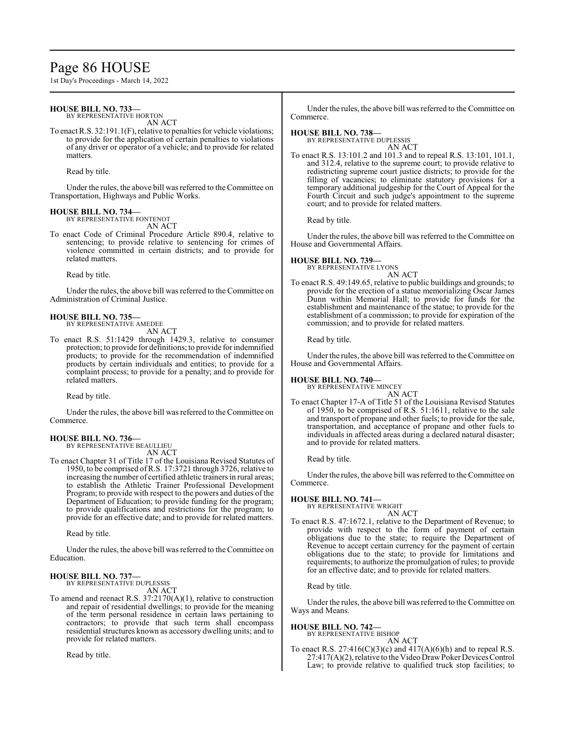# Page 86 HOUSE

1st Day's Proceedings - March 14, 2022

### **HOUSE BILL NO. 733—**

BY REPRESENTATIVE HORTON

AN ACT To enact R.S. 32:191.1(F), relative to penalties for vehicle violations; to provide for the application of certain penalties to violations of any driver or operator of a vehicle; and to provide for related matters.

Read by title.

Under the rules, the above bill was referred to the Committee on Transportation, Highways and Public Works.

#### **HOUSE BILL NO. 734—** BY REPRESENTATIVE FONTENOT

AN ACT

To enact Code of Criminal Procedure Article 890.4, relative to sentencing; to provide relative to sentencing for crimes of violence committed in certain districts; and to provide for related matters.

Read by title.

Under the rules, the above bill was referred to the Committee on Administration of Criminal Justice.

### **HOUSE BILL NO. 735—**

BY REPRESENTATIVE AMEDEE AN ACT

To enact R.S. 51:1429 through 1429.3, relative to consumer protection; to provide for definitions; to provide for indemnified products; to provide for the recommendation of indemnified products by certain individuals and entities; to provide for a complaint process; to provide for a penalty; and to provide for related matters.

Read by title.

Under the rules, the above bill was referred to theCommittee on Commerce.

#### **HOUSE BILL NO. 736—** BY REPRESENTATIVE BEAULLIEU

AN ACT

To enact Chapter 31 of Title 17 of the Louisiana Revised Statutes of 1950, to be comprised ofR.S. 17:3721 through 3726, relative to increasing the number of certified athletic trainers in rural areas; to establish the Athletic Trainer Professional Development Program; to provide with respect to the powers and duties of the Department of Education; to provide funding for the program; to provide qualifications and restrictions for the program; to provide for an effective date; and to provide for related matters.

Read by title.

Under the rules, the above bill was referred to the Committee on Education.

#### **HOUSE BILL NO. 737—** BY REPRESENTATIVE DUPLESSIS

AN ACT

To amend and reenact R.S. 37:2170(A)(1), relative to construction and repair of residential dwellings; to provide for the meaning of the term personal residence in certain laws pertaining to contractors; to provide that such term shall encompass residential structures known as accessory dwelling units; and to provide for related matters.

Read by title.

Under the rules, the above bill was referred to the Committee on Commerce.

#### **HOUSE BILL NO. 738—**

BY REPRESENTATIVE DUPLESSIS AN ACT

To enact R.S. 13:101.2 and 101.3 and to repeal R.S. 13:101, 101.1, and 312.4, relative to the supreme court; to provide relative to redistricting supreme court justice districts; to provide for the filling of vacancies; to eliminate statutory provisions for a temporary additional judgeship for the Court of Appeal for the Fourth Circuit and such judge's appointment to the supreme court; and to provide for related matters.

Read by title.

Under the rules, the above bill was referred to the Committee on House and Governmental Affairs.

**HOUSE BILL NO. 739—**

BY REPRESENTATIVE LYONS

AN ACT To enact R.S. 49:149.65, relative to public buildings and grounds; to provide for the erection of a statue memorializing Oscar James Dunn within Memorial Hall; to provide for funds for the establishment and maintenance of the statue; to provide for the establishment of a commission; to provide for expiration of the commission; and to provide for related matters.

Read by title.

Under the rules, the above bill was referred to the Committee on House and Governmental Affairs.

## **HOUSE BILL NO. 740—**

BY REPRESENTATIVE MINCEY AN ACT

To enact Chapter 17-A of Title 51 of the Louisiana Revised Statutes of 1950, to be comprised of R.S. 51:1611, relative to the sale and transport of propane and other fuels; to provide for the sale, transportation, and acceptance of propane and other fuels to individuals in affected areas during a declared natural disaster; and to provide for related matters.

Read by title.

Under the rules, the above bill was referred to the Committee on Commerce.

#### **HOUSE BILL NO. 741—**

BY REPRESENTATIVE WRIGHT AN ACT

To enact R.S. 47:1672.1, relative to the Department of Revenue; to provide with respect to the form of payment of certain obligations due to the state; to require the Department of Revenue to accept certain currency for the payment of certain obligations due to the state; to provide for limitations and requirements; to authorize the promulgation of rules; to provide for an effective date; and to provide for related matters.

Read by title.

Under the rules, the above bill was referred to the Committee on Ways and Means.

# **HOUSE BILL NO. 742—** BY REPRESENTATIVE BISHOP

AN ACT

To enact R.S.  $27:416(C)(3)(c)$  and  $417(A)(6)(h)$  and to repeal R.S. 27:417(A)(2), relative to the Video DrawPoker DevicesControl Law; to provide relative to qualified truck stop facilities; to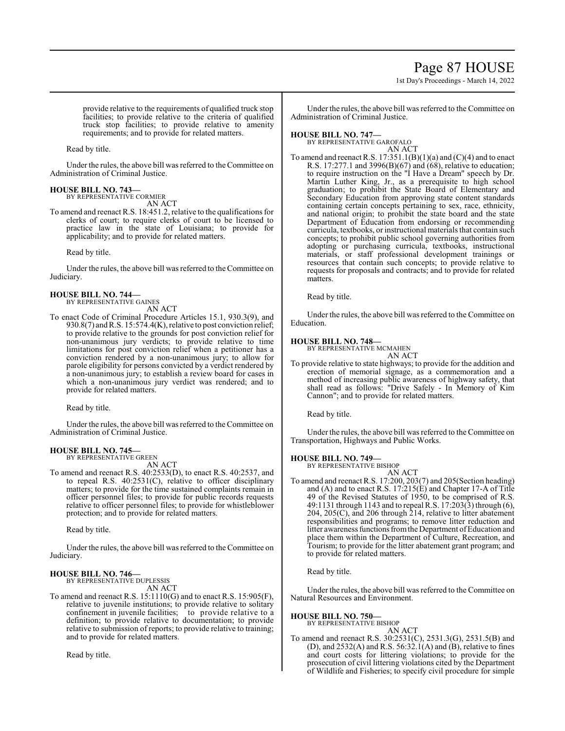# Page 87 HOUSE

1st Day's Proceedings - March 14, 2022

provide relative to the requirements of qualified truck stop facilities; to provide relative to the criteria of qualified truck stop facilities; to provide relative to amenity requirements; and to provide for related matters.

Read by title.

Under the rules, the above bill was referred to theCommittee on Administration of Criminal Justice.

#### **HOUSE BILL NO. 743—** BY REPRESENTATIVE CORMIER

AN ACT

To amend and reenact R.S. 18:451.2, relative to the qualifications for clerks of court; to require clerks of court to be licensed to practice law in the state of Louisiana; to provide for applicability; and to provide for related matters.

Read by title.

Under the rules, the above bill was referred to the Committee on Judiciary.

#### **HOUSE BILL NO. 744—** BY REPRESENTATIVE GAINES

AN ACT

To enact Code of Criminal Procedure Articles 15.1, 930.3(9), and 930.8(7) and R.S. 15:574.4(K), relative to post conviction relief; to provide relative to the grounds for post conviction relief for non-unanimous jury verdicts; to provide relative to time limitations for post conviction relief when a petitioner has a conviction rendered by a non-unanimous jury; to allow for parole eligibility for persons convicted by a verdict rendered by a non-unanimous jury; to establish a review board for cases in which a non-unanimous jury verdict was rendered; and to provide for related matters.

Read by title.

Under the rules, the above bill was referred to the Committee on Administration of Criminal Justice.

#### **HOUSE BILL NO. 745—** BY REPRESENTATIVE GREEN

AN ACT

To amend and reenact R.S. 40:2533(D), to enact R.S. 40:2537, and to repeal R.S. 40:2531(C), relative to officer disciplinary matters; to provide for the time sustained complaints remain in officer personnel files; to provide for public records requests relative to officer personnel files; to provide for whistleblower protection; and to provide for related matters.

Read by title.

Under the rules, the above bill was referred to the Committee on Judiciary.

#### **HOUSE BILL NO. 746—** BY REPRESENTATIVE DUPLESSIS

AN ACT

To amend and reenact R.S. 15:1110(G) and to enact R.S. 15:905(F), relative to juvenile institutions; to provide relative to solitary confinement in juvenile facilities; to provide relative to a definition; to provide relative to documentation; to provide relative to submission of reports; to provide relative to training; and to provide for related matters.

Read by title.

Under the rules, the above bill was referred to the Committee on Administration of Criminal Justice.

# **HOUSE BILL NO. 747—**

BY REPRESENTATIVE GAROFALO AN ACT

To amend and reenact R.S.  $17:351.1(B)(1)(a)$  and  $(C)(4)$  and to enact R.S. 17:277.1 and 3996(B)(67) and (68), relative to education; to require instruction on the "I Have a Dream" speech by Dr. Martin Luther King, Jr., as a prerequisite to high school graduation; to prohibit the State Board of Elementary and Secondary Education from approving state content standards containing certain concepts pertaining to sex, race, ethnicity, and national origin; to prohibit the state board and the state Department of Education from endorsing or recommending curricula, textbooks, or instructional materials that contain such concepts; to prohibit public school governing authorities from adopting or purchasing curricula, textbooks, instructional materials, or staff professional development trainings or resources that contain such concepts; to provide relative to requests for proposals and contracts; and to provide for related matters.

Read by title.

Under the rules, the above bill was referred to the Committee on Education.

## **HOUSE BILL NO. 748—**

BY REPRESENTATIVE MCMAHEN AN ACT

To provide relative to state highways; to provide for the addition and erection of memorial signage, as a commemoration and a method of increasing public awareness of highway safety, that shall read as follows: "Drive Safely - In Memory of Kim Cannon"; and to provide for related matters.

Read by title.

Under the rules, the above bill was referred to the Committee on Transportation, Highways and Public Works.

**HOUSE BILL NO. 749—** BY REPRESENTATIVE BISHOP

- AN ACT
- To amend and reenact R.S. 17:200, 203(7) and 205(Section heading) and (A) and to enact R.S. 17:215(E) and Chapter 17-A of Title 49 of the Revised Statutes of 1950, to be comprised of R.S. 49:1131 through 1143 and to repeal R.S. 17:203(3) through (6), 204, 205(C), and 206 through 214, relative to litter abatement responsibilities and programs; to remove litter reduction and litter awareness functions from the Department of Education and place them within the Department of Culture, Recreation, and Tourism; to provide for the litter abatement grant program; and to provide for related matters.

Read by title.

Under the rules, the above bill was referred to the Committee on Natural Resources and Environment.

#### **HOUSE BILL NO. 750—**

BY REPRESENTATIVE BISHOP AN ACT

To amend and reenact R.S. 30:2531(C), 2531.3(G), 2531.5(B) and (D), and  $2532(A)$  and R.S.  $56:32.1(A)$  and (B), relative to fines and court costs for littering violations; to provide for the prosecution of civil littering violations cited by the Department of Wildlife and Fisheries; to specify civil procedure for simple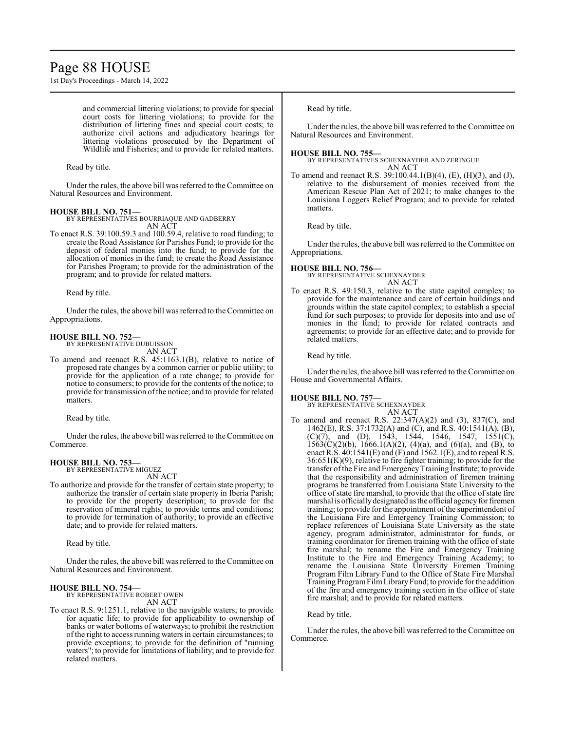# Page 88 HOUSE

1st Day's Proceedings - March 14, 2022

and commercial littering violations; to provide for special court costs for littering violations; to provide for the distribution of littering fines and special court costs; to authorize civil actions and adjudicatory hearings for littering violations prosecuted by the Department of Wildlife and Fisheries; and to provide for related matters.

Read by title.

Under the rules, the above bill was referred to the Committee on Natural Resources and Environment.

# **HOUSE BILL NO. 751—**

BY REPRESENTATIVES BOURRIAQUE AND GADBERRY AN ACT

To enact R.S. 39:100.59.3 and 100.59.4, relative to road funding; to create the Road Assistance for Parishes Fund; to provide for the deposit of federal monies into the fund; to provide for the allocation of monies in the fund; to create the Road Assistance for Parishes Program; to provide for the administration of the program; and to provide for related matters.

Read by title.

Under the rules, the above bill was referred to the Committee on Appropriations.

**HOUSE BILL NO. 752—** BY REPRESENTATIVE DUBUISSON AN ACT

To amend and reenact R.S. 45:1163.1(B), relative to notice of proposed rate changes by a common carrier or public utility; to provide for the application of a rate change; to provide for notice to consumers; to provide for the contents of the notice; to provide for transmission of the notice; and to provide for related matters.

Read by title.

Under the rules, the above bill was referred to the Committee on Commerce.

## **HOUSE BILL NO. 753—**

BY REPRESENTATIVE MIGUEZ AN ACT

To authorize and provide for the transfer of certain state property; to authorize the transfer of certain state property in Iberia Parish; to provide for the property description; to provide for the reservation of mineral rights; to provide terms and conditions; to provide for termination of authority; to provide an effective date; and to provide for related matters.

Read by title.

Under the rules, the above bill was referred to the Committee on Natural Resources and Environment.

## **HOUSE BILL NO. 754—**

BY REPRESENTATIVE ROBERT OWEN AN ACT

To enact R.S. 9:1251.1, relative to the navigable waters; to provide for aquatic life; to provide for applicability to ownership of banks or water bottoms of waterways; to prohibit the restriction of the right to access running waters in certain circumstances; to provide exceptions; to provide for the definition of "running waters"; to provide for limitations of liability; and to provide for related matters.

Read by title.

Under the rules, the above bill was referred to the Committee on Natural Resources and Environment.

**HOUSE BILL NO. 755—**

BY REPRESENTATIVES SCHEXNAYDER AND ZERINGUE AN ACT

To amend and reenact R.S. 39:100.44.1(B)(4), (E), (H)(3), and (J), relative to the disbursement of monies received from the American Rescue Plan Act of 2021; to make changes to the Louisiana Loggers Relief Program; and to provide for related matters.

Read by title.

Under the rules, the above bill was referred to the Committee on Appropriations.

**HOUSE BILL NO. 756—** BY REPRESENTATIVE SCHEXNAYDER AN ACT

To enact R.S. 49:150.3, relative to the state capitol complex; to provide for the maintenance and care of certain buildings and grounds within the state capitol complex; to establish a special fund for such purposes; to provide for deposits into and use of monies in the fund; to provide for related contracts and agreements; to provide for an effective date; and to provide for related matters.

Read by title.

Under the rules, the above bill was referred to the Committee on House and Governmental Affairs.

#### **HOUSE BILL NO. 757—**

BY REPRESENTATIVE SCHEXNAYDER AN ACT

To amend and reenact R.S. 22:347(A)(2) and (3), 837(C), and 1462(E), R.S. 37:1732(A) and (C), and R.S. 40:1541(A), (B), (C)(7), and (D), 1543, 1544, 1546, 1547, 1551(C), 1563(C)(2)(b), 1666.1(A)(2), (4)(a), and (6)(a), and (B), to enact R.S.  $40:1541(E)$  and  $(F)$  and  $1562.1(E)$ , and to repeal R.S.  $36:651(K)(9)$ , relative to fire fighter training; to provide for the transfer ofthe Fire and EmergencyTraining Institute; to provide that the responsibility and administration of firemen training programs be transferred from Louisiana State University to the office of state fire marshal, to provide that the office of state fire marshal is officially designated as the official agency for firemen training; to provide for the appointment of the superintendent of the Louisiana Fire and Emergency Training Commission; to replace references of Louisiana State University as the state agency, program administrator, administrator for funds, or training coordinator for firemen training with the office of state fire marshal; to rename the Fire and Emergency Training Institute to the Fire and Emergency Training Academy; to rename the Louisiana State University Firemen Training Program Film Library Fund to the Office of State Fire Marshal Training ProgramFilmLibraryFund; to provide for the addition of the fire and emergency training section in the office of state fire marshal; and to provide for related matters.

## Read by title.

Under the rules, the above bill was referred to the Committee on Commerce.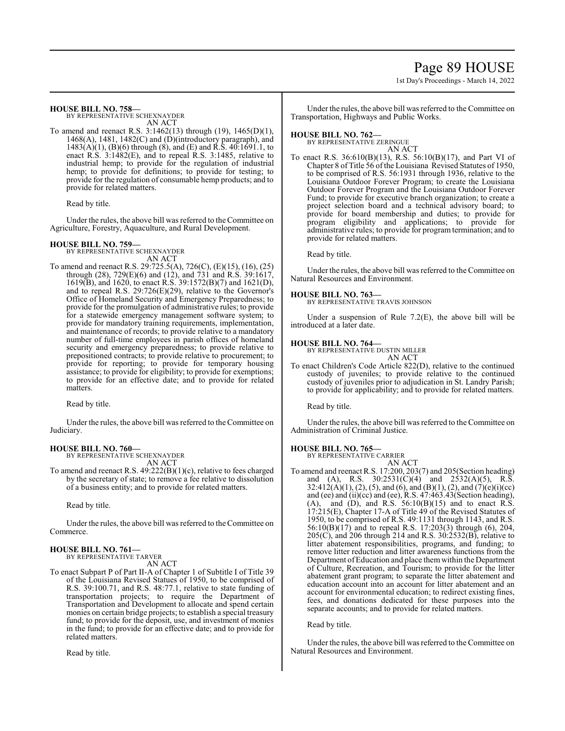# Page 89 HOUSE

1st Day's Proceedings - March 14, 2022

#### **HOUSE BILL NO. 758—**

BY REPRESENTATIVE SCHEXNAYDER AN ACT

To amend and reenact R.S. 3:1462(13) through (19), 1465(D)(1), 1468(A), 1481, 1482(C) and (D)(introductory paragraph), and 1483(A)(1), (B)(6) through (8), and (E) and R.S. 40:1691.1, to enact R.S. 3:1482(E), and to repeal R.S. 3:1485, relative to industrial hemp; to provide for the regulation of industrial hemp; to provide for definitions; to provide for testing; to provide for the regulation of consumable hemp products; and to provide for related matters.

Read by title.

Under the rules, the above bill was referred to theCommittee on Agriculture, Forestry, Aquaculture, and Rural Development.

### **HOUSE BILL NO. 759—**

BY REPRESENTATIVE SCHEXNAYDER AN ACT

To amend and reenact R.S. 29:725.5(A), 726(C), (E)(15), (16), (25) through (28), 729(E)(6) and (12), and 731 and R.S. 39:1617, 1619(B), and 1620, to enact R.S. 39:1572(B)(7) and 1621(D), and to repeal R.S. 29:726(E)(29), relative to the Governor's Office of Homeland Security and Emergency Preparedness; to provide for the promulgation of administrative rules; to provide for a statewide emergency management software system; to provide for mandatory training requirements, implementation, and maintenance of records; to provide relative to a mandatory number of full-time employees in parish offices of homeland security and emergency preparedness; to provide relative to prepositioned contracts; to provide relative to procurement; to provide for reporting; to provide for temporary housing assistance; to provide for eligibility; to provide for exemptions; to provide for an effective date; and to provide for related matters.

Read by title.

Under the rules, the above bill was referred to theCommittee on Judiciary.

## **HOUSE BILL NO. 760—**

BY REPRESENTATIVE SCHEXNAYDER AN ACT

To amend and reenact R.S. 49:222(B)(1)(c), relative to fees charged by the secretary of state; to remove a fee relative to dissolution of a business entity; and to provide for related matters.

Read by title.

Under the rules, the above bill was referred to the Committee on Commerce.

# **HOUSE BILL NO. 761—**

BY REPRESENTATIVE TARVER AN ACT

To enact Subpart P of Part II-A of Chapter 1 of Subtitle I of Title 39 of the Louisiana Revised Statues of 1950, to be comprised of R.S. 39:100.71, and R.S. 48:77.1, relative to state funding of transportation projects; to require the Department of Transportation and Development to allocate and spend certain monies on certain bridge projects; to establish a special treasury fund; to provide for the deposit, use, and investment of monies in the fund; to provide for an effective date; and to provide for related matters.

Read by title.

Under the rules, the above bill was referred to the Committee on Transportation, Highways and Public Works.

#### **HOUSE BILL NO. 762—**

BY REPRESENTATIVE ZERINGUE AN ACT

To enact R.S. 36:610(B)(13), R.S. 56:10(B)(17), and Part VI of Chapter 8 of Title 56 ofthe Louisiana Revised Statutes of 1950, to be comprised of R.S. 56:1931 through 1936, relative to the Louisiana Outdoor Forever Program; to create the Louisiana Outdoor Forever Program and the Louisiana Outdoor Forever Fund; to provide for executive branch organization; to create a project selection board and a technical advisory board; to provide for board membership and duties; to provide for program eligibility and applications; to provide for administrative rules; to provide for program termination; and to provide for related matters.

Read by title.

Under the rules, the above bill was referred to the Committee on Natural Resources and Environment.

### **HOUSE BILL NO. 763—**

BY REPRESENTATIVE TRAVIS JOHNSON

Under a suspension of Rule 7.2(E), the above bill will be introduced at a later date.

#### **HOUSE BILL NO. 764—**

BY REPRESENTATIVE DUSTIN MILLER AN ACT

To enact Children's Code Article 822(D), relative to the continued custody of juveniles; to provide relative to the continued custody of juveniles prior to adjudication in St. Landry Parish; to provide for applicability; and to provide for related matters.

Read by title.

Under the rules, the above bill was referred to the Committee on Administration of Criminal Justice.

## **HOUSE BILL NO. 765—**

BY REPRESENTATIVE CARRIER AN ACT

To amend and reenact R.S. 17:200, 203(7) and 205(Section heading) and (A), R.S.  $30:2531(C)(4)$  and  $2532(A)(5)$ , R.S. 32:412(A)(1), (2), (5), and (6), and (B)(1), (2), and (7)(e)(i)(cc) and (ee) and (ii)(cc) and (ee), R.S. 47:463.43(Section heading),  $(A)$ , and  $(D)$ , and R.S.  $56:10(B)(15)$  and to enact R.S. 17:215(E), Chapter 17-A of Title 49 of the Revised Statutes of 1950, to be comprised of R.S. 49:1131 through 1143, and R.S. 56:10(B)(17) and to repeal R.S. 17:203(3) through (6), 204, 205(C), and 206 through 214 and R.S. 30:2532(B), relative to litter abatement responsibilities, programs, and funding; to remove litter reduction and litter awareness functions from the Department of Education and place them within the Department of Culture, Recreation, and Tourism; to provide for the litter abatement grant program; to separate the litter abatement and education account into an account for litter abatement and an account for environmental education; to redirect existing fines, fees, and donations dedicated for these purposes into the separate accounts; and to provide for related matters.

Read by title.

Under the rules, the above bill was referred to the Committee on Natural Resources and Environment.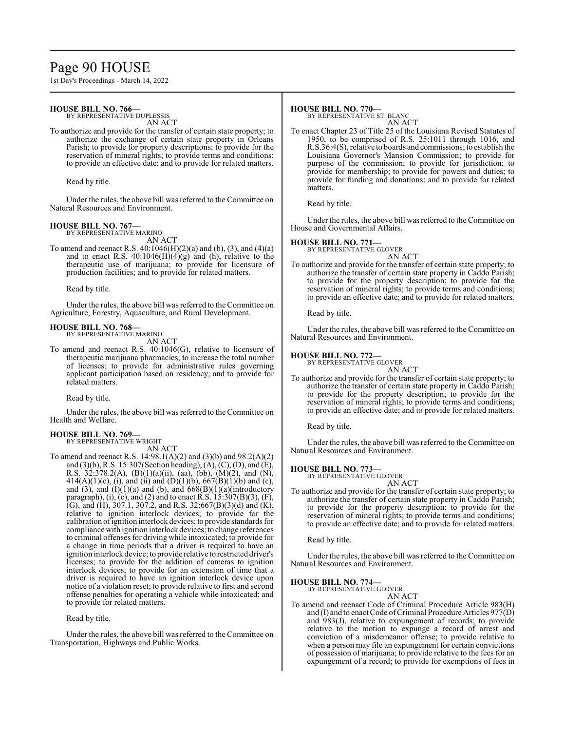# Page 90 HOUSE

1st Day's Proceedings - March 14, 2022

### **HOUSE BILL NO. 766—**

BY REPRESENTATIVE DUPLESSIS

AN ACT To authorize and provide for the transfer of certain state property; to authorize the exchange of certain state property in Orleans Parish; to provide for property descriptions; to provide for the reservation of mineral rights; to provide terms and conditions; to provide an effective date; and to provide for related matters.

Read by title.

Under the rules, the above bill was referred to the Committee on Natural Resources and Environment.

### **HOUSE BILL NO. 767—**

BY REPRESENTATIVE MARINO AN ACT

To amend and reenact R.S. 40:1046(H)(2)(a) and (b), (3), and (4)(a) and to enact R.S.  $40:1046(H)(4)(g)$  and (h), relative to the therapeutic use of marijuana; to provide for licensure of production facilities; and to provide for related matters.

Read by title.

Under the rules, the above bill was referred to the Committee on Agriculture, Forestry, Aquaculture, and Rural Development.

# **HOUSE BILL NO. 768—** BY REPRESENTATIVE MARINO

AN ACT

To amend and reenact R.S. 40:1046(G), relative to licensure of therapeutic marijuana pharmacies; to increase the total number of licenses; to provide for administrative rules governing applicant participation based on residency; and to provide for related matters.

Read by title.

Under the rules, the above bill was referred to the Committee on Health and Welfare.

# **HOUSE BILL NO. 769—** BY REPRESENTATIVE WRIGHT

AN ACT

To amend and reenact R.S. 14:98.1(A)(2) and (3)(b) and 98.2(A)(2) and (3)(b), R.S. 15:307(Section heading), (A), (C), (D), and (E), R.S. 32:378.2(A), (B)(1)(a)(ii), (aa), (bb), (M)(2), and (N),  $414(A)(1)(c)$ , (i), and (ii) and (D)(1)(b), 667(B)(1)(b) and (c), and (3), and  $(I)(1)(a)$  and (b), and  $668(B)(1)(a)$ (introductory paragraph), (i), (c), and (2) and to enact R.S. 15:307(B)(3), (F), (G), and (H), 307.1, 307.2, and R.S. 32:667(B)(3)(d) and (K), relative to ignition interlock devices; to provide for the calibration ofignition interlock devices;to provide standards for compliance with ignition interlock devices; to change references to criminal offenses for driving while intoxicated; to provide for a change in time periods that a driver is required to have an ignition interlock device; to provide relative to restricted driver's licenses; to provide for the addition of cameras to ignition interlock devices; to provide for an extension of time that a driver is required to have an ignition interlock device upon notice of a violation reset; to provide relative to first and second offense penalties for operating a vehicle while intoxicated; and to provide for related matters.

Read by title.

Under the rules, the above bill was referred to the Committee on Transportation, Highways and Public Works.

#### **HOUSE BILL NO. 770—**

BY REPRESENTATIVE ST. BLANC AN ACT

To enact Chapter 23 of Title 25 of the Louisiana Revised Statutes of 1950, to be comprised of R.S. 25:1011 through 1016, and R.S.36:4(S), relative to boards and commissions; to establish the Louisiana Governor's Mansion Commission; to provide for purpose of the commission; to provide for jurisdiction; to provide for membership; to provide for powers and duties; to provide for funding and donations; and to provide for related matters.

Read by title.

Under the rules, the above bill was referred to the Committee on House and Governmental Affairs.

#### **HOUSE BILL NO. 771—**

BY REPRESENTATIVE GLOVER AN ACT

To authorize and provide for the transfer of certain state property; to authorize the transfer of certain state property in Caddo Parish; to provide for the property description; to provide for the reservation of mineral rights; to provide terms and conditions; to provide an effective date; and to provide for related matters.

Read by title.

Under the rules, the above bill was referred to the Committee on Natural Resources and Environment.

# **HOUSE BILL NO. 772—**

BY REPRESENTATIVE GLOVER

AN ACT To authorize and provide for the transfer of certain state property; to authorize the transfer of certain state property in Caddo Parish; to provide for the property description; to provide for the reservation of mineral rights; to provide terms and conditions; to provide an effective date; and to provide for related matters.

Read by title.

Under the rules, the above bill was referred to the Committee on Natural Resources and Environment.

## **HOUSE BILL NO. 773—**

BY REPRESENTATIVE GLOVER AN ACT

To authorize and provide for the transfer of certain state property; to authorize the transfer of certain state property in Caddo Parish; to provide for the property description; to provide for the reservation of mineral rights; to provide terms and conditions; to provide an effective date; and to provide for related matters.

Read by title.

Under the rules, the above bill was referred to the Committee on Natural Resources and Environment.

**HOUSE BILL NO. 774—**

BY REPRESENTATIVE GLOVER AN ACT

To amend and reenact Code of Criminal Procedure Article 983(H) and (I) and to enact Code of Criminal Procedure Articles  $977(D)$ and 983(J), relative to expungement of records; to provide relative to the motion to expunge a record of arrest and conviction of a misdemeanor offense; to provide relative to when a person may file an expungement for certain convictions of possession of marijuana; to provide relative to the fees for an expungement of a record; to provide for exemptions of fees in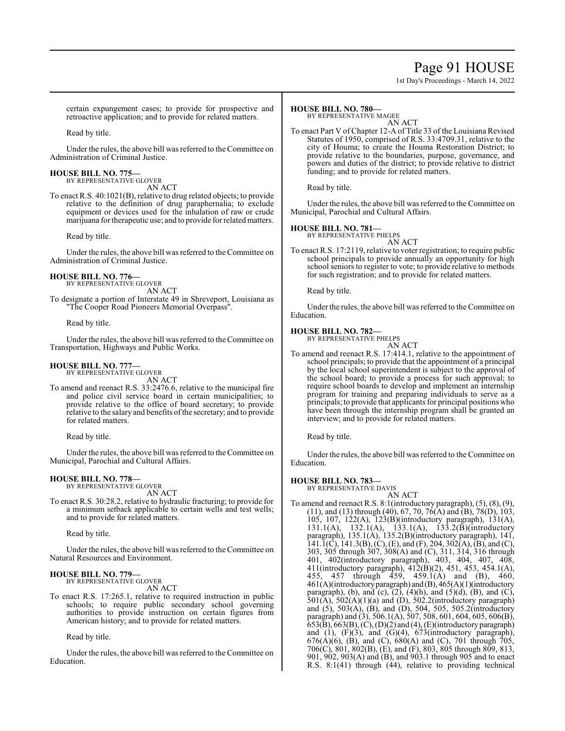# Page 91 HOUSE

1st Day's Proceedings - March 14, 2022

certain expungement cases; to provide for prospective and retroactive application; and to provide for related matters.

Read by title.

Under the rules, the above bill was referred to the Committee on Administration of Criminal Justice.

#### **HOUSE BILL NO. 775—** BY REPRESENTATIVE GLOVER

AN ACT

To enact R.S. 40:1021(B), relative to drug related objects; to provide relative to the definition of drug paraphernalia; to exclude equipment or devices used for the inhalation of raw or crude marijuana for therapeutic use; and to provide for related matters.

Read by title.

Under the rules, the above bill was referred to the Committee on Administration of Criminal Justice.

#### **HOUSE BILL NO. 776—** BY REPRESENTATIVE GLOVER

AN ACT

To designate a portion of Interstate 49 in Shreveport, Louisiana as "The Cooper Road Pioneers Memorial Overpass".

Read by title.

Under the rules, the above bill was referred to theCommittee on Transportation, Highways and Public Works.

## **HOUSE BILL NO. 777—**

BY REPRESENTATIVE GLOVER

AN ACT To amend and reenact R.S. 33:2476.6, relative to the municipal fire and police civil service board in certain municipalities; to provide relative to the office of board secretary; to provide relative to the salary and benefits ofthe secretary; and to provide for related matters.

Read by title.

Under the rules, the above bill was referred to theCommittee on Municipal, Parochial and Cultural Affairs.

## **HOUSE BILL NO. 778—**

BY REPRESENTATIVE GLOVER AN ACT

To enact R.S. 30:28.2, relative to hydraulic fracturing; to provide for a minimum setback applicable to certain wells and test wells; and to provide for related matters.

Read by title.

Under the rules, the above bill was referred to the Committee on Natural Resources and Environment.

#### **HOUSE BILL NO. 779—** BY REPRESENTATIVE GLOVER

AN ACT

To enact R.S. 17:265.1, relative to required instruction in public schools; to require public secondary school governing authorities to provide instruction on certain figures from American history; and to provide for related matters.

Read by title.

Under the rules, the above bill was referred to the Committee on Education.

### **HOUSE BILL NO. 780—**

BY REPRESENTATIVE MAGEE

AN ACT To enact Part V of Chapter 12-A of Title 33 of the Louisiana Revised Statutes of 1950, comprised of R.S. 33:4709.31, relative to the city of Houma; to create the Houma Restoration District; to provide relative to the boundaries, purpose, governance, and powers and duties of the district; to provide relative to district funding; and to provide for related matters.

Read by title.

Under the rules, the above bill was referred to the Committee on Municipal, Parochial and Cultural Affairs.

# **HOUSE BILL NO. 781—** BY REPRESENTATIVE PHELPS

AN ACT

To enact R.S. 17:2119, relative to voter registration; to require public school principals to provide annually an opportunity for high school seniors to register to vote; to provide relative to methods for such registration; and to provide for related matters.

Read by title.

Under the rules, the above bill was referred to the Committee on Education.

#### **HOUSE BILL NO. 782—** BY REPRESENTATIVE PHELPS

AN ACT

To amend and reenact R.S. 17:414.1, relative to the appointment of school principals; to provide that the appointment of a principal by the local school superintendent is subject to the approval of the school board; to provide a process for such approval; to require school boards to develop and implement an internship program for training and preparing individuals to serve as a principals; to provide that applicants for principal positions who have been through the internship program shall be granted an interview; and to provide for related matters.

Read by title.

Under the rules, the above bill was referred to the Committee on Education.

# **HOUSE BILL NO. 783—** BY REPRESENTATIVE DAVIS

AN ACT

To amend and reenact R.S. 8:1(introductory paragraph), (5), (8), (9), (11), and (13) through (40), 67, 70, 76(A) and (B), 78(D), 103, 105, 107, 122(A), 123(B)(introductory paragraph), 131(A), 131.1(A), 132.1(A), 133.1(A), 133.2(B)(introductory paragraph), 135.1(A), 135.2(B)(introductory paragraph), 141,  $141.1(\overrightarrow{C})$ ,  $141.3(\overrightarrow{B})$ ,  $(\overrightarrow{C})$ ,  $(\overrightarrow{E})$ , and  $(\overrightarrow{F})$ ,  $204$ ,  $302(\overrightarrow{A})$ ,  $(\overrightarrow{B})$ , and  $(\overrightarrow{C})$ , 303, 305 through 307, 308(A) and (C), 311, 314, 316 through 401, 402(introductory paragraph), 403, 404, 407, 408, 411(introductory paragraph), 412(B)(2), 451, 453, 454.1(A), 455, 457 through 459, 459.1(A) and (B), 460, 461(A)(introductoryparagraph) and (B), 465(A)(1)(introductory paragraph), (b), and (c), (2), (4)(h), and (5)(d), (B), and (C), 501(A), 502(A)(1)(a) and (D), 502.2(introductory paragraph) and (5), 503(A), (B), and (D), 504, 505, 505.2(introductory paragraph) and (3), 506.1(A), 507, 508, 601, 604, 605, 606(B), 653(B), 663(B), (C), (D)(2) and (4), (E)(introductory paragraph) and  $(1)$ ,  $(F)(3)$ , and  $(G)(4)$ ,  $673$  (introductory paragraph),  $676(A)(6)$ , (B), and (C),  $680(A)$  and (C), 701 through 705, 706(C), 801, 802(B), (E), and (F), 803, 805 through 809, 813, 901, 902, 903(A) and (B), and 903.1 through 905 and to enact R.S. 8:1(41) through (44), relative to providing technical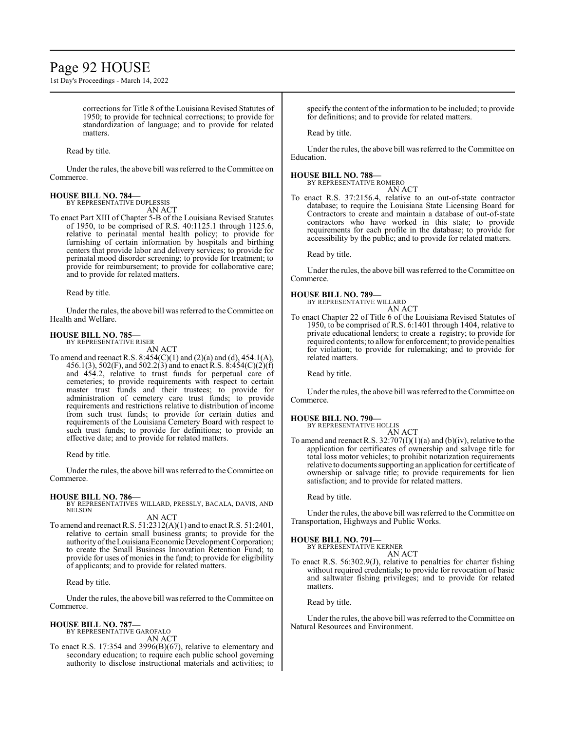# Page 92 HOUSE

1st Day's Proceedings - March 14, 2022

corrections for Title 8 of the Louisiana Revised Statutes of 1950; to provide for technical corrections; to provide for standardization of language; and to provide for related matters.

Read by title.

Under the rules, the above bill was referred to the Committee on Commerce.

# **HOUSE BILL NO. 784—** BY REPRESENTATIVE DUPLESSIS

AN ACT

To enact Part XIII of Chapter 5-B of the Louisiana Revised Statutes of 1950, to be comprised of R.S. 40:1125.1 through 1125.6, relative to perinatal mental health policy; to provide for furnishing of certain information by hospitals and birthing centers that provide labor and delivery services; to provide for perinatal mood disorder screening; to provide for treatment; to provide for reimbursement; to provide for collaborative care; and to provide for related matters.

Read by title.

Under the rules, the above bill was referred to the Committee on Health and Welfare.

#### **HOUSE BILL NO. 785—** BY REPRESENTATIVE RISER

AN ACT

To amend and reenact R.S. 8:454(C)(1) and (2)(a) and (d), 454.1(A), 456.1(3), 502(F), and 502.2(3) and to enact R.S. 8:454(C)(2)(f) and 454.2, relative to trust funds for perpetual care of cemeteries; to provide requirements with respect to certain master trust funds and their trustees; to provide for administration of cemetery care trust funds; to provide requirements and restrictions relative to distribution of income from such trust funds; to provide for certain duties and requirements of the Louisiana Cemetery Board with respect to such trust funds; to provide for definitions; to provide an effective date; and to provide for related matters.

Read by title.

Under the rules, the above bill was referred to the Committee on Commerce.

#### **HOUSE BILL NO. 786—**

BY REPRESENTATIVES WILLARD, PRESSLY, BACALA, DAVIS, AND NELSON AN ACT

To amend and reenact R.S. 51:2312(A)(1) and to enact R.S. 51:2401, relative to certain small business grants; to provide for the authorityoftheLouisiana Economic Development Corporation; to create the Small Business Innovation Retention Fund; to provide for uses of monies in the fund; to provide for eligibility of applicants; and to provide for related matters.

Read by title.

Under the rules, the above bill was referred to the Committee on Commerce.

#### **HOUSE BILL NO. 787—**

BY REPRESENTATIVE GAROFALO AN ACT

To enact R.S. 17:354 and 3996(B)(67), relative to elementary and secondary education; to require each public school governing authority to disclose instructional materials and activities; to specify the content of the information to be included; to provide for definitions; and to provide for related matters.

Read by title.

Under the rules, the above bill was referred to the Committee on Education.

## **HOUSE BILL NO. 788—**

```
BY REPRESENTATIVE ROMERO
       AN ACT
```
To enact R.S. 37:2156.4, relative to an out-of-state contractor database; to require the Louisiana State Licensing Board for Contractors to create and maintain a database of out-of-state contractors who have worked in this state; to provide requirements for each profile in the database; to provide for accessibility by the public; and to provide for related matters.

Read by title.

Under the rules, the above bill was referred to the Committee on Commerce.

## **HOUSE BILL NO. 789—**

BY REPRESENTATIVE WILLARD AN ACT

To enact Chapter 22 of Title 6 of the Louisiana Revised Statutes of 1950, to be comprised of R.S. 6:1401 through 1404, relative to private educational lenders; to create a registry; to provide for required contents; to allow for enforcement; to provide penalties for violation; to provide for rulemaking; and to provide for related matters.

Read by title.

Under the rules, the above bill was referred to the Committee on Commerce.

#### **HOUSE BILL NO. 790—**

| BY REPRESENTATIVE HOLLIS |        |
|--------------------------|--------|
|                          | AN ACT |

To amend and reenact R.S.  $32:707(I)(1)(a)$  and  $(b)(iv)$ , relative to the application for certificates of ownership and salvage title for total loss motor vehicles; to prohibit notarization requirements relative to documents supporting an application for certificate of ownership or salvage title; to provide requirements for lien satisfaction; and to provide for related matters.

Read by title.

Under the rules, the above bill was referred to the Committee on Transportation, Highways and Public Works.

# **HOUSE BILL NO. 791—**

| BY REPRESENTATIVE KERNER |        |
|--------------------------|--------|
|                          | AN ACT |

To enact R.S. 56:302.9(J), relative to penalties for charter fishing without required credentials; to provide for revocation of basic and saltwater fishing privileges; and to provide for related matters.

Read by title.

Under the rules, the above bill was referred to the Committee on Natural Resources and Environment.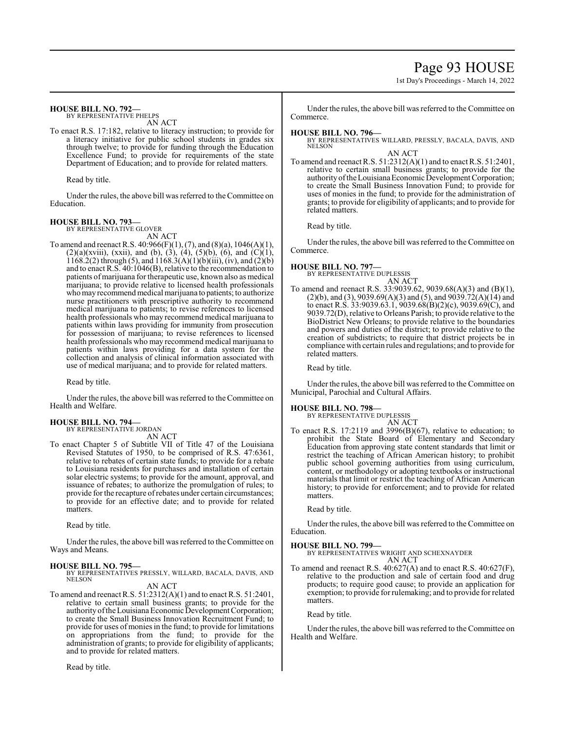# Page 93 HOUSE

1st Day's Proceedings - March 14, 2022

#### **HOUSE BILL NO. 792—**

BY REPRESENTATIVE PHELPS AN ACT

To enact R.S. 17:182, relative to literacy instruction; to provide for a literacy initiative for public school students in grades six through twelve; to provide for funding through the Education Excellence Fund; to provide for requirements of the state Department of Education; and to provide for related matters.

Read by title.

Under the rules, the above bill was referred to the Committee on Education.

#### **HOUSE BILL NO. 793—** BY REPRESENTATIVE GLOVER

AN ACT

To amend and reenact R.S. 40:966(F)(1), (7), and (8)(a), 1046(A)(1),  $(2)(a)(xviii)$ ,  $(xxii)$ , and  $(b)$ ,  $(3)$ ,  $(4)$ ,  $(5)(b)$ ,  $(6)$ , and  $(C)(1)$ , 1168.2(2) through (5), and 1168.3(A)(1)(b)(iii), (iv), and (2)(b) and to enact R.S. 40:1046(B), relative to the recommendation to patients of marijuana for therapeutic use, known also as medical marijuana; to provide relative to licensed health professionals who may recommend medical marijuana to patients; to authorize nurse practitioners with prescriptive authority to recommend medical marijuana to patients; to revise references to licensed health professionals who may recommend medical marijuana to patients within laws providing for immunity from prosecution for possession of marijuana; to revise references to licensed health professionals who may recommend medical marijuana to patients within laws providing for a data system for the collection and analysis of clinical information associated with use of medical marijuana; and to provide for related matters.

Read by title.

Under the rules, the above bill was referred to the Committee on Health and Welfare.

#### **HOUSE BILL NO. 794—** BY REPRESENTATIVE JORDAN

AN ACT

To enact Chapter 5 of Subtitle VII of Title 47 of the Louisiana Revised Statutes of 1950, to be comprised of R.S. 47:6361, relative to rebates of certain state funds; to provide for a rebate to Louisiana residents for purchases and installation of certain solar electric systems; to provide for the amount, approval, and issuance of rebates; to authorize the promulgation of rules; to provide for the recapture of rebates under certain circumstances; to provide for an effective date; and to provide for related matters.

Read by title.

Under the rules, the above bill was referred to the Committee on Ways and Means.

**HOUSE BILL NO. 795—** BY REPRESENTATIVES PRESSLY, WILLARD, BACALA, DAVIS, AND NELSON AN ACT

To amend and reenact R.S. 51:2312(A)(1) and to enact R.S. 51:2401, relative to certain small business grants; to provide for the authority oftheLouisiana Economic Development Corporation; to create the Small Business Innovation Recruitment Fund; to provide for uses of monies in the fund; to provide for limitations on appropriations from the fund; to provide for the administration of grants; to provide for eligibility of applicants; and to provide for related matters.

Read by title.

Under the rules, the above bill was referred to the Committee on Commerce.

### **HOUSE BILL NO. 796—**

BY REPRESENTATIVES WILLARD, PRESSLY, BACALA, DAVIS, AND NELSON AN ACT

To amend and reenact R.S. 51:2312(A)(1) and to enact R.S. 51:2401, relative to certain small business grants; to provide for the authority of the Louisiana Economic Development Corporation; to create the Small Business Innovation Fund; to provide for uses of monies in the fund; to provide for the administration of grants; to provide for eligibility of applicants; and to provide for related matters.

Read by title.

Under the rules, the above bill was referred to the Committee on Commerce.

#### **HOUSE BILL NO. 797—** BY REPRESENT

AN ACT

To amend and reenact R.S. 33:9039.62, 9039.68(A)(3) and (B)(1),  $(2)(b)$ , and  $(3)$ , 9039.69 $(A)(3)$  and  $(5)$ , and 9039.72 $(A)(14)$  and to enact R.S.  $33:9039.63.1$ ,  $9039.68(B)(2)(c)$ ,  $9039.69(C)$ , and 9039.72(D), relative to Orleans Parish; to provide relative to the BioDistrict New Orleans; to provide relative to the boundaries and powers and duties of the district; to provide relative to the creation of subdistricts; to require that district projects be in compliance with certain rules and regulations; and to provide for related matters.

Read by title.

Under the rules, the above bill was referred to the Committee on Municipal, Parochial and Cultural Affairs.

#### **HOUSE BILL NO. 798—**

BY REPRESENTATIVE DUPLESSIS AN ACT

To enact R.S. 17:2119 and 3996(B)(67), relative to education; to prohibit the State Board of Elementary and Secondary Education from approving state content standards that limit or restrict the teaching of African American history; to prohibit public school governing authorities from using curriculum, content, or methodology or adopting textbooks or instructional materials that limit or restrict the teaching of African American history; to provide for enforcement; and to provide for related matters.

Read by title.

Under the rules, the above bill was referred to the Committee on Education.

#### **HOUSE BILL NO. 799—**

BY REPRESENTATIVES WRIGHT AND SCHEXNAYDER AN ACT

To amend and reenact R.S. 40:627(A) and to enact R.S. 40:627(F), relative to the production and sale of certain food and drug products; to require good cause; to provide an application for exemption; to provide for rulemaking; and to provide for related matters.

Read by title.

Under the rules, the above bill was referred to the Committee on Health and Welfare.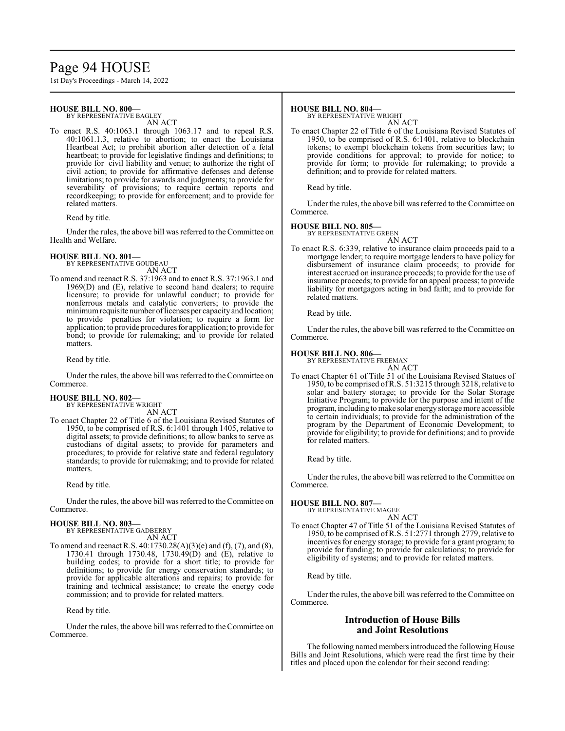# Page 94 HOUSE

1st Day's Proceedings - March 14, 2022

# **HOUSE BILL NO. 800—**

BY REPRESENTATIVE BAGLEY

AN ACT To enact R.S. 40:1063.1 through 1063.17 and to repeal R.S. 40:1061.1.3, relative to abortion; to enact the Louisiana Heartbeat Act; to prohibit abortion after detection of a fetal heartbeat; to provide for legislative findings and definitions; to provide for civil liability and venue; to authorize the right of civil action; to provide for affirmative defenses and defense limitations; to provide for awards and judgments; to provide for severability of provisions; to require certain reports and recordkeeping; to provide for enforcement; and to provide for related matters.

Read by title.

Under the rules, the above bill was referred to the Committee on Health and Welfare.

# **HOUSE BILL NO. 801—** BY REPRESENTATIVE GOUDEAU

AN ACT

To amend and reenact R.S. 37:1963 and to enact R.S. 37:1963.1 and 1969(D) and (E), relative to second hand dealers; to require licensure; to provide for unlawful conduct; to provide for nonferrous metals and catalytic converters; to provide the minimum requisite number of licenses per capacity and location; to provide penalties for violation; to require a form for application; to provide procedures for application; to provide for bond; to provide for rulemaking; and to provide for related matters.

Read by title.

Under the rules, the above bill was referred to the Committee on Commerce.

# **HOUSE BILL NO. 802—** BY REPRESENTATIVE WRIGHT

AN ACT To enact Chapter 22 of Title 6 of the Louisiana Revised Statutes of 1950, to be comprised of R.S. 6:1401 through 1405, relative to digital assets; to provide definitions; to allow banks to serve as custodians of digital assets; to provide for parameters and procedures; to provide for relative state and federal regulatory standards; to provide for rulemaking; and to provide for related matters.

Read by title.

Under the rules, the above bill was referred to the Committee on Commerce.

#### **HOUSE BILL NO. 803—**

BY REPRESENTATIVE GADBERRY AN ACT

To amend and reenact R.S. 40:1730.28(A)(3)(e) and (f), (7), and (8), 1730.41 through 1730.48, 1730.49(D) and (E), relative to building codes; to provide for a short title; to provide for definitions; to provide for energy conservation standards; to provide for applicable alterations and repairs; to provide for training and technical assistance; to create the energy code commission; and to provide for related matters.

Read by title.

Under the rules, the above bill was referred to the Committee on Commerce.

#### **HOUSE BILL NO. 804—**

BY REPRESENTATIVE WRIGHT

AN ACT To enact Chapter 22 of Title 6 of the Louisiana Revised Statutes of 1950, to be comprised of R.S. 6:1401, relative to blockchain tokens; to exempt blockchain tokens from securities law; to provide conditions for approval; to provide for notice; to provide for form; to provide for rulemaking; to provide a definition; and to provide for related matters.

Read by title.

Under the rules, the above bill was referred to the Committee on Commerce.

### **HOUSE BILL NO. 805—**

BY REPRESENTATIVE GREEN AN ACT

To enact R.S. 6:339, relative to insurance claim proceeds paid to a mortgage lender; to require mortgage lenders to have policy for disbursement of insurance claim proceeds; to provide for interest accrued on insurance proceeds; to provide for the use of insurance proceeds; to provide for an appeal process; to provide liability for mortgagors acting in bad faith; and to provide for related matters.

Read by title.

Under the rules, the above bill was referred to the Committee on Commerce.

### **HOUSE BILL NO. 806—**

BY REPRESENTATIVE FREEMAN

AN ACT To enact Chapter 61 of Title 51 of the Louisiana Revised Statues of 1950, to be comprised ofR.S. 51:3215 through 3218, relative to solar and battery storage; to provide for the Solar Storage Initiative Program; to provide for the purpose and intent of the program, including to make solar energy storage more accessible to certain individuals; to provide for the administration of the program by the Department of Economic Development; to provide for eligibility; to provide for definitions; and to provide for related matters.

Read by title.

Under the rules, the above bill was referred to the Committee on Commerce.

**HOUSE BILL NO. 807—**

BY REPRESENTATIVE MAGEE

AN ACT To enact Chapter 47 of Title 51 of the Louisiana Revised Statutes of 1950, to be comprised ofR.S. 51:2771 through 2779, relative to incentives for energy storage; to provide for a grant program; to provide for funding; to provide for calculations; to provide for eligibility of systems; and to provide for related matters.

Read by title.

Under the rules, the above bill was referred to the Committee on Commerce.

# **Introduction of House Bills and Joint Resolutions**

The following named members introduced the following House Bills and Joint Resolutions, which were read the first time by their titles and placed upon the calendar for their second reading: